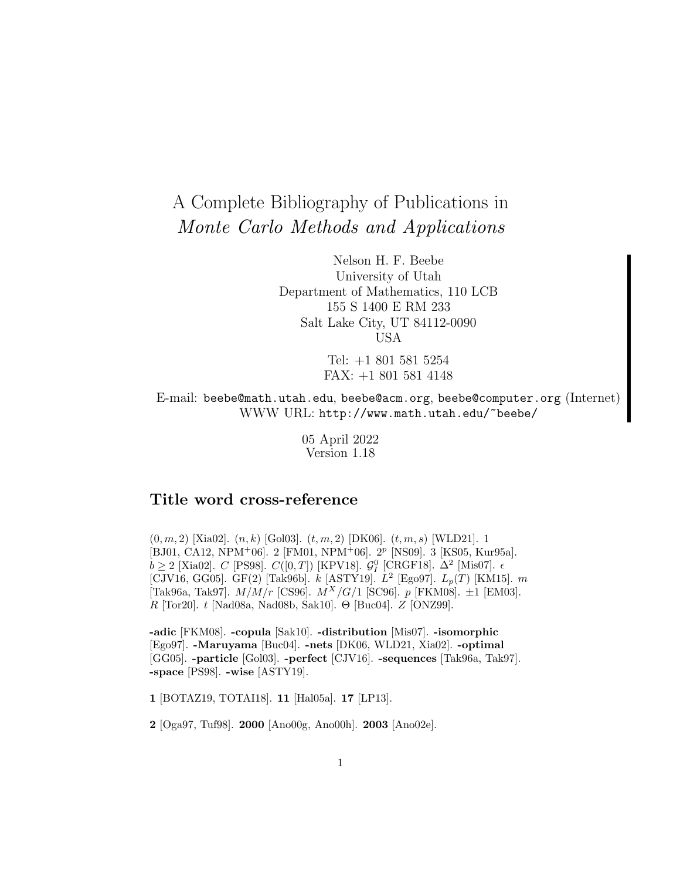# A Complete Bibliography of Publications in Monte Carlo Methods and Applications

Nelson H. F. Beebe University of Utah Department of Mathematics, 110 LCB 155 S 1400 E RM 233 Salt Lake City, UT 84112-0090 USA

> Tel: +1 801 581 5254 FAX: +1 801 581 4148

E-mail: beebe@math.utah.edu, beebe@acm.org, beebe@computer.org (Internet) WWW URL: http://www.math.utah.edu/~beebe/

> 05 April 2022 Version 1.18

# **Title word cross-reference**

 $(0, m, 2)$  [Xia02].  $(n, k)$  [Gol03].  $(t, m, 2)$  [DK06].  $(t, m, s)$  [WLD21]. 1 [BJ01, CA12, NPM<sup>+</sup>06]. 2 [FM01, NPM<sup>+</sup>06]. 2<sup>p</sup> [NS09]. 3 [KS05, Kur95a].  $b \geq 2$  [Xia02]. C [PS98]. C([0,T]) [KPV18].  $\mathcal{G}_I^0$  [CRGF18].  $\Delta^2$  [Mis07].  $\epsilon$ [CJV16, GG05]. GF(2) [Tak96b].  $k$  [ASTY19].  $L^2$  [Ego97].  $L_p(T)$  [KM15].  $m$ [Tak96a, Tak97].  $M/M/r$  [CS96].  $M^{X}/G/1$  [SC96].  $p$  [FKM08].  $\pm 1$  [EM03].  $R$  [Tor20].  $t$  [Nad08a, Nad08b, Sak10]. Θ [Buc04].  $Z$  [ONZ99].

**-adic** [FKM08]. **-copula** [Sak10]. **-distribution** [Mis07]. **-isomorphic** [Ego97]. **-Maruyama** [Buc04]. **-nets** [DK06, WLD21, Xia02]. **-optimal** [GG05]. **-particle** [Gol03]. **-perfect** [CJV16]. **-sequences** [Tak96a, Tak97]. **-space** [PS98]. **-wise** [ASTY19].

**1** [BOTAZ19, TOTAI18]. **11** [Hal05a]. **17** [LP13].

**2** [Oga97, Tuf98]. **2000** [Ano00g, Ano00h]. **2003** [Ano02e].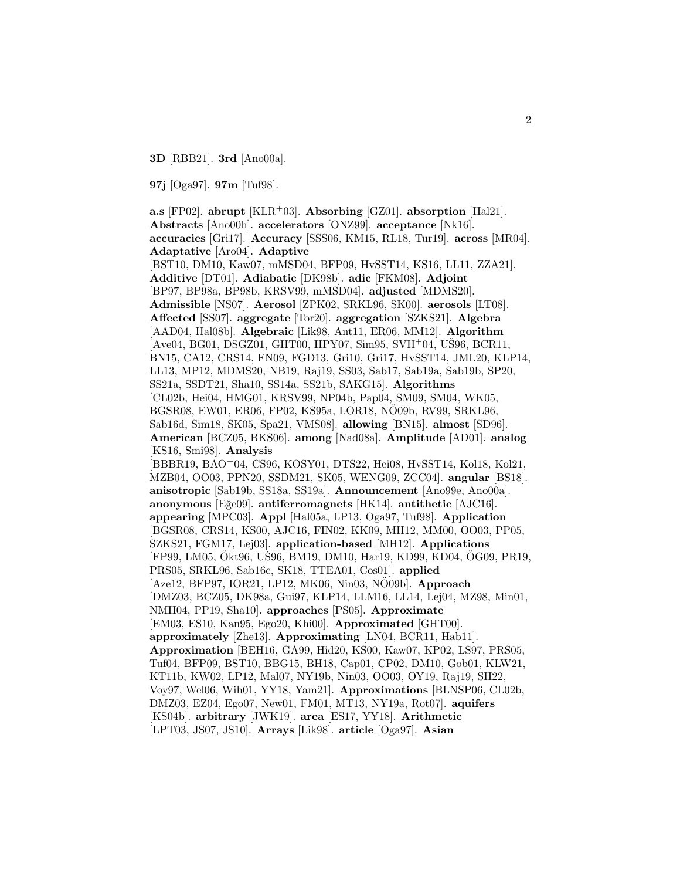**3D** [RBB21]. **3rd** [Ano00a].

**97j** [Oga97]. **97m** [Tuf98].

**a.s** [FP02]. **abrupt** [KLR<sup>+</sup>03]. **Absorbing** [GZ01]. **absorption** [Hal21]. **Abstracts** [Ano00h]. **accelerators** [ONZ99]. **acceptance** [Nk16]. **accuracies** [Gri17]. **Accuracy** [SSS06, KM15, RL18, Tur19]. **across** [MR04]. **Adaptative** [Aro04]. **Adaptive** [BST10, DM10, Kaw07, mMSD04, BFP09, HvSST14, KS16, LL11, ZZA21]. **Additive** [DT01]. **Adiabatic** [DK98b]. **adic** [FKM08]. **Adjoint** [BP97, BP98a, BP98b, KRSV99, mMSD04]. **adjusted** [MDMS20]. **Admissible** [NS07]. **Aerosol** [ZPK02, SRKL96, SK00]. **aerosols** [LT08]. **Affected** [SS07]. **aggregate** [Tor20]. **aggregation** [SZKS21]. **Algebra** [AAD04, Hal08b]. **Algebraic** [Lik98, Ant11, ER06, MM12]. **Algorithm**  $[Ave04, BG01, DSGZ01, GHT00, HPY07, Sim95, SVH<sup>+</sup>04, UŠ96, BCR11,$ BN15, CA12, CRS14, FN09, FGD13, Gri10, Gri17, HvSST14, JML20, KLP14, LL13, MP12, MDMS20, NB19, Raj19, SS03, Sab17, Sab19a, Sab19b, SP20, SS21a, SSDT21, Sha10, SS14a, SS21b, SAKG15]. **Algorithms** [CL02b, Hei04, HMG01, KRSV99, NP04b, Pap04, SM09, SM04, WK05, BGSR08, EW01, ER06, FP02, KS95a, LOR18, NÖ09b, RV99, SRKL96, Sab16d, Sim18, SK05, Spa21, VMS08]. **allowing** [BN15]. **almost** [SD96]. **American** [BCZ05, BKS06]. **among** [Nad08a]. **Amplitude** [AD01]. **analog** [KS16, Smi98]. **Analysis** [BBBR19, BAO<sup>+</sup>04, CS96, KOSY01, DTS22, Hei08, HvSST14, Kol18, Kol21, MZB04, OO03, PPN20, SSDM21, SK05, WENG09, ZCC04]. **angular** [BS18]. **anisotropic** [Sab19b, SS18a, SS19a]. **Announcement** [Ano99e, Ano00a]. **anonymous** [E˘ge09]. **antiferromagnets** [HK14]. **antithetic** [AJC16]. **appearing** [MPC03]. **Appl** [Hal05a, LP13, Oga97, Tuf98]. **Application** [BGSR08, CRS14, KS00, AJC16, FIN02, KK09, MH12, MM00, OO03, PP05, SZKS21, FGM17, Lej03]. **application-based** [MH12]. **Applications** [FP99, LM05, Ökt96, UŠ96, BM19, DM10, Har19, KD99, KD04, ÖG09, PR19, PRS05, SRKL96, Sab16c, SK18, TTEA01, Cos01]. **applied** [Aze12, BFP97, IOR21, LP12, MK06, Nin03, NO09b]. **Approach** [DMZ03, BCZ05, DK98a, Gui97, KLP14, LLM16, LL14, Lej04, MZ98, Min01, NMH04, PP19, Sha10]. **approaches** [PS05]. **Approximate** [EM03, ES10, Kan95, Ego20, Khi00]. **Approximated** [GHT00]. **approximately** [Zhe13]. **Approximating** [LN04, BCR11, Hab11]. **Approximation** [BEH16, GA99, Hid20, KS00, Kaw07, KP02, LS97, PRS05, Tuf04, BFP09, BST10, BBG15, BH18, Cap01, CP02, DM10, Gob01, KLW21, KT11b, KW02, LP12, Mal07, NY19b, Nin03, OO03, OY19, Raj19, SH22, Voy97, Wel06, Wih01, YY18, Yam21]. **Approximations** [BLNSP06, CL02b, DMZ03, EZ04, Ego07, New01, FM01, MT13, NY19a, Rot07]. **aquifers** [KS04b]. **arbitrary** [JWK19]. **area** [ES17, YY18]. **Arithmetic** [LPT03, JS07, JS10]. **Arrays** [Lik98]. **article** [Oga97]. **Asian**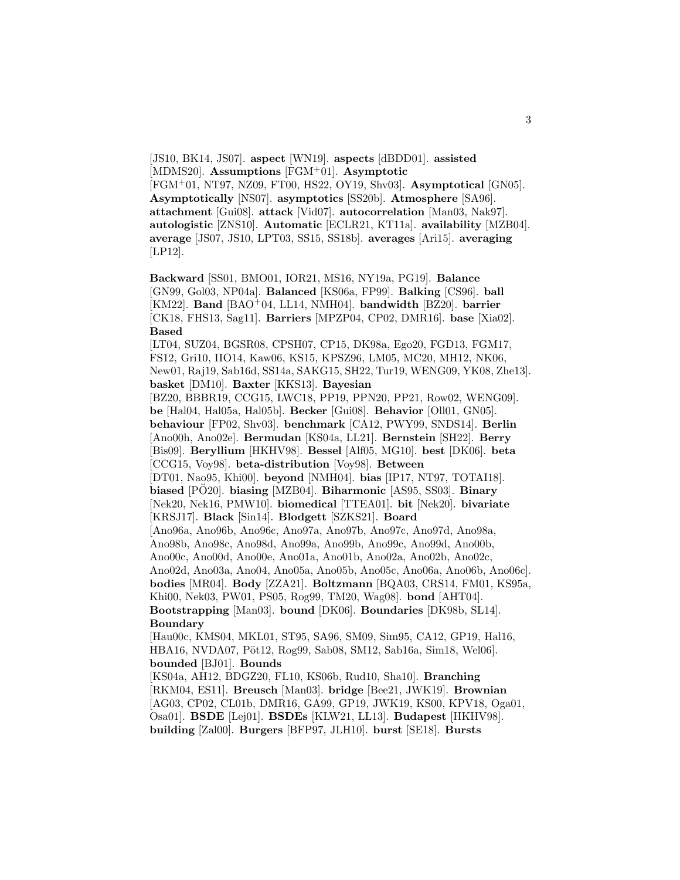[JS10, BK14, JS07]. **aspect** [WN19]. **aspects** [dBDD01]. **assisted** [MDMS20]. **Assumptions** [FGM<sup>+</sup>01]. **Asymptotic** [FGM<sup>+</sup>01, NT97, NZ09, FT00, HS22, OY19, Shv03]. **Asymptotical** [GN05]. **Asymptotically** [NS07]. **asymptotics** [SS20b]. **Atmosphere** [SA96]. **attachment** [Gui08]. **attack** [Vid07]. **autocorrelation** [Man03, Nak97]. **autologistic** [ZNS10]. **Automatic** [ECLR21, KT11a]. **availability** [MZB04]. **average** [JS07, JS10, LPT03, SS15, SS18b]. **averages** [Ari15]. **averaging** [LP12].

**Backward** [SS01, BMO01, IOR21, MS16, NY19a, PG19]. **Balance** [GN99, Gol03, NP04a]. **Balanced** [KS06a, FP99]. **Balking** [CS96]. **ball** [KM22]. **Band** [BAO<sup>+</sup>04, LL14, NMH04]. **bandwidth** [BZ20]. **barrier** [CK18, FHS13, Sag11]. **Barriers** [MPZP04, CP02, DMR16]. **base** [Xia02]. **Based**

[LT04, SUZ04, BGSR08, CPSH07, CP15, DK98a, Ego20, FGD13, FGM17, FS12, Gri10, IIO14, Kaw06, KS15, KPSZ96, LM05, MC20, MH12, NK06, New01, Raj19, Sab16d, SS14a, SAKG15, SH22, Tur19, WENG09, YK08, Zhe13]. **basket** [DM10]. **Baxter** [KKS13]. **Bayesian**

[BZ20, BBBR19, CCG15, LWC18, PP19, PPN20, PP21, Row02, WENG09]. **be** [Hal04, Hal05a, Hal05b]. **Becker** [Gui08]. **Behavior** [Oll01, GN05]. **behaviour** [FP02, Shv03]. **benchmark** [CA12, PWY99, SNDS14]. **Berlin** [Ano00h, Ano02e]. **Bermudan** [KS04a, LL21]. **Bernstein** [SH22]. **Berry** [Bis09]. **Beryllium** [HKHV98]. **Bessel** [Alf05, MG10]. **best** [DK06]. **beta** [CCG15, Voy98]. **beta-distribution** [Voy98]. **Between** [DT01, Nao95, Khi00]. **beyond** [NMH04]. **bias** [IP17, NT97, TOTAI18].

**biased** [PO20]. **biasing** [MZB04]. **Biharmonic** [AS95, SS03]. **Binary** 

[Nek20, Nek16, PMW10]. **biomedical** [TTEA01]. **bit** [Nek20]. **bivariate** [KRSJ17]. **Black** [Sin14]. **Blodgett** [SZKS21]. **Board**

[Ano96a, Ano96b, Ano96c, Ano97a, Ano97b, Ano97c, Ano97d, Ano98a, Ano98b, Ano98c, Ano98d, Ano99a, Ano99b, Ano99c, Ano99d, Ano00b,

Ano00c, Ano00d, Ano00e, Ano01a, Ano01b, Ano02a, Ano02b, Ano02c,

Ano02d, Ano03a, Ano04, Ano05a, Ano05b, Ano05c, Ano06a, Ano06b, Ano06c]. **bodies** [MR04]. **Body** [ZZA21]. **Boltzmann** [BQA03, CRS14, FM01, KS95a, Khi00, Nek03, PW01, PS05, Rog99, TM20, Wag08]. **bond** [AHT04]. **Bootstrapping** [Man03]. **bound** [DK06]. **Boundaries** [DK98b, SL14].

#### **Boundary**

[Hau00c, KMS04, MKL01, ST95, SA96, SM09, Sim95, CA12, GP19, Hal16, HBA16, NVDA07, Pöt12, Rog99, Sab08, SM12, Sab16a, Sim18, Wel06]. **bounded** [BJ01]. **Bounds**

[KS04a, AH12, BDGZ20, FL10, KS06b, Rud10, Sha10]. **Branching** [RKM04, ES11]. **Breusch** [Man03]. **bridge** [Bee21, JWK19]. **Brownian** [AG03, CP02, CL01b, DMR16, GA99, GP19, JWK19, KS00, KPV18, Oga01, Osa01]. **BSDE** [Lej01]. **BSDEs** [KLW21, LL13]. **Budapest** [HKHV98]. **building** [Zal00]. **Burgers** [BFP97, JLH10]. **burst** [SE18]. **Bursts**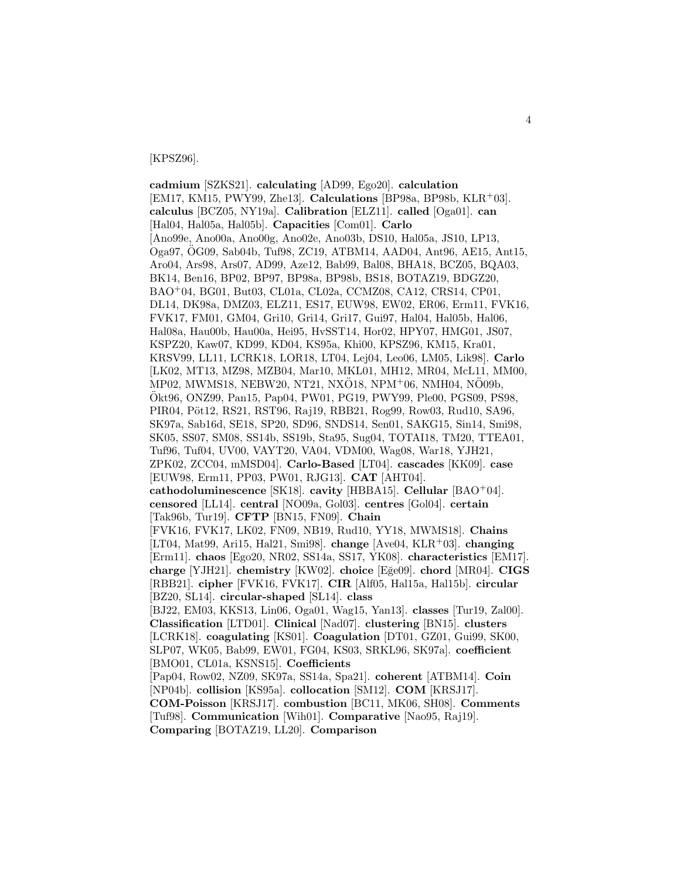#### [KPSZ96].

**cadmium** [SZKS21]. **calculating** [AD99, Ego20]. **calculation** [EM17, KM15, PWY99, Zhe13]. **Calculations** [BP98a, BP98b, KLR<sup>+</sup>03]. **calculus** [BCZ05, NY19a]. **Calibration** [ELZ11]. **called** [Oga01]. **can** [Hal04, Hal05a, Hal05b]. **Capacities** [Com01]. **Carlo** [Ano99e, Ano00a, Ano00g, Ano02e, Ano03b, DS10, Hal05a, JS10, LP13, Oga97, OG09, Sab04b, Tuf98, ZC19, ATBM14, AAD04, Ant96, AE15, Ant15, ¨ Aro04, Ars98, Ars07, AD99, Aze12, Bab99, Bal08, BHA18, BCZ05, BQA03, BK14, Ben16, BP02, BP97, BP98a, BP98b, BS18, BOTAZ19, BDGZ20, BAO<sup>+</sup>04, BG01, But03, CL01a, CL02a, CCMZ08, CA12, CRS14, CP01, DL14, DK98a, DMZ03, ELZ11, ES17, EUW98, EW02, ER06, Erm11, FVK16, FVK17, FM01, GM04, Gri10, Gri14, Gri17, Gui97, Hal04, Hal05b, Hal06, Hal08a, Hau00b, Hau00a, Hei95, HvSST14, Hor02, HPY07, HMG01, JS07, KSPZ20, Kaw07, KD99, KD04, KS95a, Khi00, KPSZ96, KM15, Kra01, KRSV99, LL11, LCRK18, LOR18, LT04, Lej04, Leo06, LM05, Lik98]. **Carlo** [LK02, MT13, MZ98, MZB04, Mar10, MKL01, MH12, MR04, McL11, MM00,  $MP02$ , MWMS18, NEBW20, NT21, NXO18, NPM<sup>+</sup>06, NMH04, NO09b, Okt96, ONZ99, Pan15, Pap04, PW01, PG19, PWY99, Ple00, PGS09, PS98, ¨ PIR04, Pöt12, RS21, RST96, Raj19, RBB21, Rog99, Row03, Rud10, SA96, SK97a, Sab16d, SE18, SP20, SD96, SNDS14, Sen01, SAKG15, Sin14, Smi98, SK05, SS07, SM08, SS14b, SS19b, Sta95, Sug04, TOTAI18, TM20, TTEA01, Tuf96, Tuf04, UV00, VAYT20, VA04, VDM00, Wag08, War18, YJH21, ZPK02, ZCC04, mMSD04]. **Carlo-Based** [LT04]. **cascades** [KK09]. **case** [EUW98, Erm11, PP03, PW01, RJG13]. **CAT** [AHT04]. **cathodoluminescence** [SK18]. **cavity** [HBBA15]. **Cellular** [BAO<sup>+</sup>04]. **censored** [LL14]. **central** [NO09a, Gol03]. **centres** [Gol04]. **certain** [Tak96b, Tur19]. **CFTP** [BN15, FN09]. **Chain** [FVK16, FVK17, LK02, FN09, NB19, Rud10, YY18, MWMS18]. **Chains** [LT04, Mat99, Ari15, Hal21, Smi98]. **change** [Ave04, KLR<sup>+</sup>03]. **changing** [Erm11]. **chaos** [Ego20, NR02, SS14a, SS17, YK08]. **characteristics** [EM17]. **charge** [YJH21]. **chemistry** [KW02]. **choice** [E˘ge09]. **chord** [MR04]. **CIGS** [RBB21]. **cipher** [FVK16, FVK17]. **CIR** [Alf05, Hal15a, Hal15b]. **circular** [BZ20, SL14]. **circular-shaped** [SL14]. **class** [BJ22, EM03, KKS13, Lin06, Oga01, Wag15, Yan13]. **classes** [Tur19, Zal00]. **Classification** [LTD01]. **Clinical** [Nad07]. **clustering** [BN15]. **clusters** [LCRK18]. **coagulating** [KS01]. **Coagulation** [DT01, GZ01, Gui99, SK00, SLP07, WK05, Bab99, EW01, FG04, KS03, SRKL96, SK97a]. **coefficient** [BMO01, CL01a, KSNS15]. **Coefficients** [Pap04, Row02, NZ09, SK97a, SS14a, Spa21]. **coherent** [ATBM14]. **Coin** [NP04b]. **collision** [KS95a]. **collocation** [SM12]. **COM** [KRSJ17]. **COM-Poisson** [KRSJ17]. **combustion** [BC11, MK06, SH08]. **Comments** [Tuf98]. **Communication** [Wih01]. **Comparative** [Nao95, Raj19].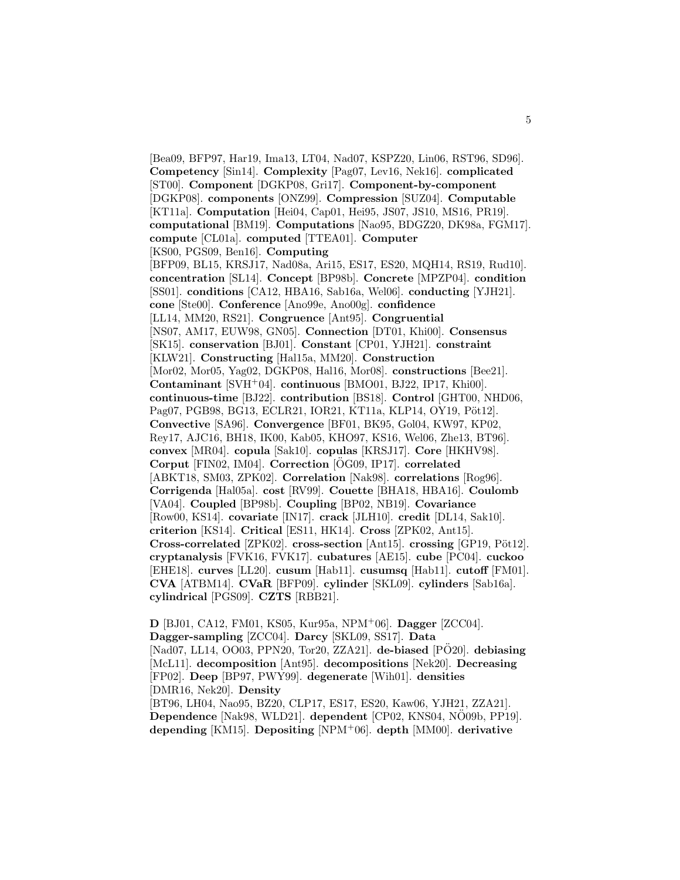[Bea09, BFP97, Har19, Ima13, LT04, Nad07, KSPZ20, Lin06, RST96, SD96]. **Competency** [Sin14]. **Complexity** [Pag07, Lev16, Nek16]. **complicated** [ST00]. **Component** [DGKP08, Gri17]. **Component-by-component** [DGKP08]. **components** [ONZ99]. **Compression** [SUZ04]. **Computable** [KT11a]. **Computation** [Hei04, Cap01, Hei95, JS07, JS10, MS16, PR19]. **computational** [BM19]. **Computations** [Nao95, BDGZ20, DK98a, FGM17]. **compute** [CL01a]. **computed** [TTEA01]. **Computer** [KS00, PGS09, Ben16]. **Computing** [BFP09, BL15, KRSJ17, Nad08a, Ari15, ES17, ES20, MQH14, RS19, Rud10]. **concentration** [SL14]. **Concept** [BP98b]. **Concrete** [MPZP04]. **condition** [SS01]. **conditions** [CA12, HBA16, Sab16a, Wel06]. **conducting** [YJH21]. **cone** [Ste00]. **Conference** [Ano99e, Ano00g]. **confidence** [LL14, MM20, RS21]. **Congruence** [Ant95]. **Congruential** [NS07, AM17, EUW98, GN05]. **Connection** [DT01, Khi00]. **Consensus** [SK15]. **conservation** [BJ01]. **Constant** [CP01, YJH21]. **constraint** [KLW21]. **Constructing** [Hal15a, MM20]. **Construction** [Mor02, Mor05, Yag02, DGKP08, Hal16, Mor08]. **constructions** [Bee21]. **Contaminant** [SVH<sup>+</sup>04]. **continuous** [BMO01, BJ22, IP17, Khi00]. **continuous-time** [BJ22]. **contribution** [BS18]. **Control** [GHT00, NHD06, Pag07, PGB98, BG13, ECLR21, IOR21, KT11a, KLP14, OY19, Pöt12. **Convective** [SA96]. **Convergence** [BF01, BK95, Gol04, KW97, KP02, Rey17, AJC16, BH18, IK00, Kab05, KHO97, KS16, Wel06, Zhe13, BT96]. **convex** [MR04]. **copula** [Sak10]. **copulas** [KRSJ17]. **Core** [HKHV98]. **Corput** [FIN02, IM04]. **Correction** [OG09, IP17]. **correlated** [ABKT18, SM03, ZPK02]. **Correlation** [Nak98]. **correlations** [Rog96]. **Corrigenda** [Hal05a]. **cost** [RV99]. **Couette** [BHA18, HBA16]. **Coulomb** [VA04]. **Coupled** [BP98b]. **Coupling** [BP02, NB19]. **Covariance** [Row00, KS14]. **covariate** [IN17]. **crack** [JLH10]. **credit** [DL14, Sak10]. **criterion** [KS14]. **Critical** [ES11, HK14]. **Cross** [ZPK02, Ant15]. **Cross-correlated** [ZPK02]. **cross-section** [Ant15]. **crossing** [GP19, Pöt12]. **cryptanalysis** [FVK16, FVK17]. **cubatures** [AE15]. **cube** [PC04]. **cuckoo** [EHE18]. **curves** [LL20]. **cusum** [Hab11]. **cusumsq** [Hab11]. **cutoff** [FM01]. **CVA** [ATBM14]. **CVaR** [BFP09]. **cylinder** [SKL09]. **cylinders** [Sab16a]. **cylindrical** [PGS09]. **CZTS** [RBB21].

**D** [BJ01, CA12, FM01, KS05, Kur95a, NPM<sup>+</sup>06]. **Dagger** [ZCC04]. **Dagger-sampling** [ZCC04]. **Darcy** [SKL09, SS17]. **Data** [Nad07, LL14, OO03, PPN20, Tor20, ZZA21]. **de-biased** [PO20]. **debiasing** [McL11]. **decomposition** [Ant95]. **decompositions** [Nek20]. **Decreasing** [FP02]. **Deep** [BP97, PWY99]. **degenerate** [Wih01]. **densities** [DMR16, Nek20]. **Density** [BT96, LH04, Nao95, BZ20, CLP17, ES17, ES20, Kaw06, YJH21, ZZA21]. **Dependence** [Nak98, WLD21]. **dependent** [CP02, KNS04, NO09b, PP19]. **depending** [KM15]. **Depositing** [NPM<sup>+</sup>06]. **depth** [MM00]. **derivative**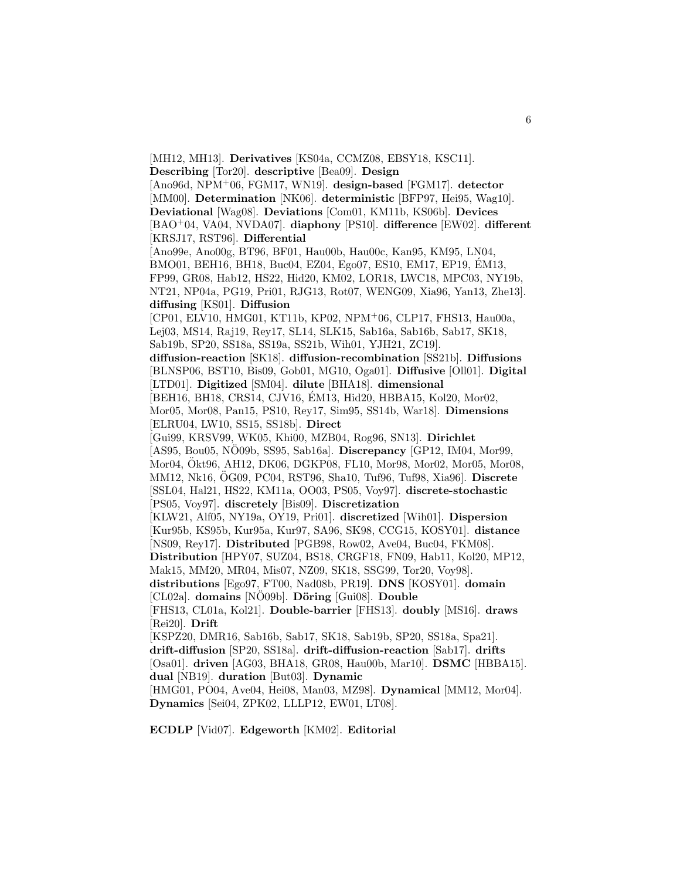[MH12, MH13]. **Derivatives** [KS04a, CCMZ08, EBSY18, KSC11]. **Describing** [Tor20]. **descriptive** [Bea09]. **Design** [Ano96d, NPM<sup>+</sup>06, FGM17, WN19]. **design-based** [FGM17]. **detector** [MM00]. **Determination** [NK06]. **deterministic** [BFP97, Hei95, Wag10]. **Deviational** [Wag08]. **Deviations** [Com01, KM11b, KS06b]. **Devices** [BAO<sup>+</sup>04, VA04, NVDA07]. **diaphony** [PS10]. **difference** [EW02]. **different** [KRSJ17, RST96]. **Differential** [Ano99e, Ano00g, BT96, BF01, Hau00b, Hau00c, Kan95, KM95, LN04, BMO01, BEH16, BH18, Buc04, EZ04, Ego07, ES10, EM17, EP19, EM13, ´ FP99, GR08, Hab12, HS22, Hid20, KM02, LOR18, LWC18, MPC03, NY19b, NT21, NP04a, PG19, Pri01, RJG13, Rot07, WENG09, Xia96, Yan13, Zhe13]. **diffusing** [KS01]. **Diffusion** [CP01, ELV10, HMG01, KT11b, KP02, NPM<sup>+</sup>06, CLP17, FHS13, Hau00a, Lej03, MS14, Raj19, Rey17, SL14, SLK15, Sab16a, Sab16b, Sab17, SK18, Sab19b, SP20, SS18a, SS19a, SS21b, Wih01, YJH21, ZC19]. **diffusion-reaction** [SK18]. **diffusion-recombination** [SS21b]. **Diffusions** [BLNSP06, BST10, Bis09, Gob01, MG10, Oga01]. **Diffusive** [Oll01]. **Digital** [LTD01]. **Digitized** [SM04]. **dilute** [BHA18]. **dimensional** [BEH16, BH18, CRS14, CJV16, EM13, Hid20, HBBA15, Kol20, Mor02, ´ Mor05, Mor08, Pan15, PS10, Rey17, Sim95, SS14b, War18]. **Dimensions** [ELRU04, LW10, SS15, SS18b]. **Direct** [Gui99, KRSV99, WK05, Khi00, MZB04, Rog96, SN13]. **Dirichlet** [AS95, Bou05, NO09b, SS95, Sab16a]. **Discrepancy** [GP12, IM04, Mor99, Mor04, Okt96, AH12, DK06, DGKP08, FL10, Mor98, Mor02, Mor05, Mor08, ¨ MM12, Nk16, OG09, PC04, RST96, Sha10, Tuf96, Tuf98, Xia96]. ¨ **Discrete** [SSL04, Hal21, HS22, KM11a, OO03, PS05, Voy97]. **discrete-stochastic** [PS05, Voy97]. **discretely** [Bis09]. **Discretization** [KLW21, Alf05, NY19a, OY19, Pri01]. **discretized** [Wih01]. **Dispersion** [Kur95b, KS95b, Kur95a, Kur97, SA96, SK98, CCG15, KOSY01]. **distance** [NS09, Rey17]. **Distributed** [PGB98, Row02, Ave04, Buc04, FKM08]. **Distribution** [HPY07, SUZ04, BS18, CRGF18, FN09, Hab11, Kol20, MP12, Mak15, MM20, MR04, Mis07, NZ09, SK18, SSG99, Tor20, Voy98]. **distributions** [Ego97, FT00, Nad08b, PR19]. **DNS** [KOSY01]. **domain** [CL02a]. **domains** [NO09b]. **Döring** [Gui08]. **Double** [FHS13, CL01a, Kol21]. **Double-barrier** [FHS13]. **doubly** [MS16]. **draws** [Rei20]. **Drift** [KSPZ20, DMR16, Sab16b, Sab17, SK18, Sab19b, SP20, SS18a, Spa21]. **drift-diffusion** [SP20, SS18a]. **drift-diffusion-reaction** [Sab17]. **drifts** [Osa01]. **driven** [AG03, BHA18, GR08, Hau00b, Mar10]. **DSMC** [HBBA15]. **dual** [NB19]. **duration** [But03]. **Dynamic** [HMG01, PO04, Ave04, Hei08, Man03, MZ98]. **Dynamical** [MM12, Mor04]. **Dynamics** [Sei04, ZPK02, LLLP12, EW01, LT08].

**ECDLP** [Vid07]. **Edgeworth** [KM02]. **Editorial**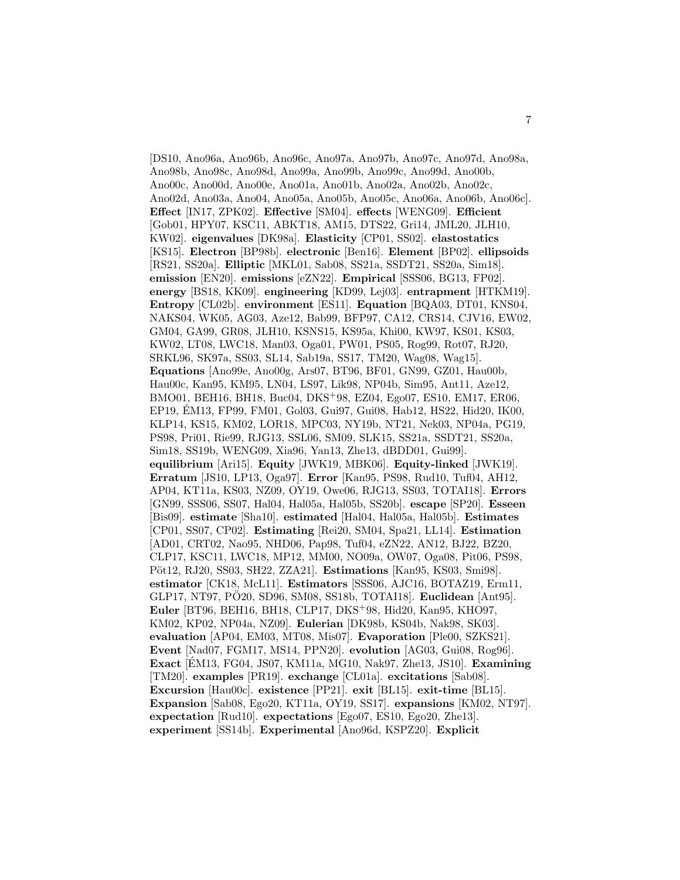[DS10, Ano96a, Ano96b, Ano96c, Ano97a, Ano97b, Ano97c, Ano97d, Ano98a, Ano98b, Ano98c, Ano98d, Ano99a, Ano99b, Ano99c, Ano99d, Ano00b, Ano00c, Ano00d, Ano00e, Ano01a, Ano01b, Ano02a, Ano02b, Ano02c, Ano02d, Ano03a, Ano04, Ano05a, Ano05b, Ano05c, Ano06a, Ano06b, Ano06c]. **Effect** [IN17, ZPK02]. **Effective** [SM04]. **effects** [WENG09]. **Efficient** [Gob01, HPY07, KSC11, ABKT18, AM15, DTS22, Gri14, JML20, JLH10, KW02]. **eigenvalues** [DK98a]. **Elasticity** [CP01, SS02]. **elastostatics** [KS15]. **Electron** [BP98b]. **electronic** [Ben16]. **Element** [BP02]. **ellipsoids** [RS21, SS20a]. **Elliptic** [MKL01, Sab08, SS21a, SSDT21, SS20a, Sim18]. **emission** [EN20]. **emissions** [eZN22]. **Empirical** [SSS06, BG13, FP02]. **energy** [BS18, KK09]. **engineering** [KD99, Lej03]. **entrapment** [HTKM19]. **Entropy** [CL02b]. **environment** [ES11]. **Equation** [BQA03, DT01, KNS04, NAKS04, WK05, AG03, Aze12, Bab99, BFP97, CA12, CRS14, CJV16, EW02, GM04, GA99, GR08, JLH10, KSNS15, KS95a, Khi00, KW97, KS01, KS03, KW02, LT08, LWC18, Man03, Oga01, PW01, PS05, Rog99, Rot07, RJ20, SRKL96, SK97a, SS03, SL14, Sab19a, SS17, TM20, Wag08, Wag15]. **Equations** [Ano99e, Ano00g, Ars07, BT96, BF01, GN99, GZ01, Hau00b, Hau00c, Kan95, KM95, LN04, LS97, Lik98, NP04b, Sim95, Ant11, Aze12, BMO01, BEH16, BH18, Buc04, DKS<sup>+</sup>98, EZ04, Ego07, ES10, EM17, ER06, EP19, EM13, FP99, FM01, Gol03, Gui97, Gui08, Hab12, HS22, Hid20, IK00, KLP14, KS15, KM02, LOR18, MPC03, NY19b, NT21, Nek03, NP04a, PG19, PS98, Pri01, Rie99, RJG13, SSL06, SM09, SLK15, SS21a, SSDT21, SS20a, Sim18, SS19b, WENG09, Xia96, Yan13, Zhe13, dBDD01, Gui99]. **equilibrium** [Ari15]. **Equity** [JWK19, MBK06]. **Equity-linked** [JWK19]. **Erratum** [JS10, LP13, Oga97]. **Error** [Kan95, PS98, Rud10, Tuf04, AH12, AP04, KT11a, KS03, NZ09, OY19, Owe06, RJG13, SS03, TOTAI18]. **Errors** [GN99, SSS06, SS07, Hal04, Hal05a, Hal05b, SS20b]. **escape** [SP20]. **Esseen** [Bis09]. **estimate** [Sha10]. **estimated** [Hal04, Hal05a, Hal05b]. **Estimates** [CP01, SS07, CP02]. **Estimating** [Rei20, SM04, Spa21, LL14]. **Estimation** [AD01, CRT02, Nao95, NHD06, Pap98, Tuf04, eZN22, AN12, BJ22, BZ20, CLP17, KSC11, LWC18, MP12, MM00, NO09a, OW07, Oga08, Pit06, PS98, Pöt12, RJ20, SS03, SH22, ZZA21]. **Estimations** [Kan95, KS03, Smi98]. **estimator** [CK18, McL11]. **Estimators** [SSS06, AJC16, BOTAZ19, Erm11, GLP17, NT97, PÖ20, SD96, SM08, SS18b, TOTAI18]. Euclidean [Ant95]. **Euler** [BT96, BEH16, BH18, CLP17, DKS<sup>+</sup>98, Hid20, Kan95, KHO97, KM02, KP02, NP04a, NZ09]. **Eulerian** [DK98b, KS04b, Nak98, SK03]. **evaluation** [AP04, EM03, MT08, Mis07]. **Evaporation** [Ple00, SZKS21]. **Event** [Nad07, FGM17, MS14, PPN20]. **evolution** [AG03, Gui08, Rog96]. **Exact** [EM13, FG04, JS07, KM11a, MG10, Nak97, Zhe13, JS10]. **Examining** [TM20]. **examples** [PR19]. **exchange** [CL01a]. **excitations** [Sab08]. **Excursion** [Hau00c]. **existence** [PP21]. **exit** [BL15]. **exit-time** [BL15]. **Expansion** [Sab08, Ego20, KT11a, OY19, SS17]. **expansions** [KM02, NT97]. **expectation** [Rud10]. **expectations** [Ego07, ES10, Ego20, Zhe13]. **experiment** [SS14b]. **Experimental** [Ano96d, KSPZ20]. **Explicit**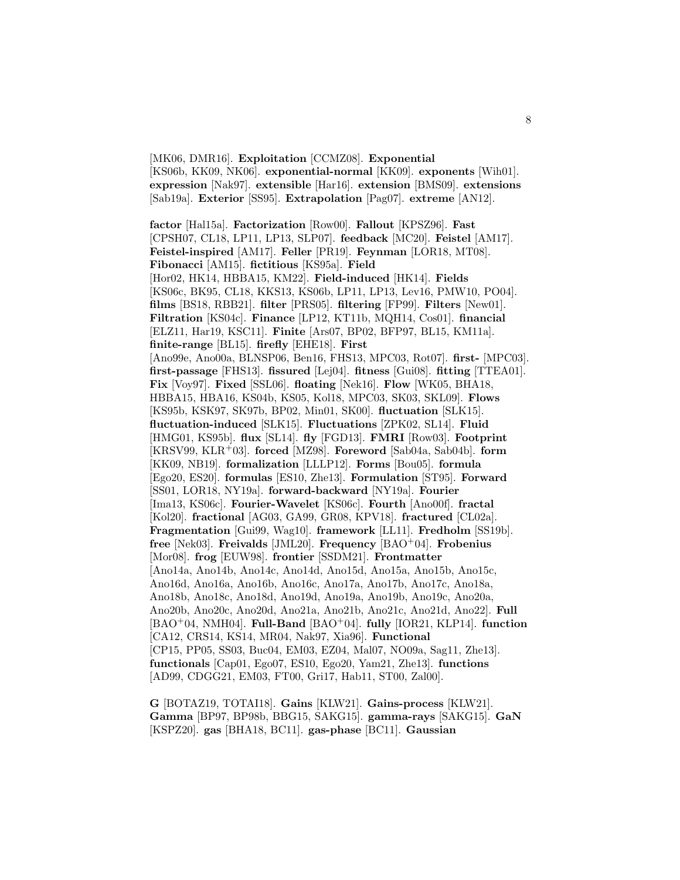[MK06, DMR16]. **Exploitation** [CCMZ08]. **Exponential** [KS06b, KK09, NK06]. **exponential-normal** [KK09]. **exponents** [Wih01]. **expression** [Nak97]. **extensible** [Har16]. **extension** [BMS09]. **extensions** [Sab19a]. **Exterior** [SS95]. **Extrapolation** [Pag07]. **extreme** [AN12].

**factor** [Hal15a]. **Factorization** [Row00]. **Fallout** [KPSZ96]. **Fast** [CPSH07, CL18, LP11, LP13, SLP07]. **feedback** [MC20]. **Feistel** [AM17]. **Feistel-inspired** [AM17]. **Feller** [PR19]. **Feynman** [LOR18, MT08]. **Fibonacci** [AM15]. **fictitious** [KS95a]. **Field** [Hor02, HK14, HBBA15, KM22]. **Field-induced** [HK14]. **Fields** [KS06c, BK95, CL18, KKS13, KS06b, LP11, LP13, Lev16, PMW10, PO04]. **films** [BS18, RBB21]. **filter** [PRS05]. **filtering** [FP99]. **Filters** [New01]. **Filtration** [KS04c]. **Finance** [LP12, KT11b, MQH14, Cos01]. **financial** [ELZ11, Har19, KSC11]. **Finite** [Ars07, BP02, BFP97, BL15, KM11a]. **finite-range** [BL15]. **firefly** [EHE18]. **First** [Ano99e, Ano00a, BLNSP06, Ben16, FHS13, MPC03, Rot07]. **first-** [MPC03]. **first-passage** [FHS13]. **fissured** [Lej04]. **fitness** [Gui08]. **fitting** [TTEA01]. **Fix** [Voy97]. **Fixed** [SSL06]. **floating** [Nek16]. **Flow** [WK05, BHA18, HBBA15, HBA16, KS04b, KS05, Kol18, MPC03, SK03, SKL09]. **Flows** [KS95b, KSK97, SK97b, BP02, Min01, SK00]. **fluctuation** [SLK15]. **fluctuation-induced** [SLK15]. **Fluctuations** [ZPK02, SL14]. **Fluid** [HMG01, KS95b]. **flux** [SL14]. **fly** [FGD13]. **FMRI** [Row03]. **Footprint** [KRSV99, KLR<sup>+</sup>03]. **forced** [MZ98]. **Foreword** [Sab04a, Sab04b]. **form** [KK09, NB19]. **formalization** [LLLP12]. **Forms** [Bou05]. **formula** [Ego20, ES20]. **formulas** [ES10, Zhe13]. **Formulation** [ST95]. **Forward** [SS01, LOR18, NY19a]. **forward-backward** [NY19a]. **Fourier** [Ima13, KS06c]. **Fourier-Wavelet** [KS06c]. **Fourth** [Ano00f]. **fractal** [Kol20]. **fractional** [AG03, GA99, GR08, KPV18]. **fractured** [CL02a]. **Fragmentation** [Gui99, Wag10]. **framework** [LL11]. **Fredholm** [SS19b]. **free** [Nek03]. **Freivalds** [JML20]. **Frequency** [BAO<sup>+</sup>04]. **Frobenius** [Mor08]. **frog** [EUW98]. **frontier** [SSDM21]. **Frontmatter** [Ano14a, Ano14b, Ano14c, Ano14d, Ano15d, Ano15a, Ano15b, Ano15c, Ano16d, Ano16a, Ano16b, Ano16c, Ano17a, Ano17b, Ano17c, Ano18a, Ano18b, Ano18c, Ano18d, Ano19d, Ano19a, Ano19b, Ano19c, Ano20a, Ano20b, Ano20c, Ano20d, Ano21a, Ano21b, Ano21c, Ano21d, Ano22]. **Full** [BAO<sup>+</sup>04, NMH04]. **Full-Band** [BAO<sup>+</sup>04]. **fully** [IOR21, KLP14]. **function** [CA12, CRS14, KS14, MR04, Nak97, Xia96]. **Functional** [CP15, PP05, SS03, Buc04, EM03, EZ04, Mal07, NO09a, Sag11, Zhe13]. **functionals** [Cap01, Ego07, ES10, Ego20, Yam21, Zhe13]. **functions** [AD99, CDGG21, EM03, FT00, Gri17, Hab11, ST00, Zal00].

**G** [BOTAZ19, TOTAI18]. **Gains** [KLW21]. **Gains-process** [KLW21]. **Gamma** [BP97, BP98b, BBG15, SAKG15]. **gamma-rays** [SAKG15]. **GaN** [KSPZ20]. **gas** [BHA18, BC11]. **gas-phase** [BC11]. **Gaussian**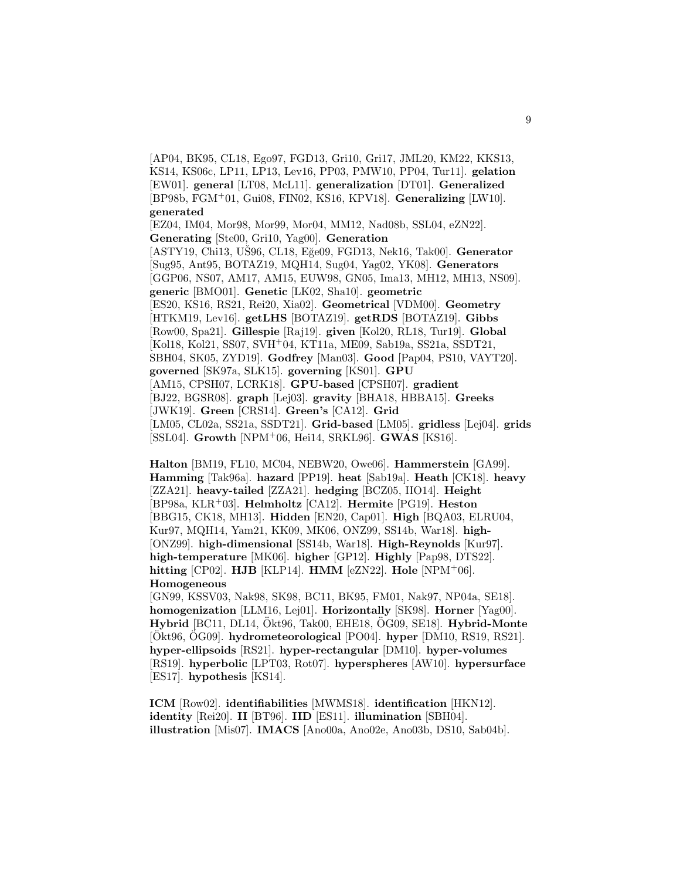[AP04, BK95, CL18, Ego97, FGD13, Gri10, Gri17, JML20, KM22, KKS13, KS14, KS06c, LP11, LP13, Lev16, PP03, PMW10, PP04, Tur11]. **gelation** [EW01]. **general** [LT08, McL11]. **generalization** [DT01]. **Generalized** [BP98b, FGM<sup>+</sup>01, Gui08, FIN02, KS16, KPV18]. **Generalizing** [LW10]. **generated**

[EZ04, IM04, Mor98, Mor99, Mor04, MM12, Nad08b, SSL04, eZN22]. **Generating** [Ste00, Gri10, Yag00]. **Generation** [ASTY19, Chi13, UŠ96, CL18, Eğe09, FGD13, Nek16, Tak00]. **Generator** [Sug95, Ant95, BOTAZ19, MQH14, Sug04, Yag02, YK08]. **Generators** [GGP06, NS07, AM17, AM15, EUW98, GN05, Ima13, MH12, MH13, NS09]. **generic** [BMO01]. **Genetic** [LK02, Sha10]. **geometric** [ES20, KS16, RS21, Rei20, Xia02]. **Geometrical** [VDM00]. **Geometry** [HTKM19, Lev16]. **getLHS** [BOTAZ19]. **getRDS** [BOTAZ19]. **Gibbs** [Row00, Spa21]. **Gillespie** [Raj19]. **given** [Kol20, RL18, Tur19]. **Global** [Kol18, Kol21, SS07, SVH<sup>+</sup>04, KT11a, ME09, Sab19a, SS21a, SSDT21, SBH04, SK05, ZYD19]. **Godfrey** [Man03]. **Good** [Pap04, PS10, VAYT20]. **governed** [SK97a, SLK15]. **governing** [KS01]. **GPU** [AM15, CPSH07, LCRK18]. **GPU-based** [CPSH07]. **gradient** [BJ22, BGSR08]. **graph** [Lej03]. **gravity** [BHA18, HBBA15]. **Greeks** [JWK19]. **Green** [CRS14]. **Green's** [CA12]. **Grid** [LM05, CL02a, SS21a, SSDT21]. **Grid-based** [LM05]. **gridless** [Lej04]. **grids** [SSL04]. **Growth** [NPM<sup>+</sup>06, Hei14, SRKL96]. **GWAS** [KS16].

**Halton** [BM19, FL10, MC04, NEBW20, Owe06]. **Hammerstein** [GA99]. **Hamming** [Tak96a]. **hazard** [PP19]. **heat** [Sab19a]. **Heath** [CK18]. **heavy** [ZZA21]. **heavy-tailed** [ZZA21]. **hedging** [BCZ05, IIO14]. **Height** [BP98a, KLR<sup>+</sup>03]. **Helmholtz** [CA12]. **Hermite** [PG19]. **Heston** [BBG15, CK18, MH13]. **Hidden** [EN20, Cap01]. **High** [BQA03, ELRU04, Kur97, MQH14, Yam21, KK09, MK06, ONZ99, SS14b, War18]. **high-** [ONZ99]. **high-dimensional** [SS14b, War18]. **High-Reynolds** [Kur97]. **high-temperature** [MK06]. **higher** [GP12]. **Highly** [Pap98, DTS22]. **hitting** [CP02]. **HJB** [KLP14]. **HMM** [eZN22]. **Hole** [NPM<sup>+</sup>06]. **Homogeneous**

[GN99, KSSV03, Nak98, SK98, BC11, BK95, FM01, Nak97, NP04a, SE18]. **homogenization** [LLM16, Lej01]. **Horizontally** [SK98]. **Horner** [Yag00]. Hybrid<sup>[BC11</sup>, DL14, Ökt96, Tak00, EHE18, ÖG09, SE18]. Hybrid-Monte [Ökt96, ÖG09]. **hydrometeorological** [PO04]. **hyper** [DM10, RS19, RS21]. **hyper-ellipsoids** [RS21]. **hyper-rectangular** [DM10]. **hyper-volumes** [RS19]. **hyperbolic** [LPT03, Rot07]. **hyperspheres** [AW10]. **hypersurface** [ES17]. **hypothesis** [KS14].

**ICM** [Row02]. **identifiabilities** [MWMS18]. **identification** [HKN12]. **identity** [Rei20]. **II** [BT96]. **IID** [ES11]. **illumination** [SBH04]. **illustration** [Mis07]. **IMACS** [Ano00a, Ano02e, Ano03b, DS10, Sab04b].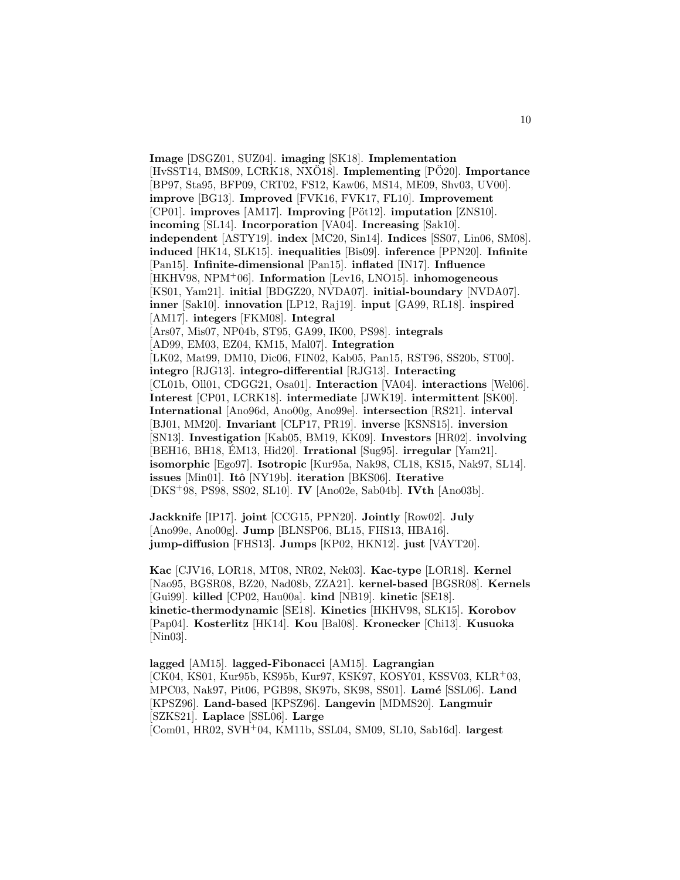**Image** [DSGZ01, SUZ04]. **imaging** [SK18]. **Implementation** [HvSST14, BMS09, LCRK18, NXO18]. **Implementing** [PO20]. **Importance** [BP97, Sta95, BFP09, CRT02, FS12, Kaw06, MS14, ME09, Shv03, UV00]. **improve** [BG13]. **Improved** [FVK16, FVK17, FL10]. **Improvement** [CP01]. **improves** [AM17]. **Improving** [Pöt12]. **imputation** [ZNS10]. **incoming** [SL14]. **Incorporation** [VA04]. **Increasing** [Sak10]. **independent** [ASTY19]. **index** [MC20, Sin14]. **Indices** [SS07, Lin06, SM08]. **induced** [HK14, SLK15]. **inequalities** [Bis09]. **inference** [PPN20]. **Infinite** [Pan15]. **Infinite-dimensional** [Pan15]. **inflated** [IN17]. **Influence** [HKHV98, NPM<sup>+</sup>06]. **Information** [Lev16, LNO15]. **inhomogeneous** [KS01, Yam21]. **initial** [BDGZ20, NVDA07]. **initial-boundary** [NVDA07]. **inner** [Sak10]. **innovation** [LP12, Raj19]. **input** [GA99, RL18]. **inspired** [AM17]. **integers** [FKM08]. **Integral** [Ars07, Mis07, NP04b, ST95, GA99, IK00, PS98]. **integrals** [AD99, EM03, EZ04, KM15, Mal07]. **Integration** [LK02, Mat99, DM10, Dic06, FIN02, Kab05, Pan15, RST96, SS20b, ST00]. **integro** [RJG13]. **integro-differential** [RJG13]. **Interacting** [CL01b, Oll01, CDGG21, Osa01]. **Interaction** [VA04]. **interactions** [Wel06]. **Interest** [CP01, LCRK18]. **intermediate** [JWK19]. **intermittent** [SK00]. **International** [Ano96d, Ano00g, Ano99e]. **intersection** [RS21]. **interval** [BJ01, MM20]. **Invariant** [CLP17, PR19]. **inverse** [KSNS15]. **inversion** [SN13]. **Investigation** [Kab05, BM19, KK09]. **Investors** [HR02]. **involving** [BEH16, BH18, EM13, Hid20]. **Irrational** [Sug95]. **irregular** [Yam21]. **isomorphic** [Ego97]. **Isotropic** [Kur95a, Nak98, CL18, KS15, Nak97, SL14]. **issues** [Min01]. **Itˆo** [NY19b]. **iteration** [BKS06]. **Iterative** [DKS<sup>+</sup>98, PS98, SS02, SL10]. **IV** [Ano02e, Sab04b]. **IVth** [Ano03b].

**Jackknife** [IP17]. **joint** [CCG15, PPN20]. **Jointly** [Row02]. **July** [Ano99e, Ano00g]. **Jump** [BLNSP06, BL15, FHS13, HBA16]. **jump-diffusion** [FHS13]. **Jumps** [KP02, HKN12]. **just** [VAYT20].

**Kac** [CJV16, LOR18, MT08, NR02, Nek03]. **Kac-type** [LOR18]. **Kernel** [Nao95, BGSR08, BZ20, Nad08b, ZZA21]. **kernel-based** [BGSR08]. **Kernels** [Gui99]. **killed** [CP02, Hau00a]. **kind** [NB19]. **kinetic** [SE18]. **kinetic-thermodynamic** [SE18]. **Kinetics** [HKHV98, SLK15]. **Korobov** [Pap04]. **Kosterlitz** [HK14]. **Kou** [Bal08]. **Kronecker** [Chi13]. **Kusuoka** [Nin03].

**lagged** [AM15]. **lagged-Fibonacci** [AM15]. **Lagrangian** [CK04, KS01, Kur95b, KS95b, Kur97, KSK97, KOSY01, KSSV03, KLR<sup>+</sup>03, MPC03, Nak97, Pit06, PGB98, SK97b, SK98, SS01]. **Lam´e** [SSL06]. **Land** [KPSZ96]. **Land-based** [KPSZ96]. **Langevin** [MDMS20]. **Langmuir** [SZKS21]. **Laplace** [SSL06]. **Large** [Com01, HR02, SVH<sup>+</sup>04, KM11b, SSL04, SM09, SL10, Sab16d]. **largest**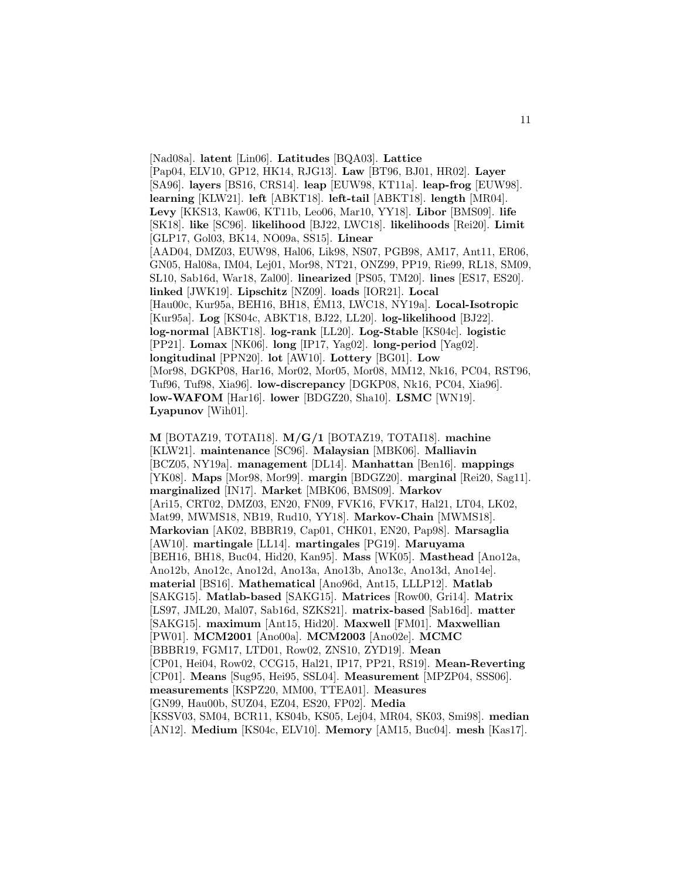[Nad08a]. **latent** [Lin06]. **Latitudes** [BQA03]. **Lattice** [Pap04, ELV10, GP12, HK14, RJG13]. **Law** [BT96, BJ01, HR02]. **Layer** [SA96]. **layers** [BS16, CRS14]. **leap** [EUW98, KT11a]. **leap-frog** [EUW98]. **learning** [KLW21]. **left** [ABKT18]. **left-tail** [ABKT18]. **length** [MR04]. **Levy** [KKS13, Kaw06, KT11b, Leo06, Mar10, YY18]. **Libor** [BMS09]. **life** [SK18]. **like** [SC96]. **likelihood** [BJ22, LWC18]. **likelihoods** [Rei20]. **Limit** [GLP17, Gol03, BK14, NO09a, SS15]. **Linear** [AAD04, DMZ03, EUW98, Hal06, Lik98, NS07, PGB98, AM17, Ant11, ER06, GN05, Hal08a, IM04, Lej01, Mor98, NT21, ONZ99, PP19, Rie99, RL18, SM09, SL10, Sab16d, War18, Zal00]. **linearized** [PS05, TM20]. **lines** [ES17, ES20]. **linked** [JWK19]. **Lipschitz** [NZ09]. **loads** [IOR21]. **Local** [Hau00c, Kur95a, BEH16, BH18, ÉM13, LWC18, NY19a]. **Local-Isotropic** [Kur95a]. **Log** [KS04c, ABKT18, BJ22, LL20]. **log-likelihood** [BJ22]. **log-normal** [ABKT18]. **log-rank** [LL20]. **Log-Stable** [KS04c]. **logistic** [PP21]. **Lomax** [NK06]. **long** [IP17, Yag02]. **long-period** [Yag02]. **longitudinal** [PPN20]. **lot** [AW10]. **Lottery** [BG01]. **Low** [Mor98, DGKP08, Har16, Mor02, Mor05, Mor08, MM12, Nk16, PC04, RST96, Tuf96, Tuf98, Xia96]. **low-discrepancy** [DGKP08, Nk16, PC04, Xia96]. **low-WAFOM** [Har16]. **lower** [BDGZ20, Sha10]. **LSMC** [WN19]. **Lyapunov** [Wih01].

**M** [BOTAZ19, TOTAI18]. **M/G/1** [BOTAZ19, TOTAI18]. **machine** [KLW21]. **maintenance** [SC96]. **Malaysian** [MBK06]. **Malliavin** [BCZ05, NY19a]. **management** [DL14]. **Manhattan** [Ben16]. **mappings** [YK08]. **Maps** [Mor98, Mor99]. **margin** [BDGZ20]. **marginal** [Rei20, Sag11]. **marginalized** [IN17]. **Market** [MBK06, BMS09]. **Markov** [Ari15, CRT02, DMZ03, EN20, FN09, FVK16, FVK17, Hal21, LT04, LK02, Mat99, MWMS18, NB19, Rud10, YY18]. **Markov-Chain** [MWMS18]. **Markovian** [AK02, BBBR19, Cap01, CHK01, EN20, Pap98]. **Marsaglia** [AW10]. **martingale** [LL14]. **martingales** [PG19]. **Maruyama** [BEH16, BH18, Buc04, Hid20, Kan95]. **Mass** [WK05]. **Masthead** [Ano12a, Ano12b, Ano12c, Ano12d, Ano13a, Ano13b, Ano13c, Ano13d, Ano14e]. **material** [BS16]. **Mathematical** [Ano96d, Ant15, LLLP12]. **Matlab** [SAKG15]. **Matlab-based** [SAKG15]. **Matrices** [Row00, Gri14]. **Matrix** [LS97, JML20, Mal07, Sab16d, SZKS21]. **matrix-based** [Sab16d]. **matter** [SAKG15]. **maximum** [Ant15, Hid20]. **Maxwell** [FM01]. **Maxwellian** [PW01]. **MCM2001** [Ano00a]. **MCM2003** [Ano02e]. **MCMC** [BBBR19, FGM17, LTD01, Row02, ZNS10, ZYD19]. **Mean** [CP01, Hei04, Row02, CCG15, Hal21, IP17, PP21, RS19]. **Mean-Reverting** [CP01]. **Means** [Sug95, Hei95, SSL04]. **Measurement** [MPZP04, SSS06]. **measurements** [KSPZ20, MM00, TTEA01]. **Measures** [GN99, Hau00b, SUZ04, EZ04, ES20, FP02]. **Media** [KSSV03, SM04, BCR11, KS04b, KS05, Lej04, MR04, SK03, Smi98]. **median** [AN12]. **Medium** [KS04c, ELV10]. **Memory** [AM15, Buc04]. **mesh** [Kas17].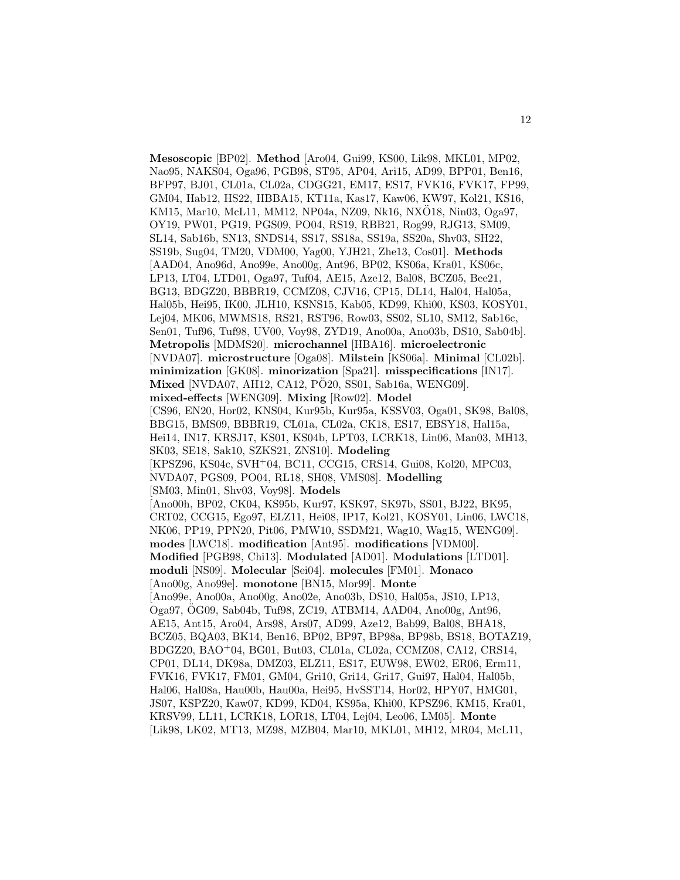**Mesoscopic** [BP02]. **Method** [Aro04, Gui99, KS00, Lik98, MKL01, MP02, Nao95, NAKS04, Oga96, PGB98, ST95, AP04, Ari15, AD99, BPP01, Ben16, BFP97, BJ01, CL01a, CL02a, CDGG21, EM17, ES17, FVK16, FVK17, FP99, GM04, Hab12, HS22, HBBA15, KT11a, Kas17, Kaw06, KW97, Kol21, KS16, KM15, Mar10, McL11, MM12, NP04a, NZ09, Nk16, NXO18, Nin03, Oga97, OY19, PW01, PG19, PGS09, PO04, RS19, RBB21, Rog99, RJG13, SM09, SL14, Sab16b, SN13, SNDS14, SS17, SS18a, SS19a, SS20a, Shv03, SH22, SS19b, Sug04, TM20, VDM00, Yag00, YJH21, Zhe13, Cos01]. **Methods** [AAD04, Ano96d, Ano99e, Ano00g, Ant96, BP02, KS06a, Kra01, KS06c, LP13, LT04, LTD01, Oga97, Tuf04, AE15, Aze12, Bal08, BCZ05, Bee21, BG13, BDGZ20, BBBR19, CCMZ08, CJV16, CP15, DL14, Hal04, Hal05a, Hal05b, Hei95, IK00, JLH10, KSNS15, Kab05, KD99, Khi00, KS03, KOSY01, Lej04, MK06, MWMS18, RS21, RST96, Row03, SS02, SL10, SM12, Sab16c, Sen01, Tuf96, Tuf98, UV00, Voy98, ZYD19, Ano00a, Ano03b, DS10, Sab04b]. **Metropolis** [MDMS20]. **microchannel** [HBA16]. **microelectronic** [NVDA07]. **microstructure** [Oga08]. **Milstein** [KS06a]. **Minimal** [CL02b]. **minimization** [GK08]. **minorization** [Spa21]. **misspecifications** [IN17]. **Mixed** [NVDA07, AH12, CA12, PO20, SS01, Sab16a, WENG09]. **mixed-effects** [WENG09]. **Mixing** [Row02]. **Model** [CS96, EN20, Hor02, KNS04, Kur95b, Kur95a, KSSV03, Oga01, SK98, Bal08, BBG15, BMS09, BBBR19, CL01a, CL02a, CK18, ES17, EBSY18, Hal15a, Hei14, IN17, KRSJ17, KS01, KS04b, LPT03, LCRK18, Lin06, Man03, MH13, SK03, SE18, Sak10, SZKS21, ZNS10]. **Modeling** [KPSZ96, KS04c, SVH<sup>+</sup>04, BC11, CCG15, CRS14, Gui08, Kol20, MPC03, NVDA07, PGS09, PO04, RL18, SH08, VMS08]. **Modelling** [SM03, Min01, Shv03, Voy98]. **Models** [Ano00h, BP02, CK04, KS95b, Kur97, KSK97, SK97b, SS01, BJ22, BK95, CRT02, CCG15, Ego97, ELZ11, Hei08, IP17, Kol21, KOSY01, Lin06, LWC18, NK06, PP19, PPN20, Pit06, PMW10, SSDM21, Wag10, Wag15, WENG09]. **modes** [LWC18]. **modification** [Ant95]. **modifications** [VDM00]. **Modified** [PGB98, Chi13]. **Modulated** [AD01]. **Modulations** [LTD01]. **moduli** [NS09]. **Molecular** [Sei04]. **molecules** [FM01]. **Monaco** [Ano00g, Ano99e]. **monotone** [BN15, Mor99]. **Monte** [Ano99e, Ano00a, Ano00g, Ano02e, Ano03b, DS10, Hal05a, JS10, LP13, Oga97, OG09, Sab04b, Tuf98, ZC19, ATBM14, AAD04, Ano00g, Ant96, ¨ AE15, Ant15, Aro04, Ars98, Ars07, AD99, Aze12, Bab99, Bal08, BHA18, BCZ05, BQA03, BK14, Ben16, BP02, BP97, BP98a, BP98b, BS18, BOTAZ19, BDGZ20, BAO<sup>+</sup>04, BG01, But03, CL01a, CL02a, CCMZ08, CA12, CRS14, CP01, DL14, DK98a, DMZ03, ELZ11, ES17, EUW98, EW02, ER06, Erm11, FVK16, FVK17, FM01, GM04, Gri10, Gri14, Gri17, Gui97, Hal04, Hal05b, Hal06, Hal08a, Hau00b, Hau00a, Hei95, HvSST14, Hor02, HPY07, HMG01, JS07, KSPZ20, Kaw07, KD99, KD04, KS95a, Khi00, KPSZ96, KM15, Kra01, KRSV99, LL11, LCRK18, LOR18, LT04, Lej04, Leo06, LM05]. **Monte** [Lik98, LK02, MT13, MZ98, MZB04, Mar10, MKL01, MH12, MR04, McL11,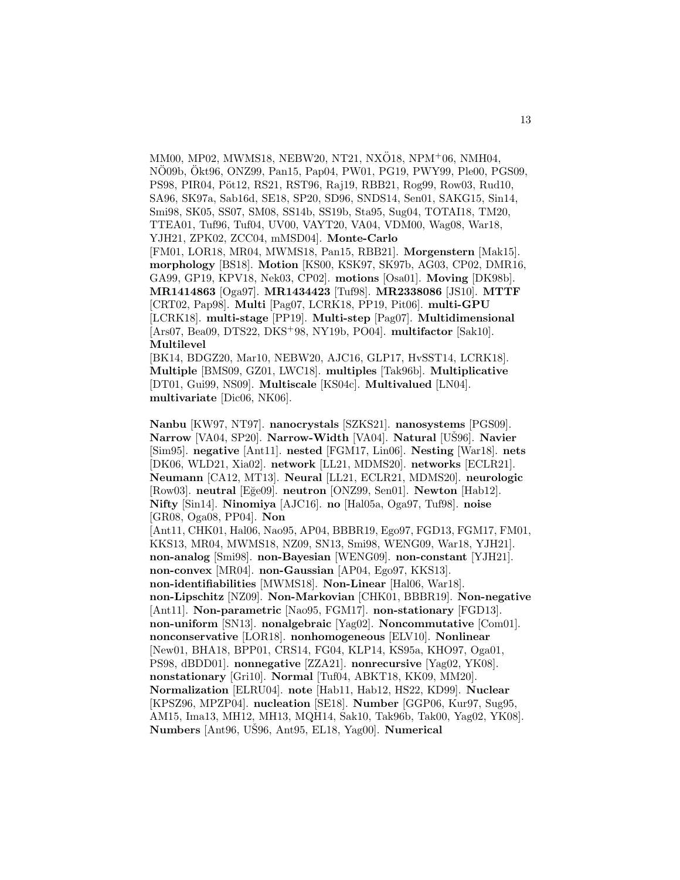MM00, MP02, MWMS18, NEBW20, NT21, NXÖ18, NPM+06, NMH04, NÖ09b, Ökt96, ONZ99, Pan15, Pap04, PW01, PG19, PWY99, Ple00, PGS09, PS98, PIR04, Pöt12, RS21, RST96, Raj19, RBB21, Rog99, Row03, Rud10, SA96, SK97a, Sab16d, SE18, SP20, SD96, SNDS14, Sen01, SAKG15, Sin14, Smi98, SK05, SS07, SM08, SS14b, SS19b, Sta95, Sug04, TOTAI18, TM20, TTEA01, Tuf96, Tuf04, UV00, VAYT20, VA04, VDM00, Wag08, War18, YJH21, ZPK02, ZCC04, mMSD04]. **Monte-Carlo** [FM01, LOR18, MR04, MWMS18, Pan15, RBB21]. **Morgenstern** [Mak15]. **morphology** [BS18]. **Motion** [KS00, KSK97, SK97b, AG03, CP02, DMR16, GA99, GP19, KPV18, Nek03, CP02]. **motions** [Osa01]. **Moving** [DK98b]. **MR1414863** [Oga97]. **MR1434423** [Tuf98]. **MR2338086** [JS10]. **MTTF** [CRT02, Pap98]. **Multi** [Pag07, LCRK18, PP19, Pit06]. **multi-GPU** [LCRK18]. **multi-stage** [PP19]. **Multi-step** [Pag07]. **Multidimensional** [Ars07, Bea09, DTS22, DKS<sup>+</sup>98, NY19b, PO04]. **multifactor** [Sak10]. **Multilevel**

[BK14, BDGZ20, Mar10, NEBW20, AJC16, GLP17, HvSST14, LCRK18]. **Multiple** [BMS09, GZ01, LWC18]. **multiples** [Tak96b]. **Multiplicative** [DT01, Gui99, NS09]. **Multiscale** [KS04c]. **Multivalued** [LN04]. **multivariate** [Dic06, NK06].

**Nanbu** [KW97, NT97]. **nanocrystals** [SZKS21]. **nanosystems** [PGS09]. **Narrow** [VA04, SP20]. **Narrow-Width** [VA04]. **Natural** [US96]. **Navier** [Sim95]. **negative** [Ant11]. **nested** [FGM17, Lin06]. **Nesting** [War18]. **nets** [DK06, WLD21, Xia02]. **network** [LL21, MDMS20]. **networks** [ECLR21]. **Neumann** [CA12, MT13]. **Neural** [LL21, ECLR21, MDMS20]. **neurologic** [Row03]. **neutral** [E˘ge09]. **neutron** [ONZ99, Sen01]. **Newton** [Hab12]. **Nifty** [Sin14]. **Ninomiya** [AJC16]. **no** [Hal05a, Oga97, Tuf98]. **noise** [GR08, Oga08, PP04]. **Non** [Ant11, CHK01, Hal06, Nao95, AP04, BBBR19, Ego97, FGD13, FGM17, FM01, KKS13, MR04, MWMS18, NZ09, SN13, Smi98, WENG09, War18, YJH21]. **non-analog** [Smi98]. **non-Bayesian** [WENG09]. **non-constant** [YJH21]. **non-convex** [MR04]. **non-Gaussian** [AP04, Ego97, KKS13]. **non-identifiabilities** [MWMS18]. **Non-Linear** [Hal06, War18]. **non-Lipschitz** [NZ09]. **Non-Markovian** [CHK01, BBBR19]. **Non-negative** [Ant11]. **Non-parametric** [Nao95, FGM17]. **non-stationary** [FGD13]. **non-uniform** [SN13]. **nonalgebraic** [Yag02]. **Noncommutative** [Com01]. **nonconservative** [LOR18]. **nonhomogeneous** [ELV10]. **Nonlinear** [New01, BHA18, BPP01, CRS14, FG04, KLP14, KS95a, KHO97, Oga01, PS98, dBDD01]. **nonnegative** [ZZA21]. **nonrecursive** [Yag02, YK08]. **nonstationary** [Gri10]. **Normal** [Tuf04, ABKT18, KK09, MM20]. **Normalization** [ELRU04]. **note** [Hab11, Hab12, HS22, KD99]. **Nuclear** [KPSZ96, MPZP04]. **nucleation** [SE18]. **Number** [GGP06, Kur97, Sug95, AM15, Ima13, MH12, MH13, MQH14, Sak10, Tak96b, Tak00, Yag02, YK08]. **Numbers** [Ant96, UŠ96, Ant95, EL18, Yag00]. **Numerical**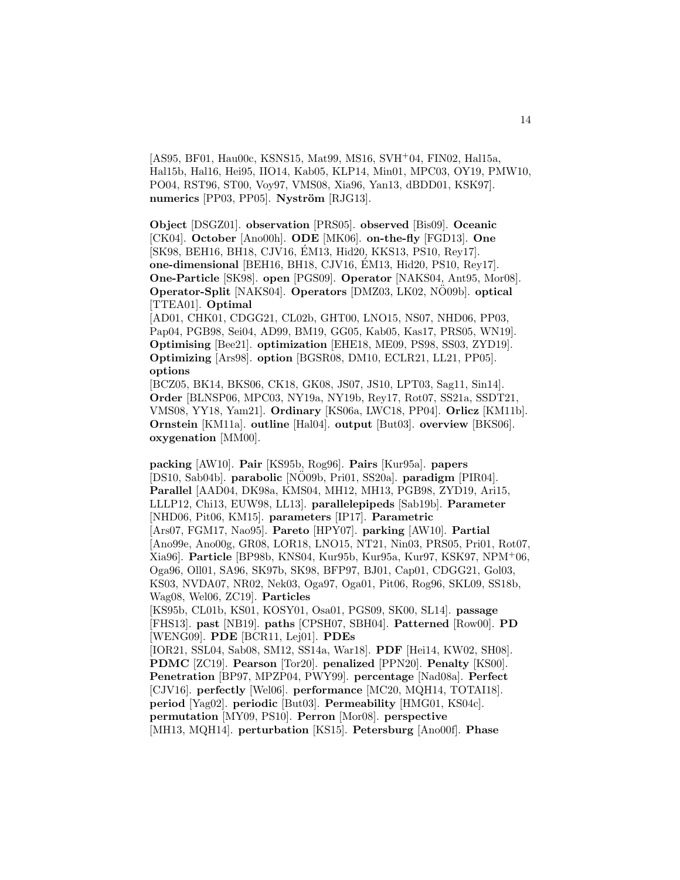[AS95, BF01, Hau00c, KSNS15, Mat99, MS16, SVH<sup>+</sup>04, FIN02, Hal15a, Hal15b, Hal16, Hei95, IIO14, Kab05, KLP14, Min01, MPC03, OY19, PMW10, PO04, RST96, ST00, Voy97, VMS08, Xia96, Yan13, dBDD01, KSK97]. **numerics** [PP03, PP05]. **Nyström** [RJG13].

**Object** [DSGZ01]. **observation** [PRS05]. **observed** [Bis09]. **Oceanic** [CK04]. **October** [Ano00h]. **ODE** [MK06]. **on-the-fly** [FGD13]. **One** [SK98, BEH16, BH18, CJV16, ÉM13, Hid20, KKS13, PS10, Rey17]. **one-dimensional** [BEH16, BH18, CJV16, EM13, Hid20, PS10, Rey17]. ´ **One-Particle** [SK98]. **open** [PGS09]. **Operator** [NAKS04, Ant95, Mor08]. **Operator-Split** [NAKS04]. **Operators** [DMZ03, LK02, NO09b]. **optical** [TTEA01]. **Optimal**

[AD01, CHK01, CDGG21, CL02b, GHT00, LNO15, NS07, NHD06, PP03, Pap04, PGB98, Sei04, AD99, BM19, GG05, Kab05, Kas17, PRS05, WN19]. **Optimising** [Bee21]. **optimization** [EHE18, ME09, PS98, SS03, ZYD19]. **Optimizing** [Ars98]. **option** [BGSR08, DM10, ECLR21, LL21, PP05]. **options**

[BCZ05, BK14, BKS06, CK18, GK08, JS07, JS10, LPT03, Sag11, Sin14]. **Order** [BLNSP06, MPC03, NY19a, NY19b, Rey17, Rot07, SS21a, SSDT21, VMS08, YY18, Yam21]. **Ordinary** [KS06a, LWC18, PP04]. **Orlicz** [KM11b]. **Ornstein** [KM11a]. **outline** [Hal04]. **output** [But03]. **overview** [BKS06]. **oxygenation** [MM00].

**packing** [AW10]. **Pair** [KS95b, Rog96]. **Pairs** [Kur95a]. **papers** [DS10, Sab04b]. **parabolic** [NÖ09b, Pri01, SS20a]. **paradigm** [PIR04]. **Parallel** [AAD04, DK98a, KMS04, MH12, MH13, PGB98, ZYD19, Ari15, LLLP12, Chi13, EUW98, LL13]. **parallelepipeds** [Sab19b]. **Parameter** [NHD06, Pit06, KM15]. **parameters** [IP17]. **Parametric** [Ars07, FGM17, Nao95]. **Pareto** [HPY07]. **parking** [AW10]. **Partial** [Ano99e, Ano00g, GR08, LOR18, LNO15, NT21, Nin03, PRS05, Pri01, Rot07, Xia96]. **Particle** [BP98b, KNS04, Kur95b, Kur95a, Kur97, KSK97, NPM<sup>+</sup>06, Oga96, Oll01, SA96, SK97b, SK98, BFP97, BJ01, Cap01, CDGG21, Gol03, KS03, NVDA07, NR02, Nek03, Oga97, Oga01, Pit06, Rog96, SKL09, SS18b, Wag08, Wel06, ZC19]. **Particles** [KS95b, CL01b, KS01, KOSY01, Osa01, PGS09, SK00, SL14]. **passage** [FHS13]. **past** [NB19]. **paths** [CPSH07, SBH04]. **Patterned** [Row00]. **PD** [WENG09]. **PDE** [BCR11, Lej01]. **PDEs** [IOR21, SSL04, Sab08, SM12, SS14a, War18]. **PDF** [Hei14, KW02, SH08]. **PDMC** [ZC19]. **Pearson** [Tor20]. **penalized** [PPN20]. **Penalty** [KS00]. **Penetration** [BP97, MPZP04, PWY99]. **percentage** [Nad08a]. **Perfect** [CJV16]. **perfectly** [Wel06]. **performance** [MC20, MQH14, TOTAI18]. **period** [Yag02]. **periodic** [But03]. **Permeability** [HMG01, KS04c]. **permutation** [MY09, PS10]. **Perron** [Mor08]. **perspective** [MH13, MQH14]. **perturbation** [KS15]. **Petersburg** [Ano00f]. **Phase**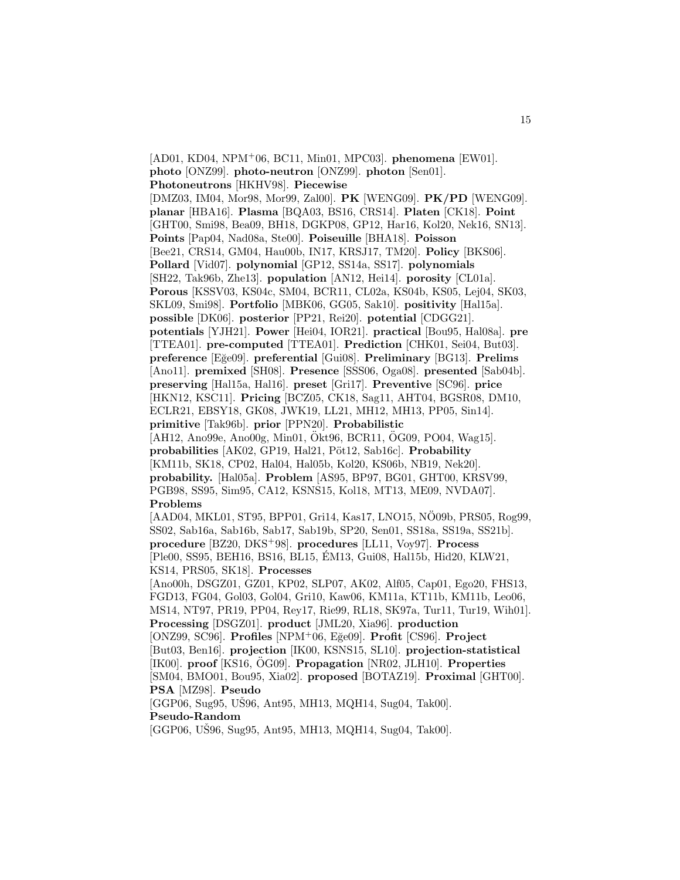[AD01, KD04, NPM<sup>+</sup>06, BC11, Min01, MPC03]. **phenomena** [EW01]. **photo** [ONZ99]. **photo-neutron** [ONZ99]. **photon** [Sen01]. **Photoneutrons** [HKHV98]. **Piecewise** [DMZ03, IM04, Mor98, Mor99, Zal00]. **PK** [WENG09]. **PK/PD** [WENG09]. **planar** [HBA16]. **Plasma** [BQA03, BS16, CRS14]. **Platen** [CK18]. **Point** [GHT00, Smi98, Bea09, BH18, DGKP08, GP12, Har16, Kol20, Nek16, SN13]. **Points** [Pap04, Nad08a, Ste00]. **Poiseuille** [BHA18]. **Poisson** [Bee21, CRS14, GM04, Hau00b, IN17, KRSJ17, TM20]. **Policy** [BKS06]. **Pollard** [Vid07]. **polynomial** [GP12, SS14a, SS17]. **polynomials** [SH22, Tak96b, Zhe13]. **population** [AN12, Hei14]. **porosity** [CL01a]. **Porous** [KSSV03, KS04c, SM04, BCR11, CL02a, KS04b, KS05, Lej04, SK03, SKL09, Smi98]. **Portfolio** [MBK06, GG05, Sak10]. **positivity** [Hal15a]. **possible** [DK06]. **posterior** [PP21, Rei20]. **potential** [CDGG21]. **potentials** [YJH21]. **Power** [Hei04, IOR21]. **practical** [Bou95, Hal08a]. **pre** [TTEA01]. **pre-computed** [TTEA01]. **Prediction** [CHK01, Sei04, But03]. **preference** [E˘ge09]. **preferential** [Gui08]. **Preliminary** [BG13]. **Prelims** [Ano11]. **premixed** [SH08]. **Presence** [SSS06, Oga08]. **presented** [Sab04b]. **preserving** [Hal15a, Hal16]. **preset** [Gri17]. **Preventive** [SC96]. **price** [HKN12, KSC11]. **Pricing** [BCZ05, CK18, Sag11, AHT04, BGSR08, DM10, ECLR21, EBSY18, GK08, JWK19, LL21, MH12, MH13, PP05, Sin14]. **primitive** [Tak96b]. **prior** [PPN20]. **Probabilistic**  $[AH12, Ano99e, Ano00g, Min01, Ökt96, BCR11, ÖG09, PO04, Wag15].$ probabilities [AK02, GP19, Hal21, Pöt12, Sab16c]. Probability [KM11b, SK18, CP02, Hal04, Hal05b, Kol20, KS06b, NB19, Nek20]. **probability.** [Hal05a]. **Problem** [AS95, BP97, BG01, GHT00, KRSV99, PGB98, SS95, Sim95, CA12, KSNS15, Kol18, MT13, ME09, NVDA07]. **Problems** [AAD04, MKL01, ST95, BPP01, Gri14, Kas17, LNO15, NÖ09b, PRS05, Rog99, SS02, Sab16a, Sab16b, Sab17, Sab19b, SP20, Sen01, SS18a, SS19a, SS21b]. **procedure** [BZ20, DKS<sup>+</sup>98]. **procedures** [LL11, Voy97]. **Process** [Ple00, SS95, BEH16, BS16, BL15, EM13, Gui08, Hal15b, Hid20, KLW21, ´ KS14, PRS05, SK18]. **Processes** [Ano00h, DSGZ01, GZ01, KP02, SLP07, AK02, Alf05, Cap01, Ego20, FHS13, FGD13, FG04, Gol03, Gol04, Gri10, Kaw06, KM11a, KT11b, KM11b, Leo06,

MS14, NT97, PR19, PP04, Rey17, Rie99, RL18, SK97a, Tur11, Tur19, Wih01]. **Processing** [DSGZ01]. **product** [JML20, Xia96]. **production** [ONZ99, SC96]. **Profiles** [NPM<sup>+</sup>06, E˘ge09]. **Profit** [CS96]. **Project** [But03, Ben16]. **projection** [IK00, KSNS15, SL10]. **projection-statistical** [IK00]. **proof** [KS16, OG09]. ¨ **Propagation** [NR02, JLH10]. **Properties** [SM04, BMO01, Bou95, Xia02]. **proposed** [BOTAZ19]. **Proximal** [GHT00]. **PSA** [MZ98]. **Pseudo**

 $[GGP06, Sug95, UŠ96, Ant95, MH13, MQH14, Sug04, Tak00].$ **Pseudo-Random**

 $[GGP06, UŠ96, Sug95, Ant95, MH13, MQH14, Sug04, Tak00].$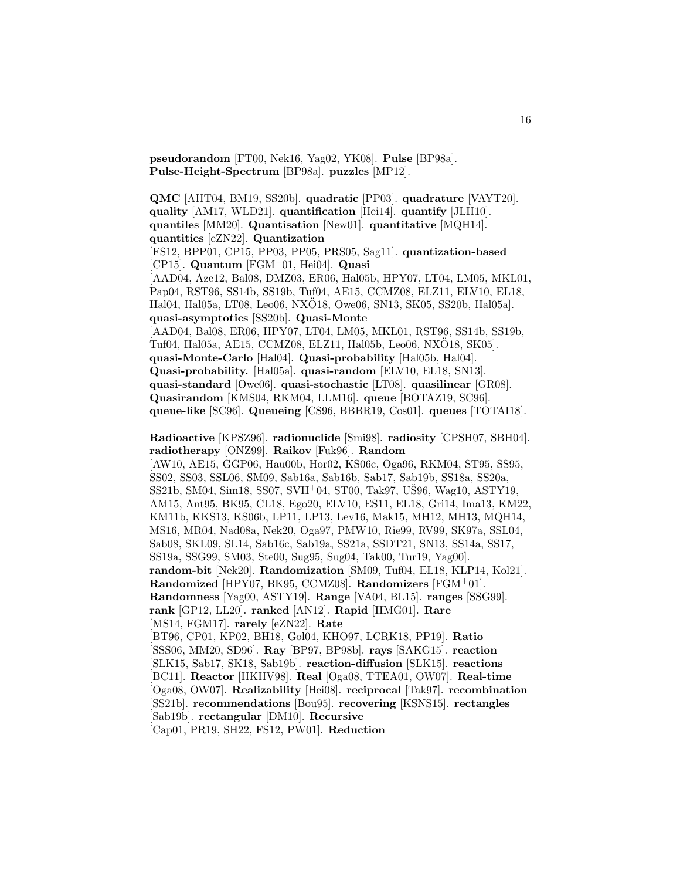**pseudorandom** [FT00, Nek16, Yag02, YK08]. **Pulse** [BP98a]. **Pulse-Height-Spectrum** [BP98a]. **puzzles** [MP12].

**QMC** [AHT04, BM19, SS20b]. **quadratic** [PP03]. **quadrature** [VAYT20]. **quality** [AM17, WLD21]. **quantification** [Hei14]. **quantify** [JLH10]. **quantiles** [MM20]. **Quantisation** [New01]. **quantitative** [MQH14]. **quantities** [eZN22]. **Quantization** [FS12, BPP01, CP15, PP03, PP05, PRS05, Sag11]. **quantization-based** [CP15]. **Quantum** [FGM<sup>+</sup>01, Hei04]. **Quasi** [AAD04, Aze12, Bal08, DMZ03, ER06, Hal05b, HPY07, LT04, LM05, MKL01, Pap04, RST96, SS14b, SS19b, Tuf04, AE15, CCMZ08, ELZ11, ELV10, EL18, Hal04, Hal05a, LT08, Leo06, NXO18, Owe06, SN13, SK05, SS20b, Hal05a]. ¨ **quasi-asymptotics** [SS20b]. **Quasi-Monte** [AAD04, Bal08, ER06, HPY07, LT04, LM05, MKL01, RST96, SS14b, SS19b, Tuf04, Hal05a, AE15, CCMZ08, ELZ11, Hal05b, Leo06, NXO18, SK05]. ¨ **quasi-Monte-Carlo** [Hal04]. **Quasi-probability** [Hal05b, Hal04]. **Quasi-probability.** [Hal05a]. **quasi-random** [ELV10, EL18, SN13]. **quasi-standard** [Owe06]. **quasi-stochastic** [LT08]. **quasilinear** [GR08]. **Quasirandom** [KMS04, RKM04, LLM16]. **queue** [BOTAZ19, SC96]. **queue-like** [SC96]. **Queueing** [CS96, BBBR19, Cos01]. **queues** [TOTAI18]. **Radioactive** [KPSZ96]. **radionuclide** [Smi98]. **radiosity** [CPSH07, SBH04]. **radiotherapy** [ONZ99]. **Raikov** [Fuk96]. **Random** [AW10, AE15, GGP06, Hau00b, Hor02, KS06c, Oga96, RKM04, ST95, SS95, SS02, SS03, SSL06, SM09, Sab16a, Sab16b, Sab17, Sab19b, SS18a, SS20a, SS21b, SM04, Sim18, SS07, SVH<sup>+</sup>04, ST00, Tak97, US96, Wag10, ASTY19,

AM15, Ant95, BK95, CL18, Ego20, ELV10, ES11, EL18, Gri14, Ima13, KM22, KM11b, KKS13, KS06b, LP11, LP13, Lev16, Mak15, MH12, MH13, MQH14,

MS16, MR04, Nad08a, Nek20, Oga97, PMW10, Rie99, RV99, SK97a, SSL04, Sab08, SKL09, SL14, Sab16c, Sab19a, SS21a, SSDT21, SN13, SS14a, SS17,

SS19a, SSG99, SM03, Ste00, Sug95, Sug04, Tak00, Tur19, Yag00].

**random-bit** [Nek20]. **Randomization** [SM09, Tuf04, EL18, KLP14, Kol21].

**Randomized** [HPY07, BK95, CCMZ08]. **Randomizers** [FGM<sup>+</sup>01].

**Randomness** [Yag00, ASTY19]. **Range** [VA04, BL15]. **ranges** [SSG99].

**rank** [GP12, LL20]. **ranked** [AN12]. **Rapid** [HMG01]. **Rare** [MS14, FGM17]. **rarely** [eZN22]. **Rate**

[BT96, CP01, KP02, BH18, Gol04, KHO97, LCRK18, PP19]. **Ratio** [SSS06, MM20, SD96]. **Ray** [BP97, BP98b]. **rays** [SAKG15]. **reaction** [SLK15, Sab17, SK18, Sab19b]. **reaction-diffusion** [SLK15]. **reactions** [BC11]. **Reactor** [HKHV98]. **Real** [Oga08, TTEA01, OW07]. **Real-time** [Oga08, OW07]. **Realizability** [Hei08]. **reciprocal** [Tak97]. **recombination** [SS21b]. **recommendations** [Bou95]. **recovering** [KSNS15]. **rectangles** [Sab19b]. **rectangular** [DM10]. **Recursive**

[Cap01, PR19, SH22, FS12, PW01]. **Reduction**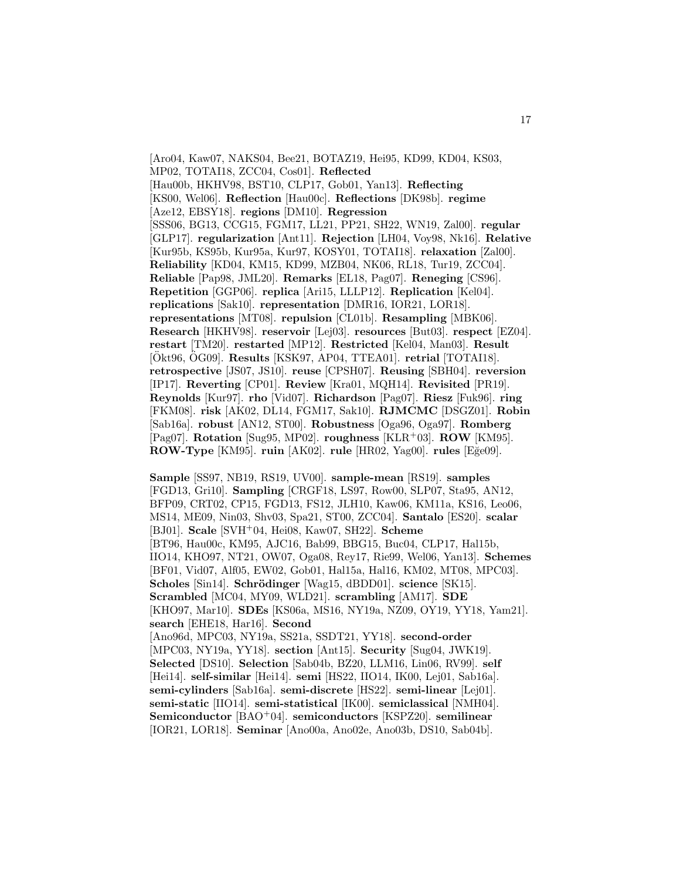[Aro04, Kaw07, NAKS04, Bee21, BOTAZ19, Hei95, KD99, KD04, KS03, MP02, TOTAI18, ZCC04, Cos01]. **Reflected** [Hau00b, HKHV98, BST10, CLP17, Gob01, Yan13]. **Reflecting** [KS00, Wel06]. **Reflection** [Hau00c]. **Reflections** [DK98b]. **regime** [Aze12, EBSY18]. **regions** [DM10]. **Regression** [SSS06, BG13, CCG15, FGM17, LL21, PP21, SH22, WN19, Zal00]. **regular** [GLP17]. **regularization** [Ant11]. **Rejection** [LH04, Voy98, Nk16]. **Relative** [Kur95b, KS95b, Kur95a, Kur97, KOSY01, TOTAI18]. **relaxation** [Zal00]. **Reliability** [KD04, KM15, KD99, MZB04, NK06, RL18, Tur19, ZCC04]. **Reliable** [Pap98, JML20]. **Remarks** [EL18, Pag07]. **Reneging** [CS96]. **Repetition** [GGP06]. **replica** [Ari15, LLLP12]. **Replication** [Kel04]. **replications** [Sak10]. **representation** [DMR16, IOR21, LOR18]. **representations** [MT08]. **repulsion** [CL01b]. **Resampling** [MBK06]. **Research** [HKHV98]. **reservoir** [Lej03]. **resources** [But03]. **respect** [EZ04]. **restart** [TM20]. **restarted** [MP12]. **Restricted** [Kel04, Man03]. **Result** [Okt96, OG09]. **Results** [KSK97, AP04, TTEA01]. **retrial** [TOTAI18]. **retrospective** [JS07, JS10]. **reuse** [CPSH07]. **Reusing** [SBH04]. **reversion** [IP17]. **Reverting** [CP01]. **Review** [Kra01, MQH14]. **Revisited** [PR19]. **Reynolds** [Kur97]. **rho** [Vid07]. **Richardson** [Pag07]. **Riesz** [Fuk96]. **ring** [FKM08]. **risk** [AK02, DL14, FGM17, Sak10]. **RJMCMC** [DSGZ01]. **Robin** [Sab16a]. **robust** [AN12, ST00]. **Robustness** [Oga96, Oga97]. **Romberg** [Pag07]. **Rotation** [Sug95, MP02]. **roughness** [KLR<sup>+</sup>03]. **ROW** [KM95]. **ROW-Type** [KM95]. **ruin** [AK02]. **rule** [HR02, Yag00]. **rules** [E˘ge09].

**Sample** [SS97, NB19, RS19, UV00]. **sample-mean** [RS19]. **samples** [FGD13, Gri10]. **Sampling** [CRGF18, LS97, Row00, SLP07, Sta95, AN12, BFP09, CRT02, CP15, FGD13, FS12, JLH10, Kaw06, KM11a, KS16, Leo06, MS14, ME09, Nin03, Shv03, Spa21, ST00, ZCC04]. **Santalo** [ES20]. **scalar** [BJ01]. **Scale** [SVH<sup>+</sup>04, Hei08, Kaw07, SH22]. **Scheme** [BT96, Hau00c, KM95, AJC16, Bab99, BBG15, Buc04, CLP17, Hal15b, IIO14, KHO97, NT21, OW07, Oga08, Rey17, Rie99, Wel06, Yan13]. **Schemes** [BF01, Vid07, Alf05, EW02, Gob01, Hal15a, Hal16, KM02, MT08, MPC03]. **Scholes** [Sin14]. **Schrödinger** [Wag15, dBDD01]. **science** [SK15]. **Scrambled** [MC04, MY09, WLD21]. **scrambling** [AM17]. **SDE** [KHO97, Mar10]. **SDEs** [KS06a, MS16, NY19a, NZ09, OY19, YY18, Yam21]. **search** [EHE18, Har16]. **Second** [Ano96d, MPC03, NY19a, SS21a, SSDT21, YY18]. **second-order** [MPC03, NY19a, YY18]. **section** [Ant15]. **Security** [Sug04, JWK19]. **Selected** [DS10]. **Selection** [Sab04b, BZ20, LLM16, Lin06, RV99]. **self** [Hei14]. **self-similar** [Hei14]. **semi** [HS22, IIO14, IK00, Lej01, Sab16a]. **semi-cylinders** [Sab16a]. **semi-discrete** [HS22]. **semi-linear** [Lej01]. **semi-static** [IIO14]. **semi-statistical** [IK00]. **semiclassical** [NMH04]. **Semiconductor** [BAO<sup>+</sup>04]. **semiconductors** [KSPZ20]. **semilinear** [IOR21, LOR18]. **Seminar** [Ano00a, Ano02e, Ano03b, DS10, Sab04b].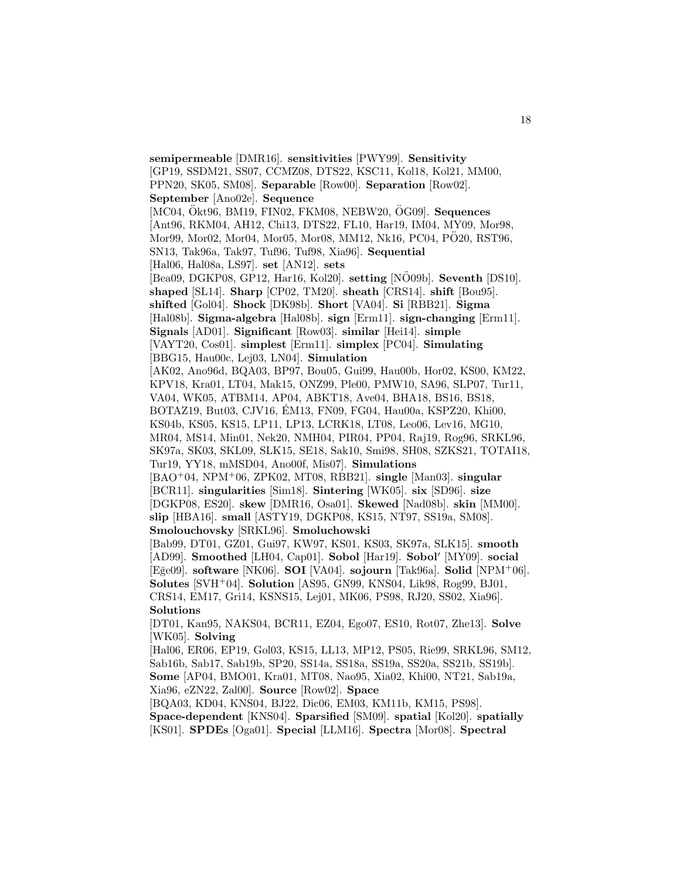**semipermeable** [DMR16]. **sensitivities** [PWY99]. **Sensitivity** [GP19, SSDM21, SS07, CCMZ08, DTS22, KSC11, Kol18, Kol21, MM00, PPN20, SK05, SM08]. **Separable** [Row00]. **Separation** [Row02]. **September** [Ano02e]. **Sequence** [MC04, Ökt96, BM19, FIN02, FKM08, NEBW20, ÖG09]. **Sequences** [Ant96, RKM04, AH12, Chi13, DTS22, FL10, Har19, IM04, MY09, Mor98, Mor99, Mor02, Mor04, Mor05, Mor08, MM12, Nk16, PC04, PÖ20, RST96, SN13, Tak96a, Tak97, Tuf96, Tuf98, Xia96]. **Sequential** [Hal06, Hal08a, LS97]. **set** [AN12]. **sets** [Bea09, DGKP08, GP12, Har16, Kol20]. **setting** [NÖ09b]. **Seventh** [DS10]. **shaped** [SL14]. **Sharp** [CP02, TM20]. **sheath** [CRS14]. **shift** [Bou95]. **shifted** [Gol04]. **Shock** [DK98b]. **Short** [VA04]. **Si** [RBB21]. **Sigma** [Hal08b]. **Sigma-algebra** [Hal08b]. **sign** [Erm11]. **sign-changing** [Erm11]. **Signals** [AD01]. **Significant** [Row03]. **similar** [Hei14]. **simple** [VAYT20, Cos01]. **simplest** [Erm11]. **simplex** [PC04]. **Simulating** [BBG15, Hau00c, Lej03, LN04]. **Simulation** [AK02, Ano96d, BQA03, BP97, Bou05, Gui99, Hau00b, Hor02, KS00, KM22, KPV18, Kra01, LT04, Mak15, ONZ99, Ple00, PMW10, SA96, SLP07, Tur11, VA04, WK05, ATBM14, AP04, ABKT18, Ave04, BHA18, BS16, BS18, BOTAZ19, But03, CJV16, EM13, FN09, FG04, Hau00a, KSPZ20, Khi00, ´ KS04b, KS05, KS15, LP11, LP13, LCRK18, LT08, Leo06, Lev16, MG10, MR04, MS14, Min01, Nek20, NMH04, PIR04, PP04, Raj19, Rog96, SRKL96, SK97a, SK03, SKL09, SLK15, SE18, Sak10, Smi98, SH08, SZKS21, TOTAI18, Tur19, YY18, mMSD04, Ano00f, Mis07]. **Simulations** [BAO<sup>+</sup>04, NPM<sup>+</sup>06, ZPK02, MT08, RBB21]. **single** [Man03]. **singular** [BCR11]. **singularities** [Sim18]. **Sintering** [WK05]. **six** [SD96]. **size** [DGKP08, ES20]. **skew** [DMR16, Osa01]. **Skewed** [Nad08b]. **skin** [MM00]. **slip** [HBA16]. **small** [ASTY19, DGKP08, KS15, NT97, SS19a, SM08]. **Smolouchovsky** [SRKL96]. **Smoluchowski** [Bab99, DT01, GZ01, Gui97, KW97, KS01, KS03, SK97a, SLK15]. **smooth** [AD99]. **Smoothed** [LH04, Cap01]. **Sobol** [Har19]. **Sobol**<sup>'</sup> [MY09]. **social** [E˘ge09]. **software** [NK06]. **SOI** [VA04]. **sojourn** [Tak96a]. **Solid** [NPM<sup>+</sup>06]. **Solutes** [SVH<sup>+</sup>04]. **Solution** [AS95, GN99, KNS04, Lik98, Rog99, BJ01, CRS14, EM17, Gri14, KSNS15, Lej01, MK06, PS98, RJ20, SS02, Xia96]. **Solutions** [DT01, Kan95, NAKS04, BCR11, EZ04, Ego07, ES10, Rot07, Zhe13]. **Solve** [WK05]. **Solving** [Hal06, ER06, EP19, Gol03, KS15, LL13, MP12, PS05, Rie99, SRKL96, SM12, Sab16b, Sab17, Sab19b, SP20, SS14a, SS18a, SS19a, SS20a, SS21b, SS19b]. **Some** [AP04, BMO01, Kra01, MT08, Nao95, Xia02, Khi00, NT21, Sab19a, Xia96, eZN22, Zal00]. **Source** [Row02]. **Space** [BQA03, KD04, KNS04, BJ22, Dic06, EM03, KM11b, KM15, PS98].

**Space-dependent** [KNS04]. **Sparsified** [SM09]. **spatial** [Kol20]. **spatially** [KS01]. **SPDEs** [Oga01]. **Special** [LLM16]. **Spectra** [Mor08]. **Spectral**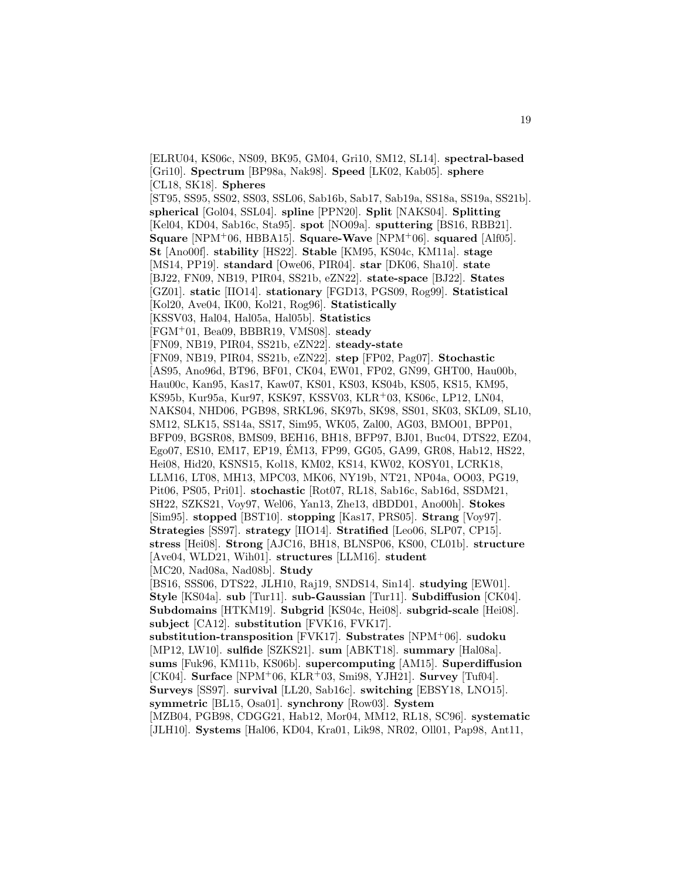[ELRU04, KS06c, NS09, BK95, GM04, Gri10, SM12, SL14]. **spectral-based** [Gri10]. **Spectrum** [BP98a, Nak98]. **Speed** [LK02, Kab05]. **sphere** [CL18, SK18]. **Spheres** [ST95, SS95, SS02, SS03, SSL06, Sab16b, Sab17, Sab19a, SS18a, SS19a, SS21b]. **spherical** [Gol04, SSL04]. **spline** [PPN20]. **Split** [NAKS04]. **Splitting** [Kel04, KD04, Sab16c, Sta95]. **spot** [NO09a]. **sputtering** [BS16, RBB21]. **Square** [NPM<sup>+</sup>06, HBBA15]. **Square-Wave** [NPM<sup>+</sup>06]. **squared** [Alf05]. **St** [Ano00f]. **stability** [HS22]. **Stable** [KM95, KS04c, KM11a]. **stage** [MS14, PP19]. **standard** [Owe06, PIR04]. **star** [DK06, Sha10]. **state** [BJ22, FN09, NB19, PIR04, SS21b, eZN22]. **state-space** [BJ22]. **States** [GZ01]. **static** [IIO14]. **stationary** [FGD13, PGS09, Rog99]. **Statistical** [Kol20, Ave04, IK00, Kol21, Rog96]. **Statistically** [KSSV03, Hal04, Hal05a, Hal05b]. **Statistics** [FGM<sup>+</sup>01, Bea09, BBBR19, VMS08]. **steady** [FN09, NB19, PIR04, SS21b, eZN22]. **steady-state** [FN09, NB19, PIR04, SS21b, eZN22]. **step** [FP02, Pag07]. **Stochastic** [AS95, Ano96d, BT96, BF01, CK04, EW01, FP02, GN99, GHT00, Hau00b, Hau00c, Kan95, Kas17, Kaw07, KS01, KS03, KS04b, KS05, KS15, KM95, KS95b, Kur95a, Kur97, KSK97, KSSV03, KLR<sup>+</sup>03, KS06c, LP12, LN04, NAKS04, NHD06, PGB98, SRKL96, SK97b, SK98, SS01, SK03, SKL09, SL10, SM12, SLK15, SS14a, SS17, Sim95, WK05, Zal00, AG03, BMO01, BPP01, BFP09, BGSR08, BMS09, BEH16, BH18, BFP97, BJ01, Buc04, DTS22, EZ04, Ego07, ES10, EM17, EP19, EM13, FP99, GG05, GA99, GR08, Hab12, HS22, ´ Hei08, Hid20, KSNS15, Kol18, KM02, KS14, KW02, KOSY01, LCRK18, LLM16, LT08, MH13, MPC03, MK06, NY19b, NT21, NP04a, OO03, PG19, Pit06, PS05, Pri01]. **stochastic** [Rot07, RL18, Sab16c, Sab16d, SSDM21, SH22, SZKS21, Voy97, Wel06, Yan13, Zhe13, dBDD01, Ano00h]. **Stokes** [Sim95]. **stopped** [BST10]. **stopping** [Kas17, PRS05]. **Strang** [Voy97]. **Strategies** [SS97]. **strategy** [IIO14]. **Stratified** [Leo06, SLP07, CP15]. **stress** [Hei08]. **Strong** [AJC16, BH18, BLNSP06, KS00, CL01b]. **structure** [Ave04, WLD21, Wih01]. **structures** [LLM16]. **student** [MC20, Nad08a, Nad08b]. **Study** [BS16, SSS06, DTS22, JLH10, Raj19, SNDS14, Sin14]. **studying** [EW01]. **Style** [KS04a]. **sub** [Tur11]. **sub-Gaussian** [Tur11]. **Subdiffusion** [CK04]. **Subdomains** [HTKM19]. **Subgrid** [KS04c, Hei08]. **subgrid-scale** [Hei08]. **subject** [CA12]. **substitution** [FVK16, FVK17]. **substitution-transposition** [FVK17]. **Substrates** [NPM<sup>+</sup>06]. **sudoku** [MP12, LW10]. **sulfide** [SZKS21]. **sum** [ABKT18]. **summary** [Hal08a]. **sums** [Fuk96, KM11b, KS06b]. **supercomputing** [AM15]. **Superdiffusion** [CK04]. **Surface** [NPM<sup>+</sup>06, KLR<sup>+</sup>03, Smi98, YJH21]. **Survey** [Tuf04]. **Surveys** [SS97]. **survival** [LL20, Sab16c]. **switching** [EBSY18, LNO15]. **symmetric** [BL15, Osa01]. **synchrony** [Row03]. **System** [MZB04, PGB98, CDGG21, Hab12, Mor04, MM12, RL18, SC96]. **systematic** [JLH10]. **Systems** [Hal06, KD04, Kra01, Lik98, NR02, Oll01, Pap98, Ant11,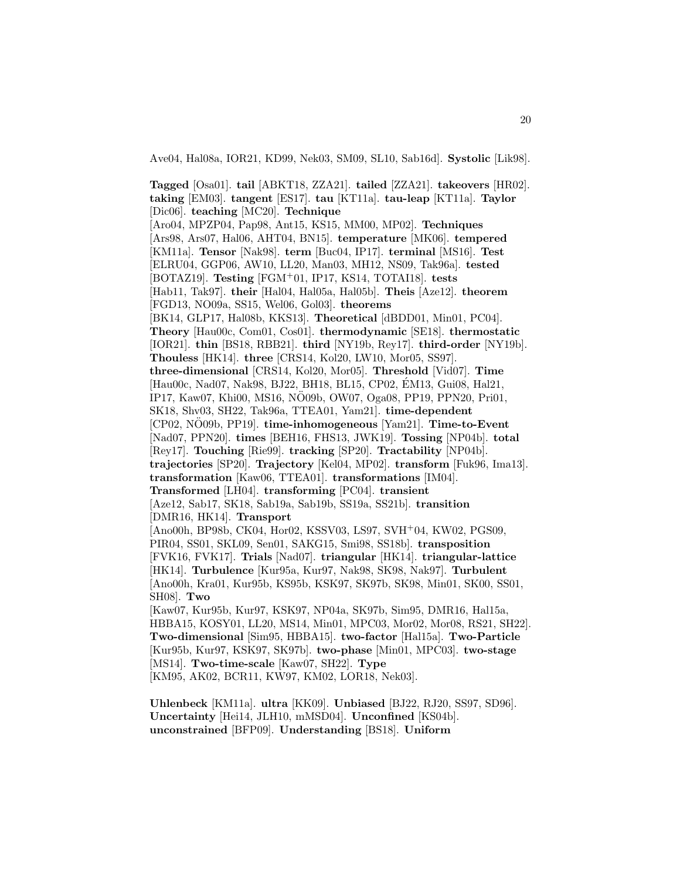Ave04, Hal08a, IOR21, KD99, Nek03, SM09, SL10, Sab16d]. **Systolic** [Lik98].

**Tagged** [Osa01]. **tail** [ABKT18, ZZA21]. **tailed** [ZZA21]. **takeovers** [HR02]. **taking** [EM03]. **tangent** [ES17]. **tau** [KT11a]. **tau-leap** [KT11a]. **Taylor** [Dic06]. **teaching** [MC20]. **Technique** [Aro04, MPZP04, Pap98, Ant15, KS15, MM00, MP02]. **Techniques** [Ars98, Ars07, Hal06, AHT04, BN15]. **temperature** [MK06]. **tempered** [KM11a]. **Tensor** [Nak98]. **term** [Buc04, IP17]. **terminal** [MS16]. **Test** [ELRU04, GGP06, AW10, LL20, Man03, MH12, NS09, Tak96a]. **tested** [BOTAZ19]. **Testing** [FGM<sup>+</sup>01, IP17, KS14, TOTAI18]. **tests** [Hab11, Tak97]. **their** [Hal04, Hal05a, Hal05b]. **Theis** [Aze12]. **theorem** [FGD13, NO09a, SS15, Wel06, Gol03]. **theorems** [BK14, GLP17, Hal08b, KKS13]. **Theoretical** [dBDD01, Min01, PC04]. **Theory** [Hau00c, Com01, Cos01]. **thermodynamic** [SE18]. **thermostatic** [IOR21]. **thin** [BS18, RBB21]. **third** [NY19b, Rey17]. **third-order** [NY19b]. **Thouless** [HK14]. **three** [CRS14, Kol20, LW10, Mor05, SS97]. **three-dimensional** [CRS14, Kol20, Mor05]. **Threshold** [Vid07]. **Time** [Hau00c, Nad07, Nak98, BJ22, BH18, BL15, CP02, EM13, Gui08, Hal21, ´ IP17, Kaw07, Khi00, MS16, NO09b, OW07, Oga08, PP19, PPN20, Pri01, ¨ SK18, Shv03, SH22, Tak96a, TTEA01, Yam21]. **time-dependent** [CP02, NO09b, PP19]. ¨ **time-inhomogeneous** [Yam21]. **Time-to-Event** [Nad07, PPN20]. **times** [BEH16, FHS13, JWK19]. **Tossing** [NP04b]. **total** [Rey17]. **Touching** [Rie99]. **tracking** [SP20]. **Tractability** [NP04b]. **trajectories** [SP20]. **Trajectory** [Kel04, MP02]. **transform** [Fuk96, Ima13]. **transformation** [Kaw06, TTEA01]. **transformations** [IM04]. **Transformed** [LH04]. **transforming** [PC04]. **transient** [Aze12, Sab17, SK18, Sab19a, Sab19b, SS19a, SS21b]. **transition** [DMR16, HK14]. **Transport** [Ano00h, BP98b, CK04, Hor02, KSSV03, LS97, SVH<sup>+</sup>04, KW02, PGS09, PIR04, SS01, SKL09, Sen01, SAKG15, Smi98, SS18b]. **transposition** [FVK16, FVK17]. **Trials** [Nad07]. **triangular** [HK14]. **triangular-lattice** [HK14]. **Turbulence** [Kur95a, Kur97, Nak98, SK98, Nak97]. **Turbulent** [Ano00h, Kra01, Kur95b, KS95b, KSK97, SK97b, SK98, Min01, SK00, SS01, SH08]. **Two** [Kaw07, Kur95b, Kur97, KSK97, NP04a, SK97b, Sim95, DMR16, Hal15a, HBBA15, KOSY01, LL20, MS14, Min01, MPC03, Mor02, Mor08, RS21, SH22]. **Two-dimensional** [Sim95, HBBA15]. **two-factor** [Hal15a]. **Two-Particle** [Kur95b, Kur97, KSK97, SK97b]. **two-phase** [Min01, MPC03]. **two-stage** [MS14]. **Two-time-scale** [Kaw07, SH22]. **Type** [KM95, AK02, BCR11, KW97, KM02, LOR18, Nek03].

**Uhlenbeck** [KM11a]. **ultra** [KK09]. **Unbiased** [BJ22, RJ20, SS97, SD96]. **Uncertainty** [Hei14, JLH10, mMSD04]. **Unconfined** [KS04b]. **unconstrained** [BFP09]. **Understanding** [BS18]. **Uniform**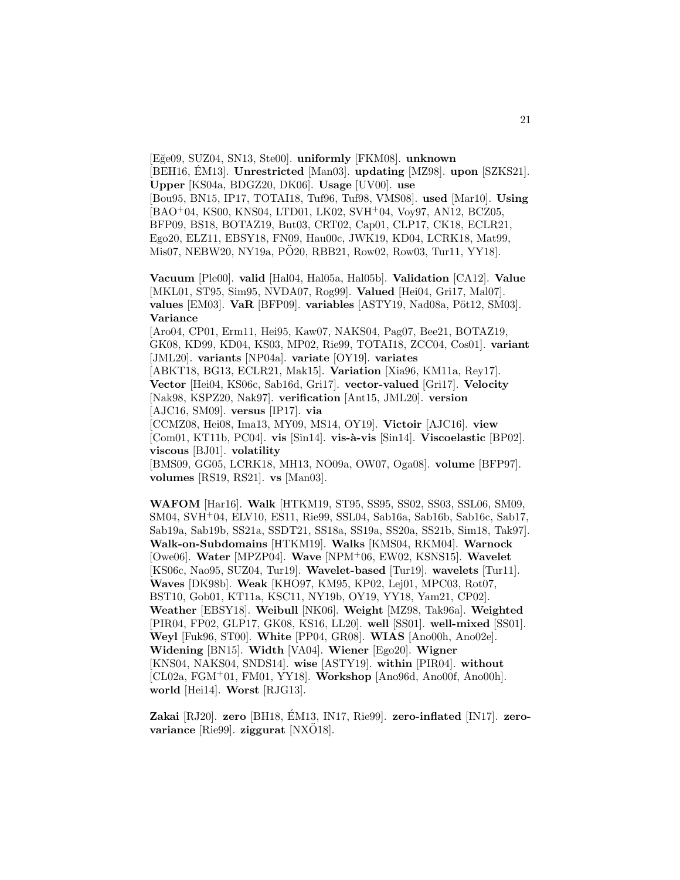[E˘ge09, SUZ04, SN13, Ste00]. **uniformly** [FKM08]. **unknown** [BEH16, EM13]. Unrestricted [Man03]. **updating** [MZ98]. **upon** [SZKS21]. **Upper** [KS04a, BDGZ20, DK06]. **Usage** [UV00]. **use** [Bou95, BN15, IP17, TOTAI18, Tuf96, Tuf98, VMS08]. **used** [Mar10]. **Using** [BAO<sup>+</sup>04, KS00, KNS04, LTD01, LK02, SVH<sup>+</sup>04, Voy97, AN12, BCZ05, BFP09, BS18, BOTAZ19, But03, CRT02, Cap01, CLP17, CK18, ECLR21, Ego20, ELZ11, EBSY18, FN09, Hau00c, JWK19, KD04, LCRK18, Mat99, Mis07, NEBW20, NY19a, PÖ20, RBB21, Row02, Row03, Tur11, YY18].

**Vacuum** [Ple00]. **valid** [Hal04, Hal05a, Hal05b]. **Validation** [CA12]. **Value** [MKL01, ST95, Sim95, NVDA07, Rog99]. **Valued** [Hei04, Gri17, Mal07]. **values** [EM03]. **VaR** [BFP09]. **variables** [ASTY19, Nad08a, Pöt12, SM03]. **Variance**

[Aro04, CP01, Erm11, Hei95, Kaw07, NAKS04, Pag07, Bee21, BOTAZ19, GK08, KD99, KD04, KS03, MP02, Rie99, TOTAI18, ZCC04, Cos01]. **variant** [JML20]. **variants** [NP04a]. **variate** [OY19]. **variates** [ABKT18, BG13, ECLR21, Mak15]. **Variation** [Xia96, KM11a, Rey17]. **Vector** [Hei04, KS06c, Sab16d, Gri17]. **vector-valued** [Gri17]. **Velocity** [Nak98, KSPZ20, Nak97]. **verification** [Ant15, JML20]. **version** [AJC16, SM09]. **versus** [IP17]. **via** [CCMZ08, Hei08, Ima13, MY09, MS14, OY19]. **Victoir** [AJC16]. **view** [Com01, KT11b, PC04]. **vis** [Sin14]. **vis-à-vis** [Sin14]. **Viscoelastic** [BP02]. **viscous** [BJ01]. **volatility**

[BMS09, GG05, LCRK18, MH13, NO09a, OW07, Oga08]. **volume** [BFP97]. **volumes** [RS19, RS21]. **vs** [Man03].

**WAFOM** [Har16]. **Walk** [HTKM19, ST95, SS95, SS02, SS03, SSL06, SM09, SM04, SVH<sup>+</sup>04, ELV10, ES11, Rie99, SSL04, Sab16a, Sab16b, Sab16c, Sab17, Sab19a, Sab19b, SS21a, SSDT21, SS18a, SS19a, SS20a, SS21b, Sim18, Tak97]. **Walk-on-Subdomains** [HTKM19]. **Walks** [KMS04, RKM04]. **Warnock** [Owe06]. **Water** [MPZP04]. **Wave** [NPM<sup>+</sup>06, EW02, KSNS15]. **Wavelet** [KS06c, Nao95, SUZ04, Tur19]. **Wavelet-based** [Tur19]. **wavelets** [Tur11]. **Waves** [DK98b]. **Weak** [KHO97, KM95, KP02, Lej01, MPC03, Rot07, BST10, Gob01, KT11a, KSC11, NY19b, OY19, YY18, Yam21, CP02]. **Weather** [EBSY18]. **Weibull** [NK06]. **Weight** [MZ98, Tak96a]. **Weighted** [PIR04, FP02, GLP17, GK08, KS16, LL20]. **well** [SS01]. **well-mixed** [SS01]. **Weyl** [Fuk96, ST00]. **White** [PP04, GR08]. **WIAS** [Ano00h, Ano02e]. **Widening** [BN15]. **Width** [VA04]. **Wiener** [Ego20]. **Wigner** [KNS04, NAKS04, SNDS14]. **wise** [ASTY19]. **within** [PIR04]. **without** [CL02a, FGM<sup>+</sup>01, FM01, YY18]. **Workshop** [Ano96d, Ano00f, Ano00h]. **world** [Hei14]. **Worst** [RJG13].

**Zakai** [RJ20]. **zero** [BH18, ÉM13, IN17, Rie99]. **zero-inflated** [IN17]. **zerovariance** [Rie99]. **ziggurat** [NXÖ18].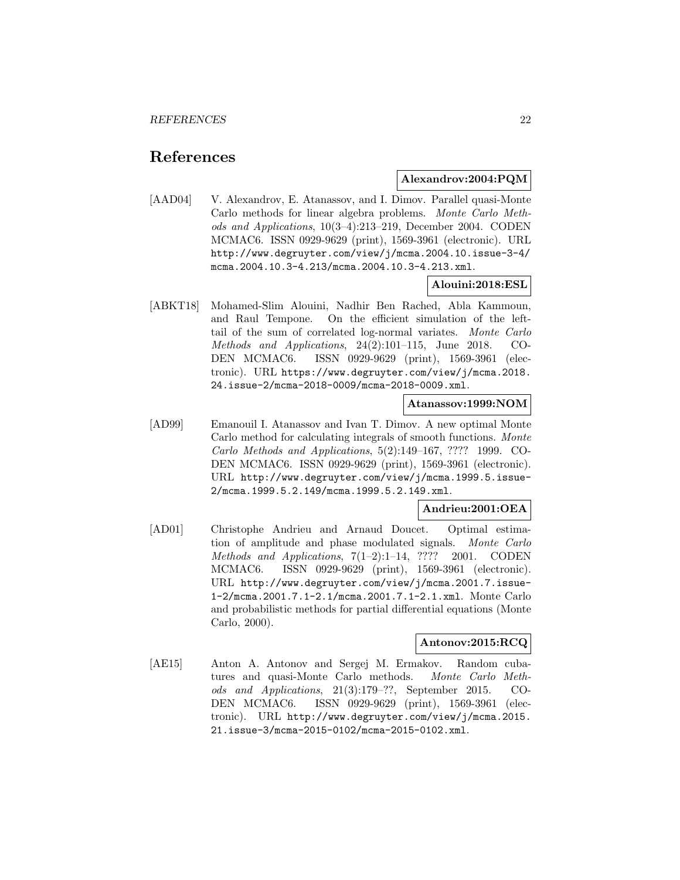# **References**

#### **Alexandrov:2004:PQM**

[AAD04] V. Alexandrov, E. Atanassov, and I. Dimov. Parallel quasi-Monte Carlo methods for linear algebra problems. Monte Carlo Methods and Applications, 10(3–4):213–219, December 2004. CODEN MCMAC6. ISSN 0929-9629 (print), 1569-3961 (electronic). URL http://www.degruyter.com/view/j/mcma.2004.10.issue-3-4/ mcma.2004.10.3-4.213/mcma.2004.10.3-4.213.xml.

# **Alouini:2018:ESL**

[ABKT18] Mohamed-Slim Alouini, Nadhir Ben Rached, Abla Kammoun, and Raul Tempone. On the efficient simulation of the lefttail of the sum of correlated log-normal variates. Monte Carlo Methods and Applications, 24(2):101–115, June 2018. CO-DEN MCMAC6. ISSN 0929-9629 (print), 1569-3961 (electronic). URL https://www.degruyter.com/view/j/mcma.2018. 24.issue-2/mcma-2018-0009/mcma-2018-0009.xml.

## **Atanassov:1999:NOM**

[AD99] Emanouil I. Atanassov and Ivan T. Dimov. A new optimal Monte Carlo method for calculating integrals of smooth functions. Monte Carlo Methods and Applications, 5(2):149–167, ???? 1999. CO-DEN MCMAC6. ISSN 0929-9629 (print), 1569-3961 (electronic). URL http://www.degruyter.com/view/j/mcma.1999.5.issue-2/mcma.1999.5.2.149/mcma.1999.5.2.149.xml.

#### **Andrieu:2001:OEA**

[AD01] Christophe Andrieu and Arnaud Doucet. Optimal estimation of amplitude and phase modulated signals. Monte Carlo Methods and Applications, 7(1–2):1–14, ???? 2001. CODEN MCMAC6. ISSN 0929-9629 (print), 1569-3961 (electronic). URL http://www.degruyter.com/view/j/mcma.2001.7.issue-1-2/mcma.2001.7.1-2.1/mcma.2001.7.1-2.1.xml. Monte Carlo and probabilistic methods for partial differential equations (Monte Carlo, 2000).

# **Antonov:2015:RCQ**

[AE15] Anton A. Antonov and Sergej M. Ermakov. Random cubatures and quasi-Monte Carlo methods. Monte Carlo Methods and Applications, 21(3):179–??, September 2015. CO-DEN MCMAC6. ISSN 0929-9629 (print), 1569-3961 (electronic). URL http://www.degruyter.com/view/j/mcma.2015. 21.issue-3/mcma-2015-0102/mcma-2015-0102.xml.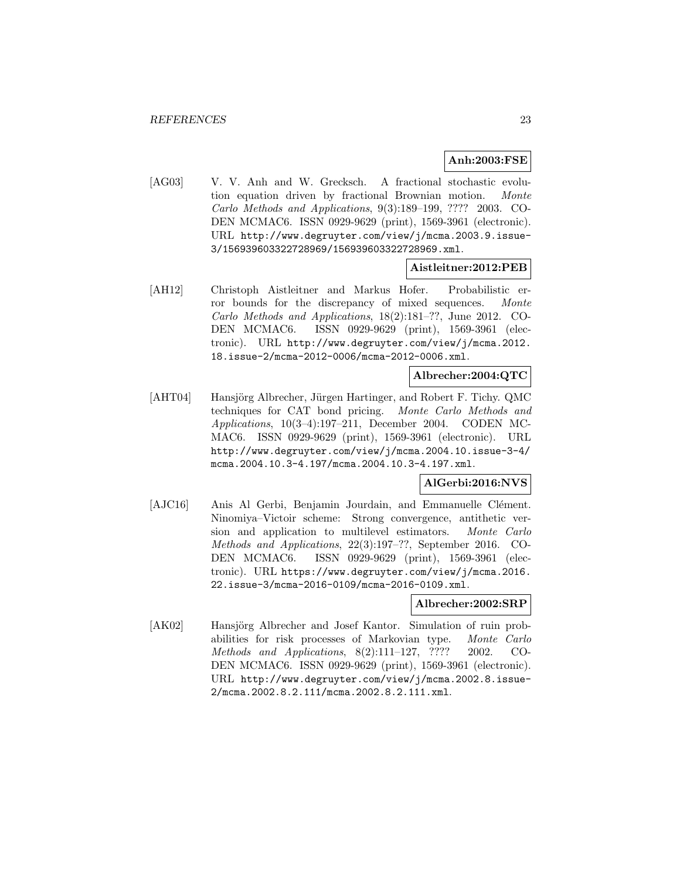# **Anh:2003:FSE**

[AG03] V. V. Anh and W. Grecksch. A fractional stochastic evolution equation driven by fractional Brownian motion. Monte Carlo Methods and Applications, 9(3):189–199, ???? 2003. CO-DEN MCMAC6. ISSN 0929-9629 (print), 1569-3961 (electronic). URL http://www.degruyter.com/view/j/mcma.2003.9.issue-3/156939603322728969/156939603322728969.xml.

# **Aistleitner:2012:PEB**

[AH12] Christoph Aistleitner and Markus Hofer. Probabilistic error bounds for the discrepancy of mixed sequences. Monte Carlo Methods and Applications, 18(2):181–??, June 2012. CO-DEN MCMAC6. ISSN 0929-9629 (print), 1569-3961 (electronic). URL http://www.degruyter.com/view/j/mcma.2012. 18.issue-2/mcma-2012-0006/mcma-2012-0006.xml.

# **Albrecher:2004:QTC**

[AHT04] Hansjörg Albrecher, Jürgen Hartinger, and Robert F. Tichy. QMC techniques for CAT bond pricing. Monte Carlo Methods and Applications, 10(3–4):197–211, December 2004. CODEN MC-MAC6. ISSN 0929-9629 (print), 1569-3961 (electronic). URL http://www.degruyter.com/view/j/mcma.2004.10.issue-3-4/ mcma.2004.10.3-4.197/mcma.2004.10.3-4.197.xml.

# **AlGerbi:2016:NVS**

[AJC16] Anis Al Gerbi, Benjamin Jourdain, and Emmanuelle Clément. Ninomiya–Victoir scheme: Strong convergence, antithetic version and application to multilevel estimators. Monte Carlo Methods and Applications, 22(3):197–??, September 2016. CO-DEN MCMAC6. ISSN 0929-9629 (print), 1569-3961 (electronic). URL https://www.degruyter.com/view/j/mcma.2016. 22.issue-3/mcma-2016-0109/mcma-2016-0109.xml.

#### **Albrecher:2002:SRP**

[AK02] Hansjörg Albrecher and Josef Kantor. Simulation of ruin probabilities for risk processes of Markovian type. Monte Carlo Methods and Applications, 8(2):111–127, ???? 2002. CO-DEN MCMAC6. ISSN 0929-9629 (print), 1569-3961 (electronic). URL http://www.degruyter.com/view/j/mcma.2002.8.issue-2/mcma.2002.8.2.111/mcma.2002.8.2.111.xml.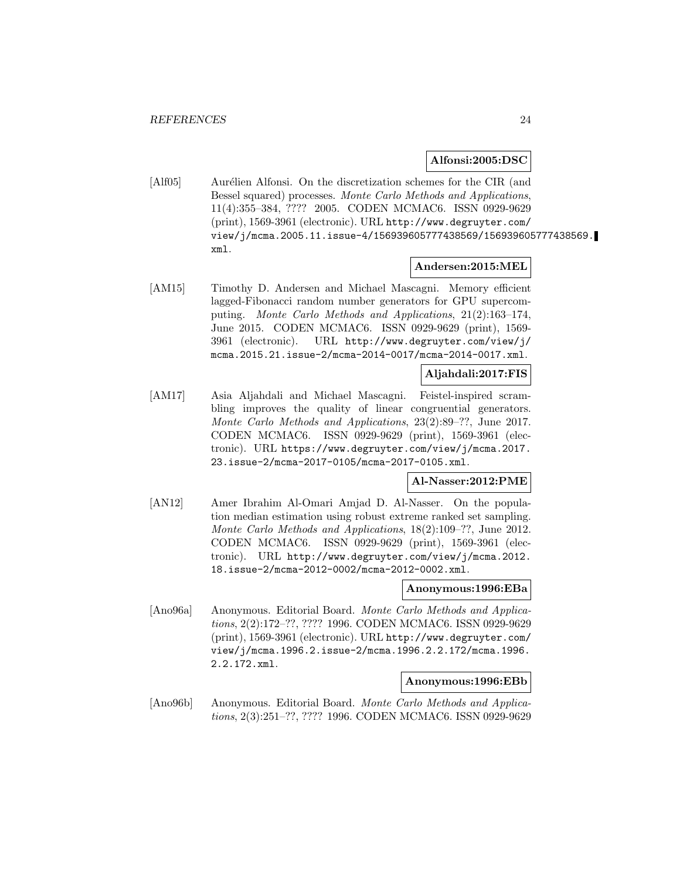#### **Alfonsi:2005:DSC**

[Alf05] Aurélien Alfonsi. On the discretization schemes for the CIR (and Bessel squared) processes. Monte Carlo Methods and Applications, 11(4):355–384, ???? 2005. CODEN MCMAC6. ISSN 0929-9629 (print), 1569-3961 (electronic). URL http://www.degruyter.com/ view/j/mcma.2005.11.issue-4/156939605777438569/156939605777438569. xml.

# **Andersen:2015:MEL**

[AM15] Timothy D. Andersen and Michael Mascagni. Memory efficient lagged-Fibonacci random number generators for GPU supercomputing. Monte Carlo Methods and Applications, 21(2):163–174, June 2015. CODEN MCMAC6. ISSN 0929-9629 (print), 1569- 3961 (electronic). URL http://www.degruyter.com/view/j/ mcma.2015.21.issue-2/mcma-2014-0017/mcma-2014-0017.xml.

## **Aljahdali:2017:FIS**

[AM17] Asia Aljahdali and Michael Mascagni. Feistel-inspired scrambling improves the quality of linear congruential generators. Monte Carlo Methods and Applications, 23(2):89–??, June 2017. CODEN MCMAC6. ISSN 0929-9629 (print), 1569-3961 (electronic). URL https://www.degruyter.com/view/j/mcma.2017. 23.issue-2/mcma-2017-0105/mcma-2017-0105.xml.

#### **Al-Nasser:2012:PME**

[AN12] Amer Ibrahim Al-Omari Amjad D. Al-Nasser. On the population median estimation using robust extreme ranked set sampling. Monte Carlo Methods and Applications, 18(2):109–??, June 2012. CODEN MCMAC6. ISSN 0929-9629 (print), 1569-3961 (electronic). URL http://www.degruyter.com/view/j/mcma.2012. 18.issue-2/mcma-2012-0002/mcma-2012-0002.xml.

#### **Anonymous:1996:EBa**

[Ano96a] Anonymous. Editorial Board. Monte Carlo Methods and Applications, 2(2):172–??, ???? 1996. CODEN MCMAC6. ISSN 0929-9629 (print), 1569-3961 (electronic). URL http://www.degruyter.com/ view/j/mcma.1996.2.issue-2/mcma.1996.2.2.172/mcma.1996. 2.2.172.xml.

#### **Anonymous:1996:EBb**

[Ano96b] Anonymous. Editorial Board. Monte Carlo Methods and Applications, 2(3):251–??, ???? 1996. CODEN MCMAC6. ISSN 0929-9629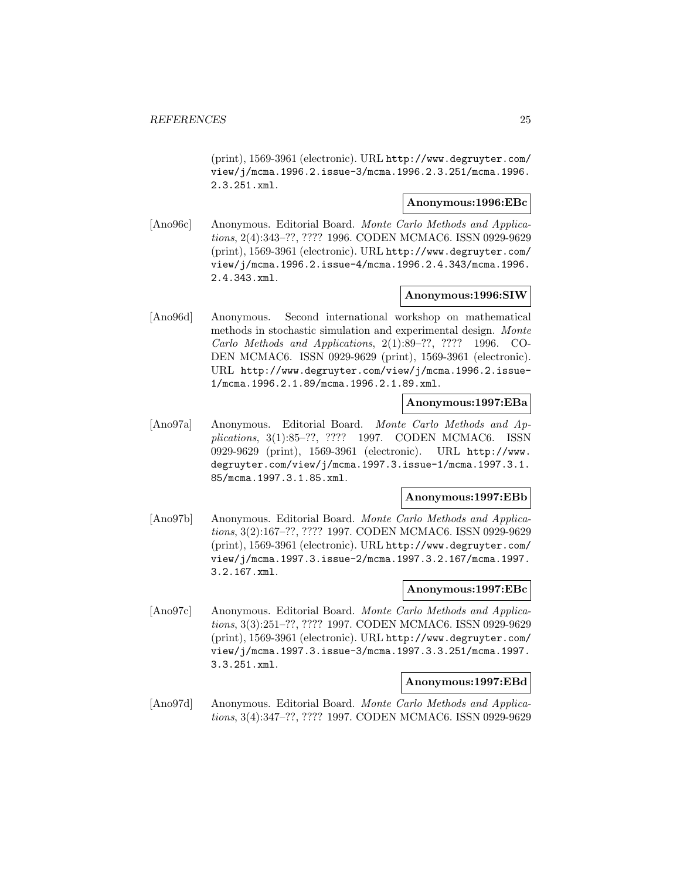(print), 1569-3961 (electronic). URL http://www.degruyter.com/ view/j/mcma.1996.2.issue-3/mcma.1996.2.3.251/mcma.1996. 2.3.251.xml.

# **Anonymous:1996:EBc**

[Ano96c] Anonymous. Editorial Board. Monte Carlo Methods and Applications, 2(4):343–??, ???? 1996. CODEN MCMAC6. ISSN 0929-9629 (print), 1569-3961 (electronic). URL http://www.degruyter.com/ view/j/mcma.1996.2.issue-4/mcma.1996.2.4.343/mcma.1996. 2.4.343.xml.

# **Anonymous:1996:SIW**

[Ano96d] Anonymous. Second international workshop on mathematical methods in stochastic simulation and experimental design. Monte Carlo Methods and Applications, 2(1):89–??, ???? 1996. CO-DEN MCMAC6. ISSN 0929-9629 (print), 1569-3961 (electronic). URL http://www.degruyter.com/view/j/mcma.1996.2.issue-1/mcma.1996.2.1.89/mcma.1996.2.1.89.xml.

# **Anonymous:1997:EBa**

[Ano97a] Anonymous. Editorial Board. Monte Carlo Methods and Applications, 3(1):85–??, ???? 1997. CODEN MCMAC6. ISSN 0929-9629 (print), 1569-3961 (electronic). URL http://www. degruyter.com/view/j/mcma.1997.3.issue-1/mcma.1997.3.1. 85/mcma.1997.3.1.85.xml.

## **Anonymous:1997:EBb**

[Ano97b] Anonymous. Editorial Board. Monte Carlo Methods and Applications, 3(2):167–??, ???? 1997. CODEN MCMAC6. ISSN 0929-9629 (print), 1569-3961 (electronic). URL http://www.degruyter.com/ view/j/mcma.1997.3.issue-2/mcma.1997.3.2.167/mcma.1997. 3.2.167.xml.

## **Anonymous:1997:EBc**

[Ano97c] Anonymous. Editorial Board. Monte Carlo Methods and Applications, 3(3):251–??, ???? 1997. CODEN MCMAC6. ISSN 0929-9629 (print), 1569-3961 (electronic). URL http://www.degruyter.com/ view/j/mcma.1997.3.issue-3/mcma.1997.3.3.251/mcma.1997. 3.3.251.xml.

#### **Anonymous:1997:EBd**

[Ano97d] Anonymous. Editorial Board. Monte Carlo Methods and Applications, 3(4):347–??, ???? 1997. CODEN MCMAC6. ISSN 0929-9629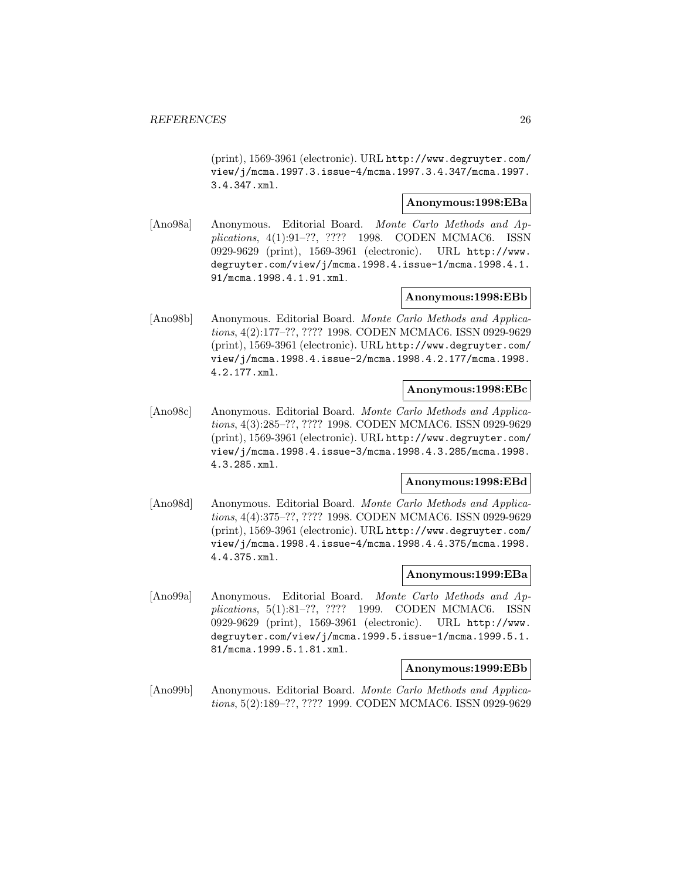(print), 1569-3961 (electronic). URL http://www.degruyter.com/ view/j/mcma.1997.3.issue-4/mcma.1997.3.4.347/mcma.1997. 3.4.347.xml.

# **Anonymous:1998:EBa**

[Ano98a] Anonymous. Editorial Board. Monte Carlo Methods and Applications, 4(1):91–??, ???? 1998. CODEN MCMAC6. ISSN 0929-9629 (print), 1569-3961 (electronic). URL http://www. degruyter.com/view/j/mcma.1998.4.issue-1/mcma.1998.4.1. 91/mcma.1998.4.1.91.xml.

# **Anonymous:1998:EBb**

[Ano98b] Anonymous. Editorial Board. Monte Carlo Methods and Applications, 4(2):177–??, ???? 1998. CODEN MCMAC6. ISSN 0929-9629 (print), 1569-3961 (electronic). URL http://www.degruyter.com/ view/j/mcma.1998.4.issue-2/mcma.1998.4.2.177/mcma.1998. 4.2.177.xml.

# **Anonymous:1998:EBc**

[Ano98c] Anonymous. Editorial Board. Monte Carlo Methods and Applications, 4(3):285–??, ???? 1998. CODEN MCMAC6. ISSN 0929-9629 (print), 1569-3961 (electronic). URL http://www.degruyter.com/ view/j/mcma.1998.4.issue-3/mcma.1998.4.3.285/mcma.1998. 4.3.285.xml.

# **Anonymous:1998:EBd**

[Ano98d] Anonymous. Editorial Board. Monte Carlo Methods and Applications, 4(4):375–??, ???? 1998. CODEN MCMAC6. ISSN 0929-9629 (print), 1569-3961 (electronic). URL http://www.degruyter.com/ view/j/mcma.1998.4.issue-4/mcma.1998.4.4.375/mcma.1998. 4.4.375.xml.

#### **Anonymous:1999:EBa**

[Ano99a] Anonymous. Editorial Board. Monte Carlo Methods and Applications, 5(1):81–??, ???? 1999. CODEN MCMAC6. ISSN 0929-9629 (print), 1569-3961 (electronic). URL http://www. degruyter.com/view/j/mcma.1999.5.issue-1/mcma.1999.5.1. 81/mcma.1999.5.1.81.xml.

#### **Anonymous:1999:EBb**

[Ano99b] Anonymous. Editorial Board. Monte Carlo Methods and Applications, 5(2):189–??, ???? 1999. CODEN MCMAC6. ISSN 0929-9629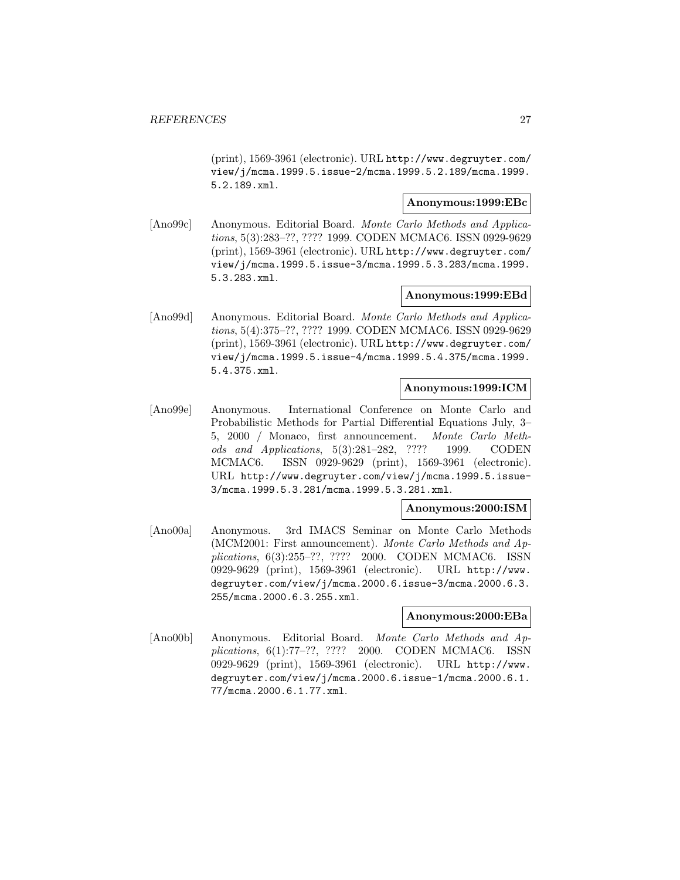(print), 1569-3961 (electronic). URL http://www.degruyter.com/ view/j/mcma.1999.5.issue-2/mcma.1999.5.2.189/mcma.1999. 5.2.189.xml.

# **Anonymous:1999:EBc**

[Ano99c] Anonymous. Editorial Board. Monte Carlo Methods and Applications, 5(3):283–??, ???? 1999. CODEN MCMAC6. ISSN 0929-9629 (print), 1569-3961 (electronic). URL http://www.degruyter.com/ view/j/mcma.1999.5.issue-3/mcma.1999.5.3.283/mcma.1999. 5.3.283.xml.

# **Anonymous:1999:EBd**

[Ano99d] Anonymous. Editorial Board. Monte Carlo Methods and Applications, 5(4):375–??, ???? 1999. CODEN MCMAC6. ISSN 0929-9629 (print), 1569-3961 (electronic). URL http://www.degruyter.com/ view/j/mcma.1999.5.issue-4/mcma.1999.5.4.375/mcma.1999. 5.4.375.xml.

# **Anonymous:1999:ICM**

[Ano99e] Anonymous. International Conference on Monte Carlo and Probabilistic Methods for Partial Differential Equations July, 3– 5, 2000 / Monaco, first announcement. Monte Carlo Methods and Applications, 5(3):281–282, ???? 1999. CODEN MCMAC6. ISSN 0929-9629 (print), 1569-3961 (electronic). URL http://www.degruyter.com/view/j/mcma.1999.5.issue-3/mcma.1999.5.3.281/mcma.1999.5.3.281.xml.

#### **Anonymous:2000:ISM**

[Ano00a] Anonymous. 3rd IMACS Seminar on Monte Carlo Methods (MCM2001: First announcement). Monte Carlo Methods and Applications, 6(3):255–??, ???? 2000. CODEN MCMAC6. ISSN 0929-9629 (print), 1569-3961 (electronic). URL http://www. degruyter.com/view/j/mcma.2000.6.issue-3/mcma.2000.6.3. 255/mcma.2000.6.3.255.xml.

#### **Anonymous:2000:EBa**

[Ano00b] Anonymous. Editorial Board. Monte Carlo Methods and Applications, 6(1):77–??, ???? 2000. CODEN MCMAC6. ISSN 0929-9629 (print), 1569-3961 (electronic). URL http://www. degruyter.com/view/j/mcma.2000.6.issue-1/mcma.2000.6.1. 77/mcma.2000.6.1.77.xml.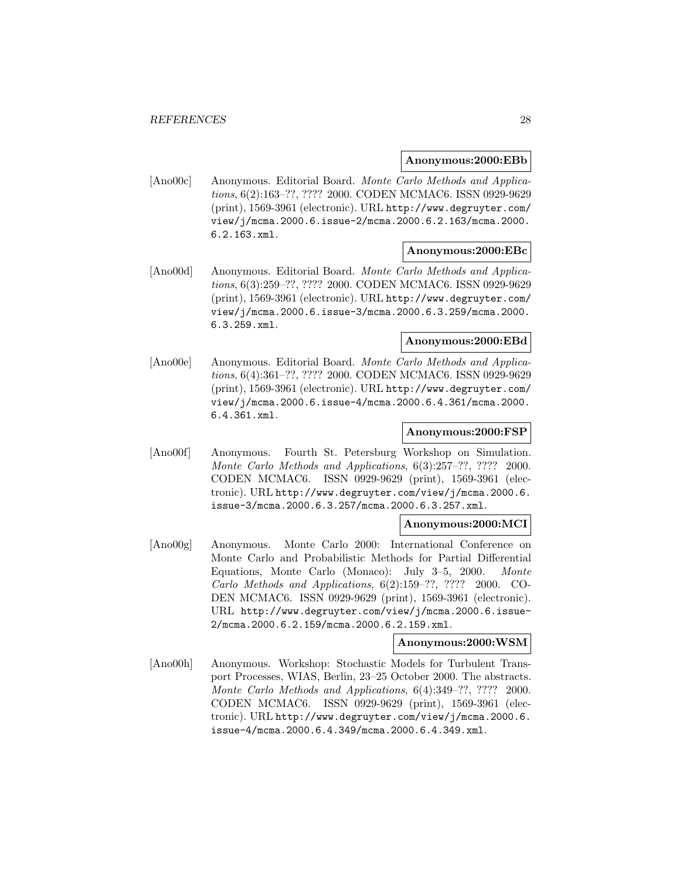#### **Anonymous:2000:EBb**

[Ano00c] Anonymous. Editorial Board. Monte Carlo Methods and Applications, 6(2):163–??, ???? 2000. CODEN MCMAC6. ISSN 0929-9629 (print), 1569-3961 (electronic). URL http://www.degruyter.com/ view/j/mcma.2000.6.issue-2/mcma.2000.6.2.163/mcma.2000. 6.2.163.xml.

#### **Anonymous:2000:EBc**

[Ano00d] Anonymous. Editorial Board. Monte Carlo Methods and Applications, 6(3):259–??, ???? 2000. CODEN MCMAC6. ISSN 0929-9629 (print), 1569-3961 (electronic). URL http://www.degruyter.com/ view/j/mcma.2000.6.issue-3/mcma.2000.6.3.259/mcma.2000. 6.3.259.xml.

## **Anonymous:2000:EBd**

[Ano00e] Anonymous. Editorial Board. Monte Carlo Methods and Applications, 6(4):361–??, ???? 2000. CODEN MCMAC6. ISSN 0929-9629 (print), 1569-3961 (electronic). URL http://www.degruyter.com/ view/j/mcma.2000.6.issue-4/mcma.2000.6.4.361/mcma.2000. 6.4.361.xml.

#### **Anonymous:2000:FSP**

[Ano00f] Anonymous. Fourth St. Petersburg Workshop on Simulation. Monte Carlo Methods and Applications, 6(3):257–??, ???? 2000. CODEN MCMAC6. ISSN 0929-9629 (print), 1569-3961 (electronic). URL http://www.degruyter.com/view/j/mcma.2000.6. issue-3/mcma.2000.6.3.257/mcma.2000.6.3.257.xml.

#### **Anonymous:2000:MCI**

[Ano00g] Anonymous. Monte Carlo 2000: International Conference on Monte Carlo and Probabilistic Methods for Partial Differential Equations, Monte Carlo (Monaco): July 3–5, 2000. Monte Carlo Methods and Applications, 6(2):159–??, ???? 2000. CO-DEN MCMAC6. ISSN 0929-9629 (print), 1569-3961 (electronic). URL http://www.degruyter.com/view/j/mcma.2000.6.issue-2/mcma.2000.6.2.159/mcma.2000.6.2.159.xml.

# **Anonymous:2000:WSM**

[Ano00h] Anonymous. Workshop: Stochastic Models for Turbulent Transport Processes, WIAS, Berlin, 23–25 October 2000. The abstracts. Monte Carlo Methods and Applications, 6(4):349–??, ???? 2000. CODEN MCMAC6. ISSN 0929-9629 (print), 1569-3961 (electronic). URL http://www.degruyter.com/view/j/mcma.2000.6. issue-4/mcma.2000.6.4.349/mcma.2000.6.4.349.xml.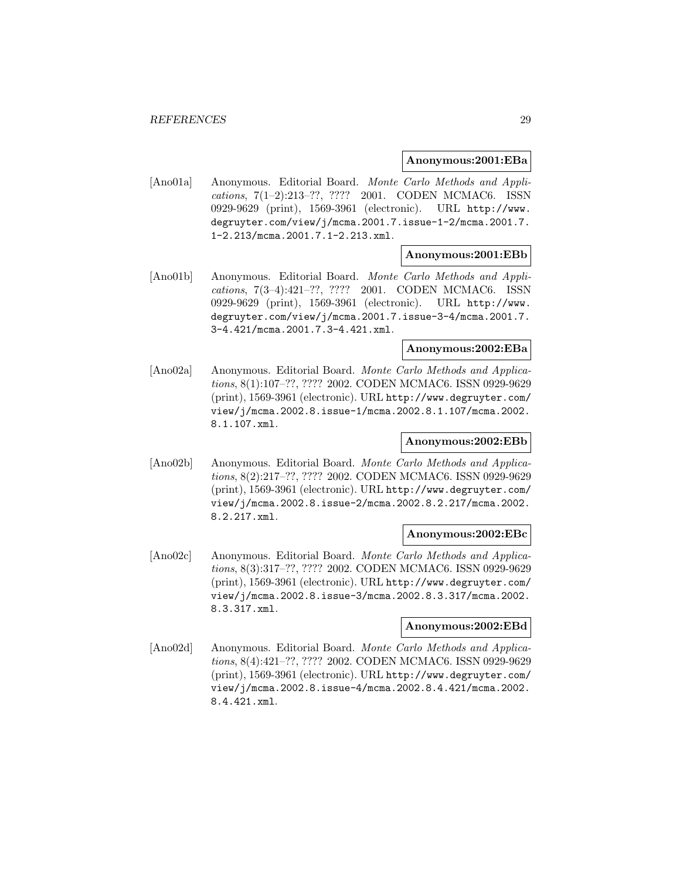#### **Anonymous:2001:EBa**

[Ano01a] Anonymous. Editorial Board. Monte Carlo Methods and Applications, 7(1–2):213–??, ???? 2001. CODEN MCMAC6. ISSN 0929-9629 (print), 1569-3961 (electronic). URL http://www. degruyter.com/view/j/mcma.2001.7.issue-1-2/mcma.2001.7. 1-2.213/mcma.2001.7.1-2.213.xml.

#### **Anonymous:2001:EBb**

[Ano01b] Anonymous. Editorial Board. Monte Carlo Methods and Applications, 7(3–4):421–??, ???? 2001. CODEN MCMAC6. ISSN 0929-9629 (print), 1569-3961 (electronic). URL http://www. degruyter.com/view/j/mcma.2001.7.issue-3-4/mcma.2001.7. 3-4.421/mcma.2001.7.3-4.421.xml.

# **Anonymous:2002:EBa**

[Ano02a] Anonymous. Editorial Board. Monte Carlo Methods and Applications, 8(1):107–??, ???? 2002. CODEN MCMAC6. ISSN 0929-9629 (print), 1569-3961 (electronic). URL http://www.degruyter.com/ view/j/mcma.2002.8.issue-1/mcma.2002.8.1.107/mcma.2002. 8.1.107.xml.

## **Anonymous:2002:EBb**

[Ano02b] Anonymous. Editorial Board. Monte Carlo Methods and Applications, 8(2):217–??, ???? 2002. CODEN MCMAC6. ISSN 0929-9629 (print), 1569-3961 (electronic). URL http://www.degruyter.com/ view/j/mcma.2002.8.issue-2/mcma.2002.8.2.217/mcma.2002. 8.2.217.xml.

# **Anonymous:2002:EBc**

[Ano02c] Anonymous. Editorial Board. Monte Carlo Methods and Applications, 8(3):317–??, ???? 2002. CODEN MCMAC6. ISSN 0929-9629 (print), 1569-3961 (electronic). URL http://www.degruyter.com/ view/j/mcma.2002.8.issue-3/mcma.2002.8.3.317/mcma.2002. 8.3.317.xml.

## **Anonymous:2002:EBd**

[Ano02d] Anonymous. Editorial Board. Monte Carlo Methods and Applications, 8(4):421–??, ???? 2002. CODEN MCMAC6. ISSN 0929-9629 (print), 1569-3961 (electronic). URL http://www.degruyter.com/ view/j/mcma.2002.8.issue-4/mcma.2002.8.4.421/mcma.2002. 8.4.421.xml.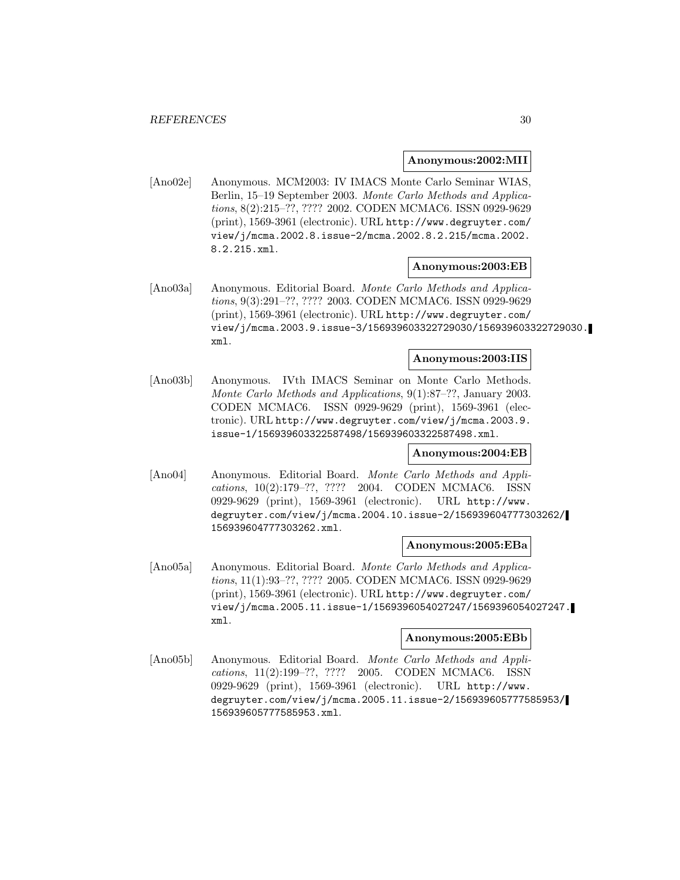#### **Anonymous:2002:MII**

[Ano02e] Anonymous. MCM2003: IV IMACS Monte Carlo Seminar WIAS, Berlin, 15–19 September 2003. Monte Carlo Methods and Applications, 8(2):215–??, ???? 2002. CODEN MCMAC6. ISSN 0929-9629 (print), 1569-3961 (electronic). URL http://www.degruyter.com/ view/j/mcma.2002.8.issue-2/mcma.2002.8.2.215/mcma.2002. 8.2.215.xml.

#### **Anonymous:2003:EB**

[Ano03a] Anonymous. Editorial Board. Monte Carlo Methods and Applications, 9(3):291–??, ???? 2003. CODEN MCMAC6. ISSN 0929-9629 (print), 1569-3961 (electronic). URL http://www.degruyter.com/ view/j/mcma.2003.9.issue-3/156939603322729030/156939603322729030. xml.

# **Anonymous:2003:IIS**

[Ano03b] Anonymous. IVth IMACS Seminar on Monte Carlo Methods. Monte Carlo Methods and Applications, 9(1):87–??, January 2003. CODEN MCMAC6. ISSN 0929-9629 (print), 1569-3961 (electronic). URL http://www.degruyter.com/view/j/mcma.2003.9. issue-1/156939603322587498/156939603322587498.xml.

## **Anonymous:2004:EB**

[Ano04] Anonymous. Editorial Board. Monte Carlo Methods and Applications, 10(2):179–??, ???? 2004. CODEN MCMAC6. ISSN 0929-9629 (print), 1569-3961 (electronic). URL http://www. degruyter.com/view/j/mcma.2004.10.issue-2/156939604777303262/ 156939604777303262.xml.

#### **Anonymous:2005:EBa**

[Ano05a] Anonymous. Editorial Board. Monte Carlo Methods and Applications, 11(1):93–??, ???? 2005. CODEN MCMAC6. ISSN 0929-9629 (print), 1569-3961 (electronic). URL http://www.degruyter.com/ view/j/mcma.2005.11.issue-1/1569396054027247/1569396054027247. xml.

#### **Anonymous:2005:EBb**

[Ano05b] Anonymous. Editorial Board. Monte Carlo Methods and Applications, 11(2):199–??, ???? 2005. CODEN MCMAC6. ISSN 0929-9629 (print), 1569-3961 (electronic). URL http://www. degruyter.com/view/j/mcma.2005.11.issue-2/156939605777585953/ 156939605777585953.xml.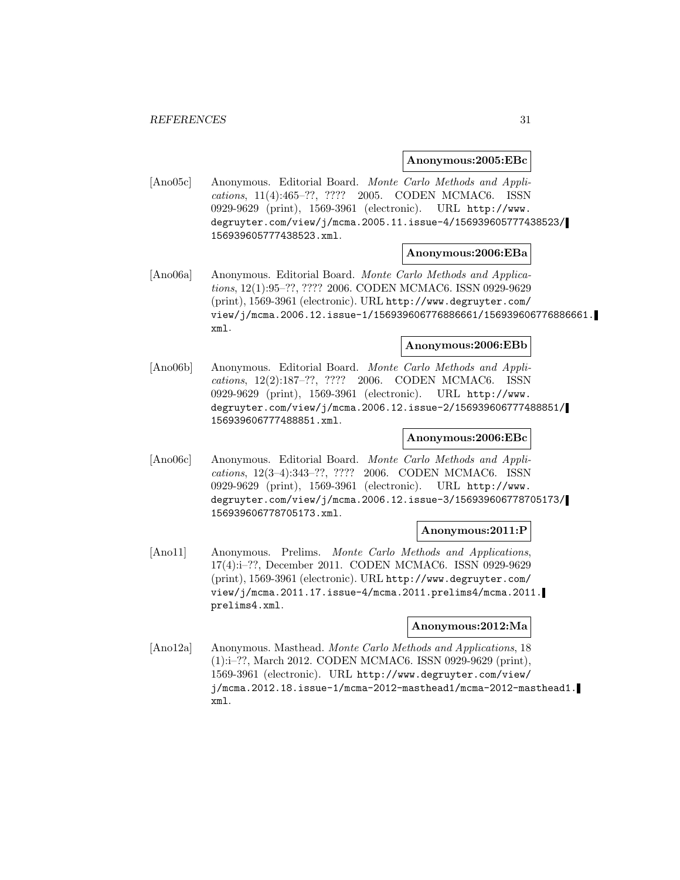#### **Anonymous:2005:EBc**

[Ano05c] Anonymous. Editorial Board. Monte Carlo Methods and Applications, 11(4):465–??, ???? 2005. CODEN MCMAC6. ISSN 0929-9629 (print), 1569-3961 (electronic). URL http://www. degruyter.com/view/j/mcma.2005.11.issue-4/156939605777438523/ 156939605777438523.xml.

# **Anonymous:2006:EBa**

[Ano06a] Anonymous. Editorial Board. Monte Carlo Methods and Applications, 12(1):95–??, ???? 2006. CODEN MCMAC6. ISSN 0929-9629 (print), 1569-3961 (electronic). URL http://www.degruyter.com/ view/j/mcma.2006.12.issue-1/156939606776886661/156939606776886661. xml.

#### **Anonymous:2006:EBb**

[Ano06b] Anonymous. Editorial Board. Monte Carlo Methods and Applications, 12(2):187–??, ???? 2006. CODEN MCMAC6. ISSN 0929-9629 (print), 1569-3961 (electronic). URL http://www. degruyter.com/view/j/mcma.2006.12.issue-2/156939606777488851/ 156939606777488851.xml.

# **Anonymous:2006:EBc**

[Ano06c] Anonymous. Editorial Board. Monte Carlo Methods and Applications, 12(3–4):343–??, ???? 2006. CODEN MCMAC6. ISSN 0929-9629 (print), 1569-3961 (electronic). URL http://www. degruyter.com/view/j/mcma.2006.12.issue-3/156939606778705173/ 156939606778705173.xml.

# **Anonymous:2011:P**

[Ano11] Anonymous. Prelims. Monte Carlo Methods and Applications, 17(4):i–??, December 2011. CODEN MCMAC6. ISSN 0929-9629 (print), 1569-3961 (electronic). URL http://www.degruyter.com/ view/j/mcma.2011.17.issue-4/mcma.2011.prelims4/mcma.2011. prelims4.xml.

## **Anonymous:2012:Ma**

[Ano12a] Anonymous. Masthead. Monte Carlo Methods and Applications, 18 (1):i–??, March 2012. CODEN MCMAC6. ISSN 0929-9629 (print), 1569-3961 (electronic). URL http://www.degruyter.com/view/ j/mcma.2012.18.issue-1/mcma-2012-masthead1/mcma-2012-masthead1. xml.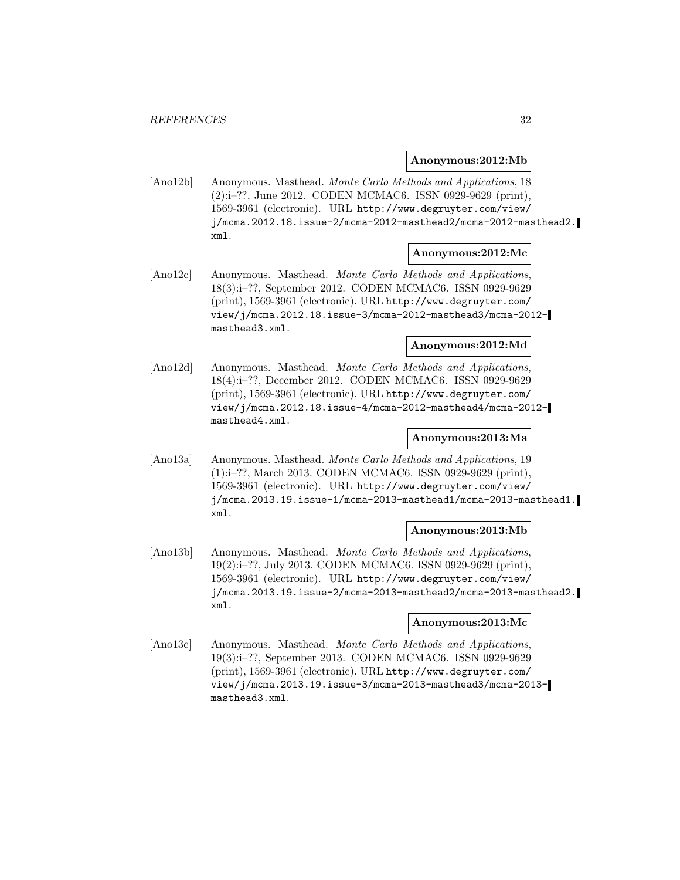#### **Anonymous:2012:Mb**

[Ano12b] Anonymous. Masthead. Monte Carlo Methods and Applications, 18 (2):i–??, June 2012. CODEN MCMAC6. ISSN 0929-9629 (print), 1569-3961 (electronic). URL http://www.degruyter.com/view/ j/mcma.2012.18.issue-2/mcma-2012-masthead2/mcma-2012-masthead2. xml.

#### **Anonymous:2012:Mc**

[Ano12c] Anonymous. Masthead. Monte Carlo Methods and Applications, 18(3):i–??, September 2012. CODEN MCMAC6. ISSN 0929-9629 (print), 1569-3961 (electronic). URL http://www.degruyter.com/ view/j/mcma.2012.18.issue-3/mcma-2012-masthead3/mcma-2012 masthead3.xml.

## **Anonymous:2012:Md**

[Ano12d] Anonymous. Masthead. Monte Carlo Methods and Applications, 18(4):i–??, December 2012. CODEN MCMAC6. ISSN 0929-9629 (print), 1569-3961 (electronic). URL http://www.degruyter.com/ view/j/mcma.2012.18.issue-4/mcma-2012-masthead4/mcma-2012 masthead4.xml.

# **Anonymous:2013:Ma**

[Ano13a] Anonymous. Masthead. Monte Carlo Methods and Applications, 19 (1):i–??, March 2013. CODEN MCMAC6. ISSN 0929-9629 (print), 1569-3961 (electronic). URL http://www.degruyter.com/view/ j/mcma.2013.19.issue-1/mcma-2013-masthead1/mcma-2013-masthead1. xml.

# **Anonymous:2013:Mb**

[Ano13b] Anonymous. Masthead. Monte Carlo Methods and Applications, 19(2):i–??, July 2013. CODEN MCMAC6. ISSN 0929-9629 (print), 1569-3961 (electronic). URL http://www.degruyter.com/view/ j/mcma.2013.19.issue-2/mcma-2013-masthead2/mcma-2013-masthead2. xml.

# **Anonymous:2013:Mc**

[Ano13c] Anonymous. Masthead. Monte Carlo Methods and Applications, 19(3):i–??, September 2013. CODEN MCMAC6. ISSN 0929-9629 (print), 1569-3961 (electronic). URL http://www.degruyter.com/ view/j/mcma.2013.19.issue-3/mcma-2013-masthead3/mcma-2013 masthead3.xml.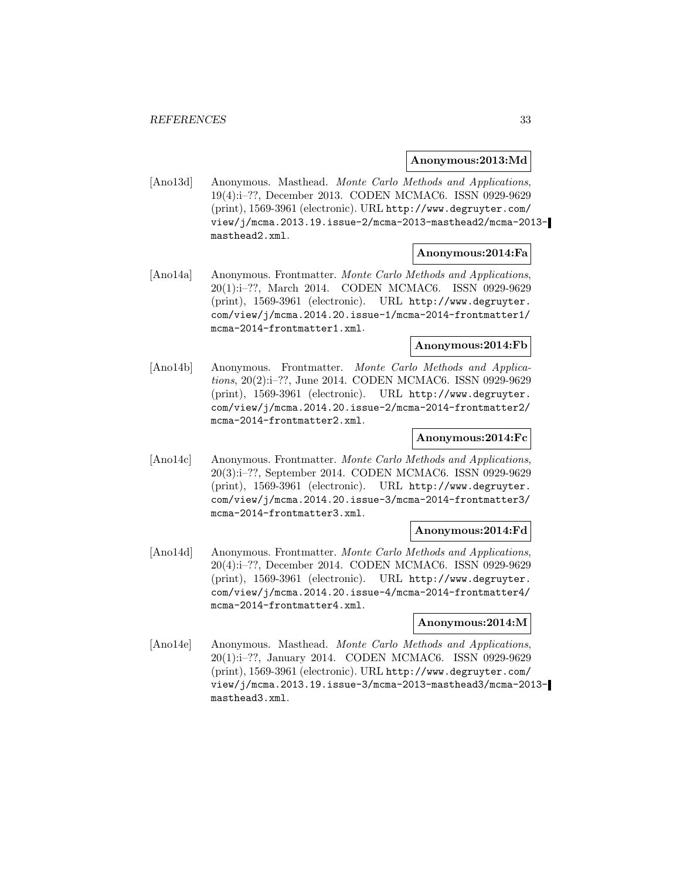**Anonymous:2013:Md**

[Ano13d] Anonymous. Masthead. Monte Carlo Methods and Applications, 19(4):i–??, December 2013. CODEN MCMAC6. ISSN 0929-9629 (print), 1569-3961 (electronic). URL http://www.degruyter.com/ view/j/mcma.2013.19.issue-2/mcma-2013-masthead2/mcma-2013 masthead2.xml.

## **Anonymous:2014:Fa**

[Ano14a] Anonymous. Frontmatter. Monte Carlo Methods and Applications, 20(1):i–??, March 2014. CODEN MCMAC6. ISSN 0929-9629 (print), 1569-3961 (electronic). URL http://www.degruyter. com/view/j/mcma.2014.20.issue-1/mcma-2014-frontmatter1/ mcma-2014-frontmatter1.xml.

#### **Anonymous:2014:Fb**

[Ano14b] Anonymous. Frontmatter. Monte Carlo Methods and Applications, 20(2):i–??, June 2014. CODEN MCMAC6. ISSN 0929-9629 (print), 1569-3961 (electronic). URL http://www.degruyter. com/view/j/mcma.2014.20.issue-2/mcma-2014-frontmatter2/ mcma-2014-frontmatter2.xml.

# **Anonymous:2014:Fc**

[Ano14c] Anonymous. Frontmatter. Monte Carlo Methods and Applications, 20(3):i–??, September 2014. CODEN MCMAC6. ISSN 0929-9629 (print), 1569-3961 (electronic). URL http://www.degruyter. com/view/j/mcma.2014.20.issue-3/mcma-2014-frontmatter3/ mcma-2014-frontmatter3.xml.

# **Anonymous:2014:Fd**

[Ano14d] Anonymous. Frontmatter. Monte Carlo Methods and Applications, 20(4):i–??, December 2014. CODEN MCMAC6. ISSN 0929-9629 (print), 1569-3961 (electronic). URL http://www.degruyter. com/view/j/mcma.2014.20.issue-4/mcma-2014-frontmatter4/ mcma-2014-frontmatter4.xml.

# **Anonymous:2014:M**

[Ano14e] Anonymous. Masthead. Monte Carlo Methods and Applications, 20(1):i–??, January 2014. CODEN MCMAC6. ISSN 0929-9629 (print), 1569-3961 (electronic). URL http://www.degruyter.com/ view/j/mcma.2013.19.issue-3/mcma-2013-masthead3/mcma-2013 masthead3.xml.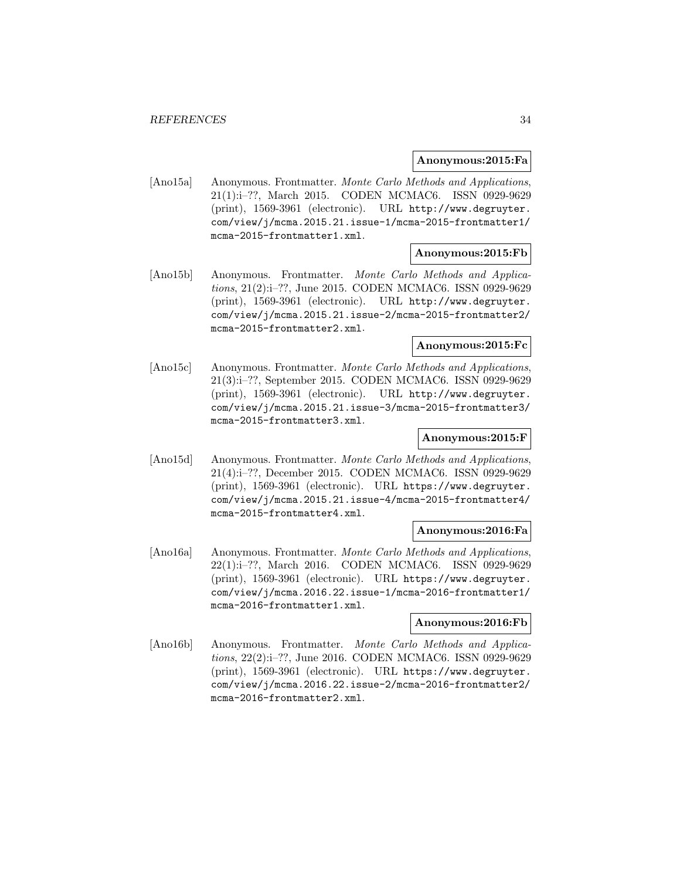#### **Anonymous:2015:Fa**

[Ano15a] Anonymous. Frontmatter. Monte Carlo Methods and Applications, 21(1):i–??, March 2015. CODEN MCMAC6. ISSN 0929-9629 (print), 1569-3961 (electronic). URL http://www.degruyter. com/view/j/mcma.2015.21.issue-1/mcma-2015-frontmatter1/ mcma-2015-frontmatter1.xml.

#### **Anonymous:2015:Fb**

[Ano15b] Anonymous. Frontmatter. Monte Carlo Methods and Applications, 21(2):i–??, June 2015. CODEN MCMAC6. ISSN 0929-9629 (print), 1569-3961 (electronic). URL http://www.degruyter. com/view/j/mcma.2015.21.issue-2/mcma-2015-frontmatter2/ mcma-2015-frontmatter2.xml.

#### **Anonymous:2015:Fc**

[Ano15c] Anonymous. Frontmatter. Monte Carlo Methods and Applications, 21(3):i–??, September 2015. CODEN MCMAC6. ISSN 0929-9629 (print), 1569-3961 (electronic). URL http://www.degruyter. com/view/j/mcma.2015.21.issue-3/mcma-2015-frontmatter3/ mcma-2015-frontmatter3.xml.

# **Anonymous:2015:F**

[Ano15d] Anonymous. Frontmatter. Monte Carlo Methods and Applications, 21(4):i–??, December 2015. CODEN MCMAC6. ISSN 0929-9629 (print), 1569-3961 (electronic). URL https://www.degruyter. com/view/j/mcma.2015.21.issue-4/mcma-2015-frontmatter4/ mcma-2015-frontmatter4.xml.

# **Anonymous:2016:Fa**

[Ano16a] Anonymous. Frontmatter. Monte Carlo Methods and Applications, 22(1):i–??, March 2016. CODEN MCMAC6. ISSN 0929-9629 (print), 1569-3961 (electronic). URL https://www.degruyter. com/view/j/mcma.2016.22.issue-1/mcma-2016-frontmatter1/ mcma-2016-frontmatter1.xml.

# **Anonymous:2016:Fb**

[Ano16b] Anonymous. Frontmatter. Monte Carlo Methods and Applications, 22(2):i–??, June 2016. CODEN MCMAC6. ISSN 0929-9629 (print), 1569-3961 (electronic). URL https://www.degruyter. com/view/j/mcma.2016.22.issue-2/mcma-2016-frontmatter2/ mcma-2016-frontmatter2.xml.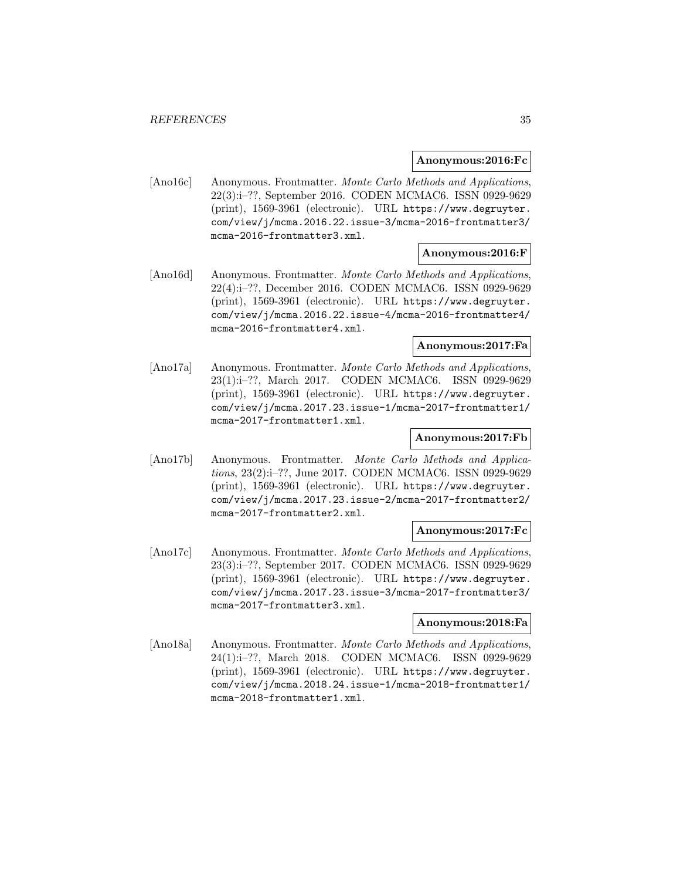#### **Anonymous:2016:Fc**

[Ano16c] Anonymous. Frontmatter. Monte Carlo Methods and Applications, 22(3):i–??, September 2016. CODEN MCMAC6. ISSN 0929-9629 (print), 1569-3961 (electronic). URL https://www.degruyter. com/view/j/mcma.2016.22.issue-3/mcma-2016-frontmatter3/ mcma-2016-frontmatter3.xml.

# **Anonymous:2016:F**

[Ano16d] Anonymous. Frontmatter. Monte Carlo Methods and Applications, 22(4):i–??, December 2016. CODEN MCMAC6. ISSN 0929-9629 (print), 1569-3961 (electronic). URL https://www.degruyter. com/view/j/mcma.2016.22.issue-4/mcma-2016-frontmatter4/ mcma-2016-frontmatter4.xml.

## **Anonymous:2017:Fa**

[Ano17a] Anonymous. Frontmatter. Monte Carlo Methods and Applications, 23(1):i–??, March 2017. CODEN MCMAC6. ISSN 0929-9629 (print), 1569-3961 (electronic). URL https://www.degruyter. com/view/j/mcma.2017.23.issue-1/mcma-2017-frontmatter1/ mcma-2017-frontmatter1.xml.

# **Anonymous:2017:Fb**

[Ano17b] Anonymous. Frontmatter. Monte Carlo Methods and Applications, 23(2):i–??, June 2017. CODEN MCMAC6. ISSN 0929-9629 (print), 1569-3961 (electronic). URL https://www.degruyter. com/view/j/mcma.2017.23.issue-2/mcma-2017-frontmatter2/ mcma-2017-frontmatter2.xml.

# **Anonymous:2017:Fc**

[Ano17c] Anonymous. Frontmatter. Monte Carlo Methods and Applications, 23(3):i–??, September 2017. CODEN MCMAC6. ISSN 0929-9629 (print), 1569-3961 (electronic). URL https://www.degruyter. com/view/j/mcma.2017.23.issue-3/mcma-2017-frontmatter3/ mcma-2017-frontmatter3.xml.

# **Anonymous:2018:Fa**

[Ano18a] Anonymous. Frontmatter. Monte Carlo Methods and Applications, 24(1):i–??, March 2018. CODEN MCMAC6. ISSN 0929-9629 (print), 1569-3961 (electronic). URL https://www.degruyter. com/view/j/mcma.2018.24.issue-1/mcma-2018-frontmatter1/ mcma-2018-frontmatter1.xml.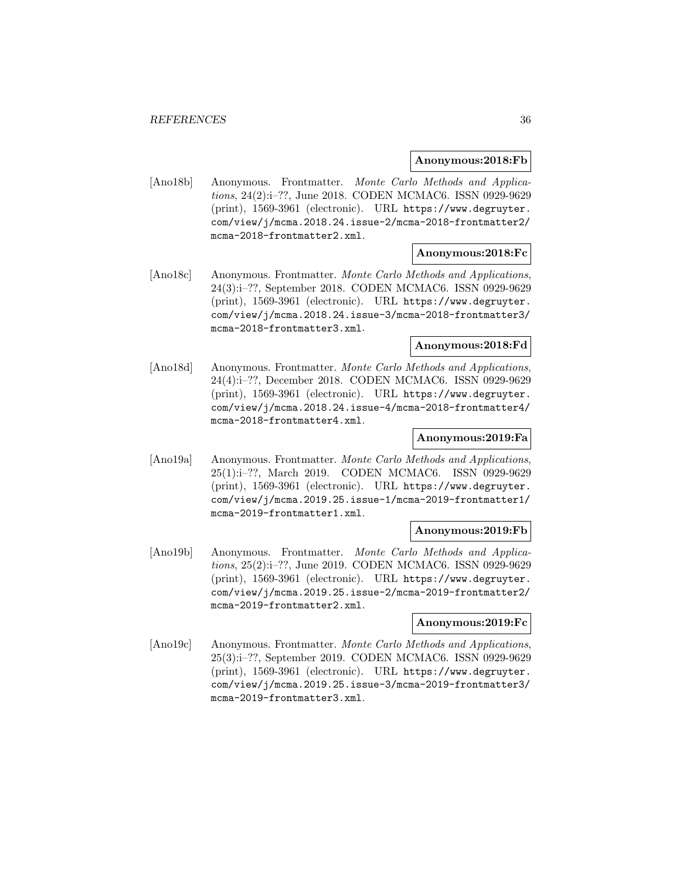#### **Anonymous:2018:Fb**

[Ano18b] Anonymous. Frontmatter. Monte Carlo Methods and Applications, 24(2):i–??, June 2018. CODEN MCMAC6. ISSN 0929-9629 (print), 1569-3961 (electronic). URL https://www.degruyter. com/view/j/mcma.2018.24.issue-2/mcma-2018-frontmatter2/ mcma-2018-frontmatter2.xml.

# **Anonymous:2018:Fc**

[Ano18c] Anonymous. Frontmatter. Monte Carlo Methods and Applications, 24(3):i–??, September 2018. CODEN MCMAC6. ISSN 0929-9629 (print), 1569-3961 (electronic). URL https://www.degruyter. com/view/j/mcma.2018.24.issue-3/mcma-2018-frontmatter3/ mcma-2018-frontmatter3.xml.

#### **Anonymous:2018:Fd**

[Ano18d] Anonymous. Frontmatter. Monte Carlo Methods and Applications, 24(4):i–??, December 2018. CODEN MCMAC6. ISSN 0929-9629 (print), 1569-3961 (electronic). URL https://www.degruyter. com/view/j/mcma.2018.24.issue-4/mcma-2018-frontmatter4/ mcma-2018-frontmatter4.xml.

# **Anonymous:2019:Fa**

[Ano19a] Anonymous. Frontmatter. Monte Carlo Methods and Applications, 25(1):i–??, March 2019. CODEN MCMAC6. ISSN 0929-9629 (print), 1569-3961 (electronic). URL https://www.degruyter. com/view/j/mcma.2019.25.issue-1/mcma-2019-frontmatter1/ mcma-2019-frontmatter1.xml.

# **Anonymous:2019:Fb**

[Ano19b] Anonymous. Frontmatter. Monte Carlo Methods and Applications, 25(2):i–??, June 2019. CODEN MCMAC6. ISSN 0929-9629 (print), 1569-3961 (electronic). URL https://www.degruyter. com/view/j/mcma.2019.25.issue-2/mcma-2019-frontmatter2/ mcma-2019-frontmatter2.xml.

# **Anonymous:2019:Fc**

[Ano19c] Anonymous. Frontmatter. Monte Carlo Methods and Applications, 25(3):i–??, September 2019. CODEN MCMAC6. ISSN 0929-9629 (print), 1569-3961 (electronic). URL https://www.degruyter. com/view/j/mcma.2019.25.issue-3/mcma-2019-frontmatter3/ mcma-2019-frontmatter3.xml.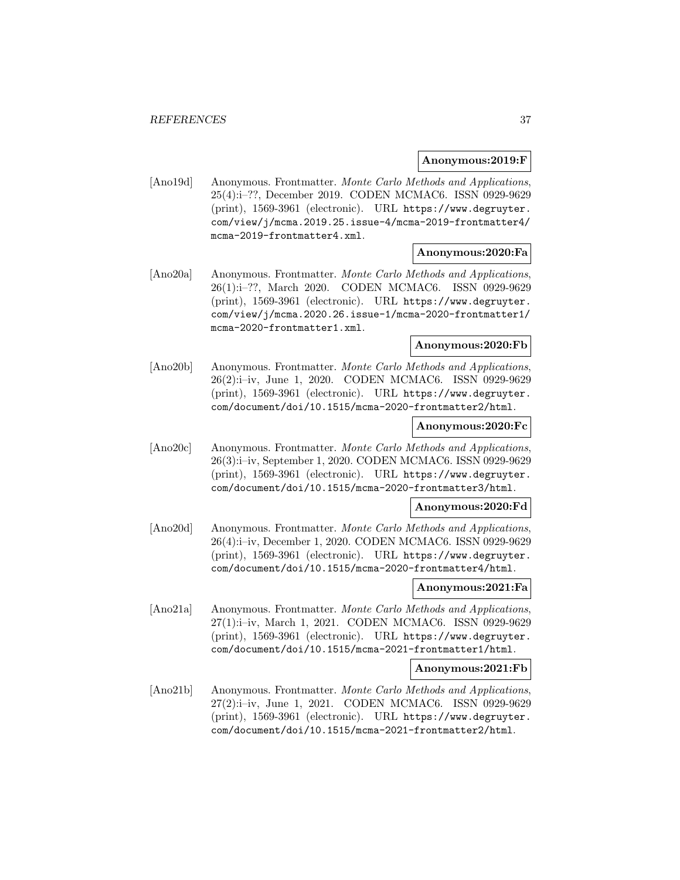#### **Anonymous:2019:F**

[Ano19d] Anonymous. Frontmatter. Monte Carlo Methods and Applications, 25(4):i–??, December 2019. CODEN MCMAC6. ISSN 0929-9629 (print), 1569-3961 (electronic). URL https://www.degruyter. com/view/j/mcma.2019.25.issue-4/mcma-2019-frontmatter4/ mcma-2019-frontmatter4.xml.

#### **Anonymous:2020:Fa**

[Ano20a] Anonymous. Frontmatter. Monte Carlo Methods and Applications, 26(1):i–??, March 2020. CODEN MCMAC6. ISSN 0929-9629 (print), 1569-3961 (electronic). URL https://www.degruyter. com/view/j/mcma.2020.26.issue-1/mcma-2020-frontmatter1/ mcma-2020-frontmatter1.xml.

#### **Anonymous:2020:Fb**

[Ano20b] Anonymous. Frontmatter. Monte Carlo Methods and Applications, 26(2):i–iv, June 1, 2020. CODEN MCMAC6. ISSN 0929-9629 (print), 1569-3961 (electronic). URL https://www.degruyter. com/document/doi/10.1515/mcma-2020-frontmatter2/html.

#### **Anonymous:2020:Fc**

[Ano20c] Anonymous. Frontmatter. Monte Carlo Methods and Applications, 26(3):i–iv, September 1, 2020. CODEN MCMAC6. ISSN 0929-9629 (print), 1569-3961 (electronic). URL https://www.degruyter. com/document/doi/10.1515/mcma-2020-frontmatter3/html.

#### **Anonymous:2020:Fd**

[Ano20d] Anonymous. Frontmatter. Monte Carlo Methods and Applications, 26(4):i–iv, December 1, 2020. CODEN MCMAC6. ISSN 0929-9629 (print), 1569-3961 (electronic). URL https://www.degruyter. com/document/doi/10.1515/mcma-2020-frontmatter4/html.

### **Anonymous:2021:Fa**

[Ano21a] Anonymous. Frontmatter. Monte Carlo Methods and Applications, 27(1):i–iv, March 1, 2021. CODEN MCMAC6. ISSN 0929-9629 (print), 1569-3961 (electronic). URL https://www.degruyter. com/document/doi/10.1515/mcma-2021-frontmatter1/html.

#### **Anonymous:2021:Fb**

[Ano21b] Anonymous. Frontmatter. Monte Carlo Methods and Applications, 27(2):i–iv, June 1, 2021. CODEN MCMAC6. ISSN 0929-9629 (print), 1569-3961 (electronic). URL https://www.degruyter. com/document/doi/10.1515/mcma-2021-frontmatter2/html.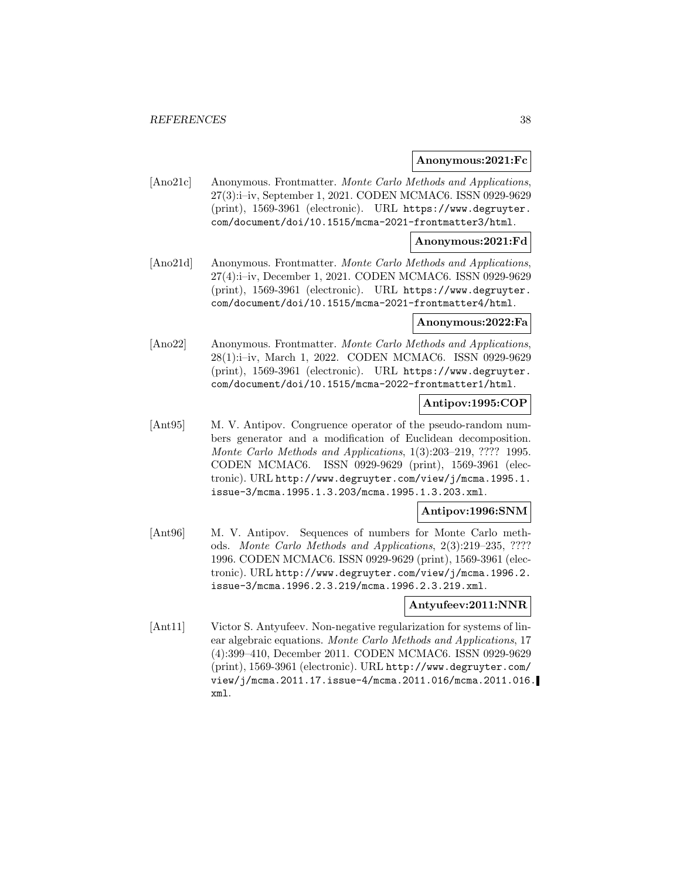#### **Anonymous:2021:Fc**

[Ano21c] Anonymous. Frontmatter. Monte Carlo Methods and Applications, 27(3):i–iv, September 1, 2021. CODEN MCMAC6. ISSN 0929-9629 (print), 1569-3961 (electronic). URL https://www.degruyter. com/document/doi/10.1515/mcma-2021-frontmatter3/html.

#### **Anonymous:2021:Fd**

[Ano21d] Anonymous. Frontmatter. Monte Carlo Methods and Applications, 27(4):i–iv, December 1, 2021. CODEN MCMAC6. ISSN 0929-9629 (print), 1569-3961 (electronic). URL https://www.degruyter. com/document/doi/10.1515/mcma-2021-frontmatter4/html.

#### **Anonymous:2022:Fa**

[Ano22] Anonymous. Frontmatter. Monte Carlo Methods and Applications, 28(1):i–iv, March 1, 2022. CODEN MCMAC6. ISSN 0929-9629 (print), 1569-3961 (electronic). URL https://www.degruyter. com/document/doi/10.1515/mcma-2022-frontmatter1/html.

## **Antipov:1995:COP**

[Ant95] M. V. Antipov. Congruence operator of the pseudo-random numbers generator and a modification of Euclidean decomposition. Monte Carlo Methods and Applications, 1(3):203–219, ???? 1995. CODEN MCMAC6. ISSN 0929-9629 (print), 1569-3961 (electronic). URL http://www.degruyter.com/view/j/mcma.1995.1. issue-3/mcma.1995.1.3.203/mcma.1995.1.3.203.xml.

### **Antipov:1996:SNM**

[Ant96] M. V. Antipov. Sequences of numbers for Monte Carlo methods. Monte Carlo Methods and Applications, 2(3):219–235, ???? 1996. CODEN MCMAC6. ISSN 0929-9629 (print), 1569-3961 (electronic). URL http://www.degruyter.com/view/j/mcma.1996.2. issue-3/mcma.1996.2.3.219/mcma.1996.2.3.219.xml.

#### **Antyufeev:2011:NNR**

[Ant11] Victor S. Antyufeev. Non-negative regularization for systems of linear algebraic equations. Monte Carlo Methods and Applications, 17 (4):399–410, December 2011. CODEN MCMAC6. ISSN 0929-9629 (print), 1569-3961 (electronic). URL http://www.degruyter.com/ view/j/mcma.2011.17.issue-4/mcma.2011.016/mcma.2011.016. xml.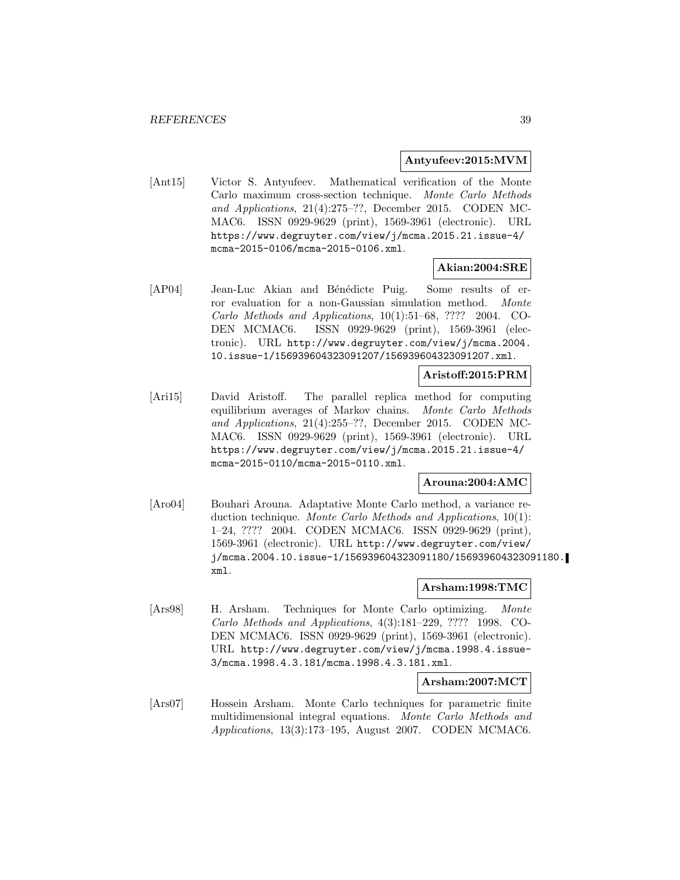### **Antyufeev:2015:MVM**

[Ant15] Victor S. Antyufeev. Mathematical verification of the Monte Carlo maximum cross-section technique. Monte Carlo Methods and Applications, 21(4):275–??, December 2015. CODEN MC-MAC6. ISSN 0929-9629 (print), 1569-3961 (electronic). URL https://www.degruyter.com/view/j/mcma.2015.21.issue-4/ mcma-2015-0106/mcma-2015-0106.xml.

## **Akian:2004:SRE**

[AP04] Jean-Luc Akian and Bénédicte Puig. Some results of error evaluation for a non-Gaussian simulation method. Monte Carlo Methods and Applications, 10(1):51–68, ???? 2004. CO-DEN MCMAC6. ISSN 0929-9629 (print), 1569-3961 (electronic). URL http://www.degruyter.com/view/j/mcma.2004. 10.issue-1/156939604323091207/156939604323091207.xml.

#### **Aristoff:2015:PRM**

[Ari15] David Aristoff. The parallel replica method for computing equilibrium averages of Markov chains. Monte Carlo Methods and Applications, 21(4):255–??, December 2015. CODEN MC-MAC6. ISSN 0929-9629 (print), 1569-3961 (electronic). URL https://www.degruyter.com/view/j/mcma.2015.21.issue-4/ mcma-2015-0110/mcma-2015-0110.xml.

### **Arouna:2004:AMC**

[Aro04] Bouhari Arouna. Adaptative Monte Carlo method, a variance reduction technique. Monte Carlo Methods and Applications, 10(1): 1–24, ???? 2004. CODEN MCMAC6. ISSN 0929-9629 (print), 1569-3961 (electronic). URL http://www.degruyter.com/view/ j/mcma.2004.10.issue-1/156939604323091180/156939604323091180. xml.

## **Arsham:1998:TMC**

[Ars98] H. Arsham. Techniques for Monte Carlo optimizing. Monte Carlo Methods and Applications, 4(3):181–229, ???? 1998. CO-DEN MCMAC6. ISSN 0929-9629 (print), 1569-3961 (electronic). URL http://www.degruyter.com/view/j/mcma.1998.4.issue-3/mcma.1998.4.3.181/mcma.1998.4.3.181.xml.

## **Arsham:2007:MCT**

[Ars07] Hossein Arsham. Monte Carlo techniques for parametric finite multidimensional integral equations. Monte Carlo Methods and Applications, 13(3):173–195, August 2007. CODEN MCMAC6.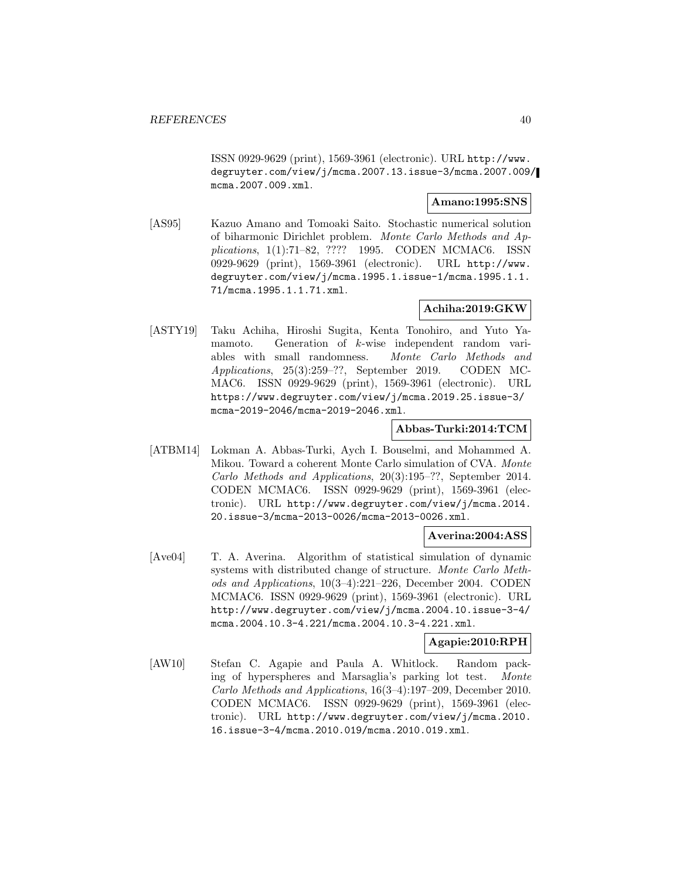ISSN 0929-9629 (print), 1569-3961 (electronic). URL http://www. degruyter.com/view/j/mcma.2007.13.issue-3/mcma.2007.009/ mcma.2007.009.xml.

### **Amano:1995:SNS**

[AS95] Kazuo Amano and Tomoaki Saito. Stochastic numerical solution of biharmonic Dirichlet problem. Monte Carlo Methods and Applications, 1(1):71–82, ???? 1995. CODEN MCMAC6. ISSN 0929-9629 (print), 1569-3961 (electronic). URL http://www. degruyter.com/view/j/mcma.1995.1.issue-1/mcma.1995.1.1. 71/mcma.1995.1.1.71.xml.

# **Achiha:2019:GKW**

[ASTY19] Taku Achiha, Hiroshi Sugita, Kenta Tonohiro, and Yuto Yamamoto. Generation of k-wise independent random variables with small randomness. Monte Carlo Methods and Applications, 25(3):259–??, September 2019. CODEN MC-MAC6. ISSN 0929-9629 (print), 1569-3961 (electronic). URL https://www.degruyter.com/view/j/mcma.2019.25.issue-3/ mcma-2019-2046/mcma-2019-2046.xml.

## **Abbas-Turki:2014:TCM**

[ATBM14] Lokman A. Abbas-Turki, Aych I. Bouselmi, and Mohammed A. Mikou. Toward a coherent Monte Carlo simulation of CVA. Monte Carlo Methods and Applications, 20(3):195–??, September 2014. CODEN MCMAC6. ISSN 0929-9629 (print), 1569-3961 (electronic). URL http://www.degruyter.com/view/j/mcma.2014. 20.issue-3/mcma-2013-0026/mcma-2013-0026.xml.

### **Averina:2004:ASS**

[Ave04] T. A. Averina. Algorithm of statistical simulation of dynamic systems with distributed change of structure. Monte Carlo Methods and Applications, 10(3–4):221–226, December 2004. CODEN MCMAC6. ISSN 0929-9629 (print), 1569-3961 (electronic). URL http://www.degruyter.com/view/j/mcma.2004.10.issue-3-4/ mcma.2004.10.3-4.221/mcma.2004.10.3-4.221.xml.

### **Agapie:2010:RPH**

[AW10] Stefan C. Agapie and Paula A. Whitlock. Random packing of hyperspheres and Marsaglia's parking lot test. Monte Carlo Methods and Applications, 16(3–4):197–209, December 2010. CODEN MCMAC6. ISSN 0929-9629 (print), 1569-3961 (electronic). URL http://www.degruyter.com/view/j/mcma.2010. 16.issue-3-4/mcma.2010.019/mcma.2010.019.xml.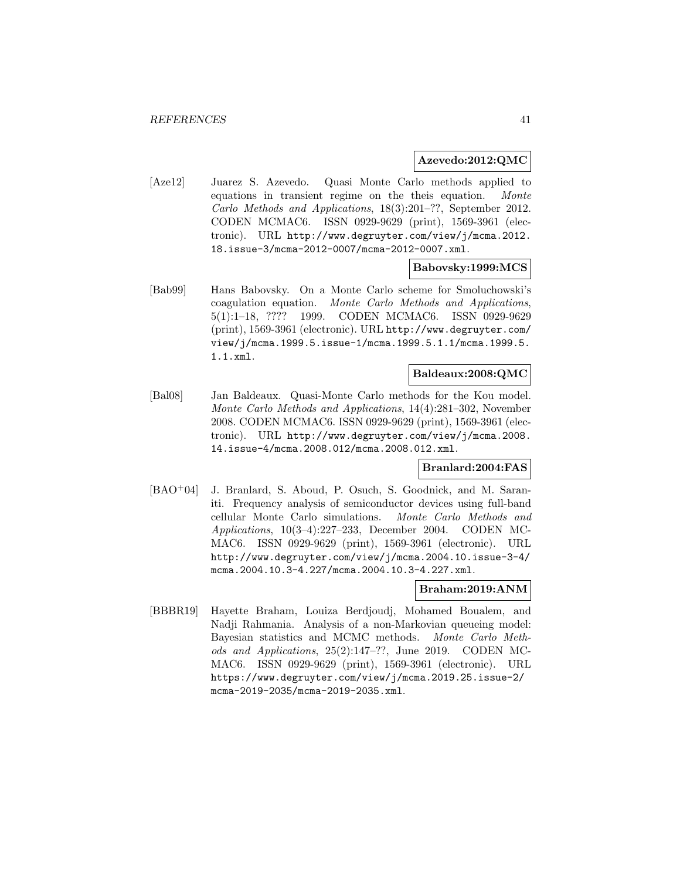#### **Azevedo:2012:QMC**

[Aze12] Juarez S. Azevedo. Quasi Monte Carlo methods applied to equations in transient regime on the theis equation. Monte Carlo Methods and Applications, 18(3):201–??, September 2012. CODEN MCMAC6. ISSN 0929-9629 (print), 1569-3961 (electronic). URL http://www.degruyter.com/view/j/mcma.2012. 18.issue-3/mcma-2012-0007/mcma-2012-0007.xml.

#### **Babovsky:1999:MCS**

[Bab99] Hans Babovsky. On a Monte Carlo scheme for Smoluchowski's coagulation equation. Monte Carlo Methods and Applications, 5(1):1–18, ???? 1999. CODEN MCMAC6. ISSN 0929-9629 (print), 1569-3961 (electronic). URL http://www.degruyter.com/ view/j/mcma.1999.5.issue-1/mcma.1999.5.1.1/mcma.1999.5. 1.1.xml.

### **Baldeaux:2008:QMC**

[Bal08] Jan Baldeaux. Quasi-Monte Carlo methods for the Kou model. Monte Carlo Methods and Applications, 14(4):281–302, November 2008. CODEN MCMAC6. ISSN 0929-9629 (print), 1569-3961 (electronic). URL http://www.degruyter.com/view/j/mcma.2008. 14.issue-4/mcma.2008.012/mcma.2008.012.xml.

### **Branlard:2004:FAS**

[BAO<sup>+</sup>04] J. Branlard, S. Aboud, P. Osuch, S. Goodnick, and M. Saraniti. Frequency analysis of semiconductor devices using full-band cellular Monte Carlo simulations. Monte Carlo Methods and Applications, 10(3–4):227–233, December 2004. CODEN MC-MAC6. ISSN 0929-9629 (print), 1569-3961 (electronic). URL http://www.degruyter.com/view/j/mcma.2004.10.issue-3-4/ mcma.2004.10.3-4.227/mcma.2004.10.3-4.227.xml.

### **Braham:2019:ANM**

[BBBR19] Hayette Braham, Louiza Berdjoudj, Mohamed Boualem, and Nadji Rahmania. Analysis of a non-Markovian queueing model: Bayesian statistics and MCMC methods. Monte Carlo Methods and Applications, 25(2):147–??, June 2019. CODEN MC-MAC6. ISSN 0929-9629 (print), 1569-3961 (electronic). URL https://www.degruyter.com/view/j/mcma.2019.25.issue-2/ mcma-2019-2035/mcma-2019-2035.xml.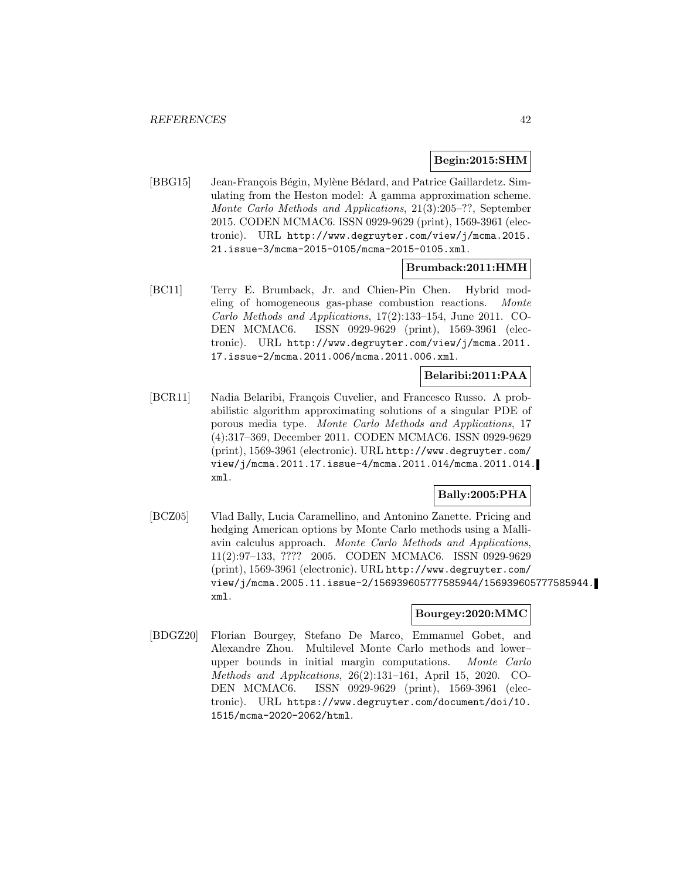### **Begin:2015:SHM**

[BBG15] Jean-François Bégin, Mylène Bédard, and Patrice Gaillardetz. Simulating from the Heston model: A gamma approximation scheme. Monte Carlo Methods and Applications, 21(3):205–??, September 2015. CODEN MCMAC6. ISSN 0929-9629 (print), 1569-3961 (electronic). URL http://www.degruyter.com/view/j/mcma.2015. 21.issue-3/mcma-2015-0105/mcma-2015-0105.xml.

## **Brumback:2011:HMH**

[BC11] Terry E. Brumback, Jr. and Chien-Pin Chen. Hybrid modeling of homogeneous gas-phase combustion reactions. Monte Carlo Methods and Applications, 17(2):133–154, June 2011. CO-DEN MCMAC6. ISSN 0929-9629 (print), 1569-3961 (electronic). URL http://www.degruyter.com/view/j/mcma.2011. 17.issue-2/mcma.2011.006/mcma.2011.006.xml.

## **Belaribi:2011:PAA**

[BCR11] Nadia Belaribi, François Cuvelier, and Francesco Russo. A probabilistic algorithm approximating solutions of a singular PDE of porous media type. Monte Carlo Methods and Applications, 17 (4):317–369, December 2011. CODEN MCMAC6. ISSN 0929-9629 (print), 1569-3961 (electronic). URL http://www.degruyter.com/ view/j/mcma.2011.17.issue-4/mcma.2011.014/mcma.2011.014. xml.

# **Bally:2005:PHA**

[BCZ05] Vlad Bally, Lucia Caramellino, and Antonino Zanette. Pricing and hedging American options by Monte Carlo methods using a Malliavin calculus approach. Monte Carlo Methods and Applications, 11(2):97–133, ???? 2005. CODEN MCMAC6. ISSN 0929-9629 (print), 1569-3961 (electronic). URL http://www.degruyter.com/ view/j/mcma.2005.11.issue-2/156939605777585944/156939605777585944. xml.

## **Bourgey:2020:MMC**

[BDGZ20] Florian Bourgey, Stefano De Marco, Emmanuel Gobet, and Alexandre Zhou. Multilevel Monte Carlo methods and lower– upper bounds in initial margin computations. Monte Carlo Methods and Applications, 26(2):131–161, April 15, 2020. CO-DEN MCMAC6. ISSN 0929-9629 (print), 1569-3961 (electronic). URL https://www.degruyter.com/document/doi/10. 1515/mcma-2020-2062/html.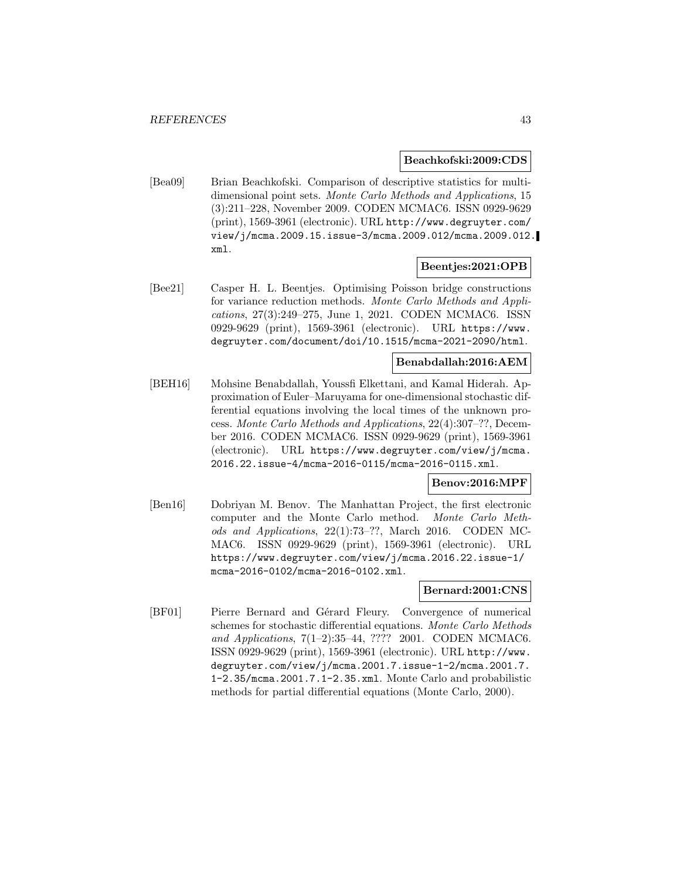#### **Beachkofski:2009:CDS**

[Bea09] Brian Beachkofski. Comparison of descriptive statistics for multidimensional point sets. Monte Carlo Methods and Applications, 15 (3):211–228, November 2009. CODEN MCMAC6. ISSN 0929-9629 (print), 1569-3961 (electronic). URL http://www.degruyter.com/ view/j/mcma.2009.15.issue-3/mcma.2009.012/mcma.2009.012. xml.

### **Beentjes:2021:OPB**

[Bee21] Casper H. L. Beentjes. Optimising Poisson bridge constructions for variance reduction methods. Monte Carlo Methods and Applications, 27(3):249–275, June 1, 2021. CODEN MCMAC6. ISSN 0929-9629 (print), 1569-3961 (electronic). URL https://www. degruyter.com/document/doi/10.1515/mcma-2021-2090/html.

## **Benabdallah:2016:AEM**

[BEH16] Mohsine Benabdallah, Youssfi Elkettani, and Kamal Hiderah. Approximation of Euler–Maruyama for one-dimensional stochastic differential equations involving the local times of the unknown process. Monte Carlo Methods and Applications, 22(4):307–??, December 2016. CODEN MCMAC6. ISSN 0929-9629 (print), 1569-3961 (electronic). URL https://www.degruyter.com/view/j/mcma. 2016.22.issue-4/mcma-2016-0115/mcma-2016-0115.xml.

### **Benov:2016:MPF**

[Ben16] Dobriyan M. Benov. The Manhattan Project, the first electronic computer and the Monte Carlo method. Monte Carlo Methods and Applications, 22(1):73–??, March 2016. CODEN MC-MAC6. ISSN 0929-9629 (print), 1569-3961 (electronic). URL https://www.degruyter.com/view/j/mcma.2016.22.issue-1/ mcma-2016-0102/mcma-2016-0102.xml.

# **Bernard:2001:CNS**

[BF01] Pierre Bernard and Gérard Fleury. Convergence of numerical schemes for stochastic differential equations. Monte Carlo Methods and Applications, 7(1–2):35–44, ???? 2001. CODEN MCMAC6. ISSN 0929-9629 (print), 1569-3961 (electronic). URL http://www. degruyter.com/view/j/mcma.2001.7.issue-1-2/mcma.2001.7. 1-2.35/mcma.2001.7.1-2.35.xml. Monte Carlo and probabilistic methods for partial differential equations (Monte Carlo, 2000).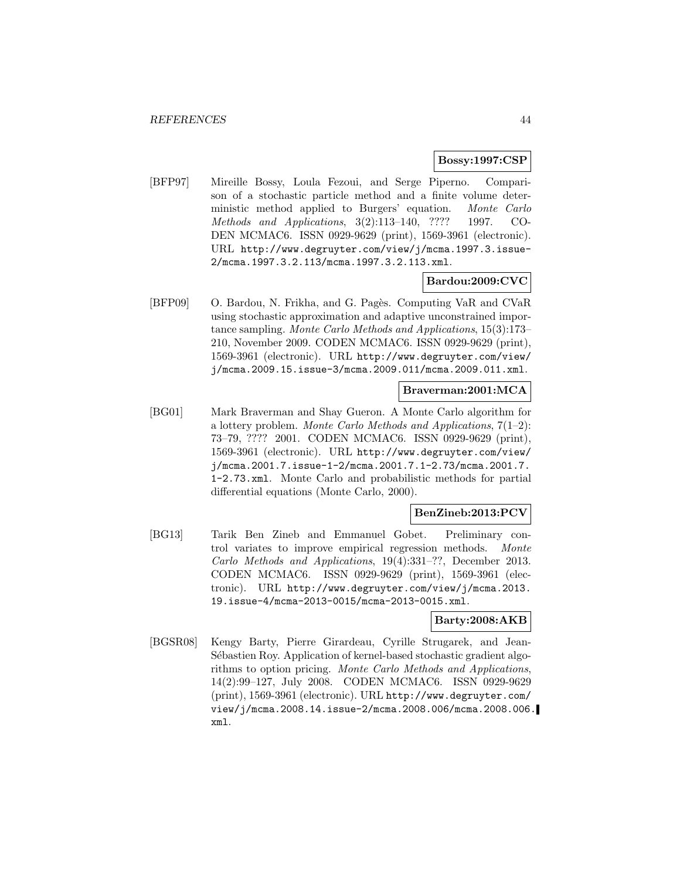#### **Bossy:1997:CSP**

[BFP97] Mireille Bossy, Loula Fezoui, and Serge Piperno. Comparison of a stochastic particle method and a finite volume deterministic method applied to Burgers' equation. Monte Carlo Methods and Applications, 3(2):113–140, ???? 1997. CO-DEN MCMAC6. ISSN 0929-9629 (print), 1569-3961 (electronic). URL http://www.degruyter.com/view/j/mcma.1997.3.issue-2/mcma.1997.3.2.113/mcma.1997.3.2.113.xml.

## **Bardou:2009:CVC**

[BFP09] O. Bardou, N. Frikha, and G. Pagès. Computing VaR and CVaR using stochastic approximation and adaptive unconstrained importance sampling. Monte Carlo Methods and Applications, 15(3):173– 210, November 2009. CODEN MCMAC6. ISSN 0929-9629 (print), 1569-3961 (electronic). URL http://www.degruyter.com/view/ j/mcma.2009.15.issue-3/mcma.2009.011/mcma.2009.011.xml.

## **Braverman:2001:MCA**

[BG01] Mark Braverman and Shay Gueron. A Monte Carlo algorithm for a lottery problem. Monte Carlo Methods and Applications,  $7(1-2)$ : 73–79, ???? 2001. CODEN MCMAC6. ISSN 0929-9629 (print), 1569-3961 (electronic). URL http://www.degruyter.com/view/ j/mcma.2001.7.issue-1-2/mcma.2001.7.1-2.73/mcma.2001.7. 1-2.73.xml. Monte Carlo and probabilistic methods for partial differential equations (Monte Carlo, 2000).

## **BenZineb:2013:PCV**

[BG13] Tarik Ben Zineb and Emmanuel Gobet. Preliminary control variates to improve empirical regression methods. Monte Carlo Methods and Applications, 19(4):331–??, December 2013. CODEN MCMAC6. ISSN 0929-9629 (print), 1569-3961 (electronic). URL http://www.degruyter.com/view/j/mcma.2013. 19.issue-4/mcma-2013-0015/mcma-2013-0015.xml.

#### **Barty:2008:AKB**

[BGSR08] Kengy Barty, Pierre Girardeau, Cyrille Strugarek, and Jean-Sébastien Roy. Application of kernel-based stochastic gradient algorithms to option pricing. Monte Carlo Methods and Applications, 14(2):99–127, July 2008. CODEN MCMAC6. ISSN 0929-9629 (print), 1569-3961 (electronic). URL http://www.degruyter.com/ view/j/mcma.2008.14.issue-2/mcma.2008.006/mcma.2008.006. xml.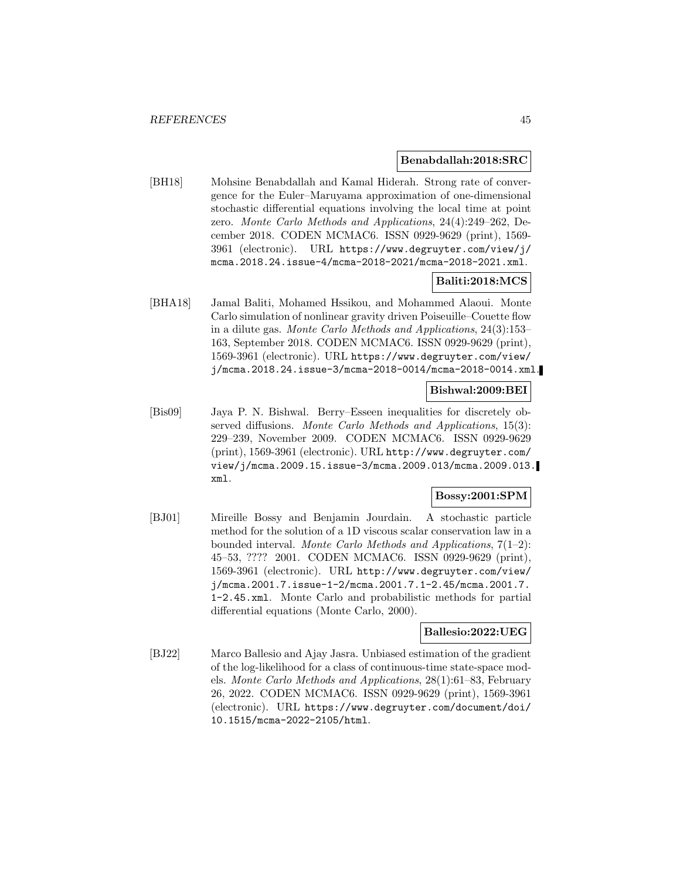#### **Benabdallah:2018:SRC**

[BH18] Mohsine Benabdallah and Kamal Hiderah. Strong rate of convergence for the Euler–Maruyama approximation of one-dimensional stochastic differential equations involving the local time at point zero. Monte Carlo Methods and Applications, 24(4):249–262, December 2018. CODEN MCMAC6. ISSN 0929-9629 (print), 1569- 3961 (electronic). URL https://www.degruyter.com/view/j/ mcma.2018.24.issue-4/mcma-2018-2021/mcma-2018-2021.xml.

## **Baliti:2018:MCS**

[BHA18] Jamal Baliti, Mohamed Hssikou, and Mohammed Alaoui. Monte Carlo simulation of nonlinear gravity driven Poiseuille–Couette flow in a dilute gas. Monte Carlo Methods and Applications, 24(3):153– 163, September 2018. CODEN MCMAC6. ISSN 0929-9629 (print), 1569-3961 (electronic). URL https://www.degruyter.com/view/ j/mcma.2018.24.issue-3/mcma-2018-0014/mcma-2018-0014.xml.

### **Bishwal:2009:BEI**

[Bis09] Jaya P. N. Bishwal. Berry–Esseen inequalities for discretely observed diffusions. Monte Carlo Methods and Applications, 15(3): 229–239, November 2009. CODEN MCMAC6. ISSN 0929-9629 (print), 1569-3961 (electronic). URL http://www.degruyter.com/ view/j/mcma.2009.15.issue-3/mcma.2009.013/mcma.2009.013. xml.

# **Bossy:2001:SPM**

[BJ01] Mireille Bossy and Benjamin Jourdain. A stochastic particle method for the solution of a 1D viscous scalar conservation law in a bounded interval. Monte Carlo Methods and Applications,  $7(1-2)$ : 45–53, ???? 2001. CODEN MCMAC6. ISSN 0929-9629 (print), 1569-3961 (electronic). URL http://www.degruyter.com/view/ j/mcma.2001.7.issue-1-2/mcma.2001.7.1-2.45/mcma.2001.7. 1-2.45.xml. Monte Carlo and probabilistic methods for partial differential equations (Monte Carlo, 2000).

#### **Ballesio:2022:UEG**

[BJ22] Marco Ballesio and Ajay Jasra. Unbiased estimation of the gradient of the log-likelihood for a class of continuous-time state-space models. Monte Carlo Methods and Applications, 28(1):61–83, February 26, 2022. CODEN MCMAC6. ISSN 0929-9629 (print), 1569-3961 (electronic). URL https://www.degruyter.com/document/doi/ 10.1515/mcma-2022-2105/html.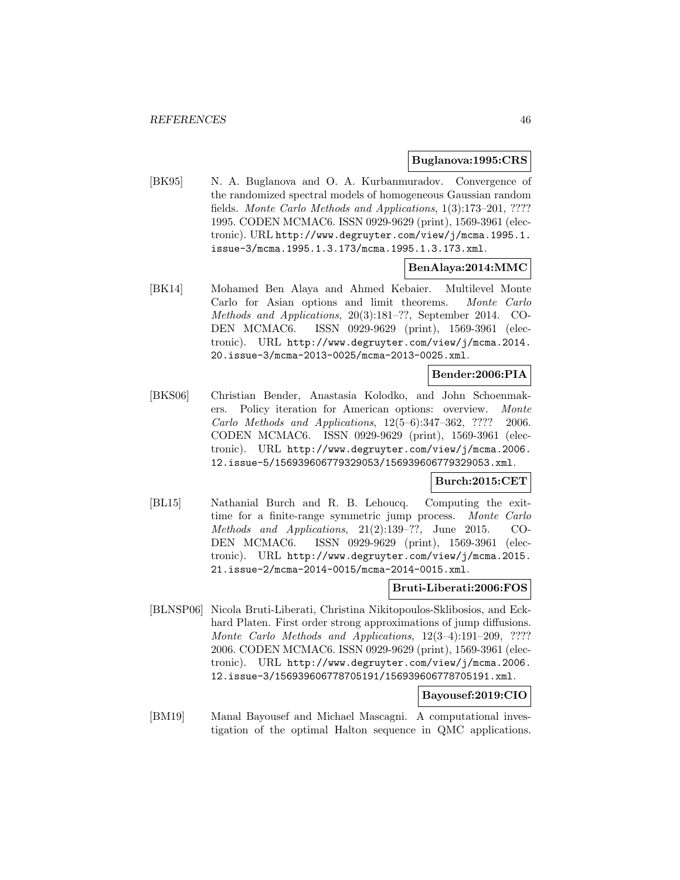#### **Buglanova:1995:CRS**

[BK95] N. A. Buglanova and O. A. Kurbanmuradov. Convergence of the randomized spectral models of homogeneous Gaussian random fields. Monte Carlo Methods and Applications, 1(3):173–201, ???? 1995. CODEN MCMAC6. ISSN 0929-9629 (print), 1569-3961 (electronic). URL http://www.degruyter.com/view/j/mcma.1995.1. issue-3/mcma.1995.1.3.173/mcma.1995.1.3.173.xml.

## **BenAlaya:2014:MMC**

[BK14] Mohamed Ben Alaya and Ahmed Kebaier. Multilevel Monte Carlo for Asian options and limit theorems. Monte Carlo Methods and Applications, 20(3):181–??, September 2014. CO-DEN MCMAC6. ISSN 0929-9629 (print), 1569-3961 (electronic). URL http://www.degruyter.com/view/j/mcma.2014. 20.issue-3/mcma-2013-0025/mcma-2013-0025.xml.

## **Bender:2006:PIA**

[BKS06] Christian Bender, Anastasia Kolodko, and John Schoenmakers. Policy iteration for American options: overview. Monte Carlo Methods and Applications, 12(5–6):347–362, ???? 2006. CODEN MCMAC6. ISSN 0929-9629 (print), 1569-3961 (electronic). URL http://www.degruyter.com/view/j/mcma.2006. 12.issue-5/156939606779329053/156939606779329053.xml.

### **Burch:2015:CET**

[BL15] Nathanial Burch and R. B. Lehoucq. Computing the exittime for a finite-range symmetric jump process. Monte Carlo Methods and Applications, 21(2):139–??, June 2015. CO-DEN MCMAC6. ISSN 0929-9629 (print), 1569-3961 (electronic). URL http://www.degruyter.com/view/j/mcma.2015. 21.issue-2/mcma-2014-0015/mcma-2014-0015.xml.

## **Bruti-Liberati:2006:FOS**

[BLNSP06] Nicola Bruti-Liberati, Christina Nikitopoulos-Sklibosios, and Eckhard Platen. First order strong approximations of jump diffusions. Monte Carlo Methods and Applications, 12(3–4):191–209, ???? 2006. CODEN MCMAC6. ISSN 0929-9629 (print), 1569-3961 (electronic). URL http://www.degruyter.com/view/j/mcma.2006. 12.issue-3/156939606778705191/156939606778705191.xml.

# **Bayousef:2019:CIO**

[BM19] Manal Bayousef and Michael Mascagni. A computational investigation of the optimal Halton sequence in QMC applications.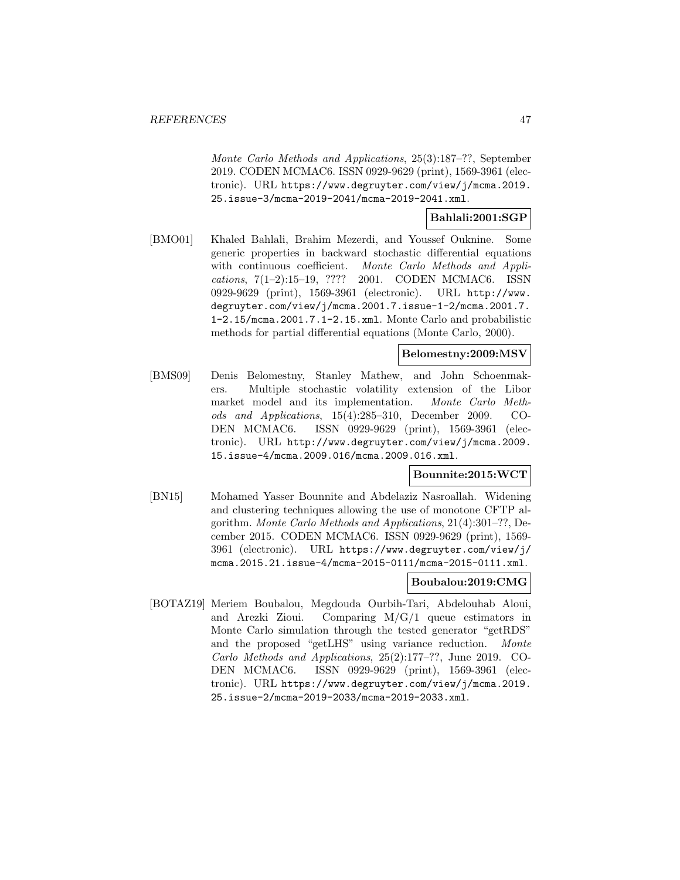Monte Carlo Methods and Applications, 25(3):187–??, September 2019. CODEN MCMAC6. ISSN 0929-9629 (print), 1569-3961 (electronic). URL https://www.degruyter.com/view/j/mcma.2019. 25.issue-3/mcma-2019-2041/mcma-2019-2041.xml.

### **Bahlali:2001:SGP**

[BMO01] Khaled Bahlali, Brahim Mezerdi, and Youssef Ouknine. Some generic properties in backward stochastic differential equations with continuous coefficient. Monte Carlo Methods and Applications, 7(1–2):15–19, ???? 2001. CODEN MCMAC6. ISSN 0929-9629 (print), 1569-3961 (electronic). URL http://www. degruyter.com/view/j/mcma.2001.7.issue-1-2/mcma.2001.7. 1-2.15/mcma.2001.7.1-2.15.xml. Monte Carlo and probabilistic methods for partial differential equations (Monte Carlo, 2000).

#### **Belomestny:2009:MSV**

[BMS09] Denis Belomestny, Stanley Mathew, and John Schoenmakers. Multiple stochastic volatility extension of the Libor market model and its implementation. Monte Carlo Methods and Applications, 15(4):285–310, December 2009. CO-DEN MCMAC6. ISSN 0929-9629 (print), 1569-3961 (electronic). URL http://www.degruyter.com/view/j/mcma.2009. 15.issue-4/mcma.2009.016/mcma.2009.016.xml.

#### **Bounnite:2015:WCT**

[BN15] Mohamed Yasser Bounnite and Abdelaziz Nasroallah. Widening and clustering techniques allowing the use of monotone CFTP algorithm. Monte Carlo Methods and Applications, 21(4):301–??, December 2015. CODEN MCMAC6. ISSN 0929-9629 (print), 1569- 3961 (electronic). URL https://www.degruyter.com/view/j/ mcma.2015.21.issue-4/mcma-2015-0111/mcma-2015-0111.xml.

#### **Boubalou:2019:CMG**

[BOTAZ19] Meriem Boubalou, Megdouda Ourbih-Tari, Abdelouhab Aloui, and Arezki Zioui. Comparing M/G/1 queue estimators in Monte Carlo simulation through the tested generator "getRDS" and the proposed "getLHS" using variance reduction. Monte Carlo Methods and Applications, 25(2):177–??, June 2019. CO-DEN MCMAC6. ISSN 0929-9629 (print), 1569-3961 (electronic). URL https://www.degruyter.com/view/j/mcma.2019. 25.issue-2/mcma-2019-2033/mcma-2019-2033.xml.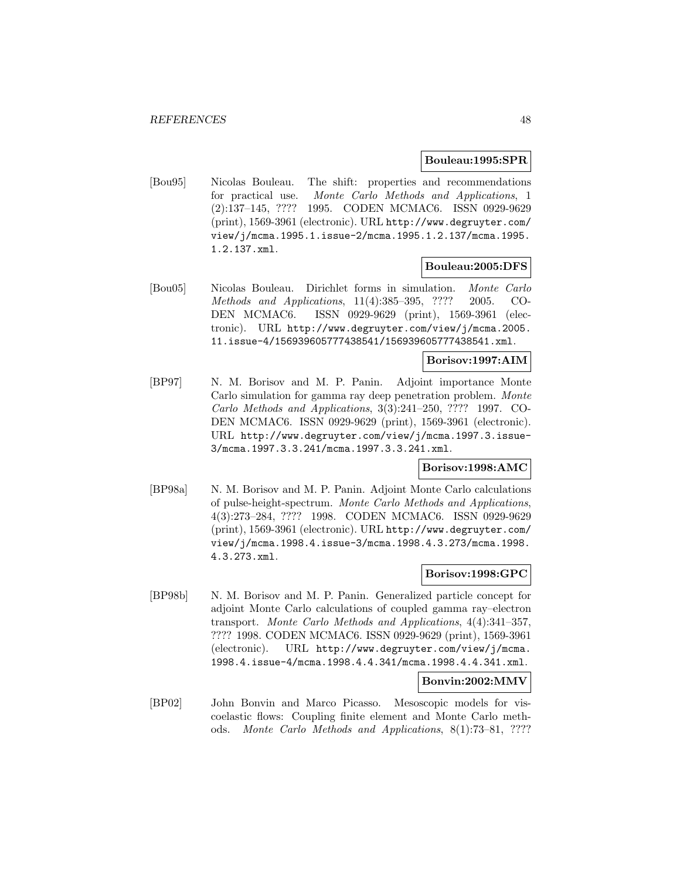#### **Bouleau:1995:SPR**

[Bou95] Nicolas Bouleau. The shift: properties and recommendations for practical use. Monte Carlo Methods and Applications, 1 (2):137–145, ???? 1995. CODEN MCMAC6. ISSN 0929-9629 (print), 1569-3961 (electronic). URL http://www.degruyter.com/ view/j/mcma.1995.1.issue-2/mcma.1995.1.2.137/mcma.1995. 1.2.137.xml.

### **Bouleau:2005:DFS**

[Bou05] Nicolas Bouleau. Dirichlet forms in simulation. Monte Carlo Methods and Applications, 11(4):385–395, ???? 2005. CO-DEN MCMAC6. ISSN 0929-9629 (print), 1569-3961 (electronic). URL http://www.degruyter.com/view/j/mcma.2005. 11.issue-4/156939605777438541/156939605777438541.xml.

## **Borisov:1997:AIM**

[BP97] N. M. Borisov and M. P. Panin. Adjoint importance Monte Carlo simulation for gamma ray deep penetration problem. Monte Carlo Methods and Applications, 3(3):241–250, ???? 1997. CO-DEN MCMAC6. ISSN 0929-9629 (print), 1569-3961 (electronic). URL http://www.degruyter.com/view/j/mcma.1997.3.issue-3/mcma.1997.3.3.241/mcma.1997.3.3.241.xml.

### **Borisov:1998:AMC**

[BP98a] N. M. Borisov and M. P. Panin. Adjoint Monte Carlo calculations of pulse-height-spectrum. Monte Carlo Methods and Applications, 4(3):273–284, ???? 1998. CODEN MCMAC6. ISSN 0929-9629 (print), 1569-3961 (electronic). URL http://www.degruyter.com/ view/j/mcma.1998.4.issue-3/mcma.1998.4.3.273/mcma.1998. 4.3.273.xml.

#### **Borisov:1998:GPC**

[BP98b] N. M. Borisov and M. P. Panin. Generalized particle concept for adjoint Monte Carlo calculations of coupled gamma ray–electron transport. Monte Carlo Methods and Applications, 4(4):341–357, ???? 1998. CODEN MCMAC6. ISSN 0929-9629 (print), 1569-3961 (electronic). URL http://www.degruyter.com/view/j/mcma. 1998.4.issue-4/mcma.1998.4.4.341/mcma.1998.4.4.341.xml.

### **Bonvin:2002:MMV**

[BP02] John Bonvin and Marco Picasso. Mesoscopic models for viscoelastic flows: Coupling finite element and Monte Carlo methods. Monte Carlo Methods and Applications, 8(1):73–81, ????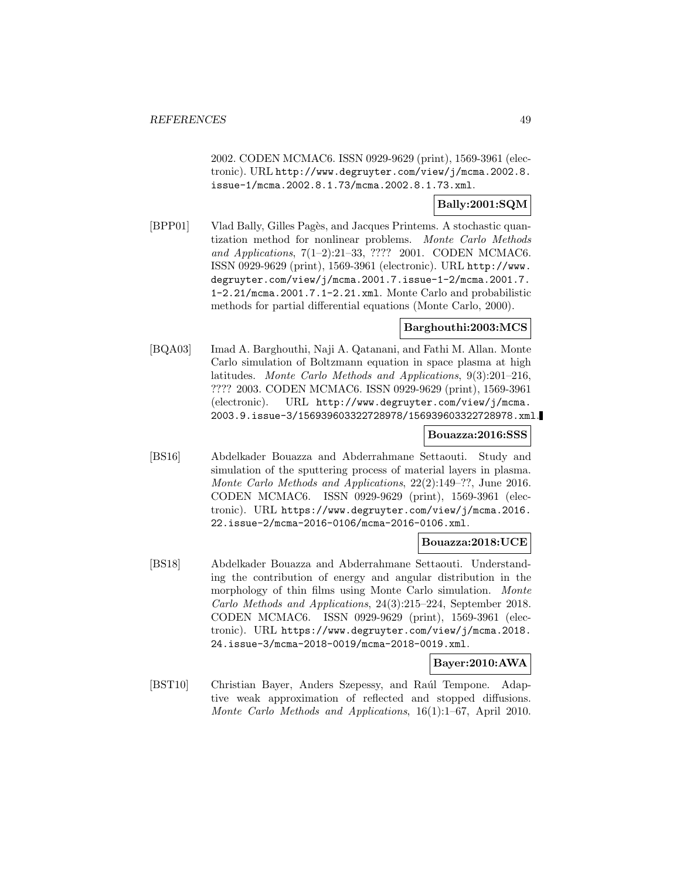2002. CODEN MCMAC6. ISSN 0929-9629 (print), 1569-3961 (electronic). URL http://www.degruyter.com/view/j/mcma.2002.8. issue-1/mcma.2002.8.1.73/mcma.2002.8.1.73.xml.

## **Bally:2001:SQM**

[BPP01] Vlad Bally, Gilles Pagès, and Jacques Printems. A stochastic quantization method for nonlinear problems. Monte Carlo Methods and Applications, 7(1–2):21–33, ???? 2001. CODEN MCMAC6. ISSN 0929-9629 (print), 1569-3961 (electronic). URL http://www. degruyter.com/view/j/mcma.2001.7.issue-1-2/mcma.2001.7. 1-2.21/mcma.2001.7.1-2.21.xml. Monte Carlo and probabilistic methods for partial differential equations (Monte Carlo, 2000).

## **Barghouthi:2003:MCS**

[BQA03] Imad A. Barghouthi, Naji A. Qatanani, and Fathi M. Allan. Monte Carlo simulation of Boltzmann equation in space plasma at high latitudes. Monte Carlo Methods and Applications, 9(3):201–216, ???? 2003. CODEN MCMAC6. ISSN 0929-9629 (print), 1569-3961 (electronic). URL http://www.degruyter.com/view/j/mcma. 2003.9.issue-3/156939603322728978/156939603322728978.xml.

### **Bouazza:2016:SSS**

[BS16] Abdelkader Bouazza and Abderrahmane Settaouti. Study and simulation of the sputtering process of material layers in plasma. Monte Carlo Methods and Applications, 22(2):149–??, June 2016. CODEN MCMAC6. ISSN 0929-9629 (print), 1569-3961 (electronic). URL https://www.degruyter.com/view/j/mcma.2016. 22.issue-2/mcma-2016-0106/mcma-2016-0106.xml.

### **Bouazza:2018:UCE**

[BS18] Abdelkader Bouazza and Abderrahmane Settaouti. Understanding the contribution of energy and angular distribution in the morphology of thin films using Monte Carlo simulation. Monte Carlo Methods and Applications, 24(3):215–224, September 2018. CODEN MCMAC6. ISSN 0929-9629 (print), 1569-3961 (electronic). URL https://www.degruyter.com/view/j/mcma.2018. 24.issue-3/mcma-2018-0019/mcma-2018-0019.xml.

### **Bayer:2010:AWA**

[BST10] Christian Bayer, Anders Szepessy, and Raúl Tempone. Adaptive weak approximation of reflected and stopped diffusions. Monte Carlo Methods and Applications, 16(1):1–67, April 2010.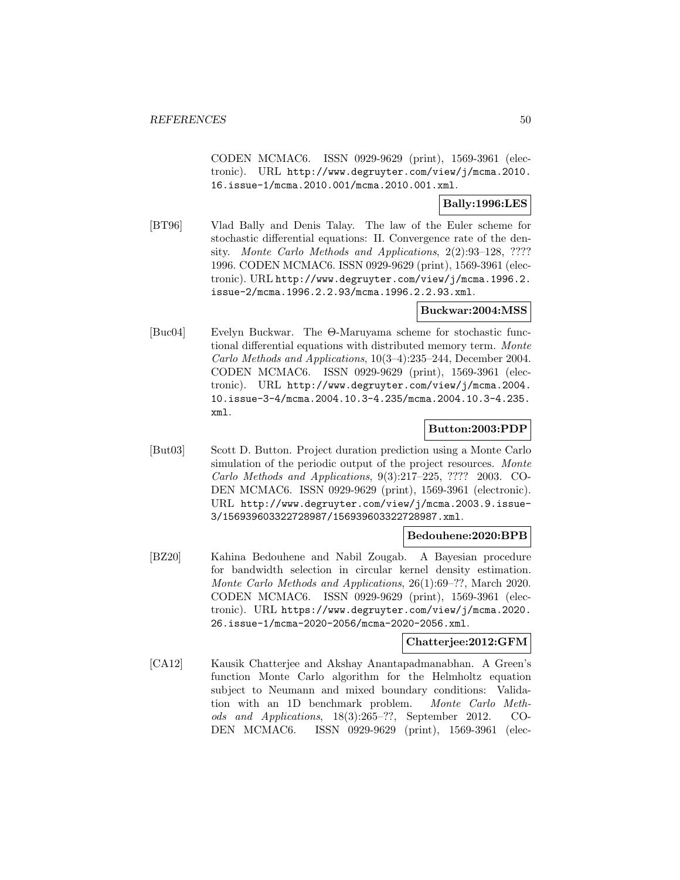CODEN MCMAC6. ISSN 0929-9629 (print), 1569-3961 (electronic). URL http://www.degruyter.com/view/j/mcma.2010. 16.issue-1/mcma.2010.001/mcma.2010.001.xml.

## **Bally:1996:LES**

[BT96] Vlad Bally and Denis Talay. The law of the Euler scheme for stochastic differential equations: II. Convergence rate of the density. Monte Carlo Methods and Applications, 2(2):93–128, ???? 1996. CODEN MCMAC6. ISSN 0929-9629 (print), 1569-3961 (electronic). URL http://www.degruyter.com/view/j/mcma.1996.2. issue-2/mcma.1996.2.2.93/mcma.1996.2.2.93.xml.

## **Buckwar:2004:MSS**

[Buc04] Evelyn Buckwar. The Θ-Maruyama scheme for stochastic functional differential equations with distributed memory term. Monte Carlo Methods and Applications, 10(3–4):235–244, December 2004. CODEN MCMAC6. ISSN 0929-9629 (print), 1569-3961 (electronic). URL http://www.degruyter.com/view/j/mcma.2004. 10.issue-3-4/mcma.2004.10.3-4.235/mcma.2004.10.3-4.235. xml.

## **Button:2003:PDP**

[But03] Scott D. Button. Project duration prediction using a Monte Carlo simulation of the periodic output of the project resources. Monte Carlo Methods and Applications, 9(3):217–225, ???? 2003. CO-DEN MCMAC6. ISSN 0929-9629 (print), 1569-3961 (electronic). URL http://www.degruyter.com/view/j/mcma.2003.9.issue-3/156939603322728987/156939603322728987.xml.

## **Bedouhene:2020:BPB**

[BZ20] Kahina Bedouhene and Nabil Zougab. A Bayesian procedure for bandwidth selection in circular kernel density estimation. Monte Carlo Methods and Applications, 26(1):69–??, March 2020. CODEN MCMAC6. ISSN 0929-9629 (print), 1569-3961 (electronic). URL https://www.degruyter.com/view/j/mcma.2020. 26.issue-1/mcma-2020-2056/mcma-2020-2056.xml.

## **Chatterjee:2012:GFM**

[CA12] Kausik Chatterjee and Akshay Anantapadmanabhan. A Green's function Monte Carlo algorithm for the Helmholtz equation subject to Neumann and mixed boundary conditions: Validation with an 1D benchmark problem. Monte Carlo Methods and Applications, 18(3):265–??, September 2012. CO-DEN MCMAC6. ISSN 0929-9629 (print), 1569-3961 (elec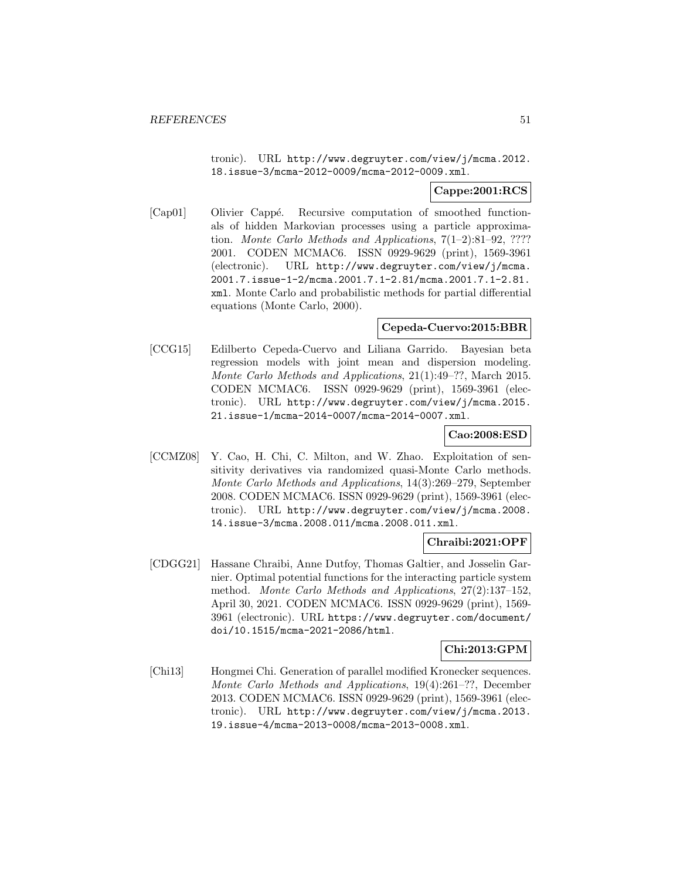tronic). URL http://www.degruyter.com/view/j/mcma.2012. 18.issue-3/mcma-2012-0009/mcma-2012-0009.xml.

### **Cappe:2001:RCS**

[Cap01] Olivier Cappé. Recursive computation of smoothed functionals of hidden Markovian processes using a particle approximation. Monte Carlo Methods and Applications, 7(1–2):81–92, ???? 2001. CODEN MCMAC6. ISSN 0929-9629 (print), 1569-3961 (electronic). URL http://www.degruyter.com/view/j/mcma. 2001.7.issue-1-2/mcma.2001.7.1-2.81/mcma.2001.7.1-2.81. xml. Monte Carlo and probabilistic methods for partial differential equations (Monte Carlo, 2000).

### **Cepeda-Cuervo:2015:BBR**

[CCG15] Edilberto Cepeda-Cuervo and Liliana Garrido. Bayesian beta regression models with joint mean and dispersion modeling. Monte Carlo Methods and Applications, 21(1):49–??, March 2015. CODEN MCMAC6. ISSN 0929-9629 (print), 1569-3961 (electronic). URL http://www.degruyter.com/view/j/mcma.2015. 21.issue-1/mcma-2014-0007/mcma-2014-0007.xml.

# **Cao:2008:ESD**

[CCMZ08] Y. Cao, H. Chi, C. Milton, and W. Zhao. Exploitation of sensitivity derivatives via randomized quasi-Monte Carlo methods. Monte Carlo Methods and Applications, 14(3):269–279, September 2008. CODEN MCMAC6. ISSN 0929-9629 (print), 1569-3961 (electronic). URL http://www.degruyter.com/view/j/mcma.2008. 14.issue-3/mcma.2008.011/mcma.2008.011.xml.

### **Chraibi:2021:OPF**

[CDGG21] Hassane Chraibi, Anne Dutfoy, Thomas Galtier, and Josselin Garnier. Optimal potential functions for the interacting particle system method. Monte Carlo Methods and Applications, 27(2):137–152, April 30, 2021. CODEN MCMAC6. ISSN 0929-9629 (print), 1569- 3961 (electronic). URL https://www.degruyter.com/document/ doi/10.1515/mcma-2021-2086/html.

### **Chi:2013:GPM**

[Chi13] Hongmei Chi. Generation of parallel modified Kronecker sequences. Monte Carlo Methods and Applications, 19(4):261–??, December 2013. CODEN MCMAC6. ISSN 0929-9629 (print), 1569-3961 (electronic). URL http://www.degruyter.com/view/j/mcma.2013. 19.issue-4/mcma-2013-0008/mcma-2013-0008.xml.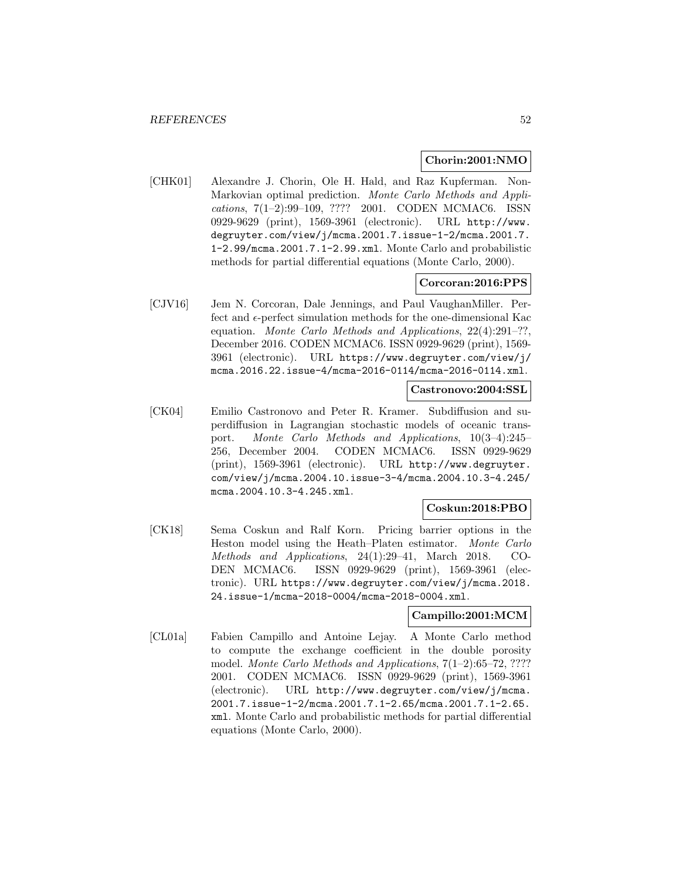### **Chorin:2001:NMO**

[CHK01] Alexandre J. Chorin, Ole H. Hald, and Raz Kupferman. Non-Markovian optimal prediction. Monte Carlo Methods and Applications, 7(1–2):99–109, ???? 2001. CODEN MCMAC6. ISSN 0929-9629 (print), 1569-3961 (electronic). URL http://www. degruyter.com/view/j/mcma.2001.7.issue-1-2/mcma.2001.7. 1-2.99/mcma.2001.7.1-2.99.xml. Monte Carlo and probabilistic methods for partial differential equations (Monte Carlo, 2000).

#### **Corcoran:2016:PPS**

[CJV16] Jem N. Corcoran, Dale Jennings, and Paul VaughanMiller. Perfect and  $\epsilon$ -perfect simulation methods for the one-dimensional Kac equation. Monte Carlo Methods and Applications, 22(4):291–??, December 2016. CODEN MCMAC6. ISSN 0929-9629 (print), 1569- 3961 (electronic). URL https://www.degruyter.com/view/j/ mcma.2016.22.issue-4/mcma-2016-0114/mcma-2016-0114.xml.

### **Castronovo:2004:SSL**

[CK04] Emilio Castronovo and Peter R. Kramer. Subdiffusion and superdiffusion in Lagrangian stochastic models of oceanic transport. Monte Carlo Methods and Applications, 10(3–4):245– 256, December 2004. CODEN MCMAC6. ISSN 0929-9629 (print), 1569-3961 (electronic). URL http://www.degruyter. com/view/j/mcma.2004.10.issue-3-4/mcma.2004.10.3-4.245/ mcma.2004.10.3-4.245.xml.

## **Coskun:2018:PBO**

[CK18] Sema Coskun and Ralf Korn. Pricing barrier options in the Heston model using the Heath–Platen estimator. Monte Carlo Methods and Applications, 24(1):29–41, March 2018. CO-DEN MCMAC6. ISSN 0929-9629 (print), 1569-3961 (electronic). URL https://www.degruyter.com/view/j/mcma.2018. 24.issue-1/mcma-2018-0004/mcma-2018-0004.xml.

### **Campillo:2001:MCM**

[CL01a] Fabien Campillo and Antoine Lejay. A Monte Carlo method to compute the exchange coefficient in the double porosity model. Monte Carlo Methods and Applications, 7(1–2):65–72, ???? 2001. CODEN MCMAC6. ISSN 0929-9629 (print), 1569-3961 (electronic). URL http://www.degruyter.com/view/j/mcma. 2001.7.issue-1-2/mcma.2001.7.1-2.65/mcma.2001.7.1-2.65. xml. Monte Carlo and probabilistic methods for partial differential equations (Monte Carlo, 2000).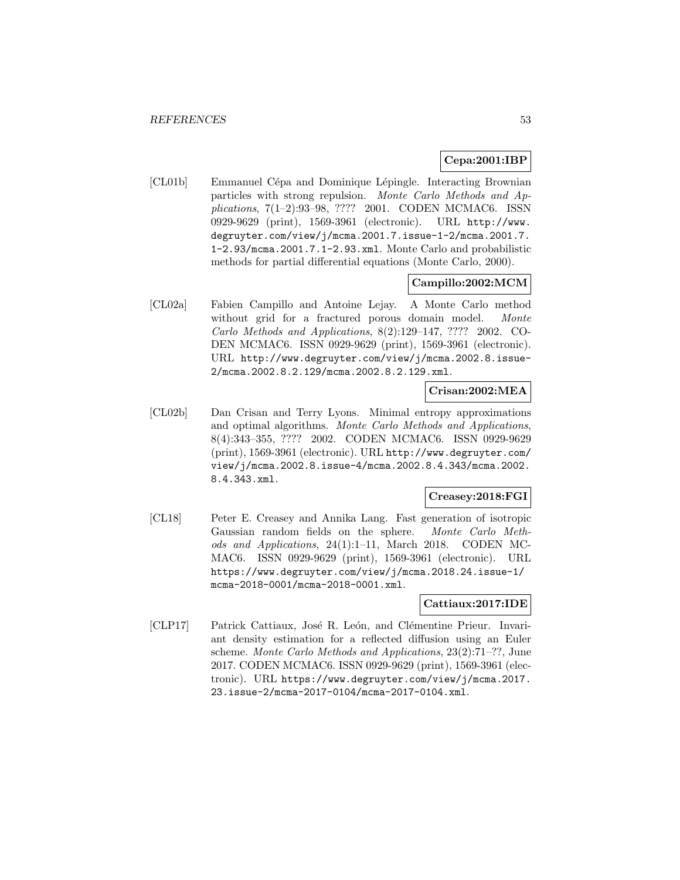## **Cepa:2001:IBP**

[CL01b] Emmanuel Cépa and Dominique Lépingle. Interacting Brownian particles with strong repulsion. Monte Carlo Methods and Applications, 7(1–2):93–98, ???? 2001. CODEN MCMAC6. ISSN 0929-9629 (print), 1569-3961 (electronic). URL http://www. degruyter.com/view/j/mcma.2001.7.issue-1-2/mcma.2001.7. 1-2.93/mcma.2001.7.1-2.93.xml. Monte Carlo and probabilistic methods for partial differential equations (Monte Carlo, 2000).

## **Campillo:2002:MCM**

[CL02a] Fabien Campillo and Antoine Lejay. A Monte Carlo method without grid for a fractured porous domain model. Monte Carlo Methods and Applications, 8(2):129–147, ???? 2002. CO-DEN MCMAC6. ISSN 0929-9629 (print), 1569-3961 (electronic). URL http://www.degruyter.com/view/j/mcma.2002.8.issue-2/mcma.2002.8.2.129/mcma.2002.8.2.129.xml.

## **Crisan:2002:MEA**

[CL02b] Dan Crisan and Terry Lyons. Minimal entropy approximations and optimal algorithms. Monte Carlo Methods and Applications, 8(4):343–355, ???? 2002. CODEN MCMAC6. ISSN 0929-9629 (print), 1569-3961 (electronic). URL http://www.degruyter.com/ view/j/mcma.2002.8.issue-4/mcma.2002.8.4.343/mcma.2002. 8.4.343.xml.

## **Creasey:2018:FGI**

[CL18] Peter E. Creasey and Annika Lang. Fast generation of isotropic Gaussian random fields on the sphere. Monte Carlo Methods and Applications, 24(1):1–11, March 2018. CODEN MC-MAC6. ISSN 0929-9629 (print), 1569-3961 (electronic). URL https://www.degruyter.com/view/j/mcma.2018.24.issue-1/ mcma-2018-0001/mcma-2018-0001.xml.

### **Cattiaux:2017:IDE**

[CLP17] Patrick Cattiaux, José R. León, and Clémentine Prieur. Invariant density estimation for a reflected diffusion using an Euler scheme. Monte Carlo Methods and Applications, 23(2):71–??, June 2017. CODEN MCMAC6. ISSN 0929-9629 (print), 1569-3961 (electronic). URL https://www.degruyter.com/view/j/mcma.2017. 23.issue-2/mcma-2017-0104/mcma-2017-0104.xml.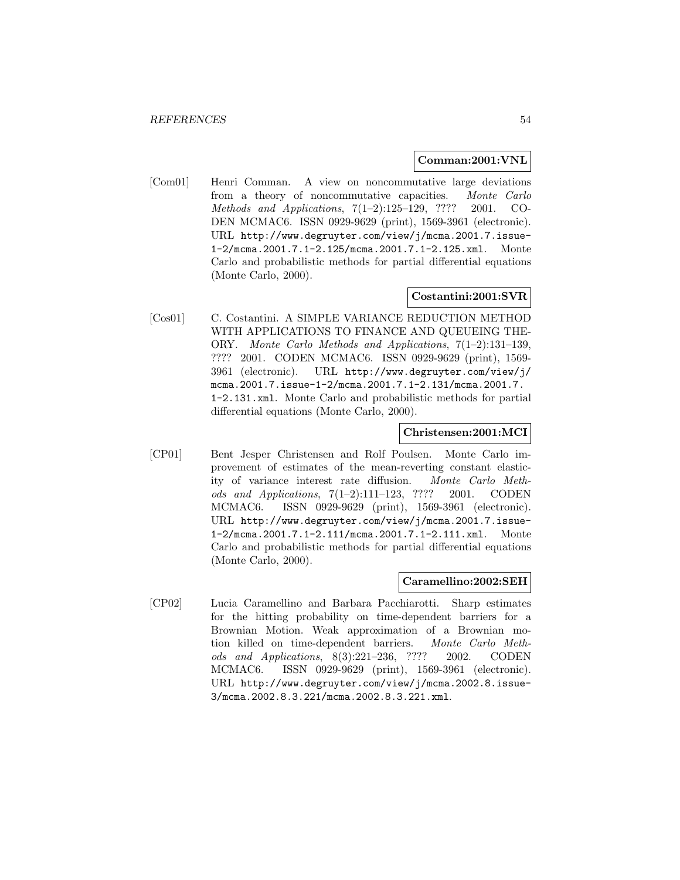### **Comman:2001:VNL**

[Com01] Henri Comman. A view on noncommutative large deviations from a theory of noncommutative capacities. Monte Carlo Methods and Applications, 7(1–2):125–129, ???? 2001. CO-DEN MCMAC6. ISSN 0929-9629 (print), 1569-3961 (electronic). URL http://www.degruyter.com/view/j/mcma.2001.7.issue-1-2/mcma.2001.7.1-2.125/mcma.2001.7.1-2.125.xml. Monte Carlo and probabilistic methods for partial differential equations (Monte Carlo, 2000).

# **Costantini:2001:SVR**

[Cos01] C. Costantini. A SIMPLE VARIANCE REDUCTION METHOD WITH APPLICATIONS TO FINANCE AND QUEUEING THE-ORY. Monte Carlo Methods and Applications, 7(1–2):131–139, ???? 2001. CODEN MCMAC6. ISSN 0929-9629 (print), 1569- 3961 (electronic). URL http://www.degruyter.com/view/j/ mcma.2001.7.issue-1-2/mcma.2001.7.1-2.131/mcma.2001.7. 1-2.131.xml. Monte Carlo and probabilistic methods for partial differential equations (Monte Carlo, 2000).

#### **Christensen:2001:MCI**

[CP01] Bent Jesper Christensen and Rolf Poulsen. Monte Carlo improvement of estimates of the mean-reverting constant elasticity of variance interest rate diffusion. Monte Carlo Methods and Applications, 7(1–2):111–123, ???? 2001. CODEN MCMAC6. ISSN 0929-9629 (print), 1569-3961 (electronic). URL http://www.degruyter.com/view/j/mcma.2001.7.issue-1-2/mcma.2001.7.1-2.111/mcma.2001.7.1-2.111.xml. Monte Carlo and probabilistic methods for partial differential equations (Monte Carlo, 2000).

#### **Caramellino:2002:SEH**

[CP02] Lucia Caramellino and Barbara Pacchiarotti. Sharp estimates for the hitting probability on time-dependent barriers for a Brownian Motion. Weak approximation of a Brownian motion killed on time-dependent barriers. Monte Carlo Methods and Applications, 8(3):221–236, ???? 2002. CODEN MCMAC6. ISSN 0929-9629 (print), 1569-3961 (electronic). URL http://www.degruyter.com/view/j/mcma.2002.8.issue-3/mcma.2002.8.3.221/mcma.2002.8.3.221.xml.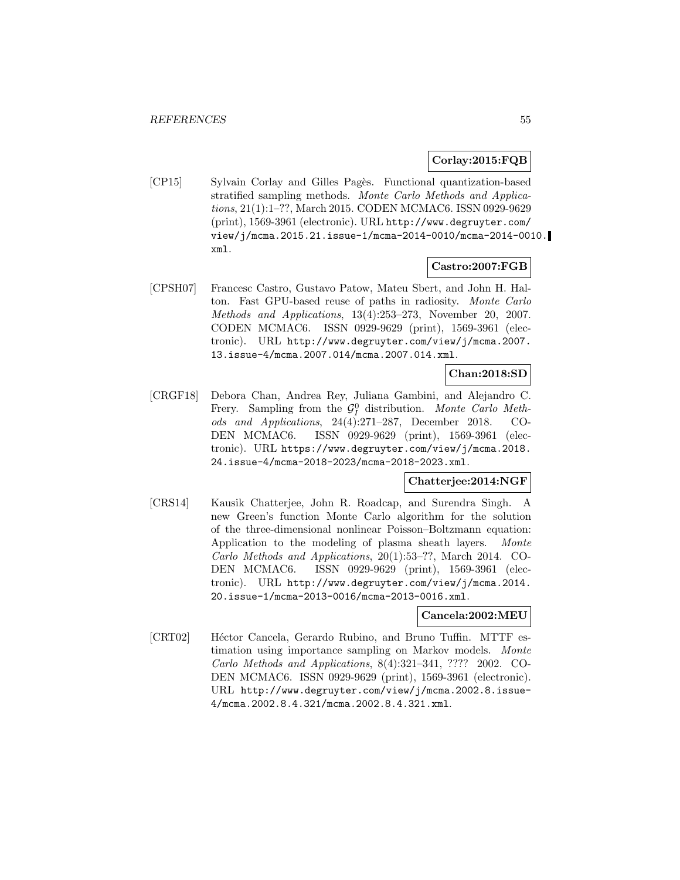#### **Corlay:2015:FQB**

[CP15] Sylvain Corlay and Gilles Pagès. Functional quantization-based stratified sampling methods. Monte Carlo Methods and Applications, 21(1):1–??, March 2015. CODEN MCMAC6. ISSN 0929-9629 (print), 1569-3961 (electronic). URL http://www.degruyter.com/ view/j/mcma.2015.21.issue-1/mcma-2014-0010/mcma-2014-0010. xml.

## **Castro:2007:FGB**

[CPSH07] Francesc Castro, Gustavo Patow, Mateu Sbert, and John H. Halton. Fast GPU-based reuse of paths in radiosity. Monte Carlo Methods and Applications, 13(4):253–273, November 20, 2007. CODEN MCMAC6. ISSN 0929-9629 (print), 1569-3961 (electronic). URL http://www.degruyter.com/view/j/mcma.2007. 13.issue-4/mcma.2007.014/mcma.2007.014.xml.

### **Chan:2018:SD**

[CRGF18] Debora Chan, Andrea Rey, Juliana Gambini, and Alejandro C. Frery. Sampling from the  $\mathcal{G}_I^0$  distribution. Monte Carlo Methods and Applications, 24(4):271–287, December 2018. CO-DEN MCMAC6. ISSN 0929-9629 (print), 1569-3961 (electronic). URL https://www.degruyter.com/view/j/mcma.2018. 24.issue-4/mcma-2018-2023/mcma-2018-2023.xml.

#### **Chatterjee:2014:NGF**

[CRS14] Kausik Chatterjee, John R. Roadcap, and Surendra Singh. A new Green's function Monte Carlo algorithm for the solution of the three-dimensional nonlinear Poisson–Boltzmann equation: Application to the modeling of plasma sheath layers. Monte Carlo Methods and Applications, 20(1):53–??, March 2014. CO-DEN MCMAC6. ISSN 0929-9629 (print), 1569-3961 (electronic). URL http://www.degruyter.com/view/j/mcma.2014. 20.issue-1/mcma-2013-0016/mcma-2013-0016.xml.

#### **Cancela:2002:MEU**

[CRT02] Héctor Cancela, Gerardo Rubino, and Bruno Tuffin. MTTF estimation using importance sampling on Markov models. Monte Carlo Methods and Applications, 8(4):321–341, ???? 2002. CO-DEN MCMAC6. ISSN 0929-9629 (print), 1569-3961 (electronic). URL http://www.degruyter.com/view/j/mcma.2002.8.issue-4/mcma.2002.8.4.321/mcma.2002.8.4.321.xml.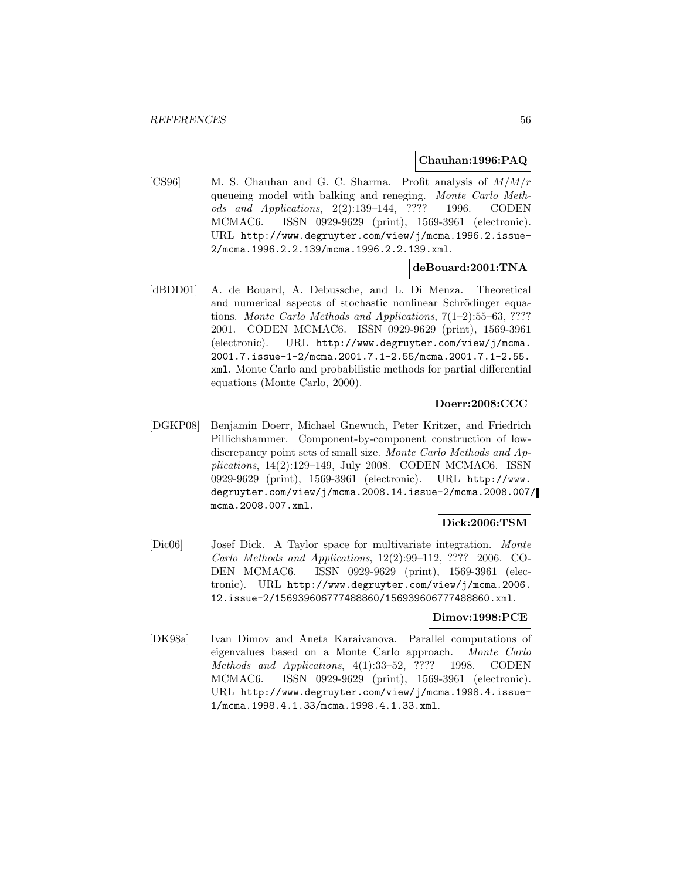## **Chauhan:1996:PAQ**

[CS96] M. S. Chauhan and G. C. Sharma. Profit analysis of M/M/r queueing model with balking and reneging. Monte Carlo Methods and Applications, 2(2):139–144, ???? 1996. CODEN MCMAC6. ISSN 0929-9629 (print), 1569-3961 (electronic). URL http://www.degruyter.com/view/j/mcma.1996.2.issue-2/mcma.1996.2.2.139/mcma.1996.2.2.139.xml.

## **deBouard:2001:TNA**

[dBDD01] A. de Bouard, A. Debussche, and L. Di Menza. Theoretical and numerical aspects of stochastic nonlinear Schrödinger equations. Monte Carlo Methods and Applications, 7(1–2):55–63, ???? 2001. CODEN MCMAC6. ISSN 0929-9629 (print), 1569-3961 (electronic). URL http://www.degruyter.com/view/j/mcma. 2001.7.issue-1-2/mcma.2001.7.1-2.55/mcma.2001.7.1-2.55. xml. Monte Carlo and probabilistic methods for partial differential equations (Monte Carlo, 2000).

## **Doerr:2008:CCC**

[DGKP08] Benjamin Doerr, Michael Gnewuch, Peter Kritzer, and Friedrich Pillichshammer. Component-by-component construction of lowdiscrepancy point sets of small size. Monte Carlo Methods and Applications, 14(2):129–149, July 2008. CODEN MCMAC6. ISSN 0929-9629 (print), 1569-3961 (electronic). URL http://www. degruyter.com/view/j/mcma.2008.14.issue-2/mcma.2008.007/ mcma.2008.007.xml.

## **Dick:2006:TSM**

[Dic06] Josef Dick. A Taylor space for multivariate integration. Monte Carlo Methods and Applications, 12(2):99–112, ???? 2006. CO-DEN MCMAC6. ISSN 0929-9629 (print), 1569-3961 (electronic). URL http://www.degruyter.com/view/j/mcma.2006. 12.issue-2/156939606777488860/156939606777488860.xml.

### **Dimov:1998:PCE**

[DK98a] Ivan Dimov and Aneta Karaivanova. Parallel computations of eigenvalues based on a Monte Carlo approach. Monte Carlo Methods and Applications, 4(1):33–52, ???? 1998. CODEN MCMAC6. ISSN 0929-9629 (print), 1569-3961 (electronic). URL http://www.degruyter.com/view/j/mcma.1998.4.issue-1/mcma.1998.4.1.33/mcma.1998.4.1.33.xml.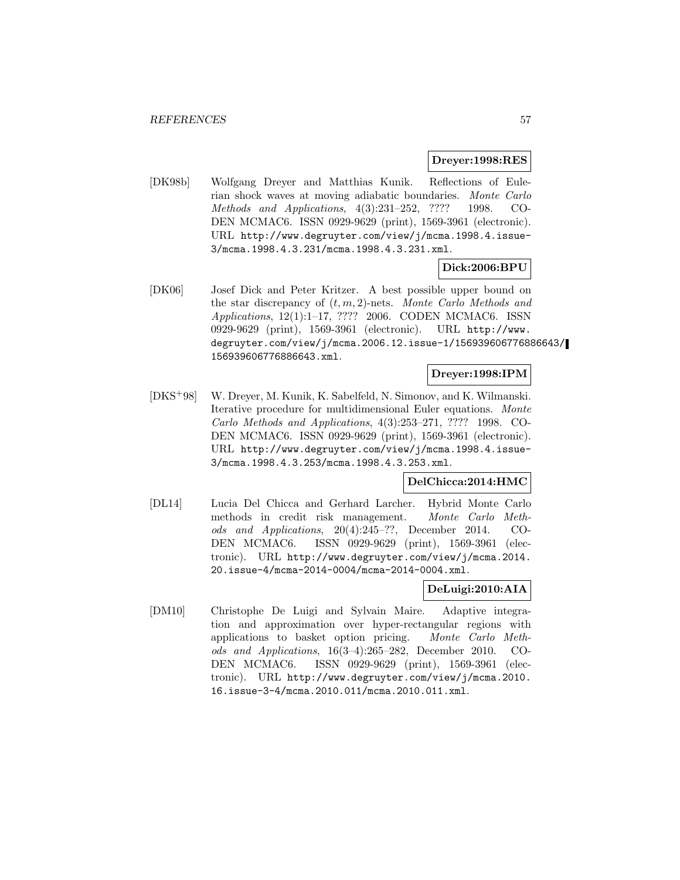#### **Dreyer:1998:RES**

[DK98b] Wolfgang Dreyer and Matthias Kunik. Reflections of Eulerian shock waves at moving adiabatic boundaries. Monte Carlo Methods and Applications, 4(3):231–252, ???? 1998. CO-DEN MCMAC6. ISSN 0929-9629 (print), 1569-3961 (electronic). URL http://www.degruyter.com/view/j/mcma.1998.4.issue-3/mcma.1998.4.3.231/mcma.1998.4.3.231.xml.

### **Dick:2006:BPU**

[DK06] Josef Dick and Peter Kritzer. A best possible upper bound on the star discrepancy of  $(t, m, 2)$ -nets. Monte Carlo Methods and Applications, 12(1):1–17, ???? 2006. CODEN MCMAC6. ISSN 0929-9629 (print), 1569-3961 (electronic). URL http://www. degruyter.com/view/j/mcma.2006.12.issue-1/156939606776886643/ 156939606776886643.xml.

### **Dreyer:1998:IPM**

[DKS<sup>+</sup>98] W. Dreyer, M. Kunik, K. Sabelfeld, N. Simonov, and K. Wilmanski. Iterative procedure for multidimensional Euler equations. Monte Carlo Methods and Applications, 4(3):253–271, ???? 1998. CO-DEN MCMAC6. ISSN 0929-9629 (print), 1569-3961 (electronic). URL http://www.degruyter.com/view/j/mcma.1998.4.issue-3/mcma.1998.4.3.253/mcma.1998.4.3.253.xml.

### **DelChicca:2014:HMC**

[DL14] Lucia Del Chicca and Gerhard Larcher. Hybrid Monte Carlo methods in credit risk management. Monte Carlo Methods and Applications, 20(4):245–??, December 2014. CO-DEN MCMAC6. ISSN 0929-9629 (print), 1569-3961 (electronic). URL http://www.degruyter.com/view/j/mcma.2014. 20.issue-4/mcma-2014-0004/mcma-2014-0004.xml.

### **DeLuigi:2010:AIA**

[DM10] Christophe De Luigi and Sylvain Maire. Adaptive integration and approximation over hyper-rectangular regions with applications to basket option pricing. Monte Carlo Methods and Applications, 16(3–4):265–282, December 2010. CO-DEN MCMAC6. ISSN 0929-9629 (print), 1569-3961 (electronic). URL http://www.degruyter.com/view/j/mcma.2010. 16.issue-3-4/mcma.2010.011/mcma.2010.011.xml.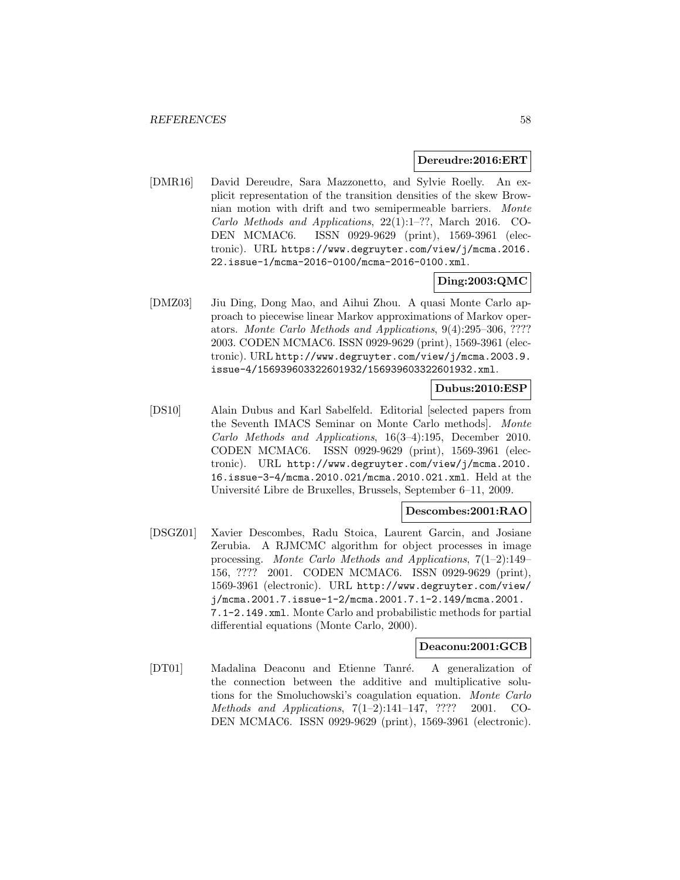#### **Dereudre:2016:ERT**

[DMR16] David Dereudre, Sara Mazzonetto, and Sylvie Roelly. An explicit representation of the transition densities of the skew Brownian motion with drift and two semipermeable barriers. Monte Carlo Methods and Applications, 22(1):1–??, March 2016. CO-DEN MCMAC6. ISSN 0929-9629 (print), 1569-3961 (electronic). URL https://www.degruyter.com/view/j/mcma.2016. 22.issue-1/mcma-2016-0100/mcma-2016-0100.xml.

## **Ding:2003:QMC**

[DMZ03] Jiu Ding, Dong Mao, and Aihui Zhou. A quasi Monte Carlo approach to piecewise linear Markov approximations of Markov operators. Monte Carlo Methods and Applications, 9(4):295–306, ???? 2003. CODEN MCMAC6. ISSN 0929-9629 (print), 1569-3961 (electronic). URL http://www.degruyter.com/view/j/mcma.2003.9. issue-4/156939603322601932/156939603322601932.xml.

## **Dubus:2010:ESP**

[DS10] Alain Dubus and Karl Sabelfeld. Editorial [selected papers from the Seventh IMACS Seminar on Monte Carlo methods]. Monte Carlo Methods and Applications, 16(3–4):195, December 2010. CODEN MCMAC6. ISSN 0929-9629 (print), 1569-3961 (electronic). URL http://www.degruyter.com/view/j/mcma.2010. 16.issue-3-4/mcma.2010.021/mcma.2010.021.xml. Held at the Universit´e Libre de Bruxelles, Brussels, September 6–11, 2009.

### **Descombes:2001:RAO**

[DSGZ01] Xavier Descombes, Radu Stoica, Laurent Garcin, and Josiane Zerubia. A RJMCMC algorithm for object processes in image processing. Monte Carlo Methods and Applications, 7(1–2):149– 156, ???? 2001. CODEN MCMAC6. ISSN 0929-9629 (print), 1569-3961 (electronic). URL http://www.degruyter.com/view/ j/mcma.2001.7.issue-1-2/mcma.2001.7.1-2.149/mcma.2001. 7.1-2.149.xml. Monte Carlo and probabilistic methods for partial differential equations (Monte Carlo, 2000).

#### **Deaconu:2001:GCB**

[DT01] Madalina Deaconu and Etienne Tanré. A generalization of the connection between the additive and multiplicative solutions for the Smoluchowski's coagulation equation. Monte Carlo Methods and Applications, 7(1–2):141–147, ???? 2001. CO-DEN MCMAC6. ISSN 0929-9629 (print), 1569-3961 (electronic).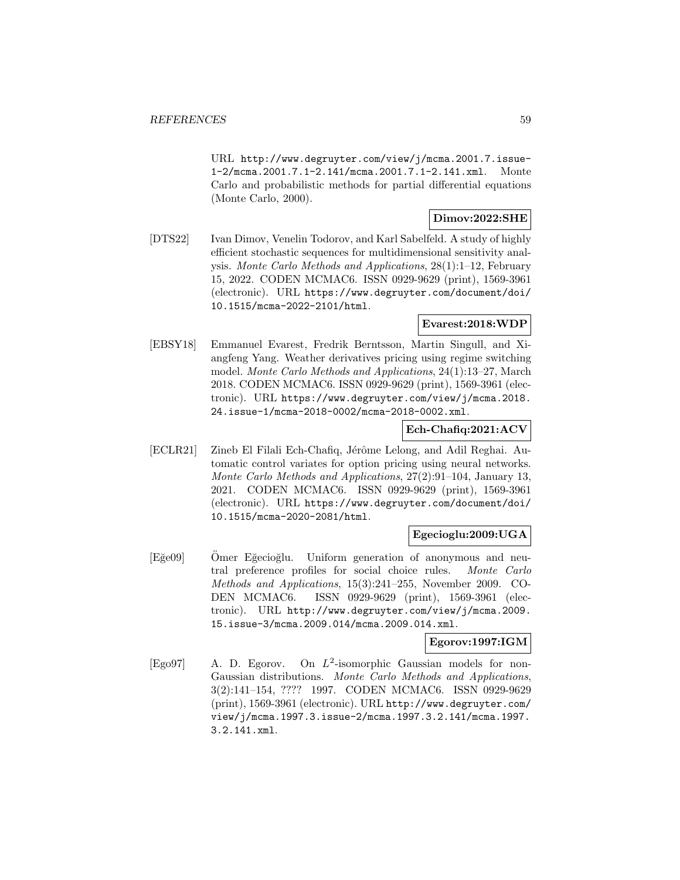URL http://www.degruyter.com/view/j/mcma.2001.7.issue-1-2/mcma.2001.7.1-2.141/mcma.2001.7.1-2.141.xml. Monte Carlo and probabilistic methods for partial differential equations (Monte Carlo, 2000).

## **Dimov:2022:SHE**

[DTS22] Ivan Dimov, Venelin Todorov, and Karl Sabelfeld. A study of highly efficient stochastic sequences for multidimensional sensitivity analysis. Monte Carlo Methods and Applications, 28(1):1–12, February 15, 2022. CODEN MCMAC6. ISSN 0929-9629 (print), 1569-3961 (electronic). URL https://www.degruyter.com/document/doi/ 10.1515/mcma-2022-2101/html.

#### **Evarest:2018:WDP**

[EBSY18] Emmanuel Evarest, Fredrik Berntsson, Martin Singull, and Xiangfeng Yang. Weather derivatives pricing using regime switching model. Monte Carlo Methods and Applications, 24(1):13–27, March 2018. CODEN MCMAC6. ISSN 0929-9629 (print), 1569-3961 (electronic). URL https://www.degruyter.com/view/j/mcma.2018. 24.issue-1/mcma-2018-0002/mcma-2018-0002.xml.

## **Ech-Chafiq:2021:ACV**

[ECLR21] Zineb El Filali Ech-Chafiq, Jérôme Lelong, and Adil Reghai. Automatic control variates for option pricing using neural networks. Monte Carlo Methods and Applications, 27(2):91–104, January 13, 2021. CODEN MCMAC6. ISSN 0929-9629 (print), 1569-3961 (electronic). URL https://www.degruyter.com/document/doi/ 10.1515/mcma-2020-2081/html.

## **Egecioglu:2009:UGA**

[Eğe09] Omer Eğecioğlu. Uniform generation of anonymous and neutral preference profiles for social choice rules. Monte Carlo Methods and Applications, 15(3):241–255, November 2009. CO-DEN MCMAC6. ISSN 0929-9629 (print), 1569-3961 (electronic). URL http://www.degruyter.com/view/j/mcma.2009. 15.issue-3/mcma.2009.014/mcma.2009.014.xml.

### **Egorov:1997:IGM**

[Ego97] A. D. Egorov. On  $L^2$ -isomorphic Gaussian models for non-Gaussian distributions. Monte Carlo Methods and Applications, 3(2):141–154, ???? 1997. CODEN MCMAC6. ISSN 0929-9629 (print), 1569-3961 (electronic). URL http://www.degruyter.com/ view/j/mcma.1997.3.issue-2/mcma.1997.3.2.141/mcma.1997. 3.2.141.xml.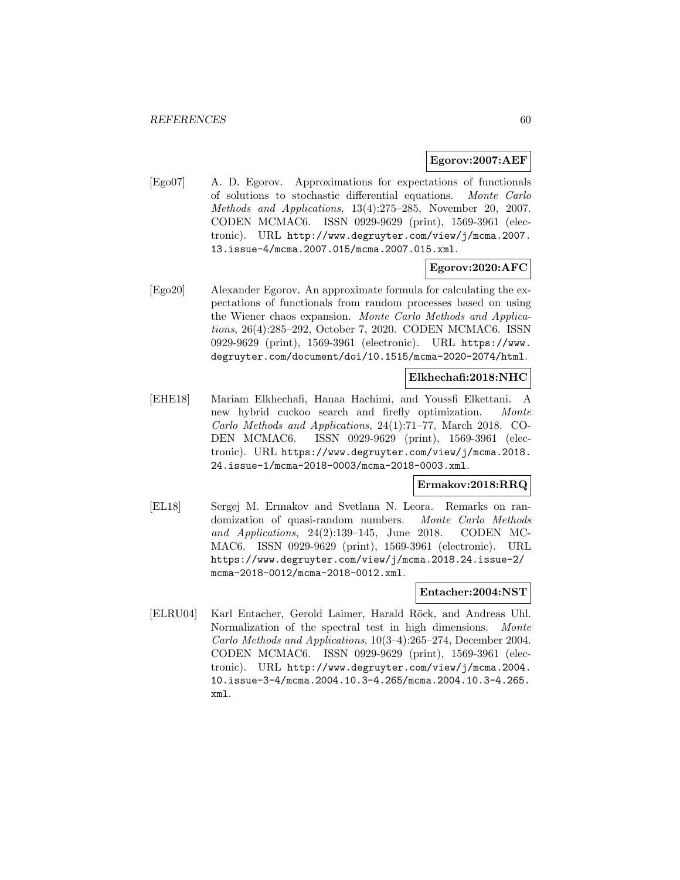#### **Egorov:2007:AEF**

[Ego07] A. D. Egorov. Approximations for expectations of functionals of solutions to stochastic differential equations. Monte Carlo Methods and Applications, 13(4):275–285, November 20, 2007. CODEN MCMAC6. ISSN 0929-9629 (print), 1569-3961 (electronic). URL http://www.degruyter.com/view/j/mcma.2007. 13.issue-4/mcma.2007.015/mcma.2007.015.xml.

### **Egorov:2020:AFC**

[Ego20] Alexander Egorov. An approximate formula for calculating the expectations of functionals from random processes based on using the Wiener chaos expansion. Monte Carlo Methods and Applications, 26(4):285–292, October 7, 2020. CODEN MCMAC6. ISSN 0929-9629 (print), 1569-3961 (electronic). URL https://www. degruyter.com/document/doi/10.1515/mcma-2020-2074/html.

#### **Elkhechafi:2018:NHC**

[EHE18] Mariam Elkhechafi, Hanaa Hachimi, and Youssfi Elkettani. A new hybrid cuckoo search and firefly optimization. Monte Carlo Methods and Applications, 24(1):71–77, March 2018. CO-DEN MCMAC6. ISSN 0929-9629 (print), 1569-3961 (electronic). URL https://www.degruyter.com/view/j/mcma.2018. 24.issue-1/mcma-2018-0003/mcma-2018-0003.xml.

# **Ermakov:2018:RRQ**

[EL18] Sergej M. Ermakov and Svetlana N. Leora. Remarks on randomization of quasi-random numbers. Monte Carlo Methods and Applications, 24(2):139–145, June 2018. CODEN MC-MAC6. ISSN 0929-9629 (print), 1569-3961 (electronic). URL https://www.degruyter.com/view/j/mcma.2018.24.issue-2/ mcma-2018-0012/mcma-2018-0012.xml.

### **Entacher:2004:NST**

[ELRU04] Karl Entacher, Gerold Laimer, Harald Röck, and Andreas Uhl. Normalization of the spectral test in high dimensions. *Monte* Carlo Methods and Applications, 10(3–4):265–274, December 2004. CODEN MCMAC6. ISSN 0929-9629 (print), 1569-3961 (electronic). URL http://www.degruyter.com/view/j/mcma.2004. 10.issue-3-4/mcma.2004.10.3-4.265/mcma.2004.10.3-4.265. xml.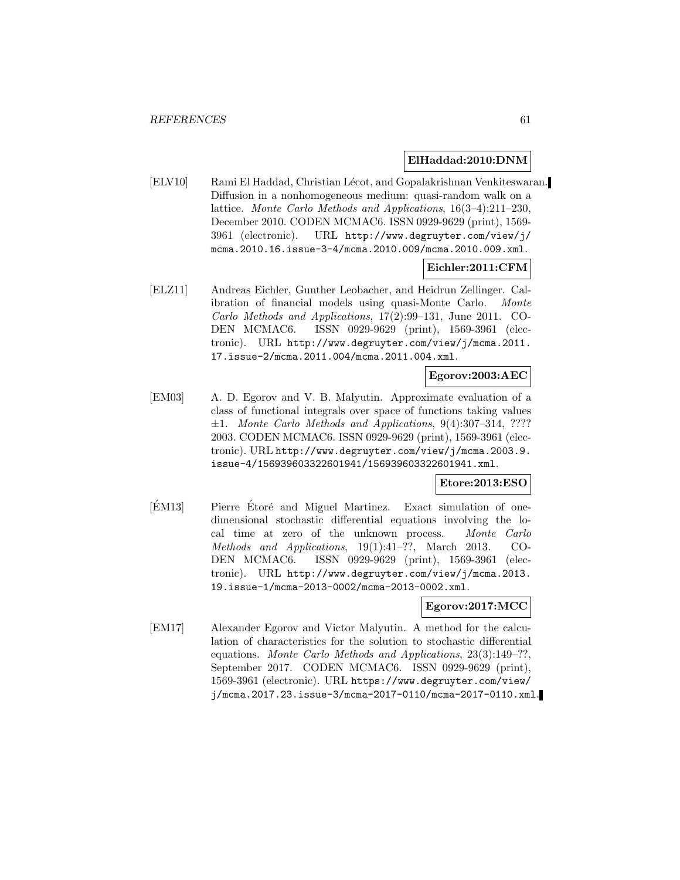### **ElHaddad:2010:DNM**

[ELV10] Rami El Haddad, Christian L´ecot, and Gopalakrishnan Venkiteswaran. Diffusion in a nonhomogeneous medium: quasi-random walk on a lattice. Monte Carlo Methods and Applications, 16(3–4):211–230, December 2010. CODEN MCMAC6. ISSN 0929-9629 (print), 1569- 3961 (electronic). URL http://www.degruyter.com/view/j/ mcma.2010.16.issue-3-4/mcma.2010.009/mcma.2010.009.xml.

### **Eichler:2011:CFM**

[ELZ11] Andreas Eichler, Gunther Leobacher, and Heidrun Zellinger. Calibration of financial models using quasi-Monte Carlo. Monte Carlo Methods and Applications, 17(2):99–131, June 2011. CO-DEN MCMAC6. ISSN 0929-9629 (print), 1569-3961 (electronic). URL http://www.degruyter.com/view/j/mcma.2011. 17.issue-2/mcma.2011.004/mcma.2011.004.xml.

### **Egorov:2003:AEC**

[EM03] A. D. Egorov and V. B. Malyutin. Approximate evaluation of a class of functional integrals over space of functions taking values  $\pm 1$ . Monte Carlo Methods and Applications, 9(4):307-314, ???? 2003. CODEN MCMAC6. ISSN 0929-9629 (print), 1569-3961 (electronic). URL http://www.degruyter.com/view/j/mcma.2003.9. issue-4/156939603322601941/156939603322601941.xml.

### **Etore:2013:ESO**

[ÉM13] Pierre Étoré and Miguel Martinez. Exact simulation of onedimensional stochastic differential equations involving the local time at zero of the unknown process. Monte Carlo Methods and Applications, 19(1):41–??, March 2013. CO-DEN MCMAC6. ISSN 0929-9629 (print), 1569-3961 (electronic). URL http://www.degruyter.com/view/j/mcma.2013. 19.issue-1/mcma-2013-0002/mcma-2013-0002.xml.

#### **Egorov:2017:MCC**

[EM17] Alexander Egorov and Victor Malyutin. A method for the calculation of characteristics for the solution to stochastic differential equations. Monte Carlo Methods and Applications, 23(3):149–??, September 2017. CODEN MCMAC6. ISSN 0929-9629 (print), 1569-3961 (electronic). URL https://www.degruyter.com/view/ j/mcma.2017.23.issue-3/mcma-2017-0110/mcma-2017-0110.xml.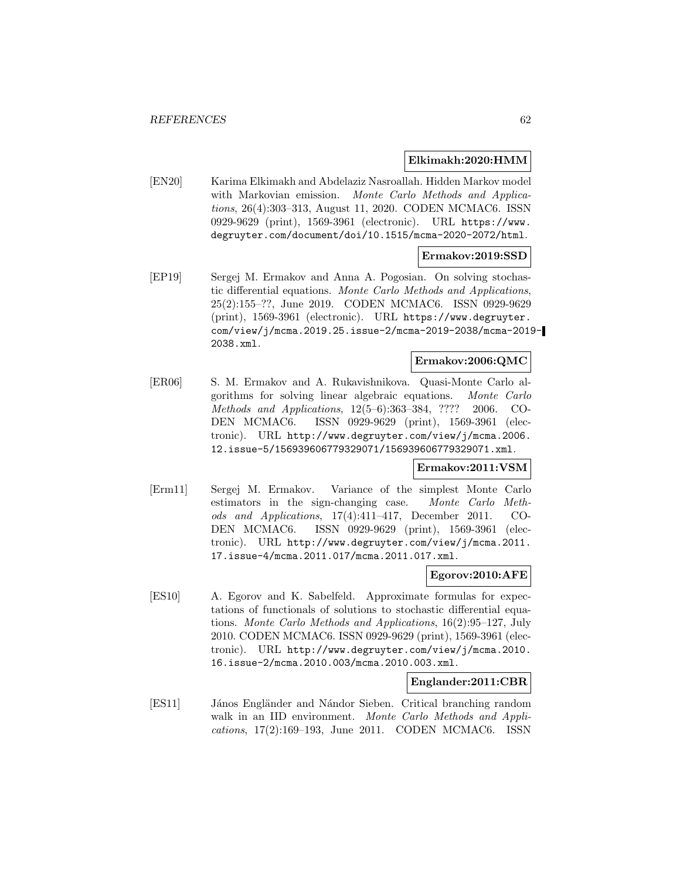### **Elkimakh:2020:HMM**

[EN20] Karima Elkimakh and Abdelaziz Nasroallah. Hidden Markov model with Markovian emission. Monte Carlo Methods and Applications, 26(4):303–313, August 11, 2020. CODEN MCMAC6. ISSN 0929-9629 (print), 1569-3961 (electronic). URL https://www. degruyter.com/document/doi/10.1515/mcma-2020-2072/html.

### **Ermakov:2019:SSD**

[EP19] Sergej M. Ermakov and Anna A. Pogosian. On solving stochastic differential equations. Monte Carlo Methods and Applications, 25(2):155–??, June 2019. CODEN MCMAC6. ISSN 0929-9629 (print), 1569-3961 (electronic). URL https://www.degruyter. com/view/j/mcma.2019.25.issue-2/mcma-2019-2038/mcma-2019- 2038.xml.

## **Ermakov:2006:QMC**

[ER06] S. M. Ermakov and A. Rukavishnikova. Quasi-Monte Carlo algorithms for solving linear algebraic equations. Monte Carlo Methods and Applications, 12(5–6):363–384, ???? 2006. CO-DEN MCMAC6. ISSN 0929-9629 (print), 1569-3961 (electronic). URL http://www.degruyter.com/view/j/mcma.2006. 12.issue-5/156939606779329071/156939606779329071.xml.

#### **Ermakov:2011:VSM**

[Erm11] Sergej M. Ermakov. Variance of the simplest Monte Carlo estimators in the sign-changing case. Monte Carlo Methods and Applications, 17(4):411–417, December 2011. CO-DEN MCMAC6. ISSN 0929-9629 (print), 1569-3961 (electronic). URL http://www.degruyter.com/view/j/mcma.2011. 17.issue-4/mcma.2011.017/mcma.2011.017.xml.

### **Egorov:2010:AFE**

[ES10] A. Egorov and K. Sabelfeld. Approximate formulas for expectations of functionals of solutions to stochastic differential equations. Monte Carlo Methods and Applications, 16(2):95–127, July 2010. CODEN MCMAC6. ISSN 0929-9629 (print), 1569-3961 (electronic). URL http://www.degruyter.com/view/j/mcma.2010. 16.issue-2/mcma.2010.003/mcma.2010.003.xml.

### **Englander:2011:CBR**

[ES11] János Engländer and Nándor Sieben. Critical branching random walk in an IID environment. Monte Carlo Methods and Applications, 17(2):169–193, June 2011. CODEN MCMAC6. ISSN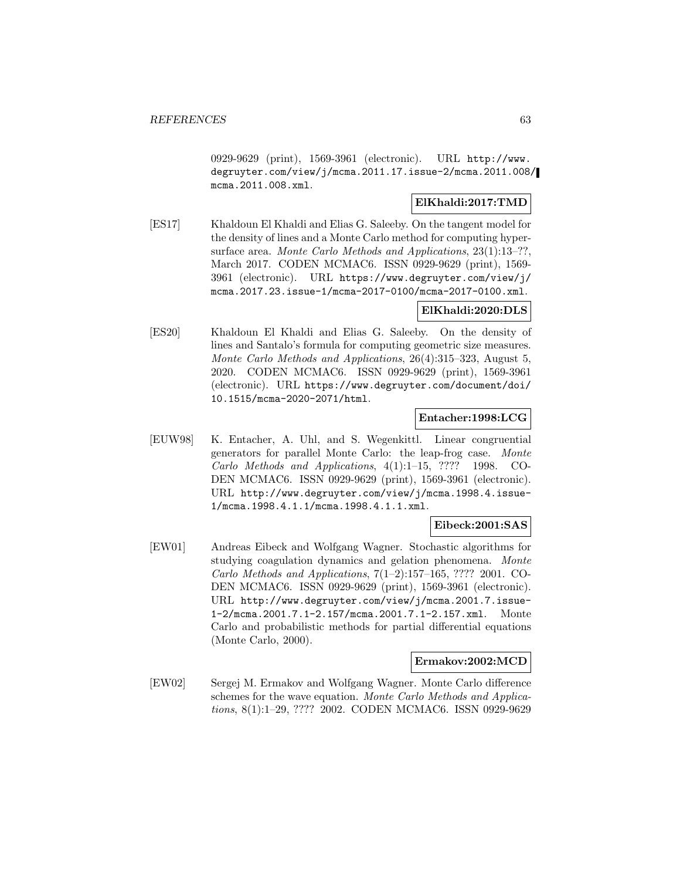0929-9629 (print), 1569-3961 (electronic). URL http://www. degruyter.com/view/j/mcma.2011.17.issue-2/mcma.2011.008/ mcma.2011.008.xml.

## **ElKhaldi:2017:TMD**

[ES17] Khaldoun El Khaldi and Elias G. Saleeby. On the tangent model for the density of lines and a Monte Carlo method for computing hypersurface area. Monte Carlo Methods and Applications, 23(1):13-??, March 2017. CODEN MCMAC6. ISSN 0929-9629 (print), 1569- 3961 (electronic). URL https://www.degruyter.com/view/j/ mcma.2017.23.issue-1/mcma-2017-0100/mcma-2017-0100.xml.

## **ElKhaldi:2020:DLS**

[ES20] Khaldoun El Khaldi and Elias G. Saleeby. On the density of lines and Santalo's formula for computing geometric size measures. Monte Carlo Methods and Applications, 26(4):315–323, August 5, 2020. CODEN MCMAC6. ISSN 0929-9629 (print), 1569-3961 (electronic). URL https://www.degruyter.com/document/doi/ 10.1515/mcma-2020-2071/html.

#### **Entacher:1998:LCG**

[EUW98] K. Entacher, A. Uhl, and S. Wegenkittl. Linear congruential generators for parallel Monte Carlo: the leap-frog case. Monte Carlo Methods and Applications, 4(1):1–15, ???? 1998. CO-DEN MCMAC6. ISSN 0929-9629 (print), 1569-3961 (electronic). URL http://www.degruyter.com/view/j/mcma.1998.4.issue-1/mcma.1998.4.1.1/mcma.1998.4.1.1.xml.

### **Eibeck:2001:SAS**

[EW01] Andreas Eibeck and Wolfgang Wagner. Stochastic algorithms for studying coagulation dynamics and gelation phenomena. Monte Carlo Methods and Applications,  $7(1-2):157-165, ???? 2001$ . CO-DEN MCMAC6. ISSN 0929-9629 (print), 1569-3961 (electronic). URL http://www.degruyter.com/view/j/mcma.2001.7.issue-1-2/mcma.2001.7.1-2.157/mcma.2001.7.1-2.157.xml. Monte Carlo and probabilistic methods for partial differential equations (Monte Carlo, 2000).

### **Ermakov:2002:MCD**

[EW02] Sergej M. Ermakov and Wolfgang Wagner. Monte Carlo difference schemes for the wave equation. Monte Carlo Methods and Applications, 8(1):1–29, ???? 2002. CODEN MCMAC6. ISSN 0929-9629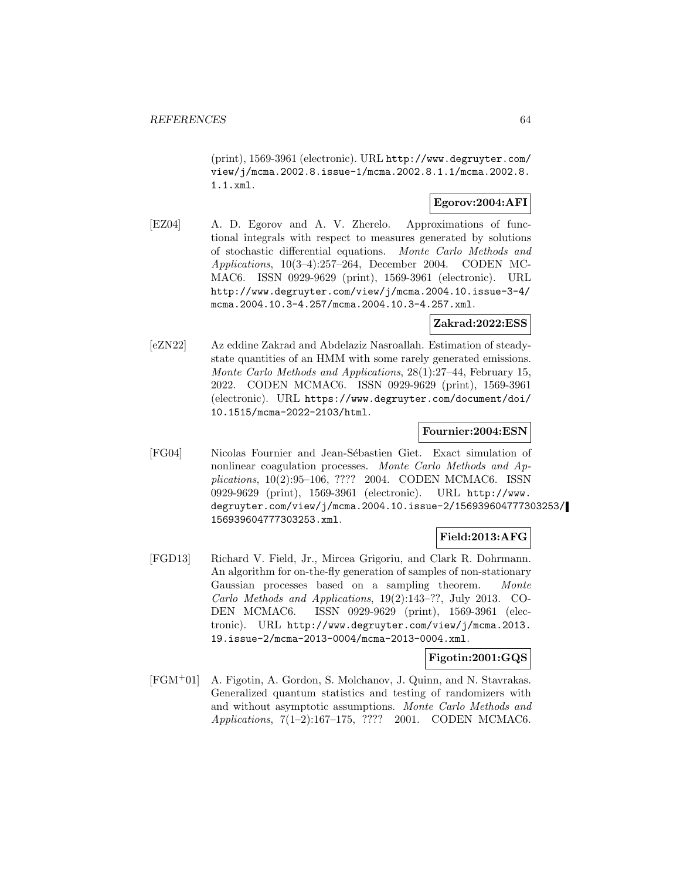(print), 1569-3961 (electronic). URL http://www.degruyter.com/ view/j/mcma.2002.8.issue-1/mcma.2002.8.1.1/mcma.2002.8. 1.1.xml.

# **Egorov:2004:AFI**

[EZ04] A. D. Egorov and A. V. Zherelo. Approximations of functional integrals with respect to measures generated by solutions of stochastic differential equations. Monte Carlo Methods and Applications, 10(3–4):257–264, December 2004. CODEN MC-MAC6. ISSN 0929-9629 (print), 1569-3961 (electronic). URL http://www.degruyter.com/view/j/mcma.2004.10.issue-3-4/ mcma.2004.10.3-4.257/mcma.2004.10.3-4.257.xml.

## **Zakrad:2022:ESS**

[eZN22] Az eddine Zakrad and Abdelaziz Nasroallah. Estimation of steadystate quantities of an HMM with some rarely generated emissions. Monte Carlo Methods and Applications, 28(1):27–44, February 15, 2022. CODEN MCMAC6. ISSN 0929-9629 (print), 1569-3961 (electronic). URL https://www.degruyter.com/document/doi/ 10.1515/mcma-2022-2103/html.

### **Fournier:2004:ESN**

[FG04] Nicolas Fournier and Jean-Sébastien Giet. Exact simulation of nonlinear coagulation processes. Monte Carlo Methods and Applications, 10(2):95–106, ???? 2004. CODEN MCMAC6. ISSN 0929-9629 (print), 1569-3961 (electronic). URL http://www. degruyter.com/view/j/mcma.2004.10.issue-2/156939604777303253/ 156939604777303253.xml.

## **Field:2013:AFG**

[FGD13] Richard V. Field, Jr., Mircea Grigoriu, and Clark R. Dohrmann. An algorithm for on-the-fly generation of samples of non-stationary Gaussian processes based on a sampling theorem. Monte Carlo Methods and Applications, 19(2):143–??, July 2013. CO-DEN MCMAC6. ISSN 0929-9629 (print), 1569-3961 (electronic). URL http://www.degruyter.com/view/j/mcma.2013. 19.issue-2/mcma-2013-0004/mcma-2013-0004.xml.

### **Figotin:2001:GQS**

[FGM<sup>+</sup>01] A. Figotin, A. Gordon, S. Molchanov, J. Quinn, and N. Stavrakas. Generalized quantum statistics and testing of randomizers with and without asymptotic assumptions. Monte Carlo Methods and Applications, 7(1–2):167–175, ???? 2001. CODEN MCMAC6.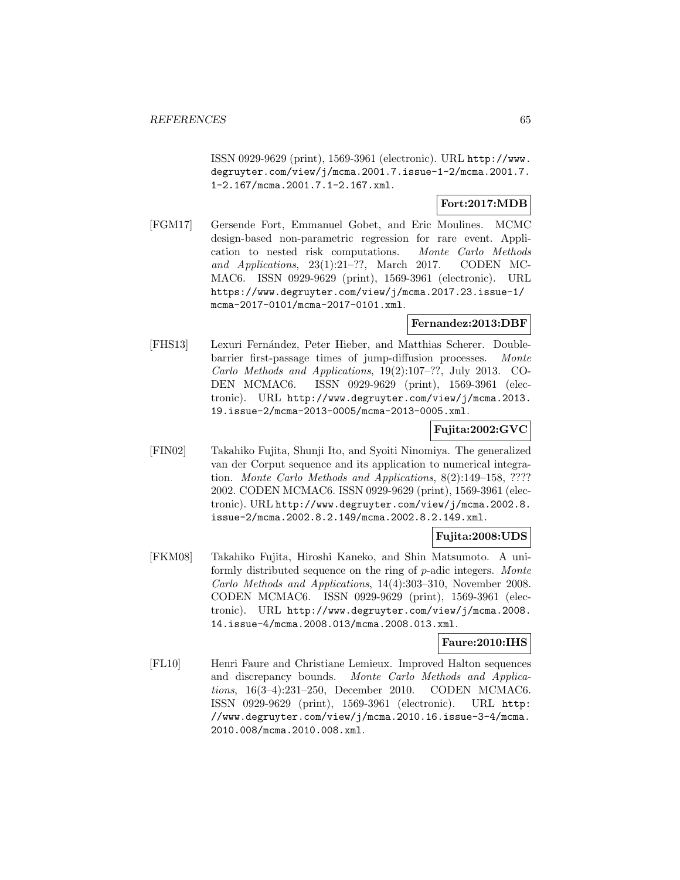ISSN 0929-9629 (print), 1569-3961 (electronic). URL http://www. degruyter.com/view/j/mcma.2001.7.issue-1-2/mcma.2001.7. 1-2.167/mcma.2001.7.1-2.167.xml.

# **Fort:2017:MDB**

[FGM17] Gersende Fort, Emmanuel Gobet, and Eric Moulines. MCMC design-based non-parametric regression for rare event. Application to nested risk computations. Monte Carlo Methods and Applications, 23(1):21–??, March 2017. CODEN MC-MAC6. ISSN 0929-9629 (print), 1569-3961 (electronic). URL https://www.degruyter.com/view/j/mcma.2017.23.issue-1/ mcma-2017-0101/mcma-2017-0101.xml.

#### **Fernandez:2013:DBF**

[FHS13] Lexuri Fernández, Peter Hieber, and Matthias Scherer. Doublebarrier first-passage times of jump-diffusion processes. Monte Carlo Methods and Applications, 19(2):107–??, July 2013. CO-DEN MCMAC6. ISSN 0929-9629 (print), 1569-3961 (electronic). URL http://www.degruyter.com/view/j/mcma.2013. 19.issue-2/mcma-2013-0005/mcma-2013-0005.xml.

## **Fujita:2002:GVC**

[FIN02] Takahiko Fujita, Shunji Ito, and Syoiti Ninomiya. The generalized van der Corput sequence and its application to numerical integration. Monte Carlo Methods and Applications, 8(2):149–158, ???? 2002. CODEN MCMAC6. ISSN 0929-9629 (print), 1569-3961 (electronic). URL http://www.degruyter.com/view/j/mcma.2002.8. issue-2/mcma.2002.8.2.149/mcma.2002.8.2.149.xml.

## **Fujita:2008:UDS**

[FKM08] Takahiko Fujita, Hiroshi Kaneko, and Shin Matsumoto. A uniformly distributed sequence on the ring of p-adic integers. Monte Carlo Methods and Applications, 14(4):303–310, November 2008. CODEN MCMAC6. ISSN 0929-9629 (print), 1569-3961 (electronic). URL http://www.degruyter.com/view/j/mcma.2008. 14.issue-4/mcma.2008.013/mcma.2008.013.xml.

### **Faure:2010:IHS**

[FL10] Henri Faure and Christiane Lemieux. Improved Halton sequences and discrepancy bounds. Monte Carlo Methods and Applications, 16(3–4):231–250, December 2010. CODEN MCMAC6. ISSN 0929-9629 (print), 1569-3961 (electronic). URL http: //www.degruyter.com/view/j/mcma.2010.16.issue-3-4/mcma. 2010.008/mcma.2010.008.xml.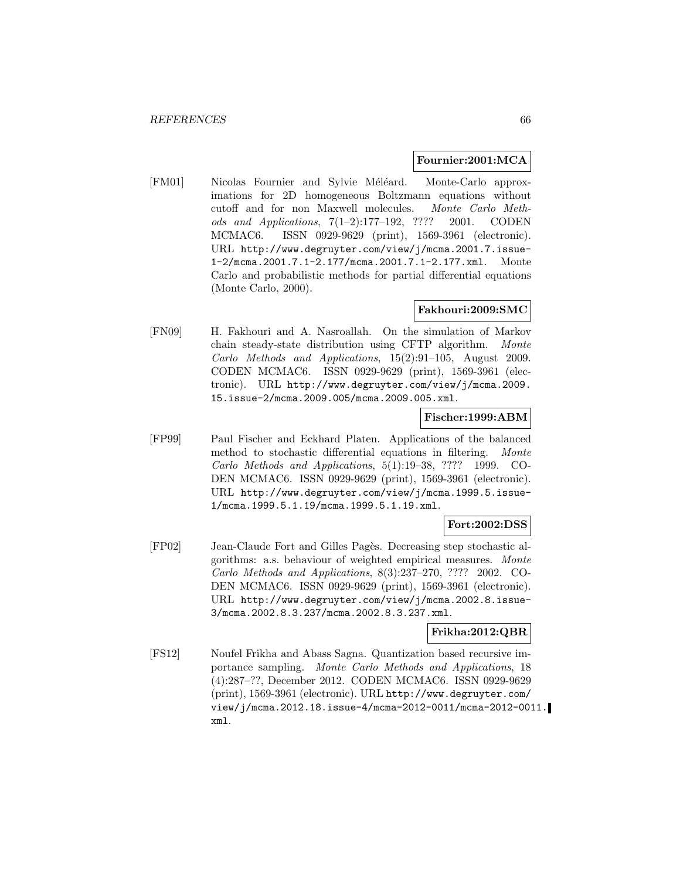#### **Fournier:2001:MCA**

[FM01] Nicolas Fournier and Sylvie Méléard. Monte-Carlo approximations for 2D homogeneous Boltzmann equations without cutoff and for non Maxwell molecules. Monte Carlo Methods and Applications, 7(1–2):177–192, ???? 2001. CODEN MCMAC6. ISSN 0929-9629 (print), 1569-3961 (electronic). URL http://www.degruyter.com/view/j/mcma.2001.7.issue-1-2/mcma.2001.7.1-2.177/mcma.2001.7.1-2.177.xml. Monte Carlo and probabilistic methods for partial differential equations (Monte Carlo, 2000).

## **Fakhouri:2009:SMC**

[FN09] H. Fakhouri and A. Nasroallah. On the simulation of Markov chain steady-state distribution using CFTP algorithm. Monte Carlo Methods and Applications, 15(2):91–105, August 2009. CODEN MCMAC6. ISSN 0929-9629 (print), 1569-3961 (electronic). URL http://www.degruyter.com/view/j/mcma.2009. 15.issue-2/mcma.2009.005/mcma.2009.005.xml.

#### **Fischer:1999:ABM**

[FP99] Paul Fischer and Eckhard Platen. Applications of the balanced method to stochastic differential equations in filtering. Monte Carlo Methods and Applications, 5(1):19–38, ???? 1999. CO-DEN MCMAC6. ISSN 0929-9629 (print), 1569-3961 (electronic). URL http://www.degruyter.com/view/j/mcma.1999.5.issue-1/mcma.1999.5.1.19/mcma.1999.5.1.19.xml.

## **Fort:2002:DSS**

[FP02] Jean-Claude Fort and Gilles Pagès. Decreasing step stochastic algorithms: a.s. behaviour of weighted empirical measures. Monte Carlo Methods and Applications, 8(3):237–270, ???? 2002. CO-DEN MCMAC6. ISSN 0929-9629 (print), 1569-3961 (electronic). URL http://www.degruyter.com/view/j/mcma.2002.8.issue-3/mcma.2002.8.3.237/mcma.2002.8.3.237.xml.

### **Frikha:2012:QBR**

[FS12] Noufel Frikha and Abass Sagna. Quantization based recursive importance sampling. Monte Carlo Methods and Applications, 18 (4):287–??, December 2012. CODEN MCMAC6. ISSN 0929-9629 (print), 1569-3961 (electronic). URL http://www.degruyter.com/ view/j/mcma.2012.18.issue-4/mcma-2012-0011/mcma-2012-0011. xml.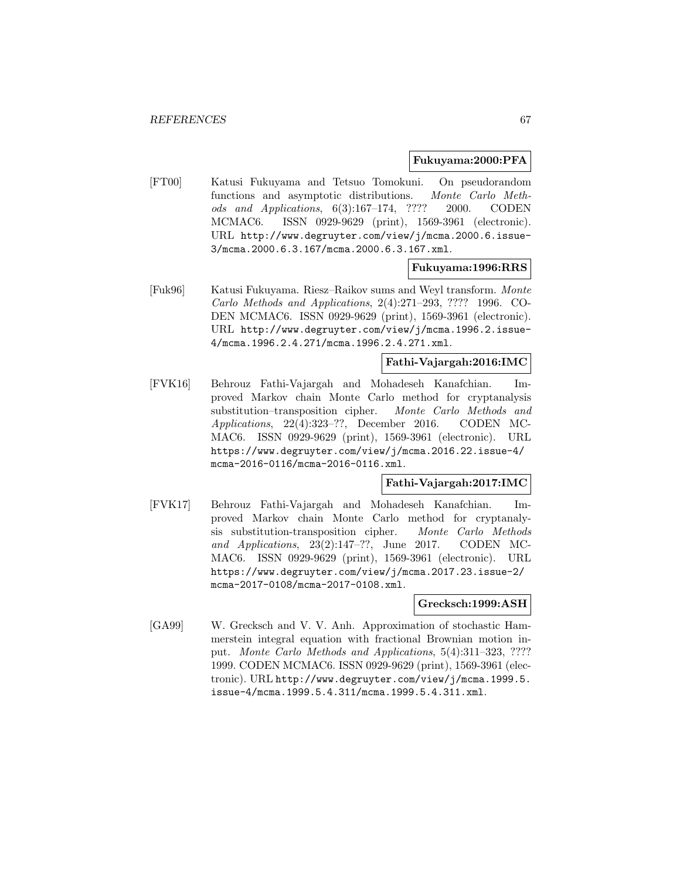#### **Fukuyama:2000:PFA**

[FT00] Katusi Fukuyama and Tetsuo Tomokuni. On pseudorandom functions and asymptotic distributions. Monte Carlo Methods and Applications, 6(3):167–174, ???? 2000. CODEN MCMAC6. ISSN 0929-9629 (print), 1569-3961 (electronic). URL http://www.degruyter.com/view/j/mcma.2000.6.issue-3/mcma.2000.6.3.167/mcma.2000.6.3.167.xml.

### **Fukuyama:1996:RRS**

[Fuk96] Katusi Fukuyama. Riesz–Raikov sums and Weyl transform. Monte Carlo Methods and Applications, 2(4):271–293, ???? 1996. CO-DEN MCMAC6. ISSN 0929-9629 (print), 1569-3961 (electronic). URL http://www.degruyter.com/view/j/mcma.1996.2.issue-4/mcma.1996.2.4.271/mcma.1996.2.4.271.xml.

### **Fathi-Vajargah:2016:IMC**

[FVK16] Behrouz Fathi-Vajargah and Mohadeseh Kanafchian. Improved Markov chain Monte Carlo method for cryptanalysis substitution–transposition cipher. Monte Carlo Methods and Applications, 22(4):323–??, December 2016. CODEN MC-MAC6. ISSN 0929-9629 (print), 1569-3961 (electronic). URL https://www.degruyter.com/view/j/mcma.2016.22.issue-4/ mcma-2016-0116/mcma-2016-0116.xml.

### **Fathi-Vajargah:2017:IMC**

[FVK17] Behrouz Fathi-Vajargah and Mohadeseh Kanafchian. Improved Markov chain Monte Carlo method for cryptanalysis substitution-transposition cipher. Monte Carlo Methods and Applications, 23(2):147–??, June 2017. CODEN MC-MAC6. ISSN 0929-9629 (print), 1569-3961 (electronic). URL https://www.degruyter.com/view/j/mcma.2017.23.issue-2/ mcma-2017-0108/mcma-2017-0108.xml.

#### **Grecksch:1999:ASH**

[GA99] W. Grecksch and V. V. Anh. Approximation of stochastic Hammerstein integral equation with fractional Brownian motion input. Monte Carlo Methods and Applications, 5(4):311–323, ???? 1999. CODEN MCMAC6. ISSN 0929-9629 (print), 1569-3961 (electronic). URL http://www.degruyter.com/view/j/mcma.1999.5. issue-4/mcma.1999.5.4.311/mcma.1999.5.4.311.xml.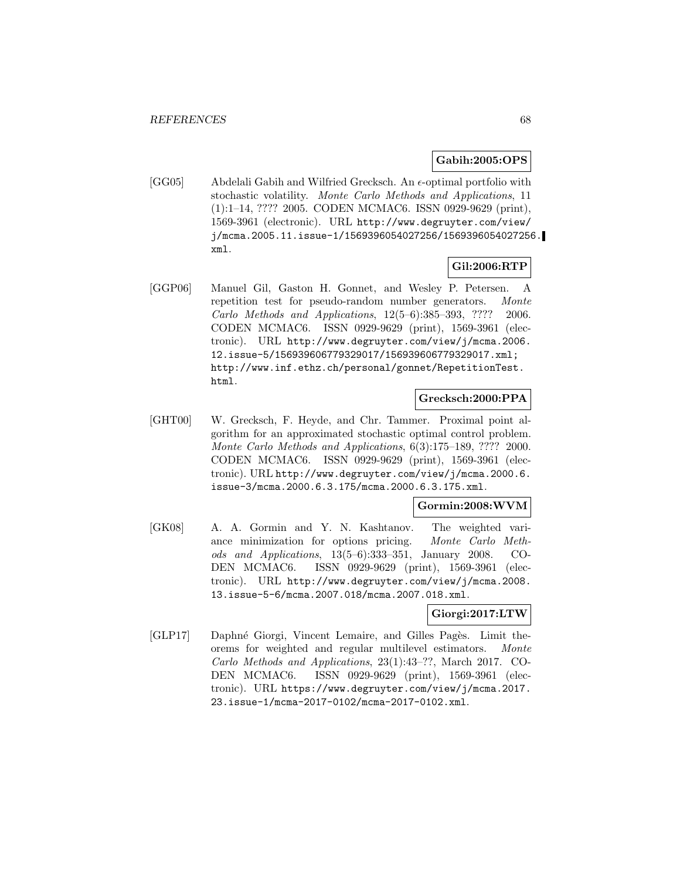#### **Gabih:2005:OPS**

[GG05] Abdelali Gabih and Wilfried Grecksch. An  $\epsilon$ -optimal portfolio with stochastic volatility. Monte Carlo Methods and Applications, 11 (1):1–14, ???? 2005. CODEN MCMAC6. ISSN 0929-9629 (print), 1569-3961 (electronic). URL http://www.degruyter.com/view/ j/mcma.2005.11.issue-1/1569396054027256/1569396054027256. xml.

## **Gil:2006:RTP**

[GGP06] Manuel Gil, Gaston H. Gonnet, and Wesley P. Petersen. A repetition test for pseudo-random number generators. Monte Carlo Methods and Applications, 12(5–6):385–393, ???? 2006. CODEN MCMAC6. ISSN 0929-9629 (print), 1569-3961 (electronic). URL http://www.degruyter.com/view/j/mcma.2006. 12.issue-5/156939606779329017/156939606779329017.xml; http://www.inf.ethz.ch/personal/gonnet/RepetitionTest. html.

## **Grecksch:2000:PPA**

[GHT00] W. Grecksch, F. Heyde, and Chr. Tammer. Proximal point algorithm for an approximated stochastic optimal control problem. Monte Carlo Methods and Applications, 6(3):175–189, ???? 2000. CODEN MCMAC6. ISSN 0929-9629 (print), 1569-3961 (electronic). URL http://www.degruyter.com/view/j/mcma.2000.6. issue-3/mcma.2000.6.3.175/mcma.2000.6.3.175.xml.

#### **Gormin:2008:WVM**

[GK08] A. A. Gormin and Y. N. Kashtanov. The weighted variance minimization for options pricing. Monte Carlo Methods and Applications, 13(5–6):333–351, January 2008. CO-DEN MCMAC6. ISSN 0929-9629 (print), 1569-3961 (electronic). URL http://www.degruyter.com/view/j/mcma.2008. 13.issue-5-6/mcma.2007.018/mcma.2007.018.xml.

## **Giorgi:2017:LTW**

[GLP17] Daphné Giorgi, Vincent Lemaire, and Gilles Pagès. Limit theorems for weighted and regular multilevel estimators. Monte Carlo Methods and Applications, 23(1):43–??, March 2017. CO-DEN MCMAC6. ISSN 0929-9629 (print), 1569-3961 (electronic). URL https://www.degruyter.com/view/j/mcma.2017. 23.issue-1/mcma-2017-0102/mcma-2017-0102.xml.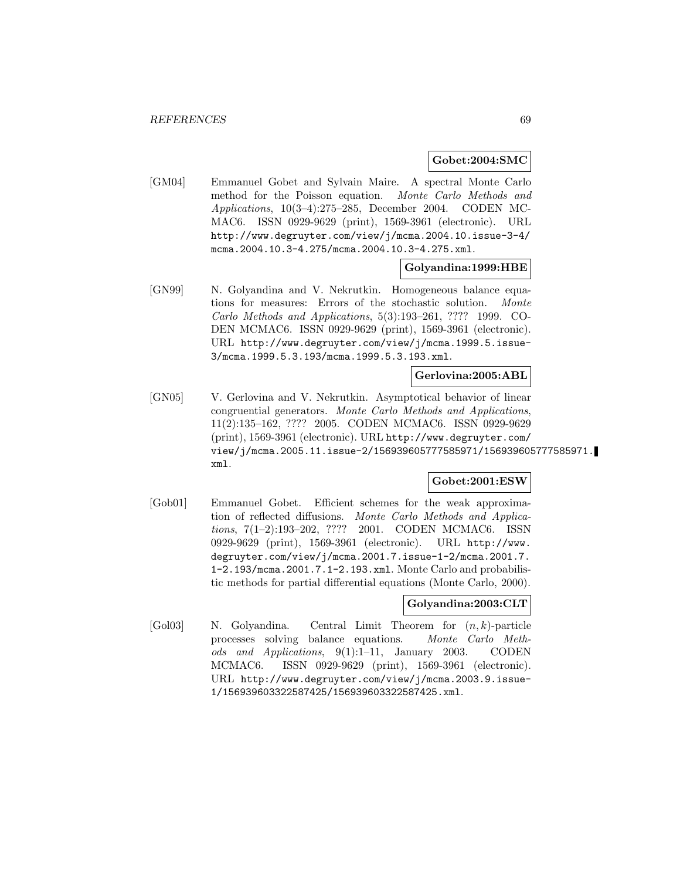#### **Gobet:2004:SMC**

[GM04] Emmanuel Gobet and Sylvain Maire. A spectral Monte Carlo method for the Poisson equation. Monte Carlo Methods and Applications, 10(3–4):275–285, December 2004. CODEN MC-MAC6. ISSN 0929-9629 (print), 1569-3961 (electronic). URL http://www.degruyter.com/view/j/mcma.2004.10.issue-3-4/ mcma.2004.10.3-4.275/mcma.2004.10.3-4.275.xml.

### **Golyandina:1999:HBE**

[GN99] N. Golyandina and V. Nekrutkin. Homogeneous balance equations for measures: Errors of the stochastic solution. Monte Carlo Methods and Applications, 5(3):193–261, ???? 1999. CO-DEN MCMAC6. ISSN 0929-9629 (print), 1569-3961 (electronic). URL http://www.degruyter.com/view/j/mcma.1999.5.issue-3/mcma.1999.5.3.193/mcma.1999.5.3.193.xml.

#### **Gerlovina:2005:ABL**

[GN05] V. Gerlovina and V. Nekrutkin. Asymptotical behavior of linear congruential generators. Monte Carlo Methods and Applications, 11(2):135–162, ???? 2005. CODEN MCMAC6. ISSN 0929-9629 (print), 1569-3961 (electronic). URL http://www.degruyter.com/ view/j/mcma.2005.11.issue-2/156939605777585971/156939605777585971. xml.

### **Gobet:2001:ESW**

[Gob01] Emmanuel Gobet. Efficient schemes for the weak approximation of reflected diffusions. Monte Carlo Methods and Applications, 7(1–2):193–202, ???? 2001. CODEN MCMAC6. ISSN 0929-9629 (print), 1569-3961 (electronic). URL http://www. degruyter.com/view/j/mcma.2001.7.issue-1-2/mcma.2001.7. 1-2.193/mcma.2001.7.1-2.193.xml. Monte Carlo and probabilistic methods for partial differential equations (Monte Carlo, 2000).

### **Golyandina:2003:CLT**

 $[Gol03]$  N. Golyandina. Central Limit Theorem for  $(n, k)$ -particle processes solving balance equations. Monte Carlo Methods and Applications, 9(1):1–11, January 2003. CODEN MCMAC6. ISSN 0929-9629 (print), 1569-3961 (electronic). URL http://www.degruyter.com/view/j/mcma.2003.9.issue-1/156939603322587425/156939603322587425.xml.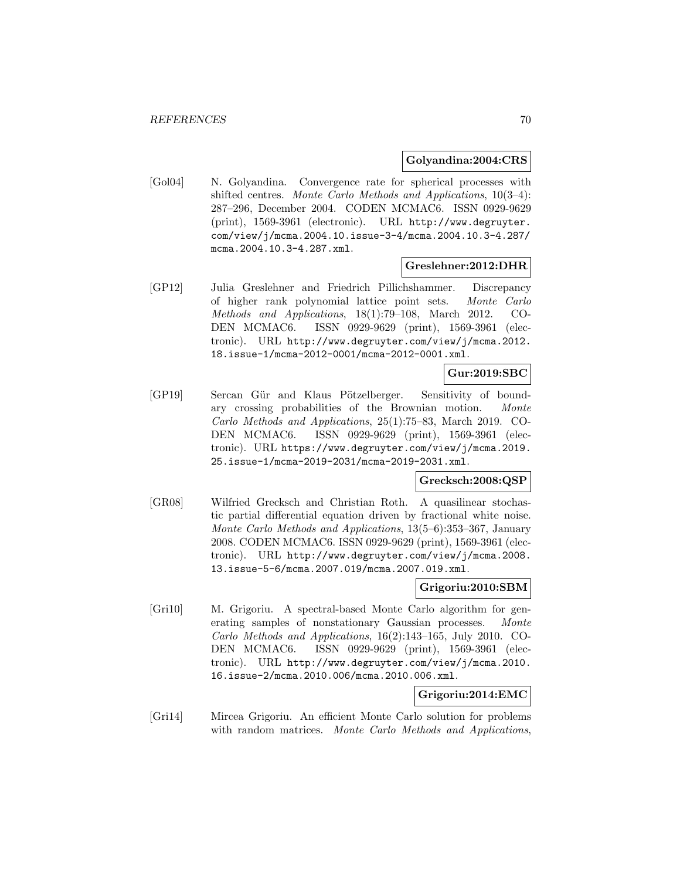#### **Golyandina:2004:CRS**

[Gol04] N. Golyandina. Convergence rate for spherical processes with shifted centres. Monte Carlo Methods and Applications,  $10(3-4)$ : 287–296, December 2004. CODEN MCMAC6. ISSN 0929-9629 (print), 1569-3961 (electronic). URL http://www.degruyter. com/view/j/mcma.2004.10.issue-3-4/mcma.2004.10.3-4.287/ mcma.2004.10.3-4.287.xml.

### **Greslehner:2012:DHR**

[GP12] Julia Greslehner and Friedrich Pillichshammer. Discrepancy of higher rank polynomial lattice point sets. Monte Carlo Methods and Applications, 18(1):79–108, March 2012. CO-DEN MCMAC6. ISSN 0929-9629 (print), 1569-3961 (electronic). URL http://www.degruyter.com/view/j/mcma.2012. 18.issue-1/mcma-2012-0001/mcma-2012-0001.xml.

## **Gur:2019:SBC**

[GP19] Sercan Gür and Klaus Pötzelberger. Sensitivity of boundary crossing probabilities of the Brownian motion. Monte Carlo Methods and Applications, 25(1):75–83, March 2019. CO-DEN MCMAC6. ISSN 0929-9629 (print), 1569-3961 (electronic). URL https://www.degruyter.com/view/j/mcma.2019. 25.issue-1/mcma-2019-2031/mcma-2019-2031.xml.

### **Grecksch:2008:QSP**

[GR08] Wilfried Grecksch and Christian Roth. A quasilinear stochastic partial differential equation driven by fractional white noise. Monte Carlo Methods and Applications, 13(5–6):353–367, January 2008. CODEN MCMAC6. ISSN 0929-9629 (print), 1569-3961 (electronic). URL http://www.degruyter.com/view/j/mcma.2008. 13.issue-5-6/mcma.2007.019/mcma.2007.019.xml.

## **Grigoriu:2010:SBM**

[Gri10] M. Grigoriu. A spectral-based Monte Carlo algorithm for generating samples of nonstationary Gaussian processes. Monte Carlo Methods and Applications, 16(2):143–165, July 2010. CO-DEN MCMAC6. ISSN 0929-9629 (print), 1569-3961 (electronic). URL http://www.degruyter.com/view/j/mcma.2010. 16.issue-2/mcma.2010.006/mcma.2010.006.xml.

## **Grigoriu:2014:EMC**

[Gri14] Mircea Grigoriu. An efficient Monte Carlo solution for problems with random matrices. Monte Carlo Methods and Applications,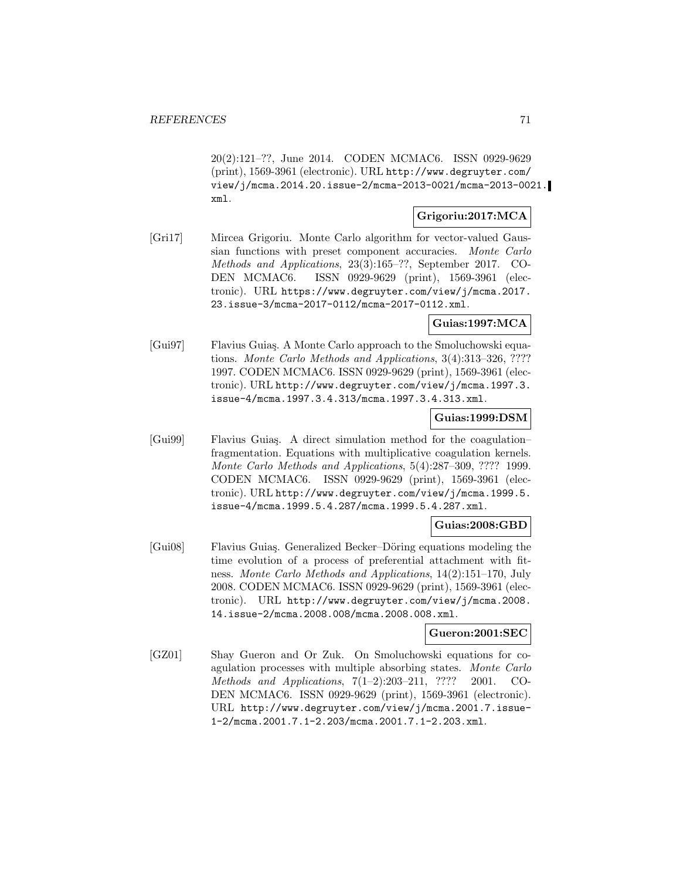20(2):121–??, June 2014. CODEN MCMAC6. ISSN 0929-9629 (print), 1569-3961 (electronic). URL http://www.degruyter.com/ view/j/mcma.2014.20.issue-2/mcma-2013-0021/mcma-2013-0021. xml.

## **Grigoriu:2017:MCA**

[Gri17] Mircea Grigoriu. Monte Carlo algorithm for vector-valued Gaussian functions with preset component accuracies. Monte Carlo Methods and Applications, 23(3):165–??, September 2017. CO-DEN MCMAC6. ISSN 0929-9629 (print), 1569-3961 (electronic). URL https://www.degruyter.com/view/j/mcma.2017. 23.issue-3/mcma-2017-0112/mcma-2017-0112.xml.

## **Guias:1997:MCA**

[Gui97] Flavius Guia¸s. A Monte Carlo approach to the Smoluchowski equations. Monte Carlo Methods and Applications, 3(4):313–326, ???? 1997. CODEN MCMAC6. ISSN 0929-9629 (print), 1569-3961 (electronic). URL http://www.degruyter.com/view/j/mcma.1997.3. issue-4/mcma.1997.3.4.313/mcma.1997.3.4.313.xml.

#### **Guias:1999:DSM**

[Gui99] Flavius Guiaş. A direct simulation method for the coagulation– fragmentation. Equations with multiplicative coagulation kernels. Monte Carlo Methods and Applications, 5(4):287–309, ???? 1999. CODEN MCMAC6. ISSN 0929-9629 (print), 1569-3961 (electronic). URL http://www.degruyter.com/view/j/mcma.1999.5. issue-4/mcma.1999.5.4.287/mcma.1999.5.4.287.xml.

## **Guias:2008:GBD**

[Gui08] Flavius Guiaş. Generalized Becker–Döring equations modeling the time evolution of a process of preferential attachment with fitness. Monte Carlo Methods and Applications, 14(2):151–170, July 2008. CODEN MCMAC6. ISSN 0929-9629 (print), 1569-3961 (electronic). URL http://www.degruyter.com/view/j/mcma.2008. 14.issue-2/mcma.2008.008/mcma.2008.008.xml.

### **Gueron:2001:SEC**

[GZ01] Shay Gueron and Or Zuk. On Smoluchowski equations for coagulation processes with multiple absorbing states. Monte Carlo Methods and Applications, 7(1–2):203–211, ???? 2001. CO-DEN MCMAC6. ISSN 0929-9629 (print), 1569-3961 (electronic). URL http://www.degruyter.com/view/j/mcma.2001.7.issue-1-2/mcma.2001.7.1-2.203/mcma.2001.7.1-2.203.xml.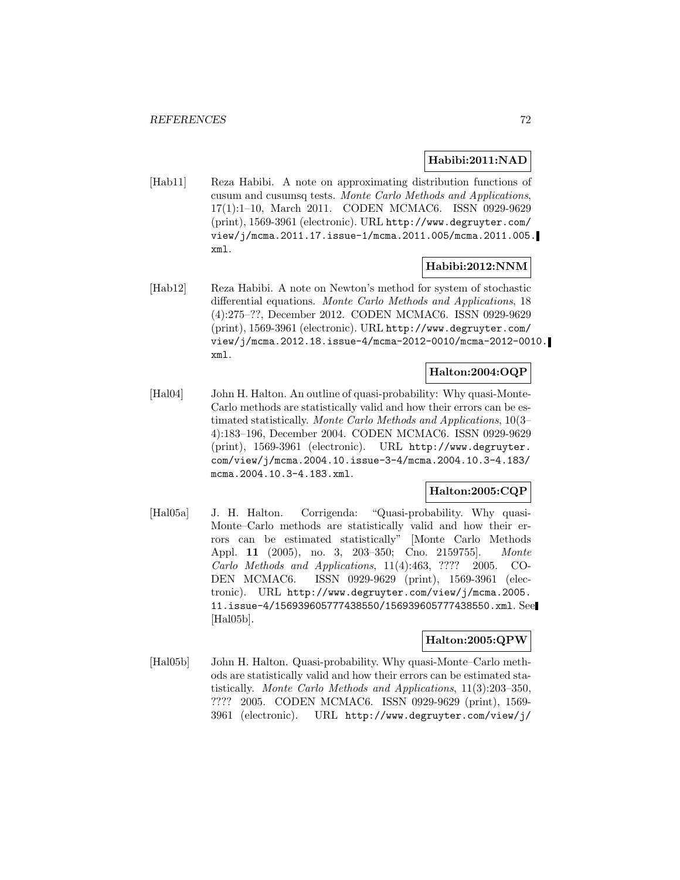#### **Habibi:2011:NAD**

[Hab11] Reza Habibi. A note on approximating distribution functions of cusum and cusumsq tests. Monte Carlo Methods and Applications, 17(1):1–10, March 2011. CODEN MCMAC6. ISSN 0929-9629 (print), 1569-3961 (electronic). URL http://www.degruyter.com/ view/j/mcma.2011.17.issue-1/mcma.2011.005/mcma.2011.005. xml.

## **Habibi:2012:NNM**

[Hab12] Reza Habibi. A note on Newton's method for system of stochastic differential equations. Monte Carlo Methods and Applications, 18 (4):275–??, December 2012. CODEN MCMAC6. ISSN 0929-9629 (print), 1569-3961 (electronic). URL http://www.degruyter.com/ view/j/mcma.2012.18.issue-4/mcma-2012-0010/mcma-2012-0010. xml.

## **Halton:2004:OQP**

[Hal04] John H. Halton. An outline of quasi-probability: Why quasi-Monte-Carlo methods are statistically valid and how their errors can be estimated statistically. Monte Carlo Methods and Applications, 10(3– 4):183–196, December 2004. CODEN MCMAC6. ISSN 0929-9629 (print), 1569-3961 (electronic). URL http://www.degruyter. com/view/j/mcma.2004.10.issue-3-4/mcma.2004.10.3-4.183/ mcma.2004.10.3-4.183.xml.

## **Halton:2005:CQP**

[Hal05a] J. H. Halton. Corrigenda: "Quasi-probability. Why quasi-Monte–Carlo methods are statistically valid and how their errors can be estimated statistically" [Monte Carlo Methods Appl. **11** (2005), no. 3, 203–350; Cno. 2159755]. Monte Carlo Methods and Applications, 11(4):463, ???? 2005. CO-DEN MCMAC6. ISSN 0929-9629 (print), 1569-3961 (electronic). URL http://www.degruyter.com/view/j/mcma.2005. 11.issue-4/156939605777438550/156939605777438550.xml. See [Hal05b].

## **Halton:2005:QPW**

[Hal05b] John H. Halton. Quasi-probability. Why quasi-Monte–Carlo methods are statistically valid and how their errors can be estimated statistically. Monte Carlo Methods and Applications, 11(3):203–350, ???? 2005. CODEN MCMAC6. ISSN 0929-9629 (print), 1569- 3961 (electronic). URL http://www.degruyter.com/view/j/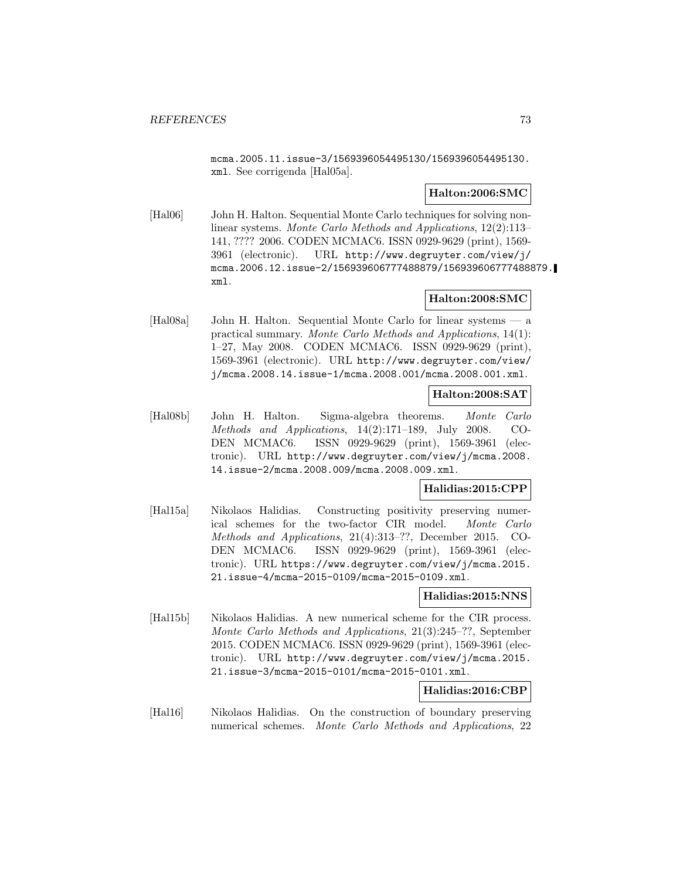mcma.2005.11.issue-3/1569396054495130/1569396054495130. xml. See corrigenda [Hal05a].

### **Halton:2006:SMC**

[Hal06] John H. Halton. Sequential Monte Carlo techniques for solving nonlinear systems. Monte Carlo Methods and Applications, 12(2):113– 141, ???? 2006. CODEN MCMAC6. ISSN 0929-9629 (print), 1569- 3961 (electronic). URL http://www.degruyter.com/view/j/ mcma.2006.12.issue-2/156939606777488879/156939606777488879. xml.

## **Halton:2008:SMC**

[Hal08a] John H. Halton. Sequential Monte Carlo for linear systems — a practical summary. Monte Carlo Methods and Applications, 14(1): 1–27, May 2008. CODEN MCMAC6. ISSN 0929-9629 (print), 1569-3961 (electronic). URL http://www.degruyter.com/view/ j/mcma.2008.14.issue-1/mcma.2008.001/mcma.2008.001.xml.

### **Halton:2008:SAT**

[Hal08b] John H. Halton. Sigma-algebra theorems. Monte Carlo Methods and Applications, 14(2):171–189, July 2008. CO-DEN MCMAC6. ISSN 0929-9629 (print), 1569-3961 (electronic). URL http://www.degruyter.com/view/j/mcma.2008. 14.issue-2/mcma.2008.009/mcma.2008.009.xml.

### **Halidias:2015:CPP**

[Hal15a] Nikolaos Halidias. Constructing positivity preserving numerical schemes for the two-factor CIR model. Monte Carlo Methods and Applications, 21(4):313–??, December 2015. CO-DEN MCMAC6. ISSN 0929-9629 (print), 1569-3961 (electronic). URL https://www.degruyter.com/view/j/mcma.2015. 21.issue-4/mcma-2015-0109/mcma-2015-0109.xml.

### **Halidias:2015:NNS**

[Hal15b] Nikolaos Halidias. A new numerical scheme for the CIR process. Monte Carlo Methods and Applications, 21(3):245–??, September 2015. CODEN MCMAC6. ISSN 0929-9629 (print), 1569-3961 (electronic). URL http://www.degruyter.com/view/j/mcma.2015. 21.issue-3/mcma-2015-0101/mcma-2015-0101.xml.

# **Halidias:2016:CBP**

[Hal16] Nikolaos Halidias. On the construction of boundary preserving numerical schemes. Monte Carlo Methods and Applications, 22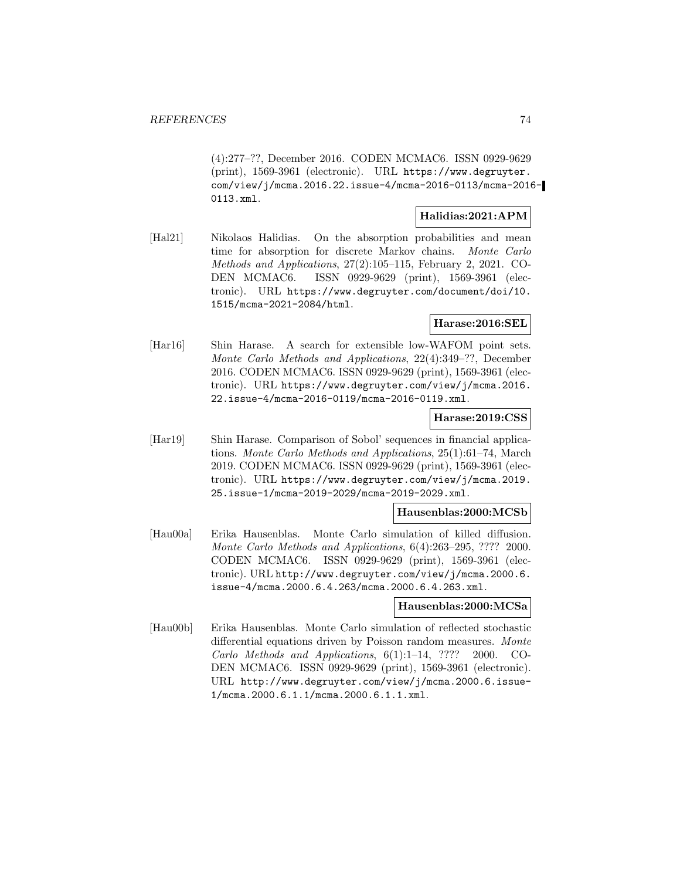(4):277–??, December 2016. CODEN MCMAC6. ISSN 0929-9629 (print), 1569-3961 (electronic). URL https://www.degruyter. com/view/j/mcma.2016.22.issue-4/mcma-2016-0113/mcma-2016- 0113.xml.

### **Halidias:2021:APM**

[Hal21] Nikolaos Halidias. On the absorption probabilities and mean time for absorption for discrete Markov chains. Monte Carlo Methods and Applications, 27(2):105–115, February 2, 2021. CO-DEN MCMAC6. ISSN 0929-9629 (print), 1569-3961 (electronic). URL https://www.degruyter.com/document/doi/10. 1515/mcma-2021-2084/html.

## **Harase:2016:SEL**

[Har16] Shin Harase. A search for extensible low-WAFOM point sets. Monte Carlo Methods and Applications, 22(4):349–??, December 2016. CODEN MCMAC6. ISSN 0929-9629 (print), 1569-3961 (electronic). URL https://www.degruyter.com/view/j/mcma.2016. 22.issue-4/mcma-2016-0119/mcma-2016-0119.xml.

### **Harase:2019:CSS**

[Har19] Shin Harase. Comparison of Sobol' sequences in financial applications. Monte Carlo Methods and Applications, 25(1):61–74, March 2019. CODEN MCMAC6. ISSN 0929-9629 (print), 1569-3961 (electronic). URL https://www.degruyter.com/view/j/mcma.2019. 25.issue-1/mcma-2019-2029/mcma-2019-2029.xml.

# **Hausenblas:2000:MCSb**

[Hau00a] Erika Hausenblas. Monte Carlo simulation of killed diffusion. Monte Carlo Methods and Applications, 6(4):263–295, ???? 2000. CODEN MCMAC6. ISSN 0929-9629 (print), 1569-3961 (electronic). URL http://www.degruyter.com/view/j/mcma.2000.6. issue-4/mcma.2000.6.4.263/mcma.2000.6.4.263.xml.

### **Hausenblas:2000:MCSa**

[Hau00b] Erika Hausenblas. Monte Carlo simulation of reflected stochastic differential equations driven by Poisson random measures. Monte Carlo Methods and Applications, 6(1):1–14, ???? 2000. CO-DEN MCMAC6. ISSN 0929-9629 (print), 1569-3961 (electronic). URL http://www.degruyter.com/view/j/mcma.2000.6.issue-1/mcma.2000.6.1.1/mcma.2000.6.1.1.xml.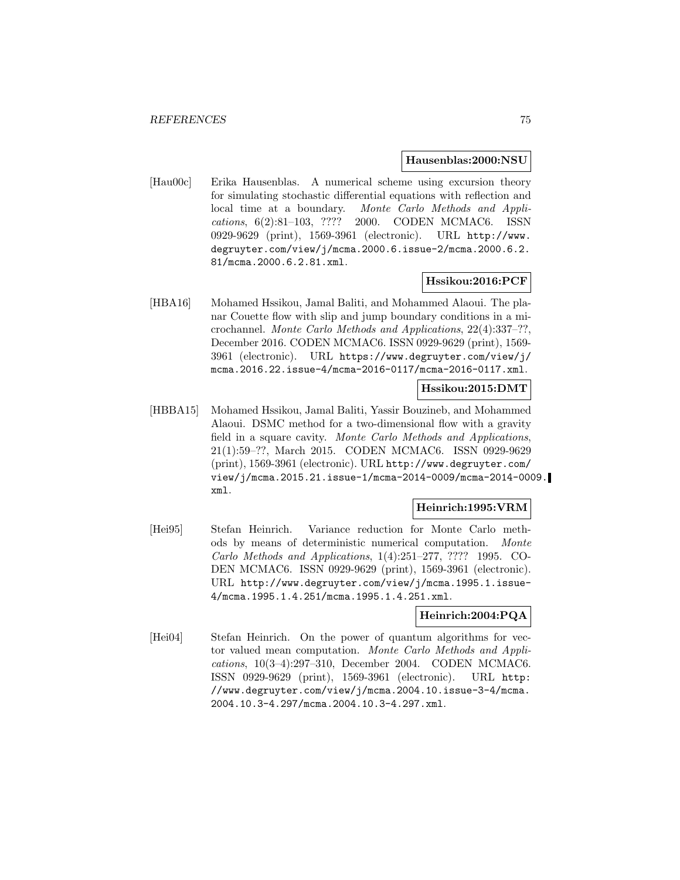#### **Hausenblas:2000:NSU**

[Hau00c] Erika Hausenblas. A numerical scheme using excursion theory for simulating stochastic differential equations with reflection and local time at a boundary. Monte Carlo Methods and Applications, 6(2):81–103, ???? 2000. CODEN MCMAC6. ISSN 0929-9629 (print), 1569-3961 (electronic). URL http://www. degruyter.com/view/j/mcma.2000.6.issue-2/mcma.2000.6.2. 81/mcma.2000.6.2.81.xml.

### **Hssikou:2016:PCF**

[HBA16] Mohamed Hssikou, Jamal Baliti, and Mohammed Alaoui. The planar Couette flow with slip and jump boundary conditions in a microchannel. Monte Carlo Methods and Applications, 22(4):337–??, December 2016. CODEN MCMAC6. ISSN 0929-9629 (print), 1569- 3961 (electronic). URL https://www.degruyter.com/view/j/ mcma.2016.22.issue-4/mcma-2016-0117/mcma-2016-0117.xml.

### **Hssikou:2015:DMT**

[HBBA15] Mohamed Hssikou, Jamal Baliti, Yassir Bouzineb, and Mohammed Alaoui. DSMC method for a two-dimensional flow with a gravity field in a square cavity. Monte Carlo Methods and Applications, 21(1):59–??, March 2015. CODEN MCMAC6. ISSN 0929-9629 (print), 1569-3961 (electronic). URL http://www.degruyter.com/ view/j/mcma.2015.21.issue-1/mcma-2014-0009/mcma-2014-0009. xml.

# **Heinrich:1995:VRM**

[Hei95] Stefan Heinrich. Variance reduction for Monte Carlo methods by means of deterministic numerical computation. Monte Carlo Methods and Applications, 1(4):251–277, ???? 1995. CO-DEN MCMAC6. ISSN 0929-9629 (print), 1569-3961 (electronic). URL http://www.degruyter.com/view/j/mcma.1995.1.issue-4/mcma.1995.1.4.251/mcma.1995.1.4.251.xml.

### **Heinrich:2004:PQA**

[Hei04] Stefan Heinrich. On the power of quantum algorithms for vector valued mean computation. Monte Carlo Methods and Applications, 10(3–4):297–310, December 2004. CODEN MCMAC6. ISSN 0929-9629 (print), 1569-3961 (electronic). URL http: //www.degruyter.com/view/j/mcma.2004.10.issue-3-4/mcma. 2004.10.3-4.297/mcma.2004.10.3-4.297.xml.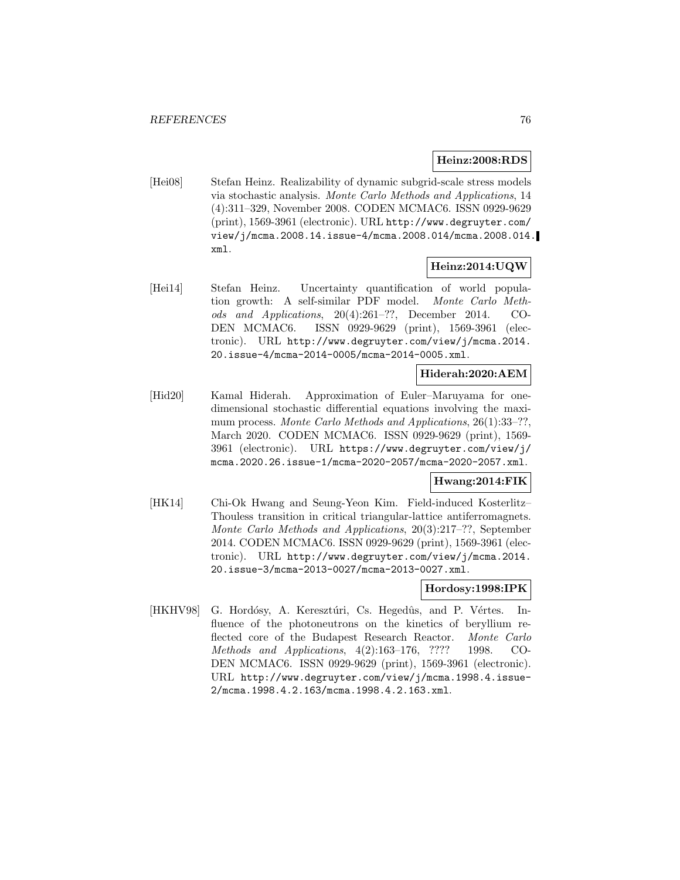### **Heinz:2008:RDS**

[Hei08] Stefan Heinz. Realizability of dynamic subgrid-scale stress models via stochastic analysis. Monte Carlo Methods and Applications, 14 (4):311–329, November 2008. CODEN MCMAC6. ISSN 0929-9629 (print), 1569-3961 (electronic). URL http://www.degruyter.com/ view/j/mcma.2008.14.issue-4/mcma.2008.014/mcma.2008.014. xml.

## **Heinz:2014:UQW**

[Hei14] Stefan Heinz. Uncertainty quantification of world population growth: A self-similar PDF model. Monte Carlo Methods and Applications, 20(4):261–??, December 2014. CO-DEN MCMAC6. ISSN 0929-9629 (print), 1569-3961 (electronic). URL http://www.degruyter.com/view/j/mcma.2014. 20.issue-4/mcma-2014-0005/mcma-2014-0005.xml.

### **Hiderah:2020:AEM**

[Hid20] Kamal Hiderah. Approximation of Euler–Maruyama for onedimensional stochastic differential equations involving the maximum process. Monte Carlo Methods and Applications, 26(1):33–??, March 2020. CODEN MCMAC6. ISSN 0929-9629 (print), 1569- 3961 (electronic). URL https://www.degruyter.com/view/j/ mcma.2020.26.issue-1/mcma-2020-2057/mcma-2020-2057.xml.

### **Hwang:2014:FIK**

[HK14] Chi-Ok Hwang and Seung-Yeon Kim. Field-induced Kosterlitz– Thouless transition in critical triangular-lattice antiferromagnets. Monte Carlo Methods and Applications, 20(3):217–??, September 2014. CODEN MCMAC6. ISSN 0929-9629 (print), 1569-3961 (electronic). URL http://www.degruyter.com/view/j/mcma.2014. 20.issue-3/mcma-2013-0027/mcma-2013-0027.xml.

### **Hordosy:1998:IPK**

[HKHV98] G. Hordósy, A. Keresztúri, Cs. Hegedûs, and P. Vértes. Influence of the photoneutrons on the kinetics of beryllium reflected core of the Budapest Research Reactor. Monte Carlo Methods and Applications, 4(2):163–176, ???? 1998. CO-DEN MCMAC6. ISSN 0929-9629 (print), 1569-3961 (electronic). URL http://www.degruyter.com/view/j/mcma.1998.4.issue-2/mcma.1998.4.2.163/mcma.1998.4.2.163.xml.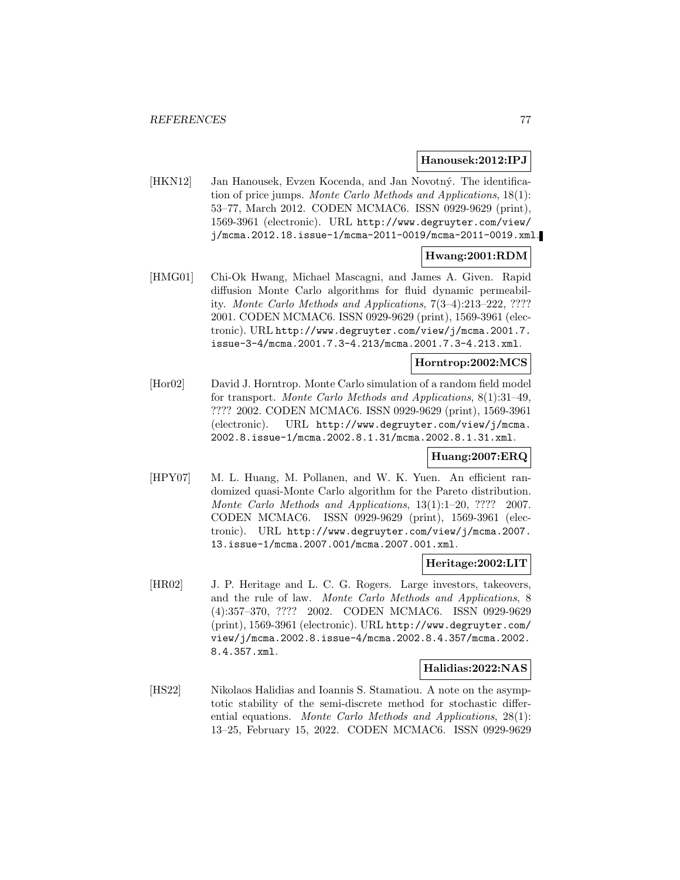#### **Hanousek:2012:IPJ**

[HKN12] Jan Hanousek, Evzen Kocenda, and Jan Novotný. The identification of price jumps. Monte Carlo Methods and Applications, 18(1): 53–77, March 2012. CODEN MCMAC6. ISSN 0929-9629 (print), 1569-3961 (electronic). URL http://www.degruyter.com/view/ j/mcma.2012.18.issue-1/mcma-2011-0019/mcma-2011-0019.xml.

### **Hwang:2001:RDM**

[HMG01] Chi-Ok Hwang, Michael Mascagni, and James A. Given. Rapid diffusion Monte Carlo algorithms for fluid dynamic permeability. Monte Carlo Methods and Applications, 7(3–4):213–222, ???? 2001. CODEN MCMAC6. ISSN 0929-9629 (print), 1569-3961 (electronic). URL http://www.degruyter.com/view/j/mcma.2001.7. issue-3-4/mcma.2001.7.3-4.213/mcma.2001.7.3-4.213.xml.

### **Horntrop:2002:MCS**

[Hor02] David J. Horntrop. Monte Carlo simulation of a random field model for transport. Monte Carlo Methods and Applications, 8(1):31–49, ???? 2002. CODEN MCMAC6. ISSN 0929-9629 (print), 1569-3961 (electronic). URL http://www.degruyter.com/view/j/mcma. 2002.8.issue-1/mcma.2002.8.1.31/mcma.2002.8.1.31.xml.

# **Huang:2007:ERQ**

[HPY07] M. L. Huang, M. Pollanen, and W. K. Yuen. An efficient randomized quasi-Monte Carlo algorithm for the Pareto distribution. Monte Carlo Methods and Applications, 13(1):1–20, ???? 2007. CODEN MCMAC6. ISSN 0929-9629 (print), 1569-3961 (electronic). URL http://www.degruyter.com/view/j/mcma.2007. 13.issue-1/mcma.2007.001/mcma.2007.001.xml.

#### **Heritage:2002:LIT**

[HR02] J. P. Heritage and L. C. G. Rogers. Large investors, takeovers, and the rule of law. Monte Carlo Methods and Applications, 8 (4):357–370, ???? 2002. CODEN MCMAC6. ISSN 0929-9629 (print), 1569-3961 (electronic). URL http://www.degruyter.com/ view/j/mcma.2002.8.issue-4/mcma.2002.8.4.357/mcma.2002. 8.4.357.xml.

### **Halidias:2022:NAS**

[HS22] Nikolaos Halidias and Ioannis S. Stamatiou. A note on the asymptotic stability of the semi-discrete method for stochastic differential equations. Monte Carlo Methods and Applications, 28(1): 13–25, February 15, 2022. CODEN MCMAC6. ISSN 0929-9629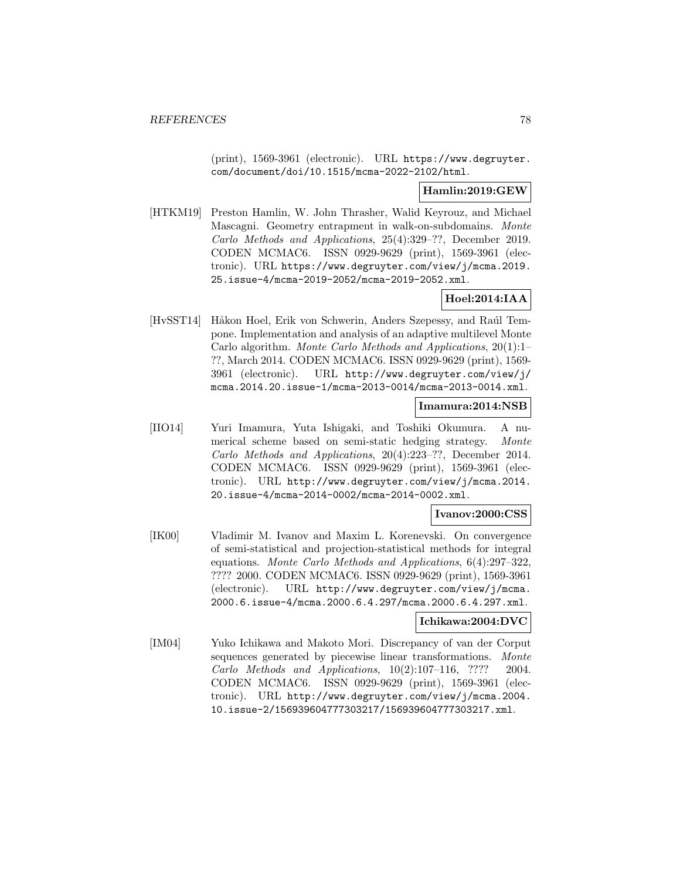(print), 1569-3961 (electronic). URL https://www.degruyter. com/document/doi/10.1515/mcma-2022-2102/html.

## **Hamlin:2019:GEW**

[HTKM19] Preston Hamlin, W. John Thrasher, Walid Keyrouz, and Michael Mascagni. Geometry entrapment in walk-on-subdomains. Monte Carlo Methods and Applications, 25(4):329–??, December 2019. CODEN MCMAC6. ISSN 0929-9629 (print), 1569-3961 (electronic). URL https://www.degruyter.com/view/j/mcma.2019. 25.issue-4/mcma-2019-2052/mcma-2019-2052.xml.

## **Hoel:2014:IAA**

[HvSST14] Håkon Hoel, Erik von Schwerin, Anders Szepessy, and Raúl Tempone. Implementation and analysis of an adaptive multilevel Monte Carlo algorithm. Monte Carlo Methods and Applications, 20(1):1– ??, March 2014. CODEN MCMAC6. ISSN 0929-9629 (print), 1569- 3961 (electronic). URL http://www.degruyter.com/view/j/ mcma.2014.20.issue-1/mcma-2013-0014/mcma-2013-0014.xml.

## **Imamura:2014:NSB**

[IIO14] Yuri Imamura, Yuta Ishigaki, and Toshiki Okumura. A numerical scheme based on semi-static hedging strategy. Monte Carlo Methods and Applications, 20(4):223–??, December 2014. CODEN MCMAC6. ISSN 0929-9629 (print), 1569-3961 (electronic). URL http://www.degruyter.com/view/j/mcma.2014. 20.issue-4/mcma-2014-0002/mcma-2014-0002.xml.

## **Ivanov:2000:CSS**

[IK00] Vladimir M. Ivanov and Maxim L. Korenevski. On convergence of semi-statistical and projection-statistical methods for integral equations. Monte Carlo Methods and Applications, 6(4):297–322, ???? 2000. CODEN MCMAC6. ISSN 0929-9629 (print), 1569-3961 (electronic). URL http://www.degruyter.com/view/j/mcma. 2000.6.issue-4/mcma.2000.6.4.297/mcma.2000.6.4.297.xml.

# **Ichikawa:2004:DVC**

[IM04] Yuko Ichikawa and Makoto Mori. Discrepancy of van der Corput sequences generated by piecewise linear transformations. Monte Carlo Methods and Applications,  $10(2):107-116$ , ???? 2004. CODEN MCMAC6. ISSN 0929-9629 (print), 1569-3961 (electronic). URL http://www.degruyter.com/view/j/mcma.2004. 10.issue-2/156939604777303217/156939604777303217.xml.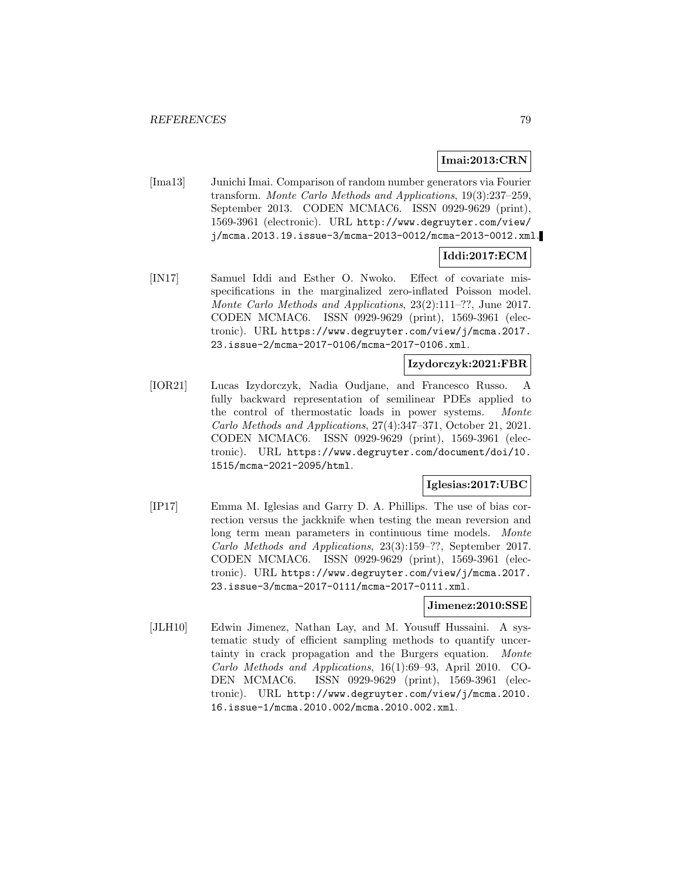### **Imai:2013:CRN**

[Ima13] Junichi Imai. Comparison of random number generators via Fourier transform. Monte Carlo Methods and Applications, 19(3):237–259, September 2013. CODEN MCMAC6. ISSN 0929-9629 (print), 1569-3961 (electronic). URL http://www.degruyter.com/view/ j/mcma.2013.19.issue-3/mcma-2013-0012/mcma-2013-0012.xml.

# **Iddi:2017:ECM**

[IN17] Samuel Iddi and Esther O. Nwoko. Effect of covariate misspecifications in the marginalized zero-inflated Poisson model. Monte Carlo Methods and Applications, 23(2):111–??, June 2017. CODEN MCMAC6. ISSN 0929-9629 (print), 1569-3961 (electronic). URL https://www.degruyter.com/view/j/mcma.2017. 23.issue-2/mcma-2017-0106/mcma-2017-0106.xml.

## **Izydorczyk:2021:FBR**

[IOR21] Lucas Izydorczyk, Nadia Oudjane, and Francesco Russo. A fully backward representation of semilinear PDEs applied to the control of thermostatic loads in power systems. Monte Carlo Methods and Applications, 27(4):347–371, October 21, 2021. CODEN MCMAC6. ISSN 0929-9629 (print), 1569-3961 (electronic). URL https://www.degruyter.com/document/doi/10. 1515/mcma-2021-2095/html.

### **Iglesias:2017:UBC**

[IP17] Emma M. Iglesias and Garry D. A. Phillips. The use of bias correction versus the jackknife when testing the mean reversion and long term mean parameters in continuous time models. Monte Carlo Methods and Applications, 23(3):159–??, September 2017. CODEN MCMAC6. ISSN 0929-9629 (print), 1569-3961 (electronic). URL https://www.degruyter.com/view/j/mcma.2017. 23.issue-3/mcma-2017-0111/mcma-2017-0111.xml.

## **Jimenez:2010:SSE**

[JLH10] Edwin Jimenez, Nathan Lay, and M. Yousuff Hussaini. A systematic study of efficient sampling methods to quantify uncertainty in crack propagation and the Burgers equation. Monte Carlo Methods and Applications, 16(1):69–93, April 2010. CO-DEN MCMAC6. ISSN 0929-9629 (print), 1569-3961 (electronic). URL http://www.degruyter.com/view/j/mcma.2010. 16.issue-1/mcma.2010.002/mcma.2010.002.xml.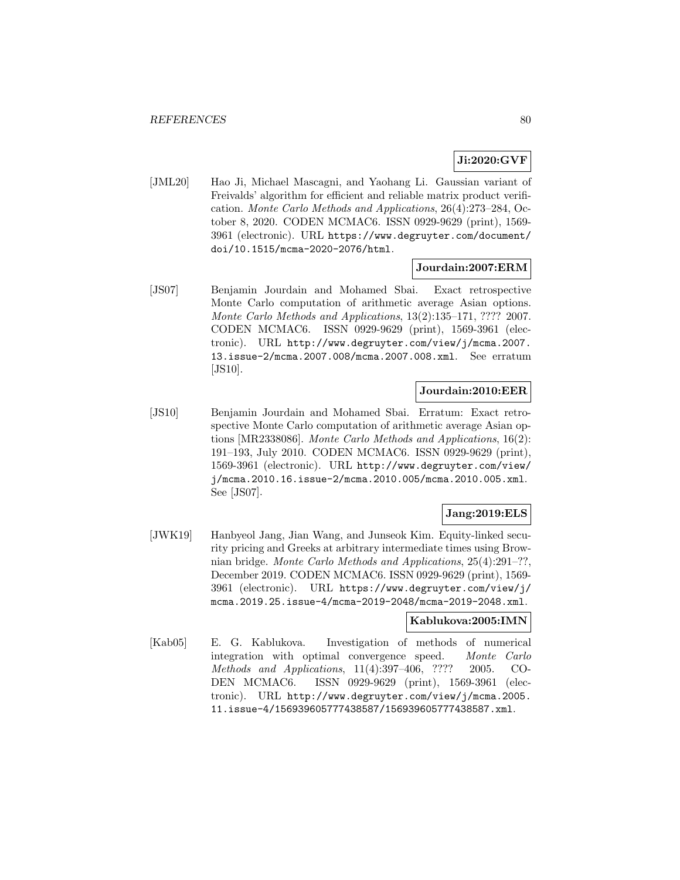# **Ji:2020:GVF**

[JML20] Hao Ji, Michael Mascagni, and Yaohang Li. Gaussian variant of Freivalds' algorithm for efficient and reliable matrix product verification. Monte Carlo Methods and Applications, 26(4):273–284, October 8, 2020. CODEN MCMAC6. ISSN 0929-9629 (print), 1569- 3961 (electronic). URL https://www.degruyter.com/document/ doi/10.1515/mcma-2020-2076/html.

### **Jourdain:2007:ERM**

[JS07] Benjamin Jourdain and Mohamed Sbai. Exact retrospective Monte Carlo computation of arithmetic average Asian options. Monte Carlo Methods and Applications, 13(2):135–171, ???? 2007. CODEN MCMAC6. ISSN 0929-9629 (print), 1569-3961 (electronic). URL http://www.degruyter.com/view/j/mcma.2007. 13.issue-2/mcma.2007.008/mcma.2007.008.xml. See erratum [JS10].

# **Jourdain:2010:EER**

[JS10] Benjamin Jourdain and Mohamed Sbai. Erratum: Exact retrospective Monte Carlo computation of arithmetic average Asian options [MR2338086]. Monte Carlo Methods and Applications, 16(2): 191–193, July 2010. CODEN MCMAC6. ISSN 0929-9629 (print), 1569-3961 (electronic). URL http://www.degruyter.com/view/ j/mcma.2010.16.issue-2/mcma.2010.005/mcma.2010.005.xml. See [JS07].

# **Jang:2019:ELS**

[JWK19] Hanbyeol Jang, Jian Wang, and Junseok Kim. Equity-linked security pricing and Greeks at arbitrary intermediate times using Brownian bridge. Monte Carlo Methods and Applications, 25(4):291–??, December 2019. CODEN MCMAC6. ISSN 0929-9629 (print), 1569- 3961 (electronic). URL https://www.degruyter.com/view/j/ mcma.2019.25.issue-4/mcma-2019-2048/mcma-2019-2048.xml.

#### **Kablukova:2005:IMN**

[Kab05] E. G. Kablukova. Investigation of methods of numerical integration with optimal convergence speed. Monte Carlo Methods and Applications, 11(4):397–406, ???? 2005. CO-DEN MCMAC6. ISSN 0929-9629 (print), 1569-3961 (electronic). URL http://www.degruyter.com/view/j/mcma.2005. 11.issue-4/156939605777438587/156939605777438587.xml.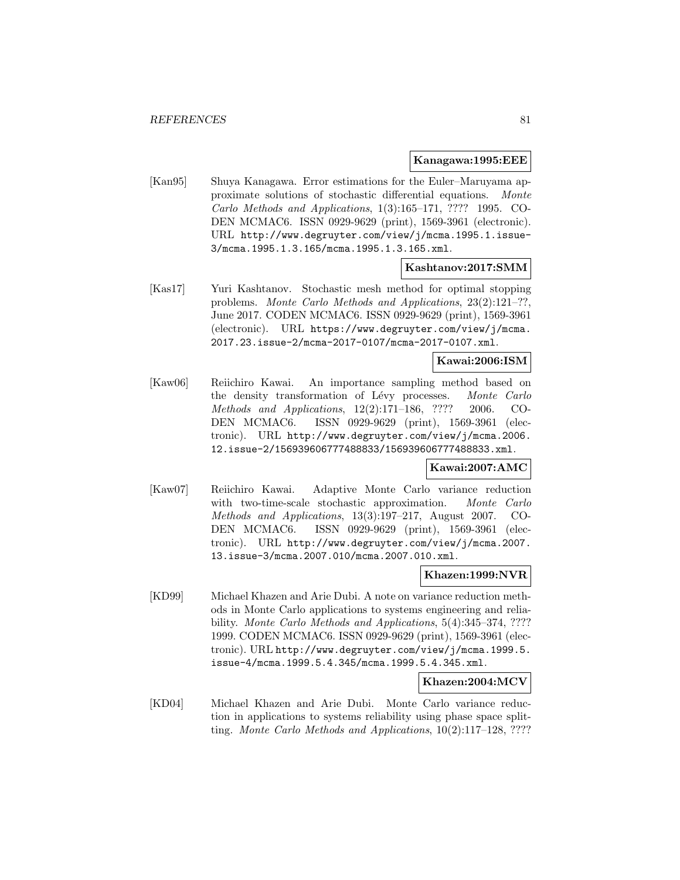#### **Kanagawa:1995:EEE**

[Kan95] Shuya Kanagawa. Error estimations for the Euler–Maruyama approximate solutions of stochastic differential equations. Monte Carlo Methods and Applications, 1(3):165–171, ???? 1995. CO-DEN MCMAC6. ISSN 0929-9629 (print), 1569-3961 (electronic). URL http://www.degruyter.com/view/j/mcma.1995.1.issue-3/mcma.1995.1.3.165/mcma.1995.1.3.165.xml.

## **Kashtanov:2017:SMM**

[Kas17] Yuri Kashtanov. Stochastic mesh method for optimal stopping problems. Monte Carlo Methods and Applications, 23(2):121–??, June 2017. CODEN MCMAC6. ISSN 0929-9629 (print), 1569-3961 (electronic). URL https://www.degruyter.com/view/j/mcma. 2017.23.issue-2/mcma-2017-0107/mcma-2017-0107.xml.

# **Kawai:2006:ISM**

[Kaw06] Reiichiro Kawai. An importance sampling method based on the density transformation of Lévy processes. Monte Carlo Methods and Applications, 12(2):171–186, ???? 2006. CO-DEN MCMAC6. ISSN 0929-9629 (print), 1569-3961 (electronic). URL http://www.degruyter.com/view/j/mcma.2006. 12.issue-2/156939606777488833/156939606777488833.xml.

### **Kawai:2007:AMC**

[Kaw07] Reiichiro Kawai. Adaptive Monte Carlo variance reduction with two-time-scale stochastic approximation. Monte Carlo Methods and Applications, 13(3):197–217, August 2007. CO-DEN MCMAC6. ISSN 0929-9629 (print), 1569-3961 (electronic). URL http://www.degruyter.com/view/j/mcma.2007. 13.issue-3/mcma.2007.010/mcma.2007.010.xml.

### **Khazen:1999:NVR**

[KD99] Michael Khazen and Arie Dubi. A note on variance reduction methods in Monte Carlo applications to systems engineering and reliability. Monte Carlo Methods and Applications, 5(4):345-374, ???? 1999. CODEN MCMAC6. ISSN 0929-9629 (print), 1569-3961 (electronic). URL http://www.degruyter.com/view/j/mcma.1999.5. issue-4/mcma.1999.5.4.345/mcma.1999.5.4.345.xml.

### **Khazen:2004:MCV**

[KD04] Michael Khazen and Arie Dubi. Monte Carlo variance reduction in applications to systems reliability using phase space splitting. Monte Carlo Methods and Applications, 10(2):117–128, ????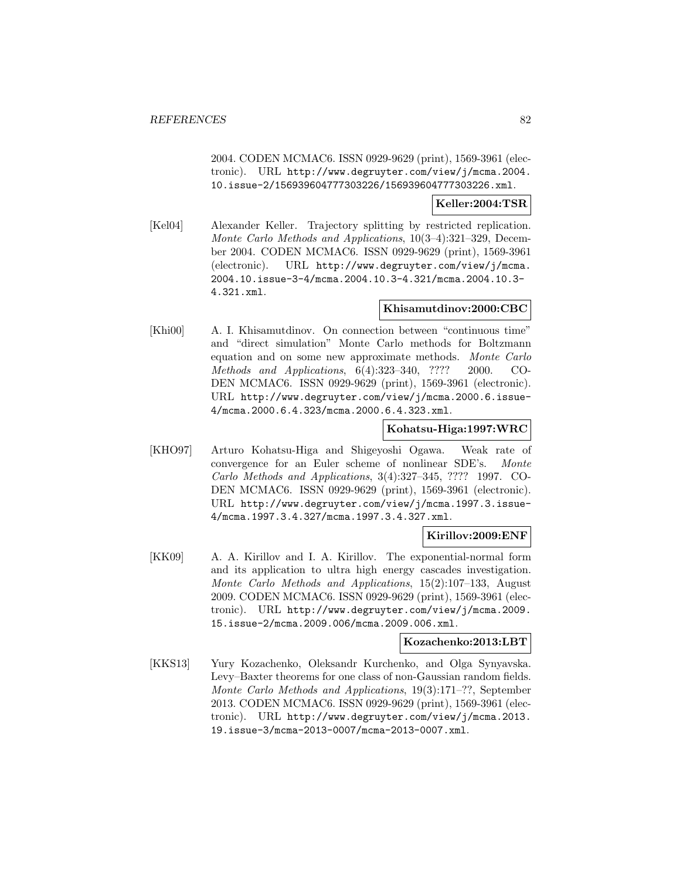2004. CODEN MCMAC6. ISSN 0929-9629 (print), 1569-3961 (electronic). URL http://www.degruyter.com/view/j/mcma.2004. 10.issue-2/156939604777303226/156939604777303226.xml.

### **Keller:2004:TSR**

[Kel04] Alexander Keller. Trajectory splitting by restricted replication. Monte Carlo Methods and Applications, 10(3–4):321–329, December 2004. CODEN MCMAC6. ISSN 0929-9629 (print), 1569-3961 (electronic). URL http://www.degruyter.com/view/j/mcma. 2004.10.issue-3-4/mcma.2004.10.3-4.321/mcma.2004.10.3- 4.321.xml.

### **Khisamutdinov:2000:CBC**

[Khi00] A. I. Khisamutdinov. On connection between "continuous time" and "direct simulation" Monte Carlo methods for Boltzmann equation and on some new approximate methods. Monte Carlo Methods and Applications, 6(4):323–340, ???? 2000. CO-DEN MCMAC6. ISSN 0929-9629 (print), 1569-3961 (electronic). URL http://www.degruyter.com/view/j/mcma.2000.6.issue-4/mcma.2000.6.4.323/mcma.2000.6.4.323.xml.

### **Kohatsu-Higa:1997:WRC**

[KHO97] Arturo Kohatsu-Higa and Shigeyoshi Ogawa. Weak rate of convergence for an Euler scheme of nonlinear SDE's. Monte Carlo Methods and Applications, 3(4):327–345, ???? 1997. CO-DEN MCMAC6. ISSN 0929-9629 (print), 1569-3961 (electronic). URL http://www.degruyter.com/view/j/mcma.1997.3.issue-4/mcma.1997.3.4.327/mcma.1997.3.4.327.xml.

### **Kirillov:2009:ENF**

[KK09] A. A. Kirillov and I. A. Kirillov. The exponential-normal form and its application to ultra high energy cascades investigation. Monte Carlo Methods and Applications, 15(2):107–133, August 2009. CODEN MCMAC6. ISSN 0929-9629 (print), 1569-3961 (electronic). URL http://www.degruyter.com/view/j/mcma.2009. 15.issue-2/mcma.2009.006/mcma.2009.006.xml.

## **Kozachenko:2013:LBT**

[KKS13] Yury Kozachenko, Oleksandr Kurchenko, and Olga Synyavska. Levy–Baxter theorems for one class of non-Gaussian random fields. Monte Carlo Methods and Applications, 19(3):171–??, September 2013. CODEN MCMAC6. ISSN 0929-9629 (print), 1569-3961 (electronic). URL http://www.degruyter.com/view/j/mcma.2013. 19.issue-3/mcma-2013-0007/mcma-2013-0007.xml.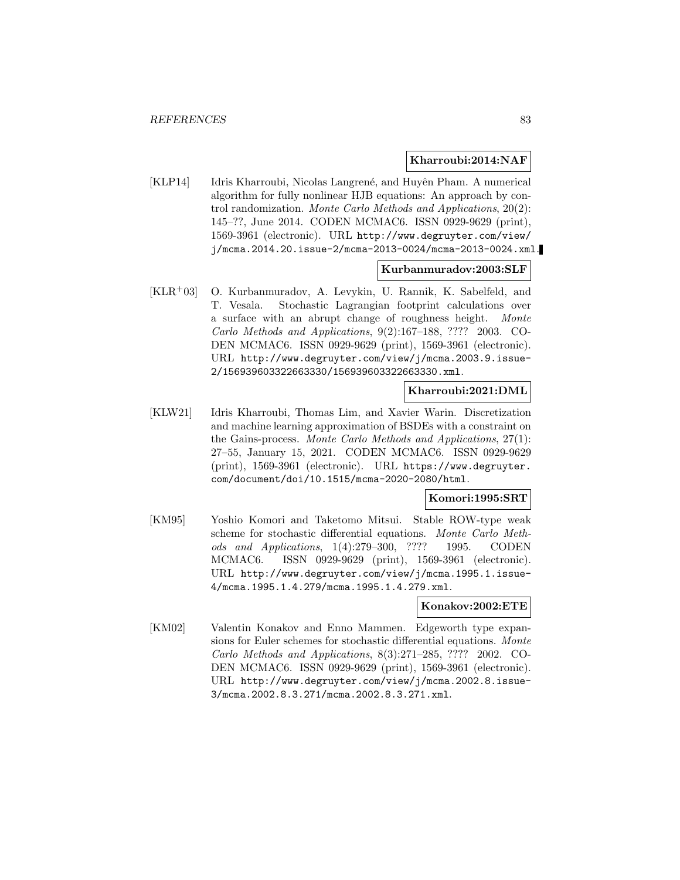#### **Kharroubi:2014:NAF**

[KLP14] Idris Kharroubi, Nicolas Langrené, and Huyên Pham. A numerical algorithm for fully nonlinear HJB equations: An approach by control randomization. Monte Carlo Methods and Applications, 20(2): 145–??, June 2014. CODEN MCMAC6. ISSN 0929-9629 (print), 1569-3961 (electronic). URL http://www.degruyter.com/view/ j/mcma.2014.20.issue-2/mcma-2013-0024/mcma-2013-0024.xml.

#### **Kurbanmuradov:2003:SLF**

[KLR<sup>+</sup>03] O. Kurbanmuradov, A. Levykin, U. Rannik, K. Sabelfeld, and T. Vesala. Stochastic Lagrangian footprint calculations over a surface with an abrupt change of roughness height. Monte Carlo Methods and Applications, 9(2):167–188, ???? 2003. CO-DEN MCMAC6. ISSN 0929-9629 (print), 1569-3961 (electronic). URL http://www.degruyter.com/view/j/mcma.2003.9.issue-2/156939603322663330/156939603322663330.xml.

### **Kharroubi:2021:DML**

[KLW21] Idris Kharroubi, Thomas Lim, and Xavier Warin. Discretization and machine learning approximation of BSDEs with a constraint on the Gains-process. Monte Carlo Methods and Applications, 27(1): 27–55, January 15, 2021. CODEN MCMAC6. ISSN 0929-9629 (print), 1569-3961 (electronic). URL https://www.degruyter. com/document/doi/10.1515/mcma-2020-2080/html.

#### **Komori:1995:SRT**

[KM95] Yoshio Komori and Taketomo Mitsui. Stable ROW-type weak scheme for stochastic differential equations. Monte Carlo Methods and Applications, 1(4):279–300, ???? 1995. CODEN MCMAC6. ISSN 0929-9629 (print), 1569-3961 (electronic). URL http://www.degruyter.com/view/j/mcma.1995.1.issue-4/mcma.1995.1.4.279/mcma.1995.1.4.279.xml.

#### **Konakov:2002:ETE**

[KM02] Valentin Konakov and Enno Mammen. Edgeworth type expansions for Euler schemes for stochastic differential equations. Monte Carlo Methods and Applications, 8(3):271–285, ???? 2002. CO-DEN MCMAC6. ISSN 0929-9629 (print), 1569-3961 (electronic). URL http://www.degruyter.com/view/j/mcma.2002.8.issue-3/mcma.2002.8.3.271/mcma.2002.8.3.271.xml.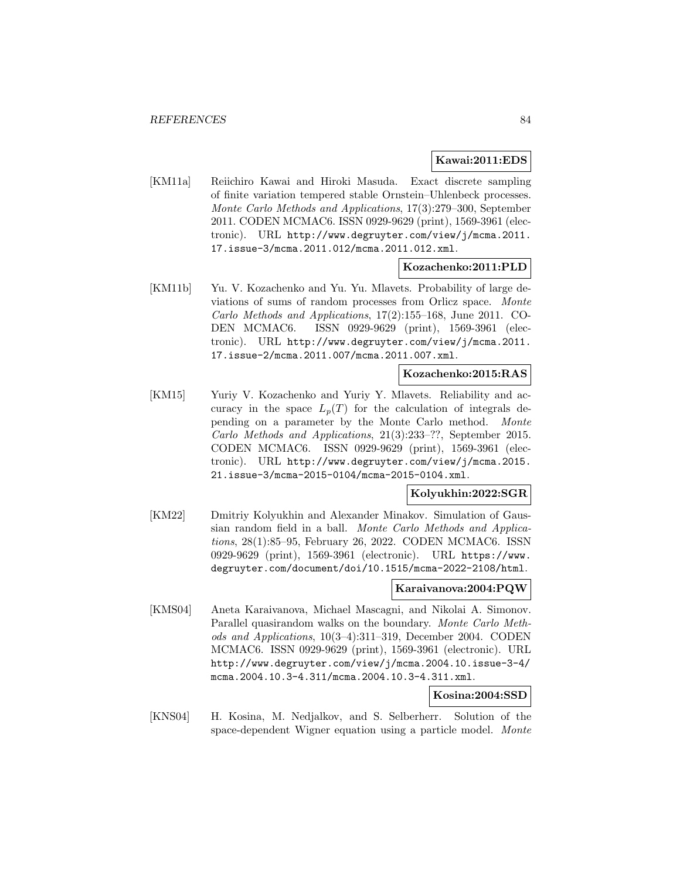### **Kawai:2011:EDS**

[KM11a] Reiichiro Kawai and Hiroki Masuda. Exact discrete sampling of finite variation tempered stable Ornstein–Uhlenbeck processes. Monte Carlo Methods and Applications, 17(3):279–300, September 2011. CODEN MCMAC6. ISSN 0929-9629 (print), 1569-3961 (electronic). URL http://www.degruyter.com/view/j/mcma.2011. 17.issue-3/mcma.2011.012/mcma.2011.012.xml.

## **Kozachenko:2011:PLD**

[KM11b] Yu. V. Kozachenko and Yu. Yu. Mlavets. Probability of large deviations of sums of random processes from Orlicz space. Monte Carlo Methods and Applications, 17(2):155–168, June 2011. CO-DEN MCMAC6. ISSN 0929-9629 (print), 1569-3961 (electronic). URL http://www.degruyter.com/view/j/mcma.2011. 17.issue-2/mcma.2011.007/mcma.2011.007.xml.

#### **Kozachenko:2015:RAS**

[KM15] Yuriy V. Kozachenko and Yuriy Y. Mlavets. Reliability and accuracy in the space  $L_p(T)$  for the calculation of integrals depending on a parameter by the Monte Carlo method. Monte Carlo Methods and Applications, 21(3):233–??, September 2015. CODEN MCMAC6. ISSN 0929-9629 (print), 1569-3961 (electronic). URL http://www.degruyter.com/view/j/mcma.2015. 21.issue-3/mcma-2015-0104/mcma-2015-0104.xml.

# **Kolyukhin:2022:SGR**

[KM22] Dmitriy Kolyukhin and Alexander Minakov. Simulation of Gaussian random field in a ball. Monte Carlo Methods and Applications, 28(1):85–95, February 26, 2022. CODEN MCMAC6. ISSN 0929-9629 (print), 1569-3961 (electronic). URL https://www. degruyter.com/document/doi/10.1515/mcma-2022-2108/html.

### **Karaivanova:2004:PQW**

[KMS04] Aneta Karaivanova, Michael Mascagni, and Nikolai A. Simonov. Parallel quasirandom walks on the boundary. Monte Carlo Methods and Applications, 10(3–4):311–319, December 2004. CODEN MCMAC6. ISSN 0929-9629 (print), 1569-3961 (electronic). URL http://www.degruyter.com/view/j/mcma.2004.10.issue-3-4/ mcma.2004.10.3-4.311/mcma.2004.10.3-4.311.xml.

# **Kosina:2004:SSD**

[KNS04] H. Kosina, M. Nedjalkov, and S. Selberherr. Solution of the space-dependent Wigner equation using a particle model. Monte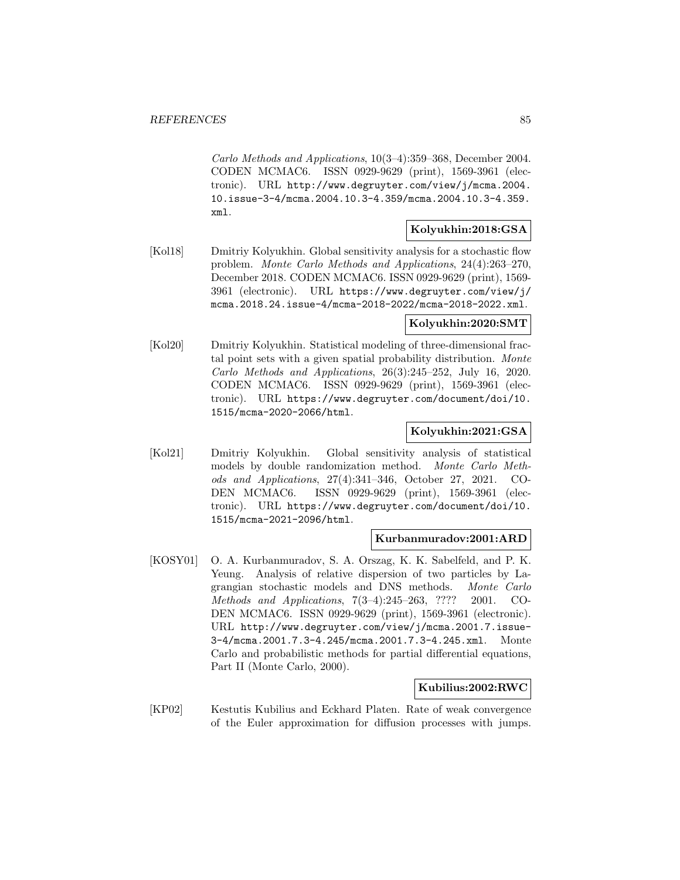Carlo Methods and Applications, 10(3–4):359–368, December 2004. CODEN MCMAC6. ISSN 0929-9629 (print), 1569-3961 (electronic). URL http://www.degruyter.com/view/j/mcma.2004. 10.issue-3-4/mcma.2004.10.3-4.359/mcma.2004.10.3-4.359. xml.

# **Kolyukhin:2018:GSA**

[Kol18] Dmitriy Kolyukhin. Global sensitivity analysis for a stochastic flow problem. Monte Carlo Methods and Applications, 24(4):263–270, December 2018. CODEN MCMAC6. ISSN 0929-9629 (print), 1569- 3961 (electronic). URL https://www.degruyter.com/view/j/ mcma.2018.24.issue-4/mcma-2018-2022/mcma-2018-2022.xml.

### **Kolyukhin:2020:SMT**

[Kol20] Dmitriy Kolyukhin. Statistical modeling of three-dimensional fractal point sets with a given spatial probability distribution. Monte Carlo Methods and Applications, 26(3):245–252, July 16, 2020. CODEN MCMAC6. ISSN 0929-9629 (print), 1569-3961 (electronic). URL https://www.degruyter.com/document/doi/10. 1515/mcma-2020-2066/html.

# **Kolyukhin:2021:GSA**

[Kol21] Dmitriy Kolyukhin. Global sensitivity analysis of statistical models by double randomization method. Monte Carlo Methods and Applications, 27(4):341–346, October 27, 2021. CO-DEN MCMAC6. ISSN 0929-9629 (print), 1569-3961 (electronic). URL https://www.degruyter.com/document/doi/10. 1515/mcma-2021-2096/html.

#### **Kurbanmuradov:2001:ARD**

[KOSY01] O. A. Kurbanmuradov, S. A. Orszag, K. K. Sabelfeld, and P. K. Yeung. Analysis of relative dispersion of two particles by Lagrangian stochastic models and DNS methods. Monte Carlo Methods and Applications, 7(3–4):245–263, ???? 2001. CO-DEN MCMAC6. ISSN 0929-9629 (print), 1569-3961 (electronic). URL http://www.degruyter.com/view/j/mcma.2001.7.issue-3-4/mcma.2001.7.3-4.245/mcma.2001.7.3-4.245.xml. Monte Carlo and probabilistic methods for partial differential equations, Part II (Monte Carlo, 2000).

### **Kubilius:2002:RWC**

[KP02] Kestutis Kubilius and Eckhard Platen. Rate of weak convergence of the Euler approximation for diffusion processes with jumps.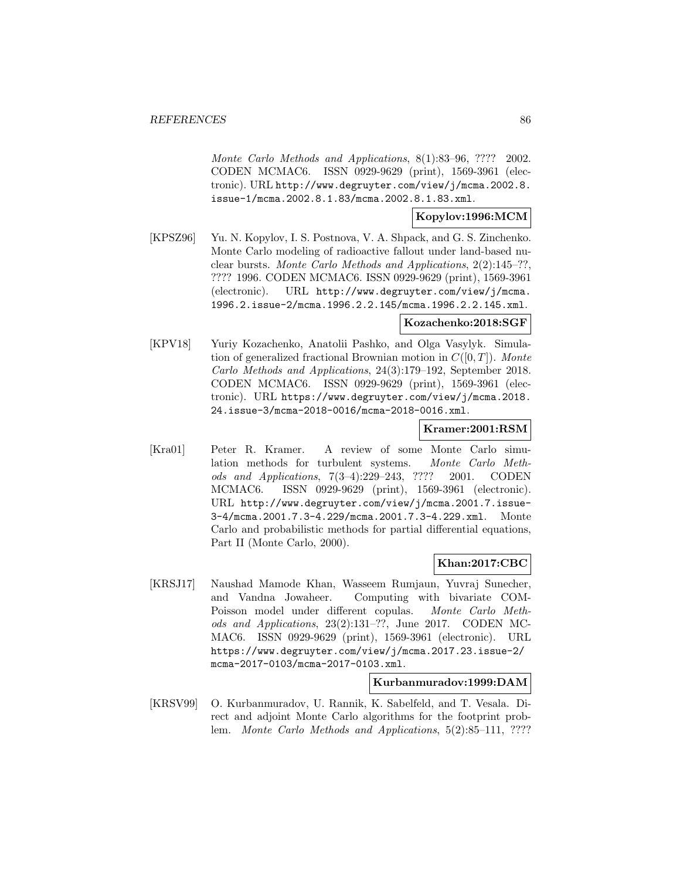Monte Carlo Methods and Applications, 8(1):83–96, ???? 2002. CODEN MCMAC6. ISSN 0929-9629 (print), 1569-3961 (electronic). URL http://www.degruyter.com/view/j/mcma.2002.8. issue-1/mcma.2002.8.1.83/mcma.2002.8.1.83.xml.

# **Kopylov:1996:MCM**

[KPSZ96] Yu. N. Kopylov, I. S. Postnova, V. A. Shpack, and G. S. Zinchenko. Monte Carlo modeling of radioactive fallout under land-based nuclear bursts. Monte Carlo Methods and Applications, 2(2):145–??, ???? 1996. CODEN MCMAC6. ISSN 0929-9629 (print), 1569-3961 (electronic). URL http://www.degruyter.com/view/j/mcma. 1996.2.issue-2/mcma.1996.2.2.145/mcma.1996.2.2.145.xml.

### **Kozachenko:2018:SGF**

[KPV18] Yuriy Kozachenko, Anatolii Pashko, and Olga Vasylyk. Simulation of generalized fractional Brownian motion in  $C([0, T])$ . Monte Carlo Methods and Applications, 24(3):179–192, September 2018. CODEN MCMAC6. ISSN 0929-9629 (print), 1569-3961 (electronic). URL https://www.degruyter.com/view/j/mcma.2018. 24.issue-3/mcma-2018-0016/mcma-2018-0016.xml.

### **Kramer:2001:RSM**

[Kra01] Peter R. Kramer. A review of some Monte Carlo simulation methods for turbulent systems. Monte Carlo Methods and Applications, 7(3–4):229–243, ???? 2001. CODEN MCMAC6. ISSN 0929-9629 (print), 1569-3961 (electronic). URL http://www.degruyter.com/view/j/mcma.2001.7.issue-3-4/mcma.2001.7.3-4.229/mcma.2001.7.3-4.229.xml. Monte Carlo and probabilistic methods for partial differential equations, Part II (Monte Carlo, 2000).

### **Khan:2017:CBC**

[KRSJ17] Naushad Mamode Khan, Wasseem Rumjaun, Yuvraj Sunecher, and Vandna Jowaheer. Computing with bivariate COM-Poisson model under different copulas. Monte Carlo Methods and Applications, 23(2):131–??, June 2017. CODEN MC-MAC6. ISSN 0929-9629 (print), 1569-3961 (electronic). URL https://www.degruyter.com/view/j/mcma.2017.23.issue-2/ mcma-2017-0103/mcma-2017-0103.xml.

#### **Kurbanmuradov:1999:DAM**

[KRSV99] O. Kurbanmuradov, U. Rannik, K. Sabelfeld, and T. Vesala. Direct and adjoint Monte Carlo algorithms for the footprint problem. Monte Carlo Methods and Applications, 5(2):85–111, ????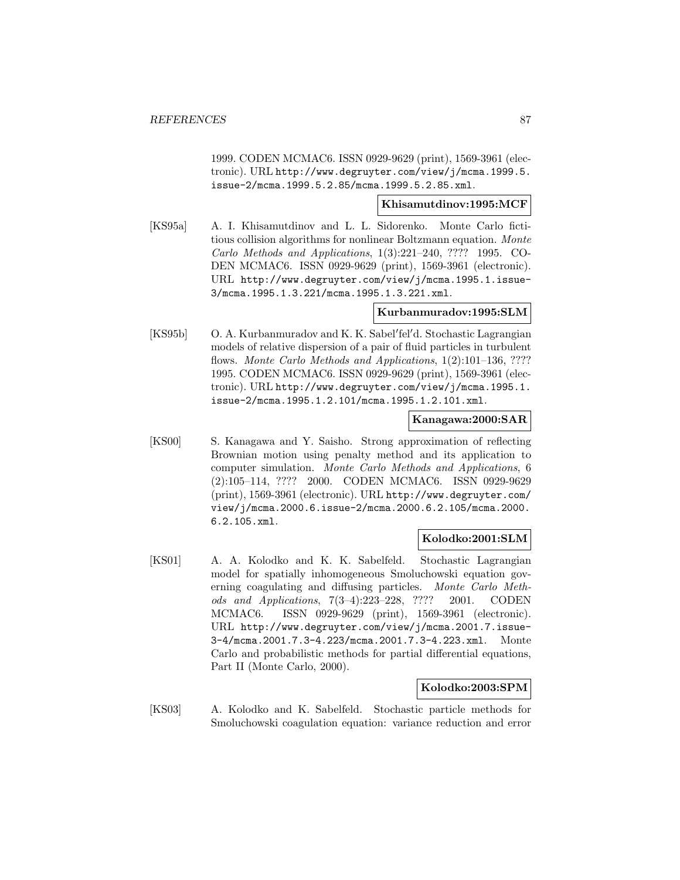1999. CODEN MCMAC6. ISSN 0929-9629 (print), 1569-3961 (electronic). URL http://www.degruyter.com/view/j/mcma.1999.5. issue-2/mcma.1999.5.2.85/mcma.1999.5.2.85.xml.

### **Khisamutdinov:1995:MCF**

[KS95a] A. I. Khisamutdinov and L. L. Sidorenko. Monte Carlo fictitious collision algorithms for nonlinear Boltzmann equation. Monte Carlo Methods and Applications, 1(3):221–240, ???? 1995. CO-DEN MCMAC6. ISSN 0929-9629 (print), 1569-3961 (electronic). URL http://www.degruyter.com/view/j/mcma.1995.1.issue-3/mcma.1995.1.3.221/mcma.1995.1.3.221.xml.

# **Kurbanmuradov:1995:SLM**

[KS95b] O. A. Kurbanmuradov and K. K. Sabel'fel'd. Stochastic Lagrangian models of relative dispersion of a pair of fluid particles in turbulent flows. Monte Carlo Methods and Applications, 1(2):101–136, ???? 1995. CODEN MCMAC6. ISSN 0929-9629 (print), 1569-3961 (electronic). URL http://www.degruyter.com/view/j/mcma.1995.1. issue-2/mcma.1995.1.2.101/mcma.1995.1.2.101.xml.

## **Kanagawa:2000:SAR**

[KS00] S. Kanagawa and Y. Saisho. Strong approximation of reflecting Brownian motion using penalty method and its application to computer simulation. Monte Carlo Methods and Applications, 6 (2):105–114, ???? 2000. CODEN MCMAC6. ISSN 0929-9629 (print), 1569-3961 (electronic). URL http://www.degruyter.com/ view/j/mcma.2000.6.issue-2/mcma.2000.6.2.105/mcma.2000. 6.2.105.xml.

### **Kolodko:2001:SLM**

[KS01] A. A. Kolodko and K. K. Sabelfeld. Stochastic Lagrangian model for spatially inhomogeneous Smoluchowski equation governing coagulating and diffusing particles. Monte Carlo Methods and Applications, 7(3–4):223–228, ???? 2001. CODEN MCMAC6. ISSN 0929-9629 (print), 1569-3961 (electronic). URL http://www.degruyter.com/view/j/mcma.2001.7.issue-3-4/mcma.2001.7.3-4.223/mcma.2001.7.3-4.223.xml. Monte Carlo and probabilistic methods for partial differential equations, Part II (Monte Carlo, 2000).

# **Kolodko:2003:SPM**

[KS03] A. Kolodko and K. Sabelfeld. Stochastic particle methods for Smoluchowski coagulation equation: variance reduction and error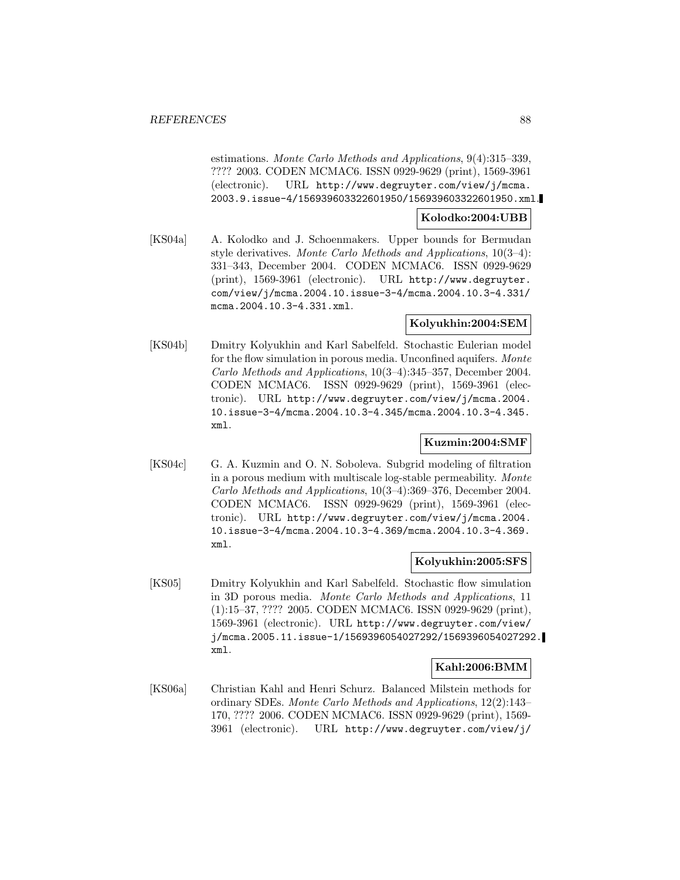estimations. Monte Carlo Methods and Applications, 9(4):315–339, ???? 2003. CODEN MCMAC6. ISSN 0929-9629 (print), 1569-3961 (electronic). URL http://www.degruyter.com/view/j/mcma. 2003.9.issue-4/156939603322601950/156939603322601950.xml.

### **Kolodko:2004:UBB**

[KS04a] A. Kolodko and J. Schoenmakers. Upper bounds for Bermudan style derivatives. Monte Carlo Methods and Applications, 10(3–4): 331–343, December 2004. CODEN MCMAC6. ISSN 0929-9629 (print), 1569-3961 (electronic). URL http://www.degruyter. com/view/j/mcma.2004.10.issue-3-4/mcma.2004.10.3-4.331/ mcma.2004.10.3-4.331.xml.

#### **Kolyukhin:2004:SEM**

[KS04b] Dmitry Kolyukhin and Karl Sabelfeld. Stochastic Eulerian model for the flow simulation in porous media. Unconfined aquifers. Monte Carlo Methods and Applications, 10(3–4):345–357, December 2004. CODEN MCMAC6. ISSN 0929-9629 (print), 1569-3961 (electronic). URL http://www.degruyter.com/view/j/mcma.2004. 10.issue-3-4/mcma.2004.10.3-4.345/mcma.2004.10.3-4.345. xml.

# **Kuzmin:2004:SMF**

[KS04c] G. A. Kuzmin and O. N. Soboleva. Subgrid modeling of filtration in a porous medium with multiscale log-stable permeability. Monte Carlo Methods and Applications, 10(3–4):369–376, December 2004. CODEN MCMAC6. ISSN 0929-9629 (print), 1569-3961 (electronic). URL http://www.degruyter.com/view/j/mcma.2004. 10.issue-3-4/mcma.2004.10.3-4.369/mcma.2004.10.3-4.369. xml.

### **Kolyukhin:2005:SFS**

[KS05] Dmitry Kolyukhin and Karl Sabelfeld. Stochastic flow simulation in 3D porous media. Monte Carlo Methods and Applications, 11 (1):15–37, ???? 2005. CODEN MCMAC6. ISSN 0929-9629 (print), 1569-3961 (electronic). URL http://www.degruyter.com/view/ j/mcma.2005.11.issue-1/1569396054027292/1569396054027292. xml.

### **Kahl:2006:BMM**

[KS06a] Christian Kahl and Henri Schurz. Balanced Milstein methods for ordinary SDEs. Monte Carlo Methods and Applications, 12(2):143– 170, ???? 2006. CODEN MCMAC6. ISSN 0929-9629 (print), 1569- 3961 (electronic). URL http://www.degruyter.com/view/j/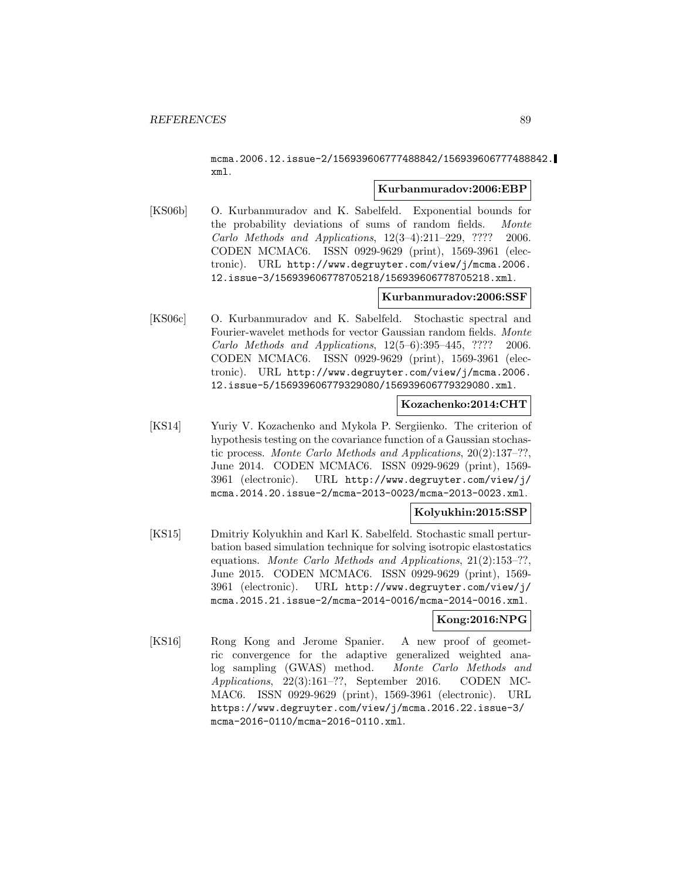mcma.2006.12.issue-2/156939606777488842/156939606777488842. xml.

#### **Kurbanmuradov:2006:EBP**

[KS06b] O. Kurbanmuradov and K. Sabelfeld. Exponential bounds for the probability deviations of sums of random fields. Monte Carlo Methods and Applications, 12(3–4):211–229, ???? 2006. CODEN MCMAC6. ISSN 0929-9629 (print), 1569-3961 (electronic). URL http://www.degruyter.com/view/j/mcma.2006. 12.issue-3/156939606778705218/156939606778705218.xml.

# **Kurbanmuradov:2006:SSF**

[KS06c] O. Kurbanmuradov and K. Sabelfeld. Stochastic spectral and Fourier-wavelet methods for vector Gaussian random fields. Monte Carlo Methods and Applications, 12(5–6):395–445, ???? 2006. CODEN MCMAC6. ISSN 0929-9629 (print), 1569-3961 (electronic). URL http://www.degruyter.com/view/j/mcma.2006. 12.issue-5/156939606779329080/156939606779329080.xml.

## **Kozachenko:2014:CHT**

[KS14] Yuriy V. Kozachenko and Mykola P. Sergiienko. The criterion of hypothesis testing on the covariance function of a Gaussian stochastic process. Monte Carlo Methods and Applications, 20(2):137–??, June 2014. CODEN MCMAC6. ISSN 0929-9629 (print), 1569- 3961 (electronic). URL http://www.degruyter.com/view/j/ mcma.2014.20.issue-2/mcma-2013-0023/mcma-2013-0023.xml.

### **Kolyukhin:2015:SSP**

[KS15] Dmitriy Kolyukhin and Karl K. Sabelfeld. Stochastic small perturbation based simulation technique for solving isotropic elastostatics equations. Monte Carlo Methods and Applications, 21(2):153–??, June 2015. CODEN MCMAC6. ISSN 0929-9629 (print), 1569- 3961 (electronic). URL http://www.degruyter.com/view/j/ mcma.2015.21.issue-2/mcma-2014-0016/mcma-2014-0016.xml.

# **Kong:2016:NPG**

[KS16] Rong Kong and Jerome Spanier. A new proof of geometric convergence for the adaptive generalized weighted analog sampling (GWAS) method. Monte Carlo Methods and Applications, 22(3):161–??, September 2016. CODEN MC-MAC6. ISSN 0929-9629 (print), 1569-3961 (electronic). URL https://www.degruyter.com/view/j/mcma.2016.22.issue-3/ mcma-2016-0110/mcma-2016-0110.xml.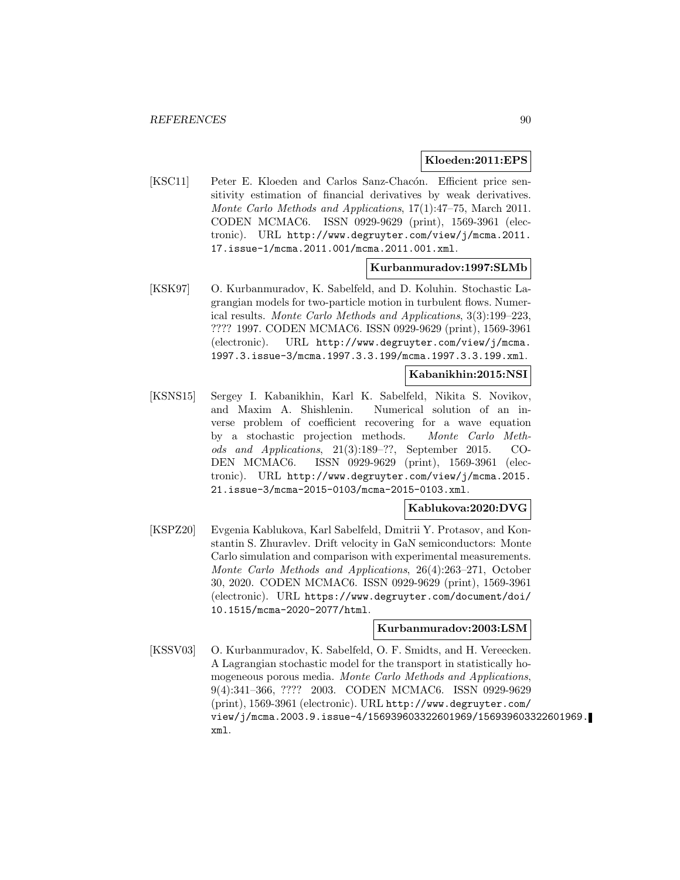#### **Kloeden:2011:EPS**

[KSC11] Peter E. Kloeden and Carlos Sanz-Chacón. Efficient price sensitivity estimation of financial derivatives by weak derivatives. Monte Carlo Methods and Applications, 17(1):47–75, March 2011. CODEN MCMAC6. ISSN 0929-9629 (print), 1569-3961 (electronic). URL http://www.degruyter.com/view/j/mcma.2011. 17.issue-1/mcma.2011.001/mcma.2011.001.xml.

## **Kurbanmuradov:1997:SLMb**

[KSK97] O. Kurbanmuradov, K. Sabelfeld, and D. Koluhin. Stochastic Lagrangian models for two-particle motion in turbulent flows. Numerical results. Monte Carlo Methods and Applications, 3(3):199–223, ???? 1997. CODEN MCMAC6. ISSN 0929-9629 (print), 1569-3961 (electronic). URL http://www.degruyter.com/view/j/mcma. 1997.3.issue-3/mcma.1997.3.3.199/mcma.1997.3.3.199.xml.

#### **Kabanikhin:2015:NSI**

[KSNS15] Sergey I. Kabanikhin, Karl K. Sabelfeld, Nikita S. Novikov, and Maxim A. Shishlenin. Numerical solution of an inverse problem of coefficient recovering for a wave equation by a stochastic projection methods. Monte Carlo Methods and Applications, 21(3):189–??, September 2015. CO-DEN MCMAC6. ISSN 0929-9629 (print), 1569-3961 (electronic). URL http://www.degruyter.com/view/j/mcma.2015. 21.issue-3/mcma-2015-0103/mcma-2015-0103.xml.

### **Kablukova:2020:DVG**

[KSPZ20] Evgenia Kablukova, Karl Sabelfeld, Dmitrii Y. Protasov, and Konstantin S. Zhuravlev. Drift velocity in GaN semiconductors: Monte Carlo simulation and comparison with experimental measurements. Monte Carlo Methods and Applications, 26(4):263–271, October 30, 2020. CODEN MCMAC6. ISSN 0929-9629 (print), 1569-3961 (electronic). URL https://www.degruyter.com/document/doi/ 10.1515/mcma-2020-2077/html.

### **Kurbanmuradov:2003:LSM**

[KSSV03] O. Kurbanmuradov, K. Sabelfeld, O. F. Smidts, and H. Vereecken. A Lagrangian stochastic model for the transport in statistically homogeneous porous media. Monte Carlo Methods and Applications, 9(4):341–366, ???? 2003. CODEN MCMAC6. ISSN 0929-9629 (print), 1569-3961 (electronic). URL http://www.degruyter.com/ view/j/mcma.2003.9.issue-4/156939603322601969/156939603322601969. xml.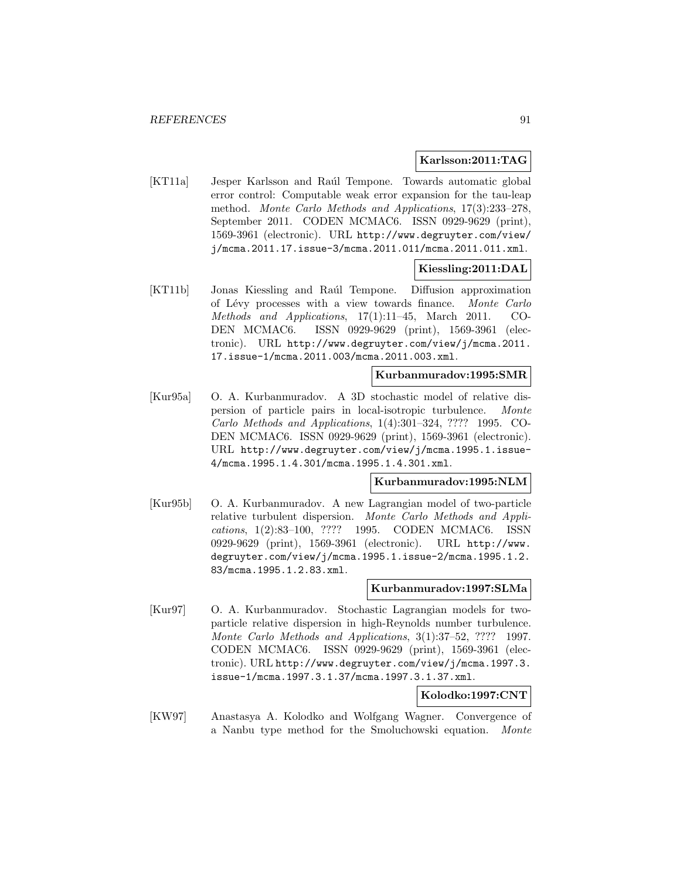### **Karlsson:2011:TAG**

[KT11a] Jesper Karlsson and Raúl Tempone. Towards automatic global error control: Computable weak error expansion for the tau-leap method. Monte Carlo Methods and Applications, 17(3):233–278, September 2011. CODEN MCMAC6. ISSN 0929-9629 (print), 1569-3961 (electronic). URL http://www.degruyter.com/view/ j/mcma.2011.17.issue-3/mcma.2011.011/mcma.2011.011.xml.

# **Kiessling:2011:DAL**

[KT11b] Jonas Kiessling and Ra´ul Tempone. Diffusion approximation of L´evy processes with a view towards finance. Monte Carlo Methods and Applications, 17(1):11–45, March 2011. CO-DEN MCMAC6. ISSN 0929-9629 (print), 1569-3961 (electronic). URL http://www.degruyter.com/view/j/mcma.2011. 17.issue-1/mcma.2011.003/mcma.2011.003.xml.

### **Kurbanmuradov:1995:SMR**

[Kur95a] O. A. Kurbanmuradov. A 3D stochastic model of relative dispersion of particle pairs in local-isotropic turbulence. Monte Carlo Methods and Applications, 1(4):301–324, ???? 1995. CO-DEN MCMAC6. ISSN 0929-9629 (print), 1569-3961 (electronic). URL http://www.degruyter.com/view/j/mcma.1995.1.issue-4/mcma.1995.1.4.301/mcma.1995.1.4.301.xml.

## **Kurbanmuradov:1995:NLM**

[Kur95b] O. A. Kurbanmuradov. A new Lagrangian model of two-particle relative turbulent dispersion. Monte Carlo Methods and Applications, 1(2):83–100, ???? 1995. CODEN MCMAC6. ISSN 0929-9629 (print), 1569-3961 (electronic). URL http://www. degruyter.com/view/j/mcma.1995.1.issue-2/mcma.1995.1.2. 83/mcma.1995.1.2.83.xml.

#### **Kurbanmuradov:1997:SLMa**

[Kur97] O. A. Kurbanmuradov. Stochastic Lagrangian models for twoparticle relative dispersion in high-Reynolds number turbulence. Monte Carlo Methods and Applications, 3(1):37–52, ???? 1997. CODEN MCMAC6. ISSN 0929-9629 (print), 1569-3961 (electronic). URL http://www.degruyter.com/view/j/mcma.1997.3. issue-1/mcma.1997.3.1.37/mcma.1997.3.1.37.xml.

# **Kolodko:1997:CNT**

[KW97] Anastasya A. Kolodko and Wolfgang Wagner. Convergence of a Nanbu type method for the Smoluchowski equation. Monte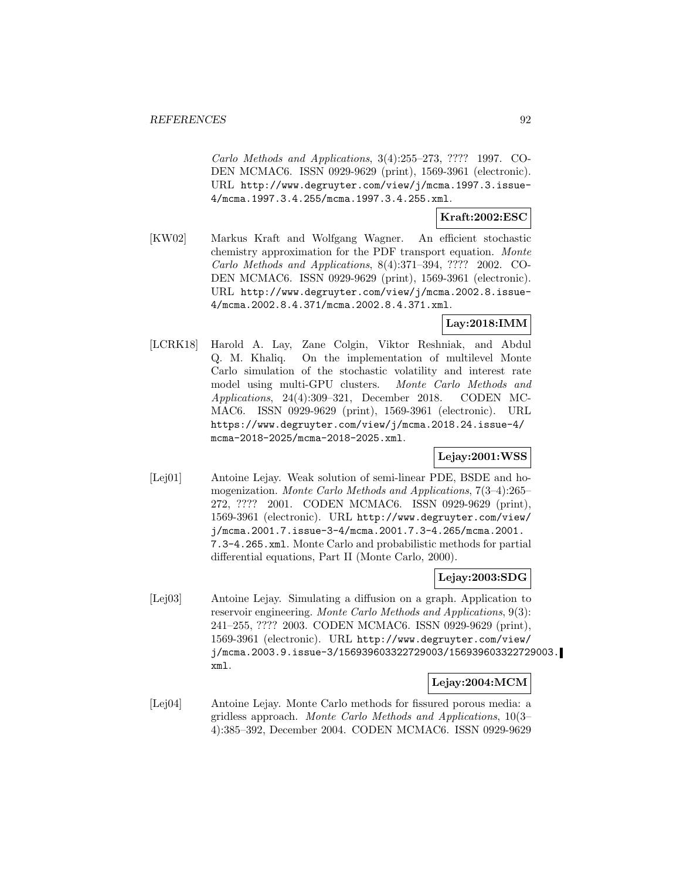Carlo Methods and Applications, 3(4):255–273, ???? 1997. CO-DEN MCMAC6. ISSN 0929-9629 (print), 1569-3961 (electronic). URL http://www.degruyter.com/view/j/mcma.1997.3.issue-4/mcma.1997.3.4.255/mcma.1997.3.4.255.xml.

# **Kraft:2002:ESC**

[KW02] Markus Kraft and Wolfgang Wagner. An efficient stochastic chemistry approximation for the PDF transport equation. Monte Carlo Methods and Applications, 8(4):371–394, ???? 2002. CO-DEN MCMAC6. ISSN 0929-9629 (print), 1569-3961 (electronic). URL http://www.degruyter.com/view/j/mcma.2002.8.issue-4/mcma.2002.8.4.371/mcma.2002.8.4.371.xml.

# **Lay:2018:IMM**

[LCRK18] Harold A. Lay, Zane Colgin, Viktor Reshniak, and Abdul Q. M. Khaliq. On the implementation of multilevel Monte Carlo simulation of the stochastic volatility and interest rate model using multi-GPU clusters. Monte Carlo Methods and Applications, 24(4):309–321, December 2018. CODEN MC-MAC6. ISSN 0929-9629 (print), 1569-3961 (electronic). URL https://www.degruyter.com/view/j/mcma.2018.24.issue-4/ mcma-2018-2025/mcma-2018-2025.xml.

# **Lejay:2001:WSS**

[Lej01] Antoine Lejay. Weak solution of semi-linear PDE, BSDE and homogenization. Monte Carlo Methods and Applications, 7(3–4):265– 272, ???? 2001. CODEN MCMAC6. ISSN 0929-9629 (print), 1569-3961 (electronic). URL http://www.degruyter.com/view/ j/mcma.2001.7.issue-3-4/mcma.2001.7.3-4.265/mcma.2001. 7.3-4.265.xml. Monte Carlo and probabilistic methods for partial differential equations, Part II (Monte Carlo, 2000).

# **Lejay:2003:SDG**

[Lej03] Antoine Lejay. Simulating a diffusion on a graph. Application to reservoir engineering. Monte Carlo Methods and Applications, 9(3): 241–255, ???? 2003. CODEN MCMAC6. ISSN 0929-9629 (print), 1569-3961 (electronic). URL http://www.degruyter.com/view/ j/mcma.2003.9.issue-3/156939603322729003/156939603322729003. xml.

### **Lejay:2004:MCM**

[Lej04] Antoine Lejay. Monte Carlo methods for fissured porous media: a gridless approach. Monte Carlo Methods and Applications, 10(3– 4):385–392, December 2004. CODEN MCMAC6. ISSN 0929-9629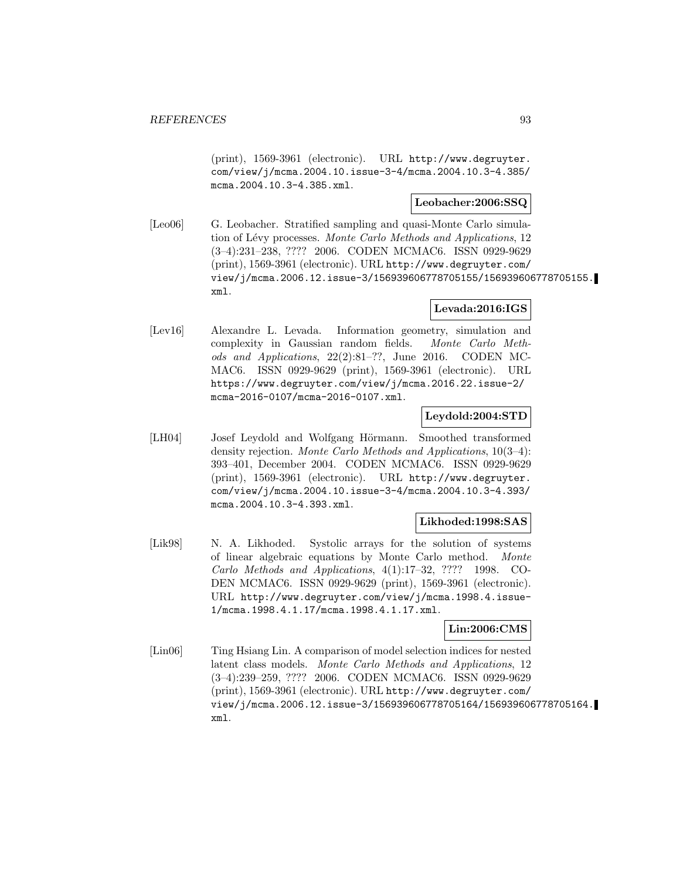(print), 1569-3961 (electronic). URL http://www.degruyter. com/view/j/mcma.2004.10.issue-3-4/mcma.2004.10.3-4.385/ mcma.2004.10.3-4.385.xml.

## **Leobacher:2006:SSQ**

[Leo06] G. Leobacher. Stratified sampling and quasi-Monte Carlo simulation of Lévy processes. Monte Carlo Methods and Applications, 12 (3–4):231–238, ???? 2006. CODEN MCMAC6. ISSN 0929-9629 (print), 1569-3961 (electronic). URL http://www.degruyter.com/ view/j/mcma.2006.12.issue-3/156939606778705155/156939606778705155. xml.

# **Levada:2016:IGS**

[Lev16] Alexandre L. Levada. Information geometry, simulation and complexity in Gaussian random fields. Monte Carlo Methods and Applications, 22(2):81–??, June 2016. CODEN MC-MAC6. ISSN 0929-9629 (print), 1569-3961 (electronic). URL https://www.degruyter.com/view/j/mcma.2016.22.issue-2/ mcma-2016-0107/mcma-2016-0107.xml.

### **Leydold:2004:STD**

[LH04] Josef Leydold and Wolfgang Hörmann. Smoothed transformed density rejection. Monte Carlo Methods and Applications, 10(3–4): 393–401, December 2004. CODEN MCMAC6. ISSN 0929-9629 (print), 1569-3961 (electronic). URL http://www.degruyter. com/view/j/mcma.2004.10.issue-3-4/mcma.2004.10.3-4.393/ mcma.2004.10.3-4.393.xml.

### **Likhoded:1998:SAS**

[Lik98] N. A. Likhoded. Systolic arrays for the solution of systems of linear algebraic equations by Monte Carlo method. Monte Carlo Methods and Applications, 4(1):17–32, ???? 1998. CO-DEN MCMAC6. ISSN 0929-9629 (print), 1569-3961 (electronic). URL http://www.degruyter.com/view/j/mcma.1998.4.issue-1/mcma.1998.4.1.17/mcma.1998.4.1.17.xml.

# **Lin:2006:CMS**

[Lin06] Ting Hsiang Lin. A comparison of model selection indices for nested latent class models. Monte Carlo Methods and Applications, 12 (3–4):239–259, ???? 2006. CODEN MCMAC6. ISSN 0929-9629 (print), 1569-3961 (electronic). URL http://www.degruyter.com/ view/j/mcma.2006.12.issue-3/156939606778705164/156939606778705164. xml.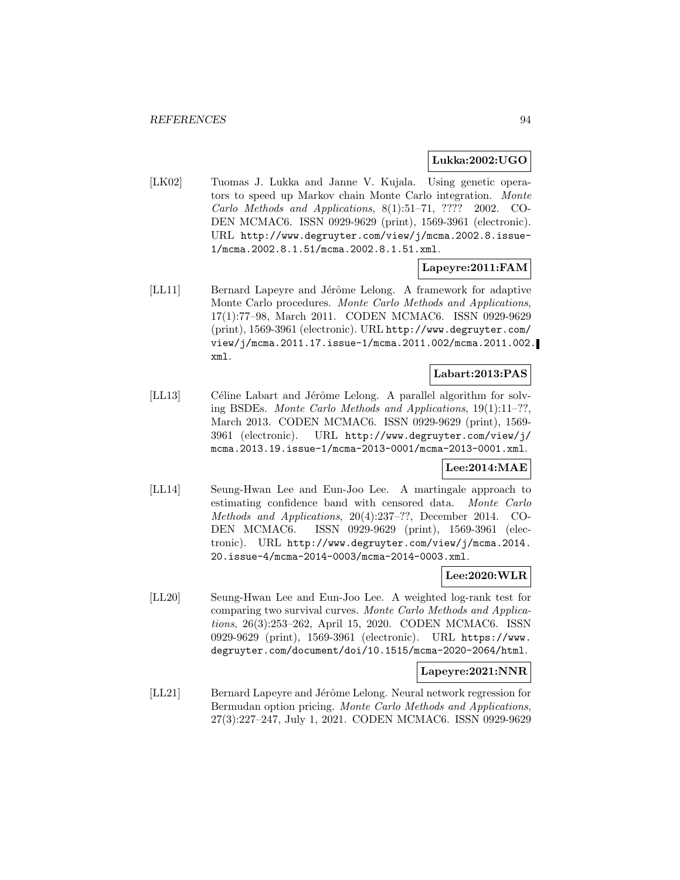### **Lukka:2002:UGO**

[LK02] Tuomas J. Lukka and Janne V. Kujala. Using genetic operators to speed up Markov chain Monte Carlo integration. Monte Carlo Methods and Applications, 8(1):51–71, ???? 2002. CO-DEN MCMAC6. ISSN 0929-9629 (print), 1569-3961 (electronic). URL http://www.degruyter.com/view/j/mcma.2002.8.issue-1/mcma.2002.8.1.51/mcma.2002.8.1.51.xml.

## **Lapeyre:2011:FAM**

[LL11] Bernard Lapeyre and Jérôme Lelong. A framework for adaptive Monte Carlo procedures. Monte Carlo Methods and Applications, 17(1):77–98, March 2011. CODEN MCMAC6. ISSN 0929-9629 (print), 1569-3961 (electronic). URL http://www.degruyter.com/ view/j/mcma.2011.17.issue-1/mcma.2011.002/mcma.2011.002. xml.

## **Labart:2013:PAS**

[LL13] Céline Labart and Jérôme Lelong. A parallel algorithm for solving BSDEs. Monte Carlo Methods and Applications, 19(1):11–??, March 2013. CODEN MCMAC6. ISSN 0929-9629 (print), 1569- 3961 (electronic). URL http://www.degruyter.com/view/j/ mcma.2013.19.issue-1/mcma-2013-0001/mcma-2013-0001.xml.

### **Lee:2014:MAE**

[LL14] Seung-Hwan Lee and Eun-Joo Lee. A martingale approach to estimating confidence band with censored data. Monte Carlo Methods and Applications, 20(4):237–??, December 2014. CO-DEN MCMAC6. ISSN 0929-9629 (print), 1569-3961 (electronic). URL http://www.degruyter.com/view/j/mcma.2014. 20.issue-4/mcma-2014-0003/mcma-2014-0003.xml.

# **Lee:2020:WLR**

[LL20] Seung-Hwan Lee and Eun-Joo Lee. A weighted log-rank test for comparing two survival curves. Monte Carlo Methods and Applications, 26(3):253–262, April 15, 2020. CODEN MCMAC6. ISSN 0929-9629 (print), 1569-3961 (electronic). URL https://www. degruyter.com/document/doi/10.1515/mcma-2020-2064/html.

### **Lapeyre:2021:NNR**

[LL21] Bernard Lapeyre and Jérôme Lelong. Neural network regression for Bermudan option pricing. Monte Carlo Methods and Applications, 27(3):227–247, July 1, 2021. CODEN MCMAC6. ISSN 0929-9629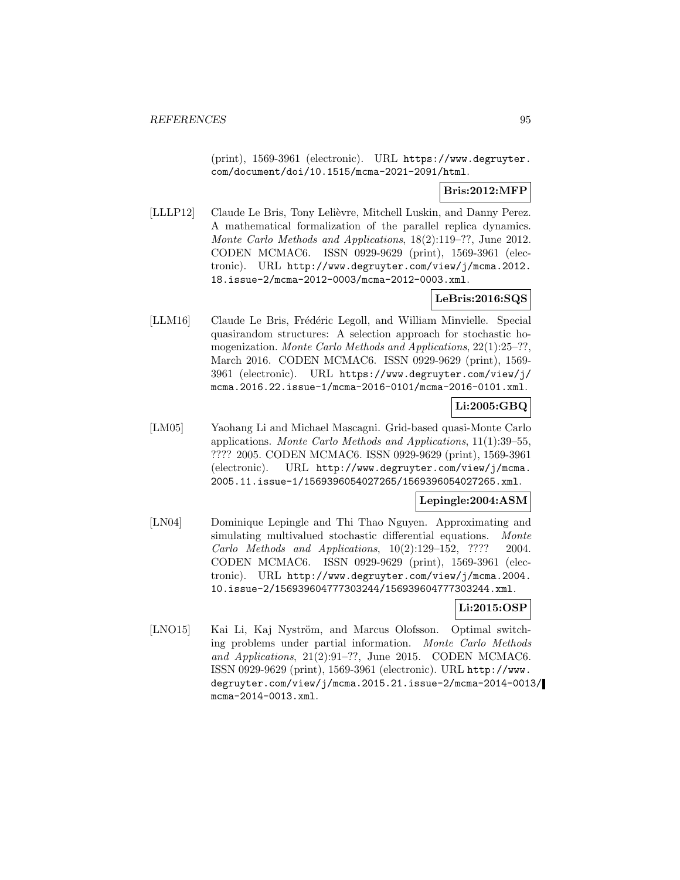(print), 1569-3961 (electronic). URL https://www.degruyter. com/document/doi/10.1515/mcma-2021-2091/html.

# **Bris:2012:MFP**

[LLLP12] Claude Le Bris, Tony Lelièvre, Mitchell Luskin, and Danny Perez. A mathematical formalization of the parallel replica dynamics. Monte Carlo Methods and Applications, 18(2):119–??, June 2012. CODEN MCMAC6. ISSN 0929-9629 (print), 1569-3961 (electronic). URL http://www.degruyter.com/view/j/mcma.2012. 18.issue-2/mcma-2012-0003/mcma-2012-0003.xml.

# **LeBris:2016:SQS**

[LLM16] Claude Le Bris, Frédéric Legoll, and William Minvielle. Special quasirandom structures: A selection approach for stochastic homogenization. Monte Carlo Methods and Applications, 22(1):25–??, March 2016. CODEN MCMAC6. ISSN 0929-9629 (print), 1569- 3961 (electronic). URL https://www.degruyter.com/view/j/ mcma.2016.22.issue-1/mcma-2016-0101/mcma-2016-0101.xml.

## **Li:2005:GBQ**

[LM05] Yaohang Li and Michael Mascagni. Grid-based quasi-Monte Carlo applications. Monte Carlo Methods and Applications, 11(1):39–55, ???? 2005. CODEN MCMAC6. ISSN 0929-9629 (print), 1569-3961 (electronic). URL http://www.degruyter.com/view/j/mcma. 2005.11.issue-1/1569396054027265/1569396054027265.xml.

### **Lepingle:2004:ASM**

[LN04] Dominique Lepingle and Thi Thao Nguyen. Approximating and simulating multivalued stochastic differential equations. Monte Carlo Methods and Applications, 10(2):129–152, ???? 2004. CODEN MCMAC6. ISSN 0929-9629 (print), 1569-3961 (electronic). URL http://www.degruyter.com/view/j/mcma.2004. 10.issue-2/156939604777303244/156939604777303244.xml.

# **Li:2015:OSP**

[LNO15] Kai Li, Kaj Nyström, and Marcus Olofsson. Optimal switching problems under partial information. Monte Carlo Methods and Applications, 21(2):91–??, June 2015. CODEN MCMAC6. ISSN 0929-9629 (print), 1569-3961 (electronic). URL http://www. degruyter.com/view/j/mcma.2015.21.issue-2/mcma-2014-0013/ mcma-2014-0013.xml.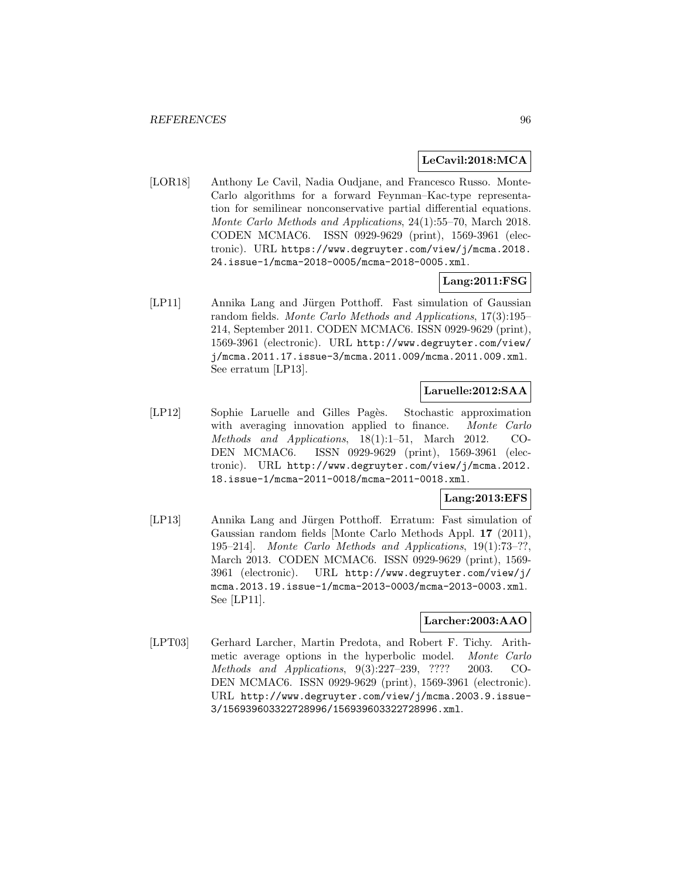### **LeCavil:2018:MCA**

[LOR18] Anthony Le Cavil, Nadia Oudjane, and Francesco Russo. Monte-Carlo algorithms for a forward Feynman–Kac-type representation for semilinear nonconservative partial differential equations. Monte Carlo Methods and Applications, 24(1):55–70, March 2018. CODEN MCMAC6. ISSN 0929-9629 (print), 1569-3961 (electronic). URL https://www.degruyter.com/view/j/mcma.2018. 24.issue-1/mcma-2018-0005/mcma-2018-0005.xml.

### **Lang:2011:FSG**

[LP11] Annika Lang and Jürgen Potthoff. Fast simulation of Gaussian random fields. Monte Carlo Methods and Applications, 17(3):195– 214, September 2011. CODEN MCMAC6. ISSN 0929-9629 (print), 1569-3961 (electronic). URL http://www.degruyter.com/view/ j/mcma.2011.17.issue-3/mcma.2011.009/mcma.2011.009.xml. See erratum [LP13].

# **Laruelle:2012:SAA**

[LP12] Sophie Laruelle and Gilles Pagès. Stochastic approximation with averaging innovation applied to finance. Monte Carlo Methods and Applications, 18(1):1–51, March 2012. CO-DEN MCMAC6. ISSN 0929-9629 (print), 1569-3961 (electronic). URL http://www.degruyter.com/view/j/mcma.2012. 18.issue-1/mcma-2011-0018/mcma-2011-0018.xml.

## **Lang:2013:EFS**

[LP13] Annika Lang and Jürgen Potthoff. Erratum: Fast simulation of Gaussian random fields [Monte Carlo Methods Appl. **17** (2011), 195–214]. Monte Carlo Methods and Applications, 19(1):73–??, March 2013. CODEN MCMAC6. ISSN 0929-9629 (print), 1569- 3961 (electronic). URL http://www.degruyter.com/view/j/ mcma.2013.19.issue-1/mcma-2013-0003/mcma-2013-0003.xml. See [LP11].

#### **Larcher:2003:AAO**

[LPT03] Gerhard Larcher, Martin Predota, and Robert F. Tichy. Arithmetic average options in the hyperbolic model. Monte Carlo Methods and Applications, 9(3):227–239, ???? 2003. CO-DEN MCMAC6. ISSN 0929-9629 (print), 1569-3961 (electronic). URL http://www.degruyter.com/view/j/mcma.2003.9.issue-3/156939603322728996/156939603322728996.xml.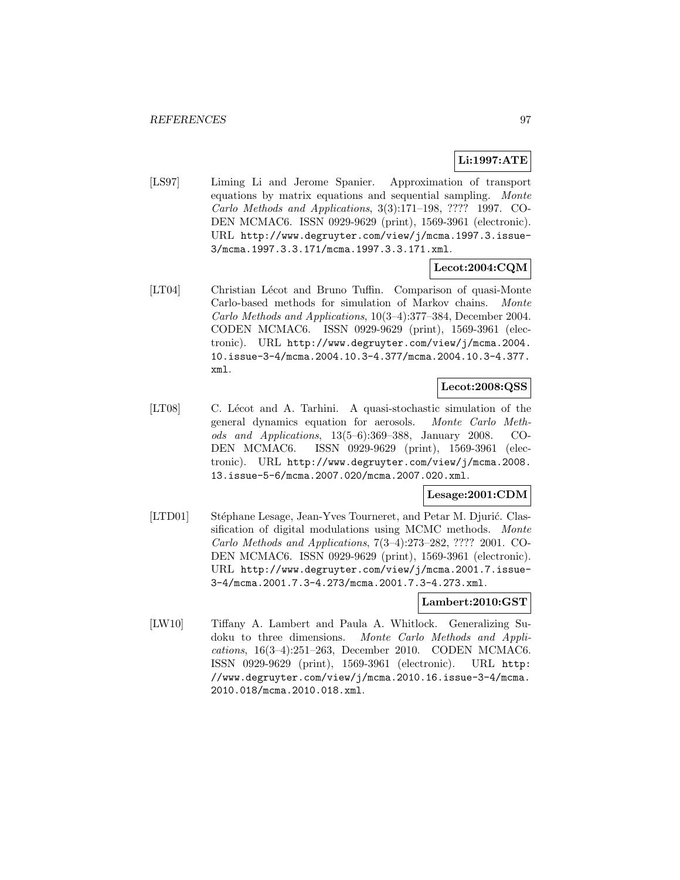# **Li:1997:ATE**

[LS97] Liming Li and Jerome Spanier. Approximation of transport equations by matrix equations and sequential sampling. Monte Carlo Methods and Applications, 3(3):171–198, ???? 1997. CO-DEN MCMAC6. ISSN 0929-9629 (print), 1569-3961 (electronic). URL http://www.degruyter.com/view/j/mcma.1997.3.issue-3/mcma.1997.3.3.171/mcma.1997.3.3.171.xml.

# **Lecot:2004:CQM**

[LT04] Christian Lécot and Bruno Tuffin. Comparison of quasi-Monte Carlo-based methods for simulation of Markov chains. Monte Carlo Methods and Applications, 10(3–4):377–384, December 2004. CODEN MCMAC6. ISSN 0929-9629 (print), 1569-3961 (electronic). URL http://www.degruyter.com/view/j/mcma.2004. 10.issue-3-4/mcma.2004.10.3-4.377/mcma.2004.10.3-4.377. xml.

# **Lecot:2008:QSS**

[LT08] C. Lécot and A. Tarhini. A quasi-stochastic simulation of the general dynamics equation for aerosols. Monte Carlo Methods and Applications, 13(5–6):369–388, January 2008. CO-DEN MCMAC6. ISSN 0929-9629 (print), 1569-3961 (electronic). URL http://www.degruyter.com/view/j/mcma.2008. 13.issue-5-6/mcma.2007.020/mcma.2007.020.xml.

# **Lesage:2001:CDM**

[LTD01] Stéphane Lesage, Jean-Yves Tourneret, and Petar M. Djurić. Classification of digital modulations using MCMC methods. Monte Carlo Methods and Applications, 7(3–4):273–282, ???? 2001. CO-DEN MCMAC6. ISSN 0929-9629 (print), 1569-3961 (electronic). URL http://www.degruyter.com/view/j/mcma.2001.7.issue-3-4/mcma.2001.7.3-4.273/mcma.2001.7.3-4.273.xml.

## **Lambert:2010:GST**

[LW10] Tiffany A. Lambert and Paula A. Whitlock. Generalizing Sudoku to three dimensions. Monte Carlo Methods and Applications, 16(3–4):251–263, December 2010. CODEN MCMAC6. ISSN 0929-9629 (print), 1569-3961 (electronic). URL http: //www.degruyter.com/view/j/mcma.2010.16.issue-3-4/mcma. 2010.018/mcma.2010.018.xml.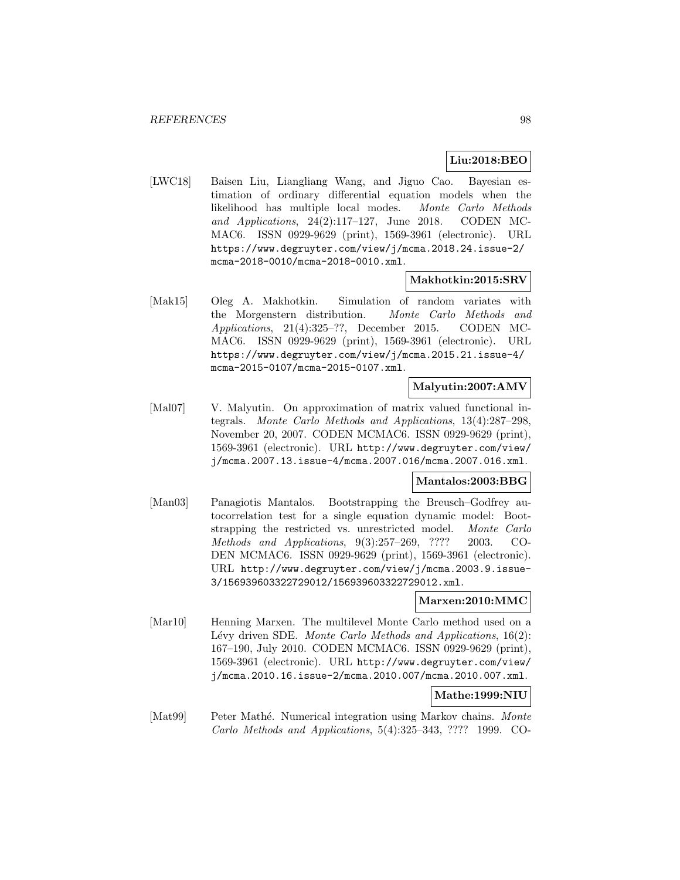# **Liu:2018:BEO**

[LWC18] Baisen Liu, Liangliang Wang, and Jiguo Cao. Bayesian estimation of ordinary differential equation models when the likelihood has multiple local modes. Monte Carlo Methods and Applications, 24(2):117–127, June 2018. CODEN MC-MAC6. ISSN 0929-9629 (print), 1569-3961 (electronic). URL https://www.degruyter.com/view/j/mcma.2018.24.issue-2/ mcma-2018-0010/mcma-2018-0010.xml.

### **Makhotkin:2015:SRV**

[Mak15] Oleg A. Makhotkin. Simulation of random variates with the Morgenstern distribution. Monte Carlo Methods and Applications, 21(4):325–??, December 2015. CODEN MC-MAC6. ISSN 0929-9629 (print), 1569-3961 (electronic). URL https://www.degruyter.com/view/j/mcma.2015.21.issue-4/ mcma-2015-0107/mcma-2015-0107.xml.

### **Malyutin:2007:AMV**

[Mal07] V. Malyutin. On approximation of matrix valued functional integrals. Monte Carlo Methods and Applications, 13(4):287–298, November 20, 2007. CODEN MCMAC6. ISSN 0929-9629 (print), 1569-3961 (electronic). URL http://www.degruyter.com/view/ j/mcma.2007.13.issue-4/mcma.2007.016/mcma.2007.016.xml.

### **Mantalos:2003:BBG**

[Man03] Panagiotis Mantalos. Bootstrapping the Breusch–Godfrey autocorrelation test for a single equation dynamic model: Bootstrapping the restricted vs. unrestricted model. Monte Carlo Methods and Applications, 9(3):257–269, ???? 2003. CO-DEN MCMAC6. ISSN 0929-9629 (print), 1569-3961 (electronic). URL http://www.degruyter.com/view/j/mcma.2003.9.issue-3/156939603322729012/156939603322729012.xml.

**Marxen:2010:MMC**

[Mar10] Henning Marxen. The multilevel Monte Carlo method used on a Lévy driven SDE. Monte Carlo Methods and Applications,  $16(2)$ : 167–190, July 2010. CODEN MCMAC6. ISSN 0929-9629 (print), 1569-3961 (electronic). URL http://www.degruyter.com/view/ j/mcma.2010.16.issue-2/mcma.2010.007/mcma.2010.007.xml.

## **Mathe:1999:NIU**

[Mat99] Peter Mathé. Numerical integration using Markov chains. *Monte* Carlo Methods and Applications, 5(4):325–343, ???? 1999. CO-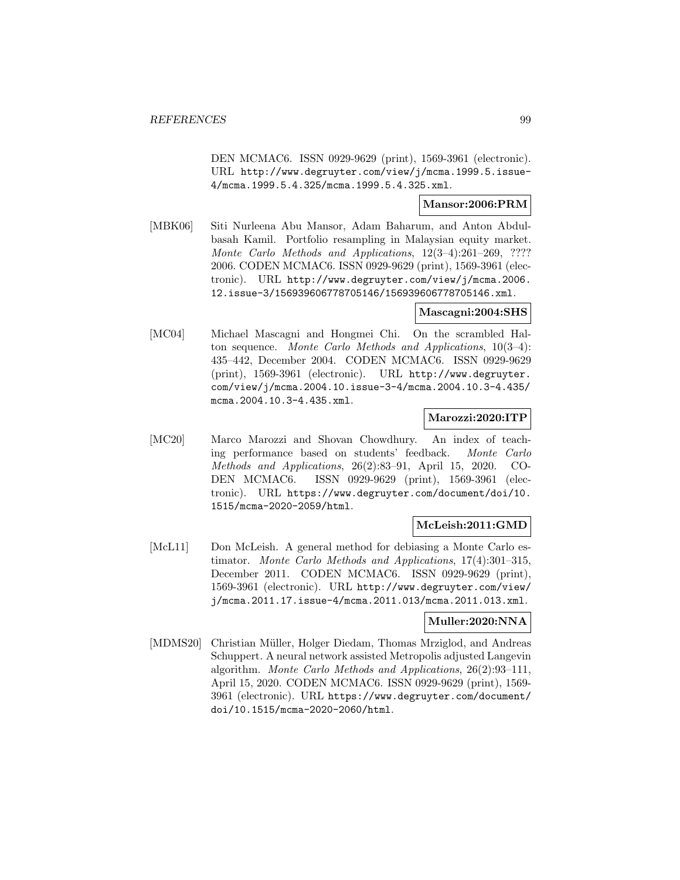DEN MCMAC6. ISSN 0929-9629 (print), 1569-3961 (electronic). URL http://www.degruyter.com/view/j/mcma.1999.5.issue-4/mcma.1999.5.4.325/mcma.1999.5.4.325.xml.

### **Mansor:2006:PRM**

[MBK06] Siti Nurleena Abu Mansor, Adam Baharum, and Anton Abdulbasah Kamil. Portfolio resampling in Malaysian equity market. Monte Carlo Methods and Applications, 12(3–4):261–269, ???? 2006. CODEN MCMAC6. ISSN 0929-9629 (print), 1569-3961 (electronic). URL http://www.degruyter.com/view/j/mcma.2006. 12.issue-3/156939606778705146/156939606778705146.xml.

### **Mascagni:2004:SHS**

[MC04] Michael Mascagni and Hongmei Chi. On the scrambled Halton sequence. Monte Carlo Methods and Applications, 10(3–4): 435–442, December 2004. CODEN MCMAC6. ISSN 0929-9629 (print), 1569-3961 (electronic). URL http://www.degruyter. com/view/j/mcma.2004.10.issue-3-4/mcma.2004.10.3-4.435/ mcma.2004.10.3-4.435.xml.

#### **Marozzi:2020:ITP**

[MC20] Marco Marozzi and Shovan Chowdhury. An index of teaching performance based on students' feedback. Monte Carlo Methods and Applications, 26(2):83–91, April 15, 2020. CO-DEN MCMAC6. ISSN 0929-9629 (print), 1569-3961 (electronic). URL https://www.degruyter.com/document/doi/10. 1515/mcma-2020-2059/html.

### **McLeish:2011:GMD**

[McL11] Don McLeish. A general method for debiasing a Monte Carlo estimator. Monte Carlo Methods and Applications, 17(4):301–315, December 2011. CODEN MCMAC6. ISSN 0929-9629 (print), 1569-3961 (electronic). URL http://www.degruyter.com/view/ j/mcma.2011.17.issue-4/mcma.2011.013/mcma.2011.013.xml.

#### **Muller:2020:NNA**

[MDMS20] Christian Müller, Holger Diedam, Thomas Mrziglod, and Andreas Schuppert. A neural network assisted Metropolis adjusted Langevin algorithm. Monte Carlo Methods and Applications, 26(2):93–111, April 15, 2020. CODEN MCMAC6. ISSN 0929-9629 (print), 1569- 3961 (electronic). URL https://www.degruyter.com/document/ doi/10.1515/mcma-2020-2060/html.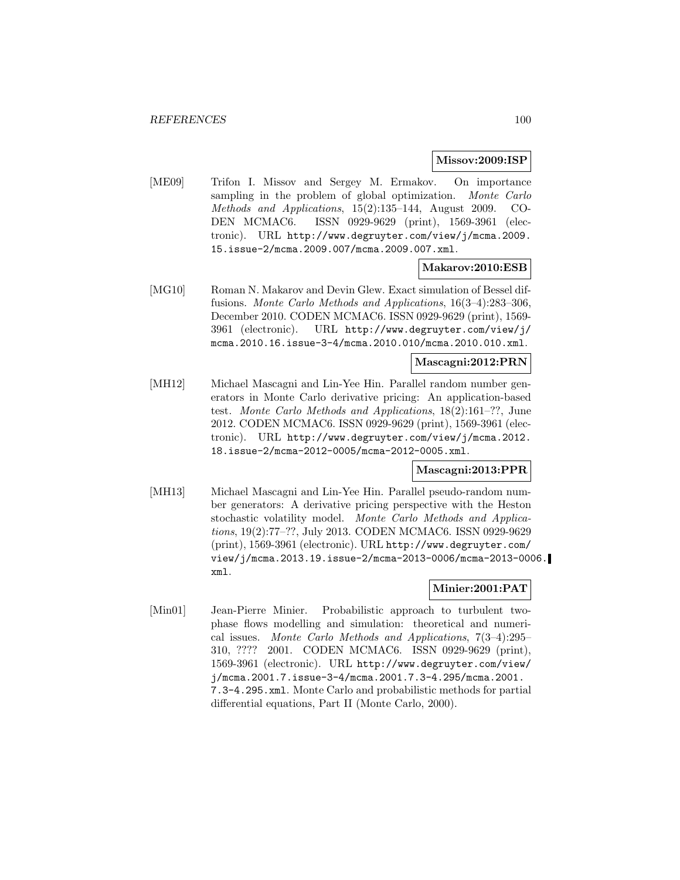#### **Missov:2009:ISP**

[ME09] Trifon I. Missov and Sergey M. Ermakov. On importance sampling in the problem of global optimization. Monte Carlo Methods and Applications, 15(2):135–144, August 2009. CO-DEN MCMAC6. ISSN 0929-9629 (print), 1569-3961 (electronic). URL http://www.degruyter.com/view/j/mcma.2009. 15.issue-2/mcma.2009.007/mcma.2009.007.xml.

#### **Makarov:2010:ESB**

[MG10] Roman N. Makarov and Devin Glew. Exact simulation of Bessel diffusions. Monte Carlo Methods and Applications, 16(3–4):283–306, December 2010. CODEN MCMAC6. ISSN 0929-9629 (print), 1569- 3961 (electronic). URL http://www.degruyter.com/view/j/ mcma.2010.16.issue-3-4/mcma.2010.010/mcma.2010.010.xml.

## **Mascagni:2012:PRN**

[MH12] Michael Mascagni and Lin-Yee Hin. Parallel random number generators in Monte Carlo derivative pricing: An application-based test. Monte Carlo Methods and Applications, 18(2):161–??, June 2012. CODEN MCMAC6. ISSN 0929-9629 (print), 1569-3961 (electronic). URL http://www.degruyter.com/view/j/mcma.2012. 18.issue-2/mcma-2012-0005/mcma-2012-0005.xml.

## **Mascagni:2013:PPR**

[MH13] Michael Mascagni and Lin-Yee Hin. Parallel pseudo-random number generators: A derivative pricing perspective with the Heston stochastic volatility model. Monte Carlo Methods and Applications, 19(2):77–??, July 2013. CODEN MCMAC6. ISSN 0929-9629 (print), 1569-3961 (electronic). URL http://www.degruyter.com/ view/j/mcma.2013.19.issue-2/mcma-2013-0006/mcma-2013-0006. xml.

### **Minier:2001:PAT**

[Min01] Jean-Pierre Minier. Probabilistic approach to turbulent twophase flows modelling and simulation: theoretical and numerical issues. Monte Carlo Methods and Applications, 7(3–4):295– 310, ???? 2001. CODEN MCMAC6. ISSN 0929-9629 (print), 1569-3961 (electronic). URL http://www.degruyter.com/view/ j/mcma.2001.7.issue-3-4/mcma.2001.7.3-4.295/mcma.2001. 7.3-4.295.xml. Monte Carlo and probabilistic methods for partial differential equations, Part II (Monte Carlo, 2000).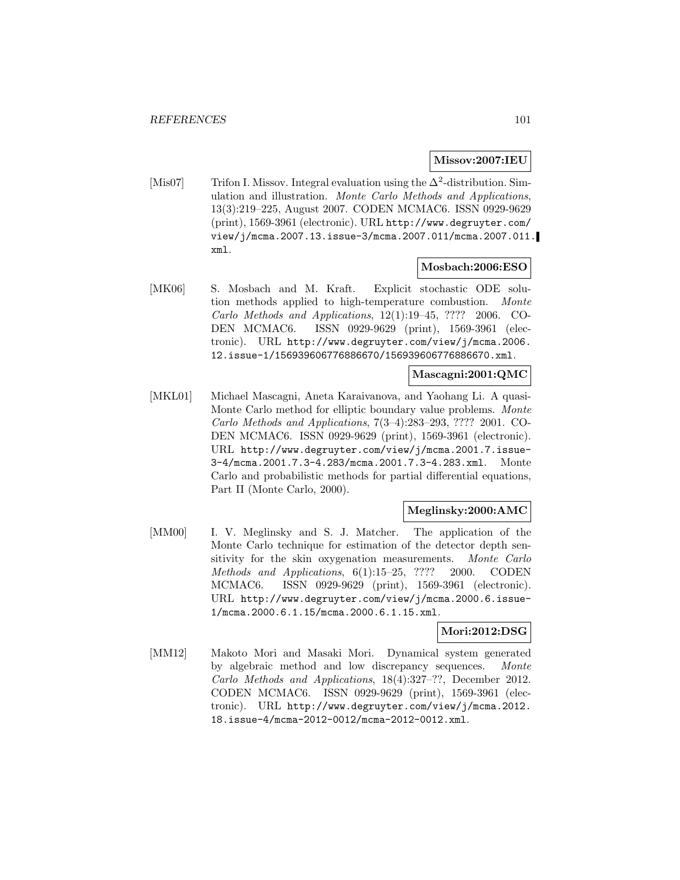### **Missov:2007:IEU**

[Mis07] Trifon I. Missov. Integral evaluation using the  $\Delta^2$ -distribution. Simulation and illustration. Monte Carlo Methods and Applications, 13(3):219–225, August 2007. CODEN MCMAC6. ISSN 0929-9629 (print), 1569-3961 (electronic). URL http://www.degruyter.com/ view/j/mcma.2007.13.issue-3/mcma.2007.011/mcma.2007.011. xml.

### **Mosbach:2006:ESO**

[MK06] S. Mosbach and M. Kraft. Explicit stochastic ODE solution methods applied to high-temperature combustion. Monte Carlo Methods and Applications, 12(1):19–45, ???? 2006. CO-DEN MCMAC6. ISSN 0929-9629 (print), 1569-3961 (electronic). URL http://www.degruyter.com/view/j/mcma.2006. 12.issue-1/156939606776886670/156939606776886670.xml.

#### **Mascagni:2001:QMC**

[MKL01] Michael Mascagni, Aneta Karaivanova, and Yaohang Li. A quasi-Monte Carlo method for elliptic boundary value problems. Monte Carlo Methods and Applications, 7(3–4):283–293, ???? 2001. CO-DEN MCMAC6. ISSN 0929-9629 (print), 1569-3961 (electronic). URL http://www.degruyter.com/view/j/mcma.2001.7.issue-3-4/mcma.2001.7.3-4.283/mcma.2001.7.3-4.283.xml. Monte Carlo and probabilistic methods for partial differential equations, Part II (Monte Carlo, 2000).

### **Meglinsky:2000:AMC**

[MM00] I. V. Meglinsky and S. J. Matcher. The application of the Monte Carlo technique for estimation of the detector depth sensitivity for the skin oxygenation measurements. Monte Carlo Methods and Applications, 6(1):15–25, ???? 2000. CODEN MCMAC6. ISSN 0929-9629 (print), 1569-3961 (electronic). URL http://www.degruyter.com/view/j/mcma.2000.6.issue-1/mcma.2000.6.1.15/mcma.2000.6.1.15.xml.

### **Mori:2012:DSG**

[MM12] Makoto Mori and Masaki Mori. Dynamical system generated by algebraic method and low discrepancy sequences. Monte Carlo Methods and Applications, 18(4):327–??, December 2012. CODEN MCMAC6. ISSN 0929-9629 (print), 1569-3961 (electronic). URL http://www.degruyter.com/view/j/mcma.2012. 18.issue-4/mcma-2012-0012/mcma-2012-0012.xml.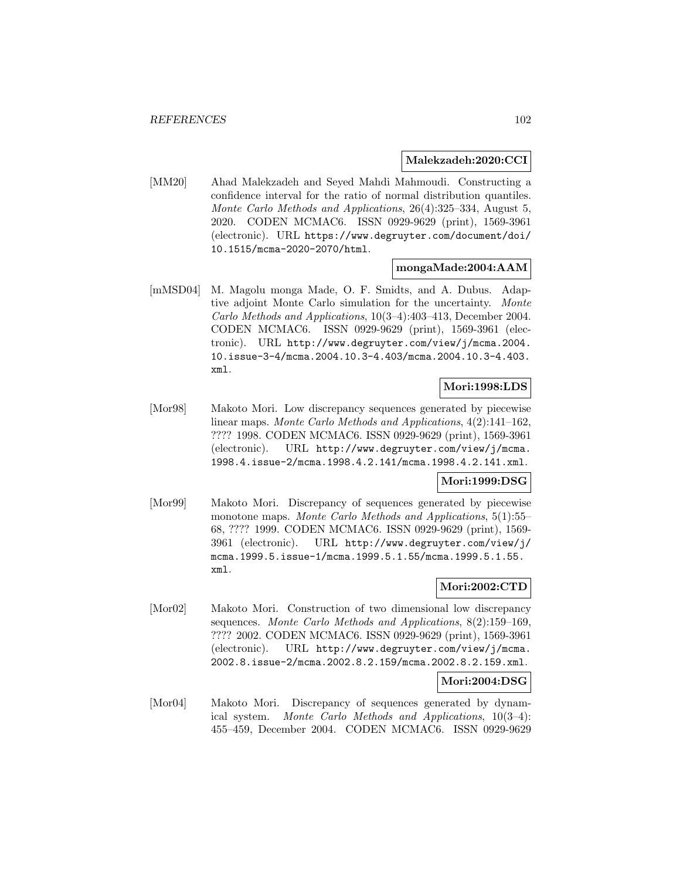### **Malekzadeh:2020:CCI**

[MM20] Ahad Malekzadeh and Seyed Mahdi Mahmoudi. Constructing a confidence interval for the ratio of normal distribution quantiles. Monte Carlo Methods and Applications, 26(4):325–334, August 5, 2020. CODEN MCMAC6. ISSN 0929-9629 (print), 1569-3961 (electronic). URL https://www.degruyter.com/document/doi/ 10.1515/mcma-2020-2070/html.

#### **mongaMade:2004:AAM**

[mMSD04] M. Magolu monga Made, O. F. Smidts, and A. Dubus. Adaptive adjoint Monte Carlo simulation for the uncertainty. Monte Carlo Methods and Applications, 10(3–4):403–413, December 2004. CODEN MCMAC6. ISSN 0929-9629 (print), 1569-3961 (electronic). URL http://www.degruyter.com/view/j/mcma.2004. 10.issue-3-4/mcma.2004.10.3-4.403/mcma.2004.10.3-4.403. xml.

# **Mori:1998:LDS**

[Mor98] Makoto Mori. Low discrepancy sequences generated by piecewise linear maps. Monte Carlo Methods and Applications, 4(2):141–162, ???? 1998. CODEN MCMAC6. ISSN 0929-9629 (print), 1569-3961 (electronic). URL http://www.degruyter.com/view/j/mcma. 1998.4.issue-2/mcma.1998.4.2.141/mcma.1998.4.2.141.xml.

# **Mori:1999:DSG**

[Mor99] Makoto Mori. Discrepancy of sequences generated by piecewise monotone maps. Monte Carlo Methods and Applications, 5(1):55– 68, ???? 1999. CODEN MCMAC6. ISSN 0929-9629 (print), 1569- 3961 (electronic). URL http://www.degruyter.com/view/j/ mcma.1999.5.issue-1/mcma.1999.5.1.55/mcma.1999.5.1.55. xml.

## **Mori:2002:CTD**

[Mor02] Makoto Mori. Construction of two dimensional low discrepancy sequences. Monte Carlo Methods and Applications, 8(2):159–169, ???? 2002. CODEN MCMAC6. ISSN 0929-9629 (print), 1569-3961 (electronic). URL http://www.degruyter.com/view/j/mcma. 2002.8.issue-2/mcma.2002.8.2.159/mcma.2002.8.2.159.xml.

#### **Mori:2004:DSG**

[Mor04] Makoto Mori. Discrepancy of sequences generated by dynamical system. Monte Carlo Methods and Applications, 10(3–4): 455–459, December 2004. CODEN MCMAC6. ISSN 0929-9629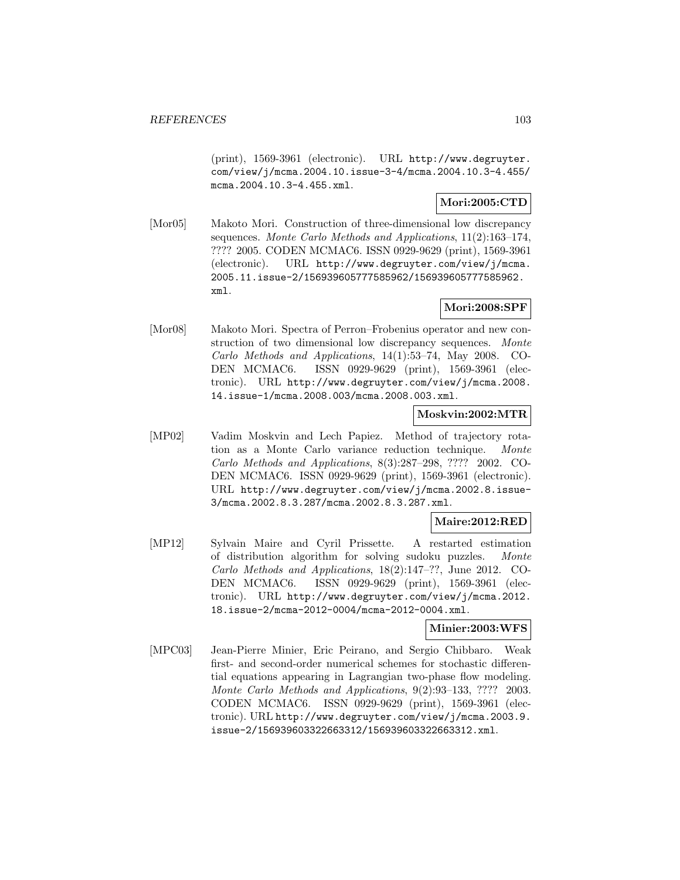(print), 1569-3961 (electronic). URL http://www.degruyter. com/view/j/mcma.2004.10.issue-3-4/mcma.2004.10.3-4.455/ mcma.2004.10.3-4.455.xml.

# **Mori:2005:CTD**

[Mor05] Makoto Mori. Construction of three-dimensional low discrepancy sequences. Monte Carlo Methods and Applications, 11(2):163–174, ???? 2005. CODEN MCMAC6. ISSN 0929-9629 (print), 1569-3961 (electronic). URL http://www.degruyter.com/view/j/mcma. 2005.11.issue-2/156939605777585962/156939605777585962. xml.

# **Mori:2008:SPF**

[Mor08] Makoto Mori. Spectra of Perron–Frobenius operator and new construction of two dimensional low discrepancy sequences. Monte Carlo Methods and Applications, 14(1):53–74, May 2008. CO-DEN MCMAC6. ISSN 0929-9629 (print), 1569-3961 (electronic). URL http://www.degruyter.com/view/j/mcma.2008. 14.issue-1/mcma.2008.003/mcma.2008.003.xml.

### **Moskvin:2002:MTR**

[MP02] Vadim Moskvin and Lech Papiez. Method of trajectory rotation as a Monte Carlo variance reduction technique. Monte Carlo Methods and Applications, 8(3):287–298, ???? 2002. CO-DEN MCMAC6. ISSN 0929-9629 (print), 1569-3961 (electronic). URL http://www.degruyter.com/view/j/mcma.2002.8.issue-3/mcma.2002.8.3.287/mcma.2002.8.3.287.xml.

### **Maire:2012:RED**

[MP12] Sylvain Maire and Cyril Prissette. A restarted estimation of distribution algorithm for solving sudoku puzzles. Monte Carlo Methods and Applications, 18(2):147–??, June 2012. CO-DEN MCMAC6. ISSN 0929-9629 (print), 1569-3961 (electronic). URL http://www.degruyter.com/view/j/mcma.2012. 18.issue-2/mcma-2012-0004/mcma-2012-0004.xml.

### **Minier:2003:WFS**

[MPC03] Jean-Pierre Minier, Eric Peirano, and Sergio Chibbaro. Weak first- and second-order numerical schemes for stochastic differential equations appearing in Lagrangian two-phase flow modeling. Monte Carlo Methods and Applications, 9(2):93–133, ???? 2003. CODEN MCMAC6. ISSN 0929-9629 (print), 1569-3961 (electronic). URL http://www.degruyter.com/view/j/mcma.2003.9. issue-2/156939603322663312/156939603322663312.xml.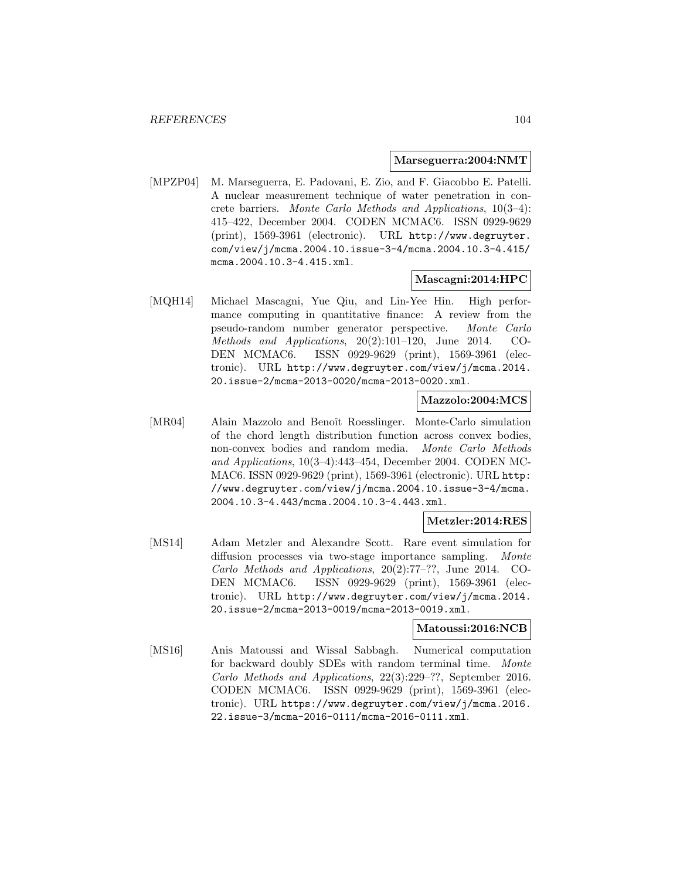#### **Marseguerra:2004:NMT**

[MPZP04] M. Marseguerra, E. Padovani, E. Zio, and F. Giacobbo E. Patelli. A nuclear measurement technique of water penetration in concrete barriers. Monte Carlo Methods and Applications, 10(3–4): 415–422, December 2004. CODEN MCMAC6. ISSN 0929-9629 (print), 1569-3961 (electronic). URL http://www.degruyter. com/view/j/mcma.2004.10.issue-3-4/mcma.2004.10.3-4.415/ mcma.2004.10.3-4.415.xml.

### **Mascagni:2014:HPC**

[MQH14] Michael Mascagni, Yue Qiu, and Lin-Yee Hin. High performance computing in quantitative finance: A review from the pseudo-random number generator perspective. Monte Carlo Methods and Applications, 20(2):101–120, June 2014. CO-DEN MCMAC6. ISSN 0929-9629 (print), 1569-3961 (electronic). URL http://www.degruyter.com/view/j/mcma.2014. 20.issue-2/mcma-2013-0020/mcma-2013-0020.xml.

### **Mazzolo:2004:MCS**

[MR04] Alain Mazzolo and Benoît Roesslinger. Monte-Carlo simulation of the chord length distribution function across convex bodies, non-convex bodies and random media. Monte Carlo Methods and Applications, 10(3–4):443–454, December 2004. CODEN MC-MAC6. ISSN 0929-9629 (print), 1569-3961 (electronic). URL http: //www.degruyter.com/view/j/mcma.2004.10.issue-3-4/mcma. 2004.10.3-4.443/mcma.2004.10.3-4.443.xml.

#### **Metzler:2014:RES**

[MS14] Adam Metzler and Alexandre Scott. Rare event simulation for diffusion processes via two-stage importance sampling. Monte Carlo Methods and Applications, 20(2):77–??, June 2014. CO-DEN MCMAC6. ISSN 0929-9629 (print), 1569-3961 (electronic). URL http://www.degruyter.com/view/j/mcma.2014. 20.issue-2/mcma-2013-0019/mcma-2013-0019.xml.

### **Matoussi:2016:NCB**

[MS16] Anis Matoussi and Wissal Sabbagh. Numerical computation for backward doubly SDEs with random terminal time. Monte Carlo Methods and Applications, 22(3):229–??, September 2016. CODEN MCMAC6. ISSN 0929-9629 (print), 1569-3961 (electronic). URL https://www.degruyter.com/view/j/mcma.2016. 22.issue-3/mcma-2016-0111/mcma-2016-0111.xml.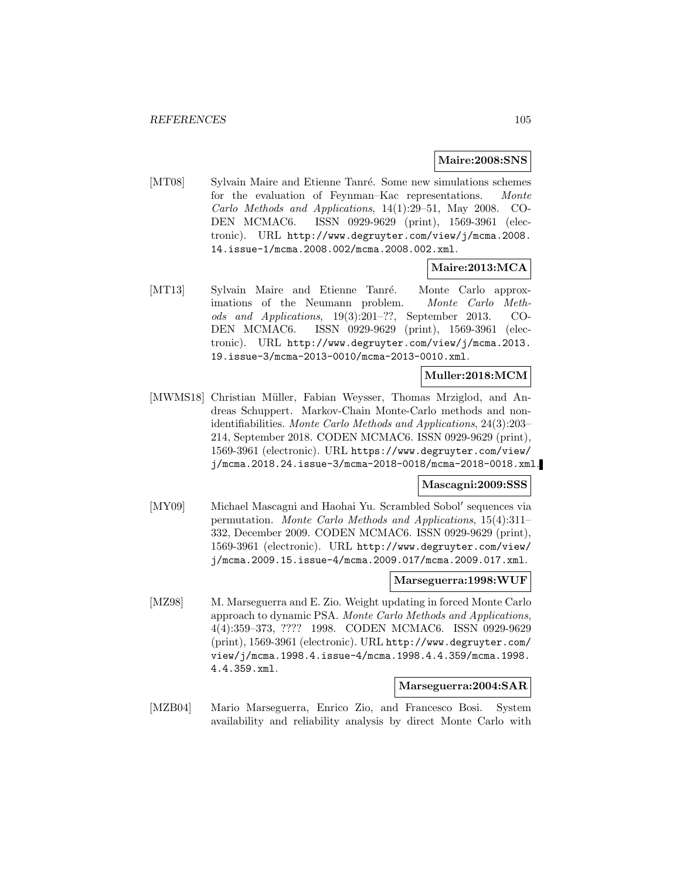### **Maire:2008:SNS**

[MT08] Sylvain Maire and Etienne Tanré. Some new simulations schemes for the evaluation of Feynman–Kac representations. Monte Carlo Methods and Applications, 14(1):29–51, May 2008. CO-DEN MCMAC6. ISSN 0929-9629 (print), 1569-3961 (electronic). URL http://www.degruyter.com/view/j/mcma.2008. 14.issue-1/mcma.2008.002/mcma.2008.002.xml.

# **Maire:2013:MCA**

[MT13] Sylvain Maire and Etienne Tanré. Monte Carlo approximations of the Neumann problem. Monte Carlo Methods and Applications, 19(3):201–??, September 2013. CO-DEN MCMAC6. ISSN 0929-9629 (print), 1569-3961 (electronic). URL http://www.degruyter.com/view/j/mcma.2013. 19.issue-3/mcma-2013-0010/mcma-2013-0010.xml.

### **Muller:2018:MCM**

[MWMS18] Christian Müller, Fabian Weysser, Thomas Mrziglod, and Andreas Schuppert. Markov-Chain Monte-Carlo methods and nonidentifiabilities. Monte Carlo Methods and Applications, 24(3):203– 214, September 2018. CODEN MCMAC6. ISSN 0929-9629 (print), 1569-3961 (electronic). URL https://www.degruyter.com/view/ j/mcma.2018.24.issue-3/mcma-2018-0018/mcma-2018-0018.xml.

#### **Mascagni:2009:SSS**

[MY09] Michael Mascagni and Haohai Yu. Scrambled Sobol' sequences via permutation. Monte Carlo Methods and Applications, 15(4):311– 332, December 2009. CODEN MCMAC6. ISSN 0929-9629 (print), 1569-3961 (electronic). URL http://www.degruyter.com/view/ j/mcma.2009.15.issue-4/mcma.2009.017/mcma.2009.017.xml.

### **Marseguerra:1998:WUF**

[MZ98] M. Marseguerra and E. Zio. Weight updating in forced Monte Carlo approach to dynamic PSA. Monte Carlo Methods and Applications, 4(4):359–373, ???? 1998. CODEN MCMAC6. ISSN 0929-9629 (print), 1569-3961 (electronic). URL http://www.degruyter.com/ view/j/mcma.1998.4.issue-4/mcma.1998.4.4.359/mcma.1998. 4.4.359.xml.

#### **Marseguerra:2004:SAR**

[MZB04] Mario Marseguerra, Enrico Zio, and Francesco Bosi. System availability and reliability analysis by direct Monte Carlo with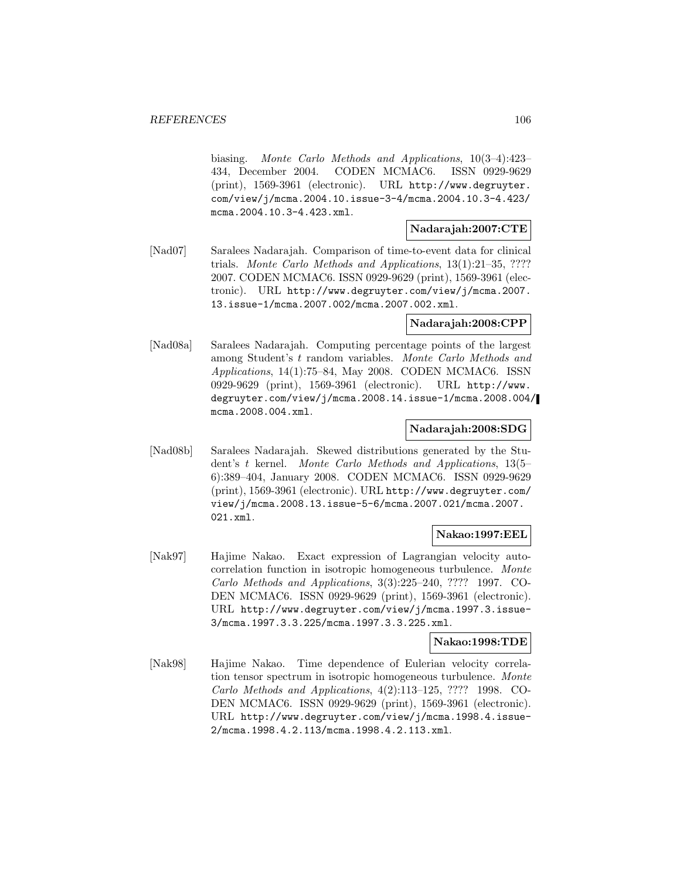biasing. Monte Carlo Methods and Applications, 10(3–4):423– 434, December 2004. CODEN MCMAC6. ISSN 0929-9629 (print), 1569-3961 (electronic). URL http://www.degruyter. com/view/j/mcma.2004.10.issue-3-4/mcma.2004.10.3-4.423/ mcma.2004.10.3-4.423.xml.

### **Nadarajah:2007:CTE**

[Nad07] Saralees Nadarajah. Comparison of time-to-event data for clinical trials. Monte Carlo Methods and Applications, 13(1):21–35, ???? 2007. CODEN MCMAC6. ISSN 0929-9629 (print), 1569-3961 (electronic). URL http://www.degruyter.com/view/j/mcma.2007. 13.issue-1/mcma.2007.002/mcma.2007.002.xml.

### **Nadarajah:2008:CPP**

[Nad08a] Saralees Nadarajah. Computing percentage points of the largest among Student's t random variables. Monte Carlo Methods and Applications, 14(1):75–84, May 2008. CODEN MCMAC6. ISSN 0929-9629 (print), 1569-3961 (electronic). URL http://www. degruyter.com/view/j/mcma.2008.14.issue-1/mcma.2008.004/ mcma.2008.004.xml.

## **Nadarajah:2008:SDG**

[Nad08b] Saralees Nadarajah. Skewed distributions generated by the Student's t kernel. Monte Carlo Methods and Applications, 13(5– 6):389–404, January 2008. CODEN MCMAC6. ISSN 0929-9629 (print), 1569-3961 (electronic). URL http://www.degruyter.com/ view/j/mcma.2008.13.issue-5-6/mcma.2007.021/mcma.2007. 021.xml.

# **Nakao:1997:EEL**

[Nak97] Hajime Nakao. Exact expression of Lagrangian velocity autocorrelation function in isotropic homogeneous turbulence. Monte Carlo Methods and Applications, 3(3):225–240, ???? 1997. CO-DEN MCMAC6. ISSN 0929-9629 (print), 1569-3961 (electronic). URL http://www.degruyter.com/view/j/mcma.1997.3.issue-3/mcma.1997.3.3.225/mcma.1997.3.3.225.xml.

### **Nakao:1998:TDE**

[Nak98] Hajime Nakao. Time dependence of Eulerian velocity correlation tensor spectrum in isotropic homogeneous turbulence. Monte Carlo Methods and Applications, 4(2):113–125, ???? 1998. CO-DEN MCMAC6. ISSN 0929-9629 (print), 1569-3961 (electronic). URL http://www.degruyter.com/view/j/mcma.1998.4.issue-2/mcma.1998.4.2.113/mcma.1998.4.2.113.xml.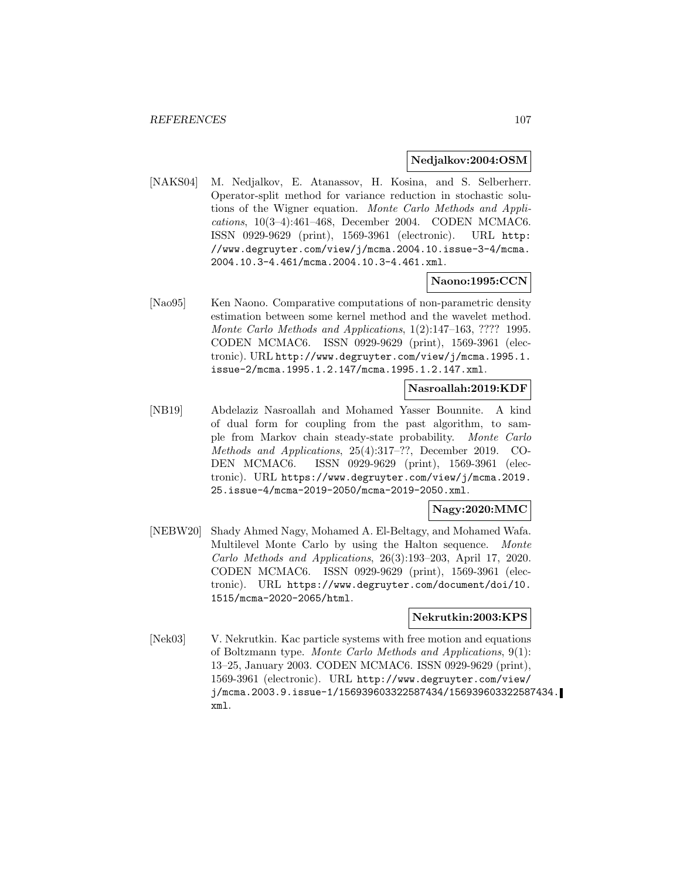### **Nedjalkov:2004:OSM**

[NAKS04] M. Nedjalkov, E. Atanassov, H. Kosina, and S. Selberherr. Operator-split method for variance reduction in stochastic solutions of the Wigner equation. Monte Carlo Methods and Applications, 10(3–4):461–468, December 2004. CODEN MCMAC6. ISSN 0929-9629 (print), 1569-3961 (electronic). URL http: //www.degruyter.com/view/j/mcma.2004.10.issue-3-4/mcma. 2004.10.3-4.461/mcma.2004.10.3-4.461.xml.

### **Naono:1995:CCN**

[Nao95] Ken Naono. Comparative computations of non-parametric density estimation between some kernel method and the wavelet method. Monte Carlo Methods and Applications, 1(2):147–163, ???? 1995. CODEN MCMAC6. ISSN 0929-9629 (print), 1569-3961 (electronic). URL http://www.degruyter.com/view/j/mcma.1995.1. issue-2/mcma.1995.1.2.147/mcma.1995.1.2.147.xml.

# **Nasroallah:2019:KDF**

[NB19] Abdelaziz Nasroallah and Mohamed Yasser Bounnite. A kind of dual form for coupling from the past algorithm, to sample from Markov chain steady-state probability. Monte Carlo Methods and Applications, 25(4):317–??, December 2019. CO-DEN MCMAC6. ISSN 0929-9629 (print), 1569-3961 (electronic). URL https://www.degruyter.com/view/j/mcma.2019. 25.issue-4/mcma-2019-2050/mcma-2019-2050.xml.

## **Nagy:2020:MMC**

[NEBW20] Shady Ahmed Nagy, Mohamed A. El-Beltagy, and Mohamed Wafa. Multilevel Monte Carlo by using the Halton sequence. Monte Carlo Methods and Applications, 26(3):193–203, April 17, 2020. CODEN MCMAC6. ISSN 0929-9629 (print), 1569-3961 (electronic). URL https://www.degruyter.com/document/doi/10. 1515/mcma-2020-2065/html.

#### **Nekrutkin:2003:KPS**

[Nek03] V. Nekrutkin. Kac particle systems with free motion and equations of Boltzmann type. Monte Carlo Methods and Applications, 9(1): 13–25, January 2003. CODEN MCMAC6. ISSN 0929-9629 (print), 1569-3961 (electronic). URL http://www.degruyter.com/view/ j/mcma.2003.9.issue-1/156939603322587434/156939603322587434. xml.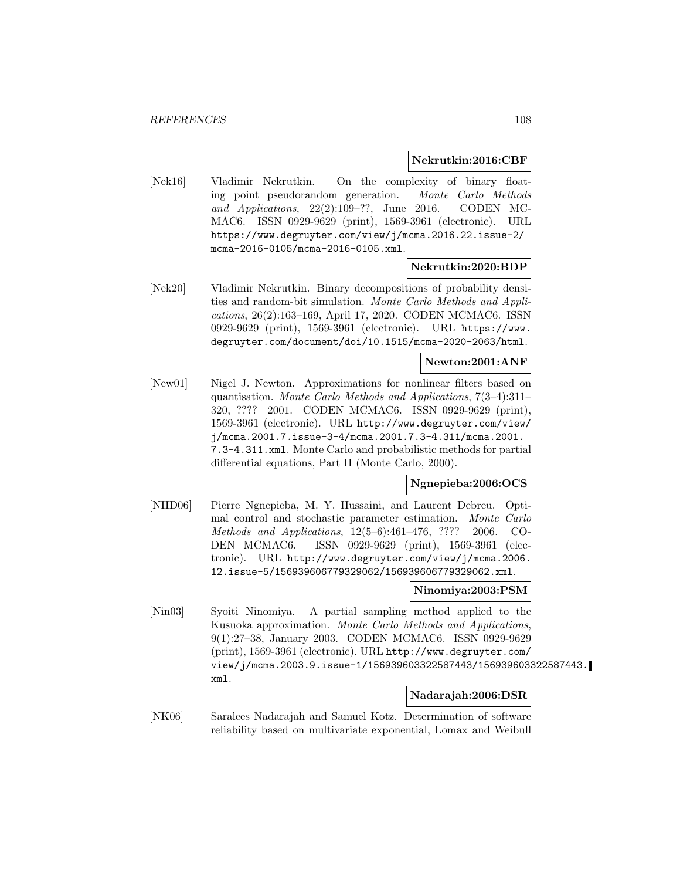### **Nekrutkin:2016:CBF**

[Nek16] Vladimir Nekrutkin. On the complexity of binary floating point pseudorandom generation. Monte Carlo Methods and Applications, 22(2):109–??, June 2016. CODEN MC-MAC6. ISSN 0929-9629 (print), 1569-3961 (electronic). URL https://www.degruyter.com/view/j/mcma.2016.22.issue-2/ mcma-2016-0105/mcma-2016-0105.xml.

## **Nekrutkin:2020:BDP**

[Nek20] Vladimir Nekrutkin. Binary decompositions of probability densities and random-bit simulation. Monte Carlo Methods and Applications, 26(2):163–169, April 17, 2020. CODEN MCMAC6. ISSN 0929-9629 (print), 1569-3961 (electronic). URL https://www. degruyter.com/document/doi/10.1515/mcma-2020-2063/html.

# **Newton:2001:ANF**

[New01] Nigel J. Newton. Approximations for nonlinear filters based on quantisation. Monte Carlo Methods and Applications, 7(3–4):311– 320, ???? 2001. CODEN MCMAC6. ISSN 0929-9629 (print), 1569-3961 (electronic). URL http://www.degruyter.com/view/ j/mcma.2001.7.issue-3-4/mcma.2001.7.3-4.311/mcma.2001. 7.3-4.311.xml. Monte Carlo and probabilistic methods for partial differential equations, Part II (Monte Carlo, 2000).

### **Ngnepieba:2006:OCS**

[NHD06] Pierre Ngnepieba, M. Y. Hussaini, and Laurent Debreu. Optimal control and stochastic parameter estimation. Monte Carlo Methods and Applications, 12(5–6):461–476, ???? 2006. CO-DEN MCMAC6. ISSN 0929-9629 (print), 1569-3961 (electronic). URL http://www.degruyter.com/view/j/mcma.2006. 12.issue-5/156939606779329062/156939606779329062.xml.

### **Ninomiya:2003:PSM**

[Nin03] Syoiti Ninomiya. A partial sampling method applied to the Kusuoka approximation. Monte Carlo Methods and Applications, 9(1):27–38, January 2003. CODEN MCMAC6. ISSN 0929-9629 (print), 1569-3961 (electronic). URL http://www.degruyter.com/ view/j/mcma.2003.9.issue-1/156939603322587443/156939603322587443. xml.

## **Nadarajah:2006:DSR**

[NK06] Saralees Nadarajah and Samuel Kotz. Determination of software reliability based on multivariate exponential, Lomax and Weibull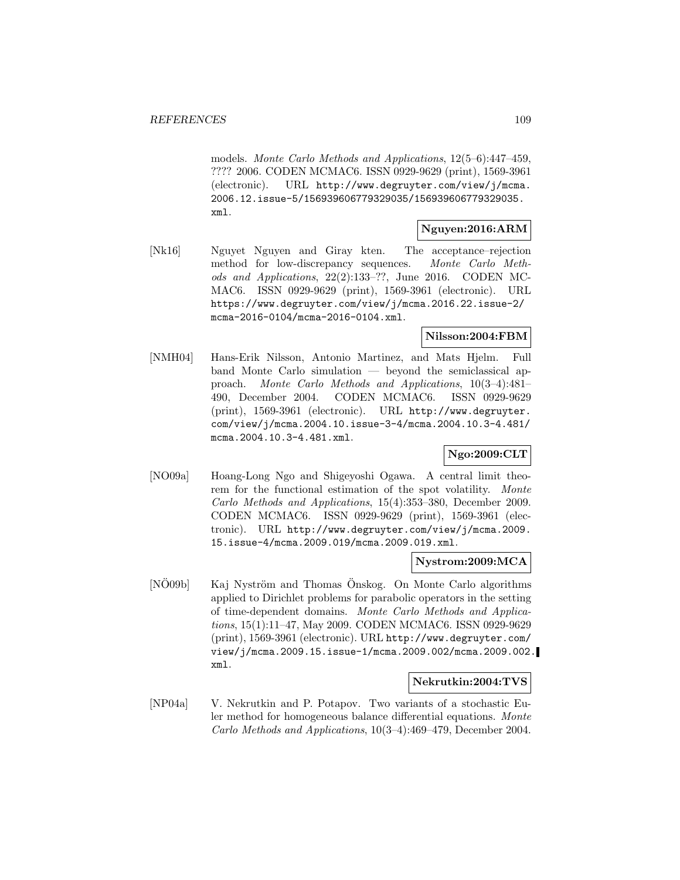models. Monte Carlo Methods and Applications, 12(5–6):447–459, ???? 2006. CODEN MCMAC6. ISSN 0929-9629 (print), 1569-3961 (electronic). URL http://www.degruyter.com/view/j/mcma. 2006.12.issue-5/156939606779329035/156939606779329035. xml.

# **Nguyen:2016:ARM**

[Nk16] Nguyet Nguyen and Giray kten. The acceptance–rejection method for low-discrepancy sequences. Monte Carlo Methods and Applications, 22(2):133–??, June 2016. CODEN MC-MAC6. ISSN 0929-9629 (print), 1569-3961 (electronic). URL https://www.degruyter.com/view/j/mcma.2016.22.issue-2/ mcma-2016-0104/mcma-2016-0104.xml.

## **Nilsson:2004:FBM**

[NMH04] Hans-Erik Nilsson, Antonio Martinez, and Mats Hjelm. Full band Monte Carlo simulation — beyond the semiclassical approach. Monte Carlo Methods and Applications, 10(3–4):481– 490, December 2004. CODEN MCMAC6. ISSN 0929-9629 (print), 1569-3961 (electronic). URL http://www.degruyter. com/view/j/mcma.2004.10.issue-3-4/mcma.2004.10.3-4.481/ mcma.2004.10.3-4.481.xml.

# **Ngo:2009:CLT**

[NO09a] Hoang-Long Ngo and Shigeyoshi Ogawa. A central limit theorem for the functional estimation of the spot volatility. Monte Carlo Methods and Applications, 15(4):353–380, December 2009. CODEN MCMAC6. ISSN 0929-9629 (print), 1569-3961 (electronic). URL http://www.degruyter.com/view/j/mcma.2009. 15.issue-4/mcma.2009.019/mcma.2009.019.xml.

### **Nystrom:2009:MCA**

[NO09b] Kaj Nyström and Thomas Önskog. On Monte Carlo algorithms applied to Dirichlet problems for parabolic operators in the setting of time-dependent domains. Monte Carlo Methods and Applications, 15(1):11–47, May 2009. CODEN MCMAC6. ISSN 0929-9629 (print), 1569-3961 (electronic). URL http://www.degruyter.com/ view/j/mcma.2009.15.issue-1/mcma.2009.002/mcma.2009.002. xml.

### **Nekrutkin:2004:TVS**

[NP04a] V. Nekrutkin and P. Potapov. Two variants of a stochastic Euler method for homogeneous balance differential equations. Monte Carlo Methods and Applications, 10(3–4):469–479, December 2004.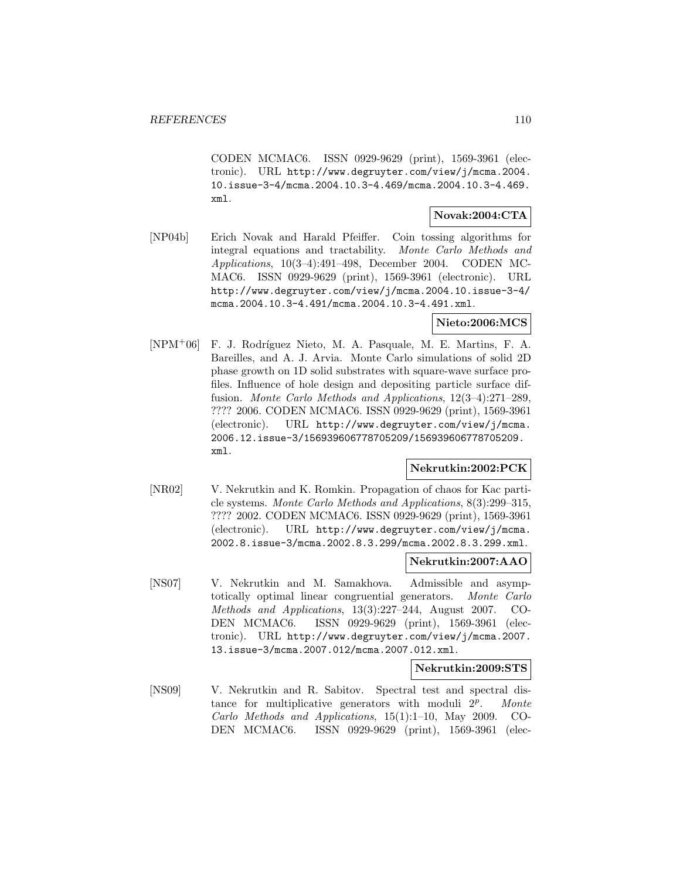CODEN MCMAC6. ISSN 0929-9629 (print), 1569-3961 (electronic). URL http://www.degruyter.com/view/j/mcma.2004. 10.issue-3-4/mcma.2004.10.3-4.469/mcma.2004.10.3-4.469. xml.

### **Novak:2004:CTA**

[NP04b] Erich Novak and Harald Pfeiffer. Coin tossing algorithms for integral equations and tractability. Monte Carlo Methods and Applications, 10(3–4):491–498, December 2004. CODEN MC-MAC6. ISSN 0929-9629 (print), 1569-3961 (electronic). URL http://www.degruyter.com/view/j/mcma.2004.10.issue-3-4/ mcma.2004.10.3-4.491/mcma.2004.10.3-4.491.xml.

# **Nieto:2006:MCS**

[NPM<sup>+</sup>06] F. J. Rodríguez Nieto, M. A. Pasquale, M. E. Martins, F. A. Bareilles, and A. J. Arvia. Monte Carlo simulations of solid 2D phase growth on 1D solid substrates with square-wave surface profiles. Influence of hole design and depositing particle surface diffusion. Monte Carlo Methods and Applications, 12(3–4):271–289, ???? 2006. CODEN MCMAC6. ISSN 0929-9629 (print), 1569-3961 (electronic). URL http://www.degruyter.com/view/j/mcma. 2006.12.issue-3/156939606778705209/156939606778705209. xml.

### **Nekrutkin:2002:PCK**

[NR02] V. Nekrutkin and K. Romkin. Propagation of chaos for Kac particle systems. Monte Carlo Methods and Applications, 8(3):299–315, ???? 2002. CODEN MCMAC6. ISSN 0929-9629 (print), 1569-3961 (electronic). URL http://www.degruyter.com/view/j/mcma. 2002.8.issue-3/mcma.2002.8.3.299/mcma.2002.8.3.299.xml.

### **Nekrutkin:2007:AAO**

[NS07] V. Nekrutkin and M. Samakhova. Admissible and asymptotically optimal linear congruential generators. Monte Carlo Methods and Applications, 13(3):227–244, August 2007. CO-DEN MCMAC6. ISSN 0929-9629 (print), 1569-3961 (electronic). URL http://www.degruyter.com/view/j/mcma.2007. 13.issue-3/mcma.2007.012/mcma.2007.012.xml.

### **Nekrutkin:2009:STS**

[NS09] V. Nekrutkin and R. Sabitov. Spectral test and spectral distance for multiplicative generators with moduli  $2^p$ . Monte Carlo Methods and Applications, 15(1):1–10, May 2009. CO-DEN MCMAC6. ISSN 0929-9629 (print), 1569-3961 (elec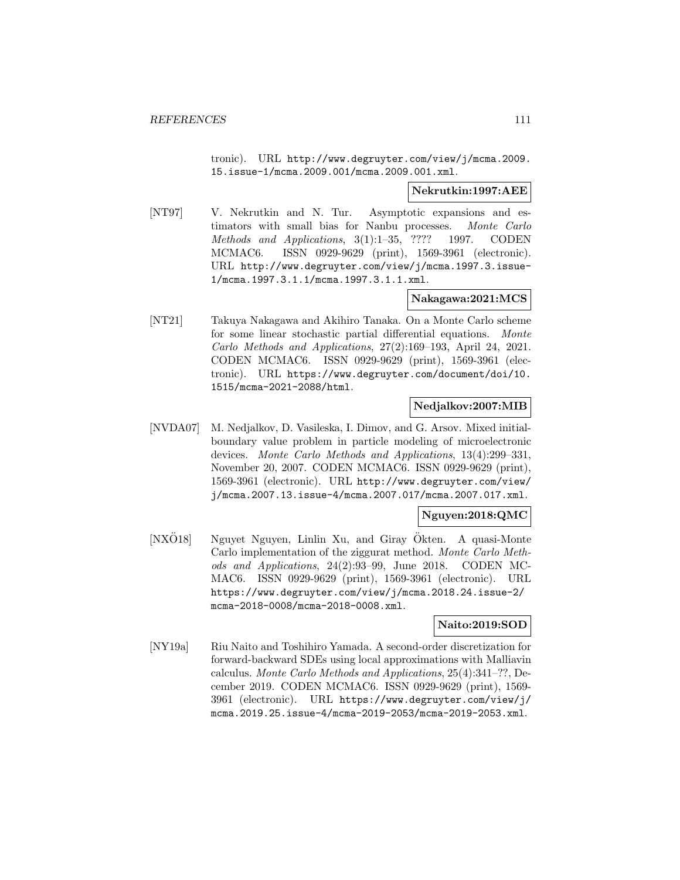tronic). URL http://www.degruyter.com/view/j/mcma.2009. 15.issue-1/mcma.2009.001/mcma.2009.001.xml.

#### **Nekrutkin:1997:AEE**

[NT97] V. Nekrutkin and N. Tur. Asymptotic expansions and estimators with small bias for Nanbu processes. Monte Carlo Methods and Applications, 3(1):1–35, ???? 1997. CODEN MCMAC6. ISSN 0929-9629 (print), 1569-3961 (electronic). URL http://www.degruyter.com/view/j/mcma.1997.3.issue-1/mcma.1997.3.1.1/mcma.1997.3.1.1.xml.

## **Nakagawa:2021:MCS**

[NT21] Takuya Nakagawa and Akihiro Tanaka. On a Monte Carlo scheme for some linear stochastic partial differential equations. Monte Carlo Methods and Applications, 27(2):169–193, April 24, 2021. CODEN MCMAC6. ISSN 0929-9629 (print), 1569-3961 (electronic). URL https://www.degruyter.com/document/doi/10. 1515/mcma-2021-2088/html.

# **Nedjalkov:2007:MIB**

[NVDA07] M. Nedjalkov, D. Vasileska, I. Dimov, and G. Arsov. Mixed initialboundary value problem in particle modeling of microelectronic devices. Monte Carlo Methods and Applications, 13(4):299–331, November 20, 2007. CODEN MCMAC6. ISSN 0929-9629 (print), 1569-3961 (electronic). URL http://www.degruyter.com/view/ j/mcma.2007.13.issue-4/mcma.2007.017/mcma.2007.017.xml.

### **Nguyen:2018:QMC**

 $[NX\ddot{O}18]$  Nguyet Nguyen, Linlin Xu, and Giray Ökten. A quasi-Monte Carlo implementation of the ziggurat method. Monte Carlo Methods and Applications, 24(2):93–99, June 2018. CODEN MC-MAC6. ISSN 0929-9629 (print), 1569-3961 (electronic). URL https://www.degruyter.com/view/j/mcma.2018.24.issue-2/ mcma-2018-0008/mcma-2018-0008.xml.

### **Naito:2019:SOD**

[NY19a] Riu Naito and Toshihiro Yamada. A second-order discretization for forward-backward SDEs using local approximations with Malliavin calculus. Monte Carlo Methods and Applications, 25(4):341–??, December 2019. CODEN MCMAC6. ISSN 0929-9629 (print), 1569- 3961 (electronic). URL https://www.degruyter.com/view/j/ mcma.2019.25.issue-4/mcma-2019-2053/mcma-2019-2053.xml.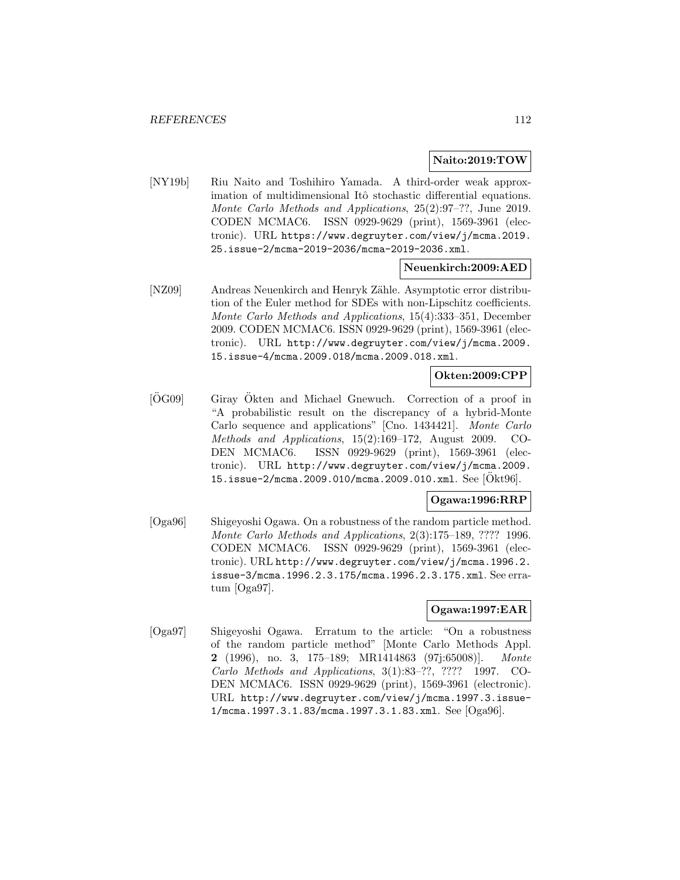#### **Naito:2019:TOW**

[NY19b] Riu Naito and Toshihiro Yamada. A third-order weak approximation of multidimensional Itô stochastic differential equations. Monte Carlo Methods and Applications, 25(2):97–??, June 2019. CODEN MCMAC6. ISSN 0929-9629 (print), 1569-3961 (electronic). URL https://www.degruyter.com/view/j/mcma.2019. 25.issue-2/mcma-2019-2036/mcma-2019-2036.xml.

### **Neuenkirch:2009:AED**

[NZ09] Andreas Neuenkirch and Henryk Zähle. Asymptotic error distribution of the Euler method for SDEs with non-Lipschitz coefficients. Monte Carlo Methods and Applications, 15(4):333–351, December 2009. CODEN MCMAC6. ISSN 0929-9629 (print), 1569-3961 (electronic). URL http://www.degruyter.com/view/j/mcma.2009. 15.issue-4/mcma.2009.018/mcma.2009.018.xml.

## **Okten:2009:CPP**

 $[\overline{O}G09]$  Giray  $\overline{O}$ kten and Michael Gnewuch. Correction of a proof in "A probabilistic result on the discrepancy of a hybrid-Monte Carlo sequence and applications" [Cno. 1434421]. Monte Carlo Methods and Applications, 15(2):169–172, August 2009. CO-DEN MCMAC6. ISSN 0929-9629 (print), 1569-3961 (electronic). URL http://www.degruyter.com/view/j/mcma.2009. 15.issue-2/mcma.2009.010/mcma.2009.010.xml. See [Okt96].

### **Ogawa:1996:RRP**

[Oga96] Shigeyoshi Ogawa. On a robustness of the random particle method. Monte Carlo Methods and Applications, 2(3):175–189, ???? 1996. CODEN MCMAC6. ISSN 0929-9629 (print), 1569-3961 (electronic). URL http://www.degruyter.com/view/j/mcma.1996.2. issue-3/mcma.1996.2.3.175/mcma.1996.2.3.175.xml. See erratum [Oga97].

#### **Ogawa:1997:EAR**

[Oga97] Shigeyoshi Ogawa. Erratum to the article: "On a robustness of the random particle method" [Monte Carlo Methods Appl. **2** (1996), no. 3, 175–189; MR1414863 (97j:65008)]. Monte Carlo Methods and Applications, 3(1):83–??, ???? 1997. CO-DEN MCMAC6. ISSN 0929-9629 (print), 1569-3961 (electronic). URL http://www.degruyter.com/view/j/mcma.1997.3.issue-1/mcma.1997.3.1.83/mcma.1997.3.1.83.xml. See [Oga96].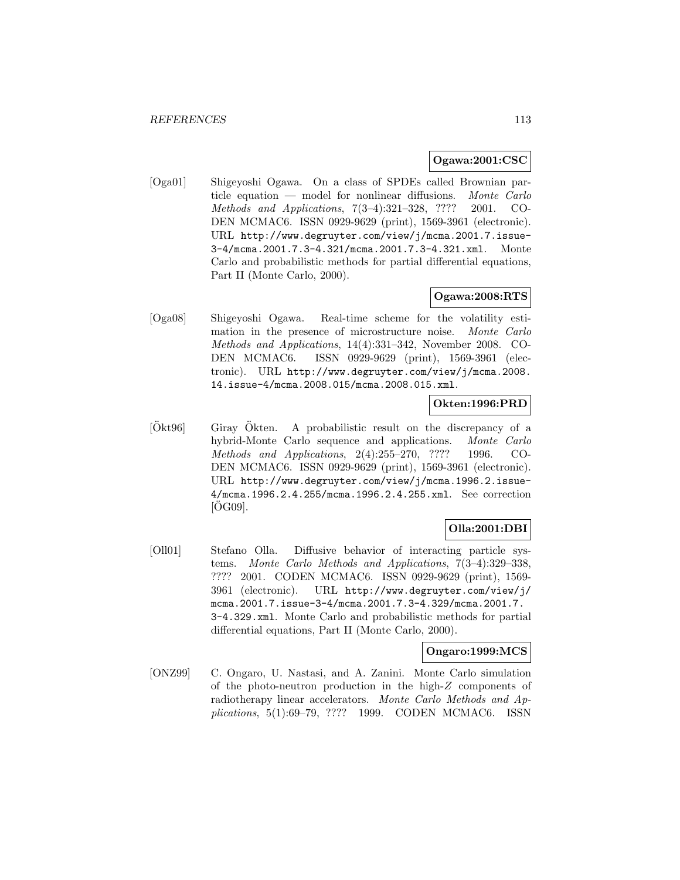## **Ogawa:2001:CSC**

[Oga01] Shigeyoshi Ogawa. On a class of SPDEs called Brownian particle equation — model for nonlinear diffusions. Monte Carlo Methods and Applications, 7(3–4):321–328, ???? 2001. CO-DEN MCMAC6. ISSN 0929-9629 (print), 1569-3961 (electronic). URL http://www.degruyter.com/view/j/mcma.2001.7.issue-3-4/mcma.2001.7.3-4.321/mcma.2001.7.3-4.321.xml. Monte Carlo and probabilistic methods for partial differential equations, Part II (Monte Carlo, 2000).

# **Ogawa:2008:RTS**

[Oga08] Shigeyoshi Ogawa. Real-time scheme for the volatility estimation in the presence of microstructure noise. Monte Carlo Methods and Applications, 14(4):331–342, November 2008. CO-DEN MCMAC6. ISSN 0929-9629 (print), 1569-3961 (electronic). URL http://www.degruyter.com/view/j/mcma.2008. 14.issue-4/mcma.2008.015/mcma.2008.015.xml.

## **Okten:1996:PRD**

 $|\overset{\circ}{O}_{kt96}|$  Giray  $\overset{\circ}{O}_{kten}$ . A probabilistic result on the discrepancy of a hybrid-Monte Carlo sequence and applications. Monte Carlo Methods and Applications, 2(4):255–270, ???? 1996. CO-DEN MCMAC6. ISSN 0929-9629 (print), 1569-3961 (electronic). URL http://www.degruyter.com/view/j/mcma.1996.2.issue-4/mcma.1996.2.4.255/mcma.1996.2.4.255.xml. See correction  $[OG09]$ .

# **Olla:2001:DBI**

[Oll01] Stefano Olla. Diffusive behavior of interacting particle systems. Monte Carlo Methods and Applications, 7(3–4):329–338, ???? 2001. CODEN MCMAC6. ISSN 0929-9629 (print), 1569- 3961 (electronic). URL http://www.degruyter.com/view/j/ mcma.2001.7.issue-3-4/mcma.2001.7.3-4.329/mcma.2001.7. 3-4.329.xml. Monte Carlo and probabilistic methods for partial differential equations, Part II (Monte Carlo, 2000).

### **Ongaro:1999:MCS**

[ONZ99] C. Ongaro, U. Nastasi, and A. Zanini. Monte Carlo simulation of the photo-neutron production in the high-Z components of radiotherapy linear accelerators. Monte Carlo Methods and Applications, 5(1):69–79, ???? 1999. CODEN MCMAC6. ISSN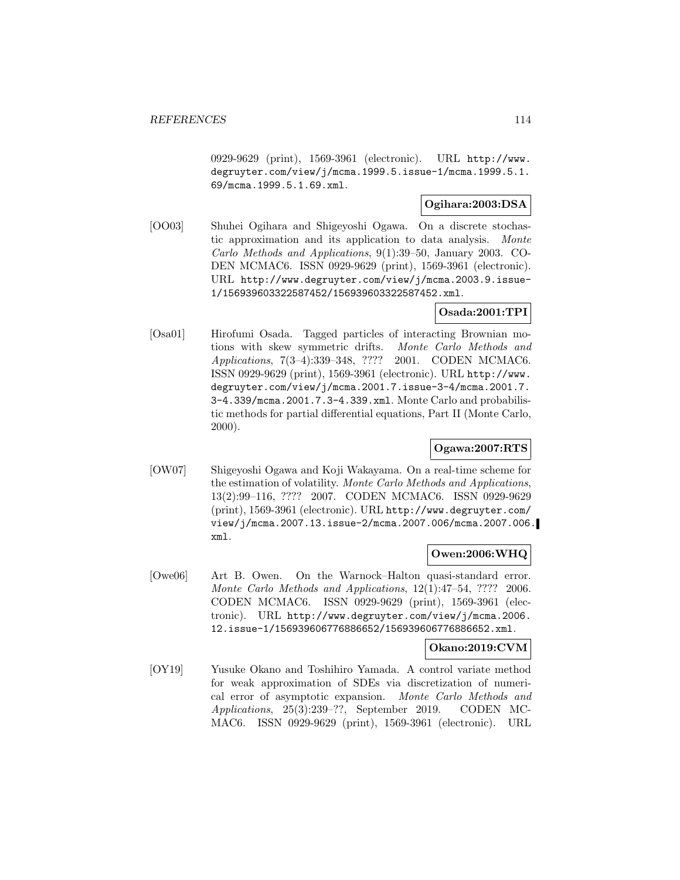0929-9629 (print), 1569-3961 (electronic). URL http://www. degruyter.com/view/j/mcma.1999.5.issue-1/mcma.1999.5.1. 69/mcma.1999.5.1.69.xml.

## **Ogihara:2003:DSA**

[OO03] Shuhei Ogihara and Shigeyoshi Ogawa. On a discrete stochastic approximation and its application to data analysis. Monte Carlo Methods and Applications, 9(1):39–50, January 2003. CO-DEN MCMAC6. ISSN 0929-9629 (print), 1569-3961 (electronic). URL http://www.degruyter.com/view/j/mcma.2003.9.issue-1/156939603322587452/156939603322587452.xml.

# **Osada:2001:TPI**

[Osa01] Hirofumi Osada. Tagged particles of interacting Brownian motions with skew symmetric drifts. Monte Carlo Methods and Applications, 7(3–4):339–348, ???? 2001. CODEN MCMAC6. ISSN 0929-9629 (print), 1569-3961 (electronic). URL http://www. degruyter.com/view/j/mcma.2001.7.issue-3-4/mcma.2001.7. 3-4.339/mcma.2001.7.3-4.339.xml. Monte Carlo and probabilistic methods for partial differential equations, Part II (Monte Carlo, 2000).

# **Ogawa:2007:RTS**

[OW07] Shigeyoshi Ogawa and Koji Wakayama. On a real-time scheme for the estimation of volatility. Monte Carlo Methods and Applications, 13(2):99–116, ???? 2007. CODEN MCMAC6. ISSN 0929-9629 (print), 1569-3961 (electronic). URL http://www.degruyter.com/ view/j/mcma.2007.13.issue-2/mcma.2007.006/mcma.2007.006. xml.

# **Owen:2006:WHQ**

[Owe06] Art B. Owen. On the Warnock–Halton quasi-standard error. Monte Carlo Methods and Applications, 12(1):47–54, ???? 2006. CODEN MCMAC6. ISSN 0929-9629 (print), 1569-3961 (electronic). URL http://www.degruyter.com/view/j/mcma.2006. 12.issue-1/156939606776886652/156939606776886652.xml.

### **Okano:2019:CVM**

[OY19] Yusuke Okano and Toshihiro Yamada. A control variate method for weak approximation of SDEs via discretization of numerical error of asymptotic expansion. Monte Carlo Methods and Applications, 25(3):239–??, September 2019. CODEN MC-MAC6. ISSN 0929-9629 (print), 1569-3961 (electronic). URL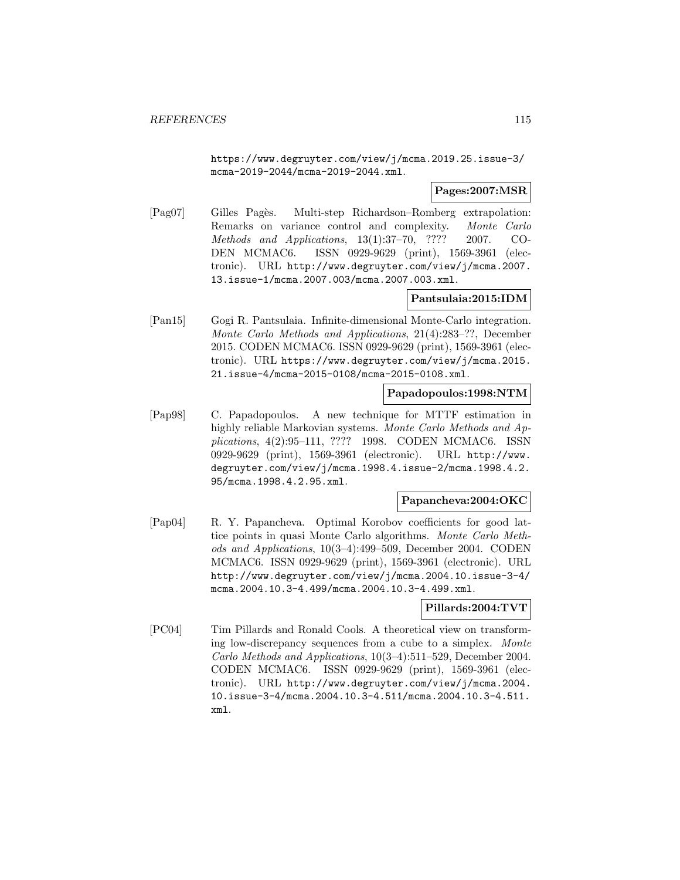https://www.degruyter.com/view/j/mcma.2019.25.issue-3/ mcma-2019-2044/mcma-2019-2044.xml.

### **Pages:2007:MSR**

[Pag07] Gilles Pagès. Multi-step Richardson–Romberg extrapolation: Remarks on variance control and complexity. Monte Carlo Methods and Applications, 13(1):37–70, ???? 2007. CO-DEN MCMAC6. ISSN 0929-9629 (print), 1569-3961 (electronic). URL http://www.degruyter.com/view/j/mcma.2007. 13.issue-1/mcma.2007.003/mcma.2007.003.xml.

## **Pantsulaia:2015:IDM**

[Pan15] Gogi R. Pantsulaia. Infinite-dimensional Monte-Carlo integration. Monte Carlo Methods and Applications, 21(4):283–??, December 2015. CODEN MCMAC6. ISSN 0929-9629 (print), 1569-3961 (electronic). URL https://www.degruyter.com/view/j/mcma.2015. 21.issue-4/mcma-2015-0108/mcma-2015-0108.xml.

#### **Papadopoulos:1998:NTM**

[Pap98] C. Papadopoulos. A new technique for MTTF estimation in highly reliable Markovian systems. Monte Carlo Methods and Applications, 4(2):95–111, ???? 1998. CODEN MCMAC6. ISSN 0929-9629 (print), 1569-3961 (electronic). URL http://www. degruyter.com/view/j/mcma.1998.4.issue-2/mcma.1998.4.2. 95/mcma.1998.4.2.95.xml.

### **Papancheva:2004:OKC**

[Pap04] R. Y. Papancheva. Optimal Korobov coefficients for good lattice points in quasi Monte Carlo algorithms. Monte Carlo Methods and Applications, 10(3–4):499–509, December 2004. CODEN MCMAC6. ISSN 0929-9629 (print), 1569-3961 (electronic). URL http://www.degruyter.com/view/j/mcma.2004.10.issue-3-4/ mcma.2004.10.3-4.499/mcma.2004.10.3-4.499.xml.

### **Pillards:2004:TVT**

[PC04] Tim Pillards and Ronald Cools. A theoretical view on transforming low-discrepancy sequences from a cube to a simplex. Monte Carlo Methods and Applications, 10(3–4):511–529, December 2004. CODEN MCMAC6. ISSN 0929-9629 (print), 1569-3961 (electronic). URL http://www.degruyter.com/view/j/mcma.2004. 10.issue-3-4/mcma.2004.10.3-4.511/mcma.2004.10.3-4.511. xml.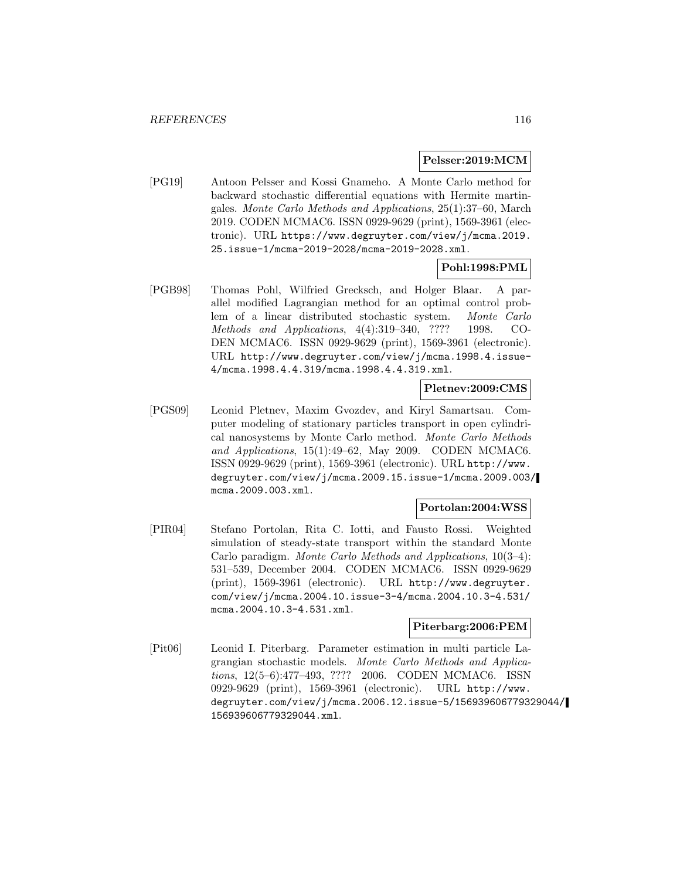#### **Pelsser:2019:MCM**

[PG19] Antoon Pelsser and Kossi Gnameho. A Monte Carlo method for backward stochastic differential equations with Hermite martingales. Monte Carlo Methods and Applications, 25(1):37–60, March 2019. CODEN MCMAC6. ISSN 0929-9629 (print), 1569-3961 (electronic). URL https://www.degruyter.com/view/j/mcma.2019. 25.issue-1/mcma-2019-2028/mcma-2019-2028.xml.

## **Pohl:1998:PML**

[PGB98] Thomas Pohl, Wilfried Grecksch, and Holger Blaar. A parallel modified Lagrangian method for an optimal control problem of a linear distributed stochastic system. Monte Carlo Methods and Applications, 4(4):319–340, ???? 1998. CO-DEN MCMAC6. ISSN 0929-9629 (print), 1569-3961 (electronic). URL http://www.degruyter.com/view/j/mcma.1998.4.issue-4/mcma.1998.4.4.319/mcma.1998.4.4.319.xml.

## **Pletnev:2009:CMS**

[PGS09] Leonid Pletnev, Maxim Gvozdev, and Kiryl Samartsau. Computer modeling of stationary particles transport in open cylindrical nanosystems by Monte Carlo method. Monte Carlo Methods and Applications, 15(1):49–62, May 2009. CODEN MCMAC6. ISSN 0929-9629 (print), 1569-3961 (electronic). URL http://www. degruyter.com/view/j/mcma.2009.15.issue-1/mcma.2009.003/ mcma.2009.003.xml.

# **Portolan:2004:WSS**

[PIR04] Stefano Portolan, Rita C. Iotti, and Fausto Rossi. Weighted simulation of steady-state transport within the standard Monte Carlo paradigm. Monte Carlo Methods and Applications, 10(3–4): 531–539, December 2004. CODEN MCMAC6. ISSN 0929-9629 (print), 1569-3961 (electronic). URL http://www.degruyter. com/view/j/mcma.2004.10.issue-3-4/mcma.2004.10.3-4.531/ mcma.2004.10.3-4.531.xml.

### **Piterbarg:2006:PEM**

[Pit06] Leonid I. Piterbarg. Parameter estimation in multi particle Lagrangian stochastic models. Monte Carlo Methods and Applications, 12(5–6):477–493, ???? 2006. CODEN MCMAC6. ISSN 0929-9629 (print), 1569-3961 (electronic). URL http://www. degruyter.com/view/j/mcma.2006.12.issue-5/156939606779329044/ 156939606779329044.xml.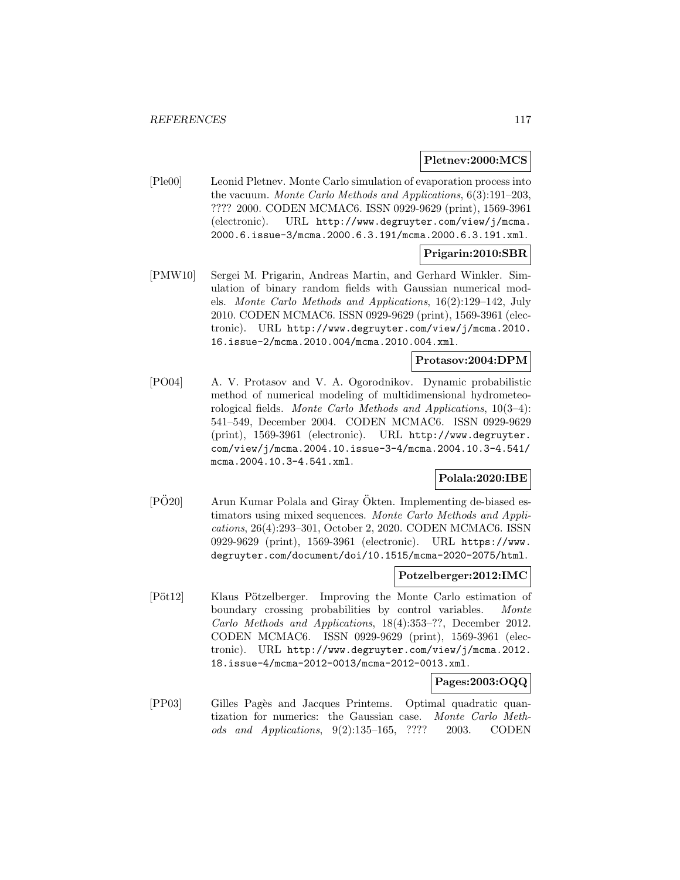### **Pletnev:2000:MCS**

[Ple00] Leonid Pletnev. Monte Carlo simulation of evaporation process into the vacuum. Monte Carlo Methods and Applications, 6(3):191–203, ???? 2000. CODEN MCMAC6. ISSN 0929-9629 (print), 1569-3961 (electronic). URL http://www.degruyter.com/view/j/mcma. 2000.6.issue-3/mcma.2000.6.3.191/mcma.2000.6.3.191.xml.

## **Prigarin:2010:SBR**

[PMW10] Sergei M. Prigarin, Andreas Martin, and Gerhard Winkler. Simulation of binary random fields with Gaussian numerical models. Monte Carlo Methods and Applications, 16(2):129–142, July 2010. CODEN MCMAC6. ISSN 0929-9629 (print), 1569-3961 (electronic). URL http://www.degruyter.com/view/j/mcma.2010. 16.issue-2/mcma.2010.004/mcma.2010.004.xml.

# **Protasov:2004:DPM**

[PO04] A. V. Protasov and V. A. Ogorodnikov. Dynamic probabilistic method of numerical modeling of multidimensional hydrometeorological fields. Monte Carlo Methods and Applications, 10(3–4): 541–549, December 2004. CODEN MCMAC6. ISSN 0929-9629 (print), 1569-3961 (electronic). URL http://www.degruyter. com/view/j/mcma.2004.10.issue-3-4/mcma.2004.10.3-4.541/ mcma.2004.10.3-4.541.xml.

### **Polala:2020:IBE**

 $[P\ddot{O}20]$  Arun Kumar Polala and Giray  $\ddot{O}$ kten. Implementing de-biased estimators using mixed sequences. Monte Carlo Methods and Applications, 26(4):293–301, October 2, 2020. CODEN MCMAC6. ISSN 0929-9629 (print), 1569-3961 (electronic). URL https://www. degruyter.com/document/doi/10.1515/mcma-2020-2075/html.

#### **Potzelberger:2012:IMC**

[Pöt12] Klaus Pötzelberger. Improving the Monte Carlo estimation of boundary crossing probabilities by control variables. Monte Carlo Methods and Applications, 18(4):353–??, December 2012. CODEN MCMAC6. ISSN 0929-9629 (print), 1569-3961 (electronic). URL http://www.degruyter.com/view/j/mcma.2012. 18.issue-4/mcma-2012-0013/mcma-2012-0013.xml.

## **Pages:2003:OQQ**

[PP03] Gilles Pag`es and Jacques Printems. Optimal quadratic quantization for numerics: the Gaussian case. Monte Carlo Methods and Applications, 9(2):135–165, ???? 2003. CODEN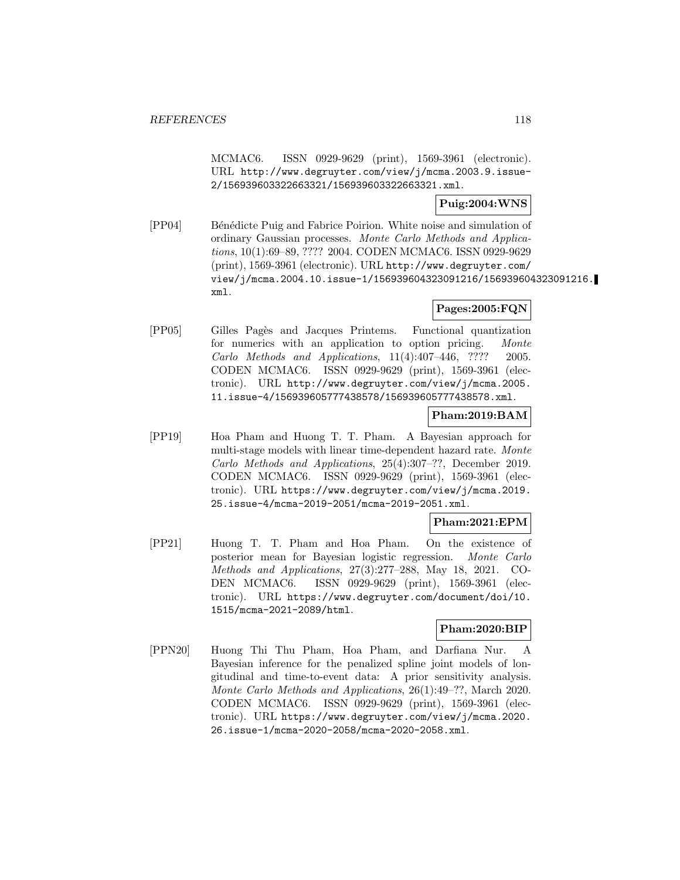MCMAC6. ISSN 0929-9629 (print), 1569-3961 (electronic). URL http://www.degruyter.com/view/j/mcma.2003.9.issue-2/156939603322663321/156939603322663321.xml.

**Puig:2004:WNS**

[PP04] Bénédicte Puig and Fabrice Poirion. White noise and simulation of ordinary Gaussian processes. Monte Carlo Methods and Applications, 10(1):69–89, ???? 2004. CODEN MCMAC6. ISSN 0929-9629 (print), 1569-3961 (electronic). URL http://www.degruyter.com/ view/j/mcma.2004.10.issue-1/156939604323091216/156939604323091216. xml.

# **Pages:2005:FQN**

[PP05] Gilles Pag`es and Jacques Printems. Functional quantization for numerics with an application to option pricing. Monte Carlo Methods and Applications, 11(4):407–446, ???? 2005. CODEN MCMAC6. ISSN 0929-9629 (print), 1569-3961 (electronic). URL http://www.degruyter.com/view/j/mcma.2005. 11.issue-4/156939605777438578/156939605777438578.xml.

## **Pham:2019:BAM**

[PP19] Hoa Pham and Huong T. T. Pham. A Bayesian approach for multi-stage models with linear time-dependent hazard rate. Monte Carlo Methods and Applications, 25(4):307–??, December 2019. CODEN MCMAC6. ISSN 0929-9629 (print), 1569-3961 (electronic). URL https://www.degruyter.com/view/j/mcma.2019. 25.issue-4/mcma-2019-2051/mcma-2019-2051.xml.

# **Pham:2021:EPM**

[PP21] Huong T. T. Pham and Hoa Pham. On the existence of posterior mean for Bayesian logistic regression. Monte Carlo Methods and Applications, 27(3):277–288, May 18, 2021. CO-DEN MCMAC6. ISSN 0929-9629 (print), 1569-3961 (electronic). URL https://www.degruyter.com/document/doi/10. 1515/mcma-2021-2089/html.

# **Pham:2020:BIP**

[PPN20] Huong Thi Thu Pham, Hoa Pham, and Darfiana Nur. A Bayesian inference for the penalized spline joint models of longitudinal and time-to-event data: A prior sensitivity analysis. Monte Carlo Methods and Applications, 26(1):49–??, March 2020. CODEN MCMAC6. ISSN 0929-9629 (print), 1569-3961 (electronic). URL https://www.degruyter.com/view/j/mcma.2020. 26.issue-1/mcma-2020-2058/mcma-2020-2058.xml.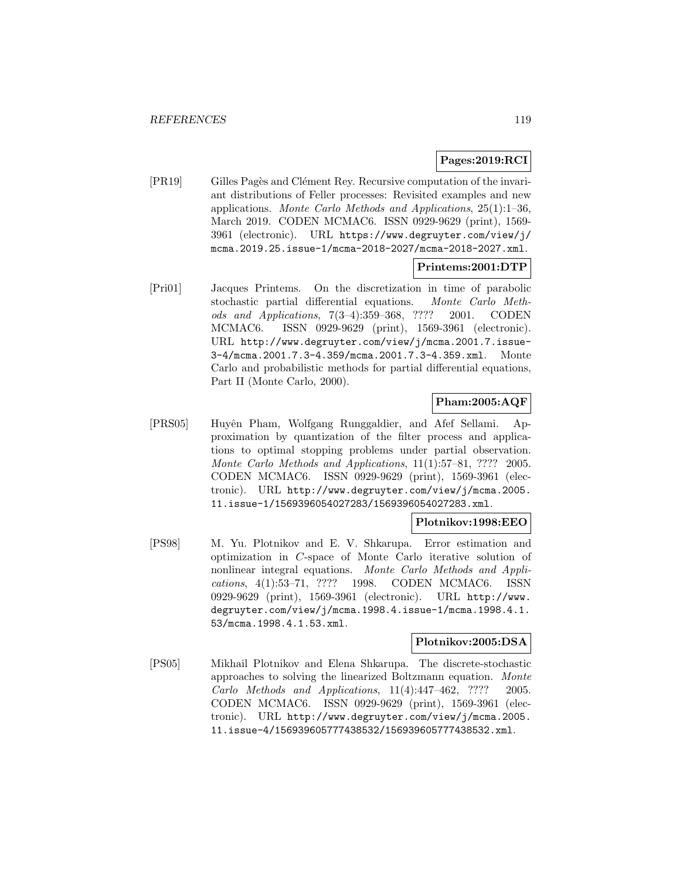## **Pages:2019:RCI**

[PR19] Gilles Pagès and Clément Rey. Recursive computation of the invariant distributions of Feller processes: Revisited examples and new applications. Monte Carlo Methods and Applications, 25(1):1–36, March 2019. CODEN MCMAC6. ISSN 0929-9629 (print), 1569- 3961 (electronic). URL https://www.degruyter.com/view/j/ mcma.2019.25.issue-1/mcma-2018-2027/mcma-2018-2027.xml.

## **Printems:2001:DTP**

[Pri01] Jacques Printems. On the discretization in time of parabolic stochastic partial differential equations. Monte Carlo Methods and Applications, 7(3–4):359–368, ???? 2001. CODEN MCMAC6. ISSN 0929-9629 (print), 1569-3961 (electronic). URL http://www.degruyter.com/view/j/mcma.2001.7.issue-3-4/mcma.2001.7.3-4.359/mcma.2001.7.3-4.359.xml. Monte Carlo and probabilistic methods for partial differential equations, Part II (Monte Carlo, 2000).

# **Pham:2005:AQF**

[PRS05] Huyˆen Pham, Wolfgang Runggaldier, and Afef Sellami. Approximation by quantization of the filter process and applications to optimal stopping problems under partial observation. Monte Carlo Methods and Applications, 11(1):57–81, ???? 2005. CODEN MCMAC6. ISSN 0929-9629 (print), 1569-3961 (electronic). URL http://www.degruyter.com/view/j/mcma.2005. 11.issue-1/1569396054027283/1569396054027283.xml.

### **Plotnikov:1998:EEO**

[PS98] M. Yu. Plotnikov and E. V. Shkarupa. Error estimation and optimization in C-space of Monte Carlo iterative solution of nonlinear integral equations. Monte Carlo Methods and Applications, 4(1):53–71, ???? 1998. CODEN MCMAC6. ISSN 0929-9629 (print), 1569-3961 (electronic). URL http://www. degruyter.com/view/j/mcma.1998.4.issue-1/mcma.1998.4.1. 53/mcma.1998.4.1.53.xml.

### **Plotnikov:2005:DSA**

[PS05] Mikhail Plotnikov and Elena Shkarupa. The discrete-stochastic approaches to solving the linearized Boltzmann equation. Monte Carlo Methods and Applications, 11(4):447–462, ???? 2005. CODEN MCMAC6. ISSN 0929-9629 (print), 1569-3961 (electronic). URL http://www.degruyter.com/view/j/mcma.2005. 11.issue-4/156939605777438532/156939605777438532.xml.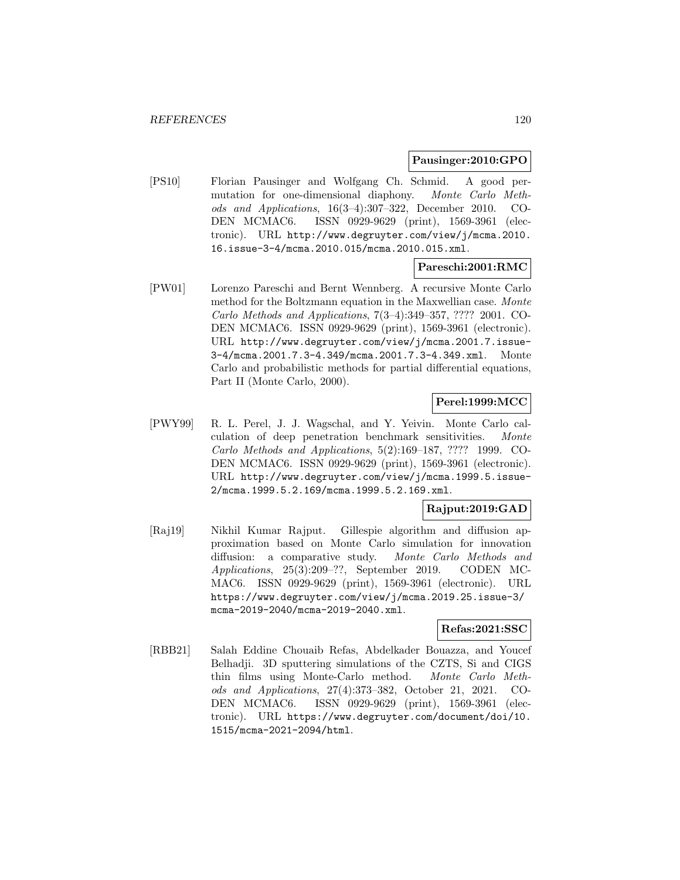#### **Pausinger:2010:GPO**

[PS10] Florian Pausinger and Wolfgang Ch. Schmid. A good permutation for one-dimensional diaphony. Monte Carlo Methods and Applications, 16(3–4):307–322, December 2010. CO-DEN MCMAC6. ISSN 0929-9629 (print), 1569-3961 (electronic). URL http://www.degruyter.com/view/j/mcma.2010. 16.issue-3-4/mcma.2010.015/mcma.2010.015.xml.

# **Pareschi:2001:RMC**

[PW01] Lorenzo Pareschi and Bernt Wennberg. A recursive Monte Carlo method for the Boltzmann equation in the Maxwellian case. Monte Carlo Methods and Applications, 7(3–4):349–357, ???? 2001. CO-DEN MCMAC6. ISSN 0929-9629 (print), 1569-3961 (electronic). URL http://www.degruyter.com/view/j/mcma.2001.7.issue-3-4/mcma.2001.7.3-4.349/mcma.2001.7.3-4.349.xml. Monte Carlo and probabilistic methods for partial differential equations, Part II (Monte Carlo, 2000).

# **Perel:1999:MCC**

[PWY99] R. L. Perel, J. J. Wagschal, and Y. Yeivin. Monte Carlo calculation of deep penetration benchmark sensitivities. Monte Carlo Methods and Applications, 5(2):169–187, ???? 1999. CO-DEN MCMAC6. ISSN 0929-9629 (print), 1569-3961 (electronic). URL http://www.degruyter.com/view/j/mcma.1999.5.issue-2/mcma.1999.5.2.169/mcma.1999.5.2.169.xml.

## **Rajput:2019:GAD**

[Raj19] Nikhil Kumar Rajput. Gillespie algorithm and diffusion approximation based on Monte Carlo simulation for innovation diffusion: a comparative study. Monte Carlo Methods and Applications, 25(3):209–??, September 2019. CODEN MC-MAC6. ISSN 0929-9629 (print), 1569-3961 (electronic). URL https://www.degruyter.com/view/j/mcma.2019.25.issue-3/ mcma-2019-2040/mcma-2019-2040.xml.

# **Refas:2021:SSC**

[RBB21] Salah Eddine Chouaib Refas, Abdelkader Bouazza, and Youcef Belhadji. 3D sputtering simulations of the CZTS, Si and CIGS thin films using Monte-Carlo method. Monte Carlo Methods and Applications, 27(4):373–382, October 21, 2021. CO-DEN MCMAC6. ISSN 0929-9629 (print), 1569-3961 (electronic). URL https://www.degruyter.com/document/doi/10. 1515/mcma-2021-2094/html.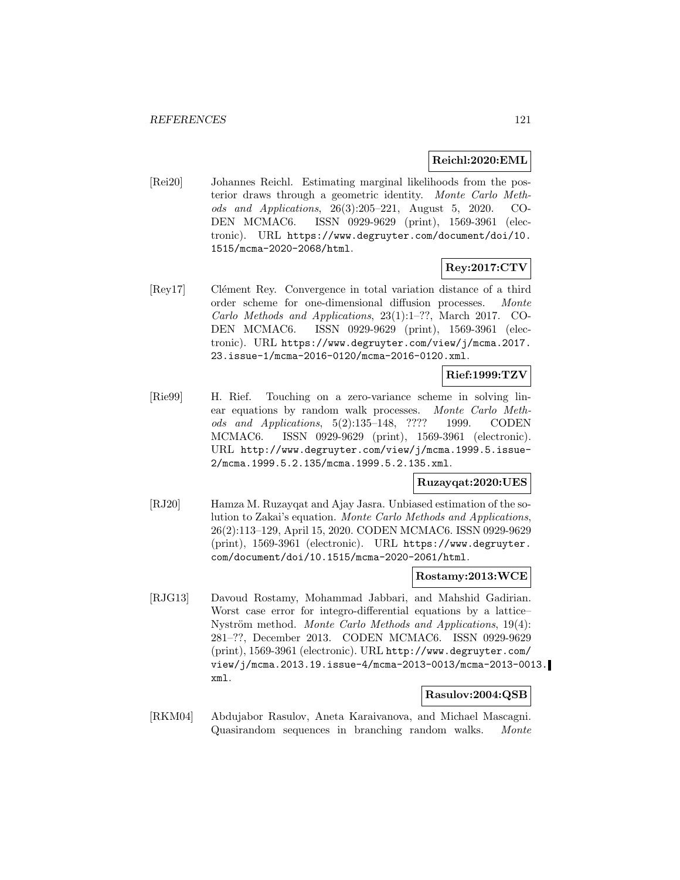### **Reichl:2020:EML**

[Rei20] Johannes Reichl. Estimating marginal likelihoods from the posterior draws through a geometric identity. Monte Carlo Methods and Applications, 26(3):205–221, August 5, 2020. CO-DEN MCMAC6. ISSN 0929-9629 (print), 1569-3961 (electronic). URL https://www.degruyter.com/document/doi/10. 1515/mcma-2020-2068/html.

# **Rey:2017:CTV**

[Rey17] Clément Rey. Convergence in total variation distance of a third order scheme for one-dimensional diffusion processes. Monte Carlo Methods and Applications, 23(1):1–??, March 2017. CO-DEN MCMAC6. ISSN 0929-9629 (print), 1569-3961 (electronic). URL https://www.degruyter.com/view/j/mcma.2017. 23.issue-1/mcma-2016-0120/mcma-2016-0120.xml.

### **Rief:1999:TZV**

[Rie99] H. Rief. Touching on a zero-variance scheme in solving linear equations by random walk processes. Monte Carlo Methods and Applications, 5(2):135–148, ???? 1999. CODEN MCMAC6. ISSN 0929-9629 (print), 1569-3961 (electronic). URL http://www.degruyter.com/view/j/mcma.1999.5.issue-2/mcma.1999.5.2.135/mcma.1999.5.2.135.xml.

### **Ruzayqat:2020:UES**

[RJ20] Hamza M. Ruzayqat and Ajay Jasra. Unbiased estimation of the solution to Zakai's equation. Monte Carlo Methods and Applications, 26(2):113–129, April 15, 2020. CODEN MCMAC6. ISSN 0929-9629 (print), 1569-3961 (electronic). URL https://www.degruyter. com/document/doi/10.1515/mcma-2020-2061/html.

#### **Rostamy:2013:WCE**

[RJG13] Davoud Rostamy, Mohammad Jabbari, and Mahshid Gadirian. Worst case error for integro-differential equations by a lattice– Nyström method. Monte Carlo Methods and Applications, 19(4): 281–??, December 2013. CODEN MCMAC6. ISSN 0929-9629 (print), 1569-3961 (electronic). URL http://www.degruyter.com/ view/j/mcma.2013.19.issue-4/mcma-2013-0013/mcma-2013-0013. xml.

## **Rasulov:2004:QSB**

[RKM04] Abdujabor Rasulov, Aneta Karaivanova, and Michael Mascagni. Quasirandom sequences in branching random walks. Monte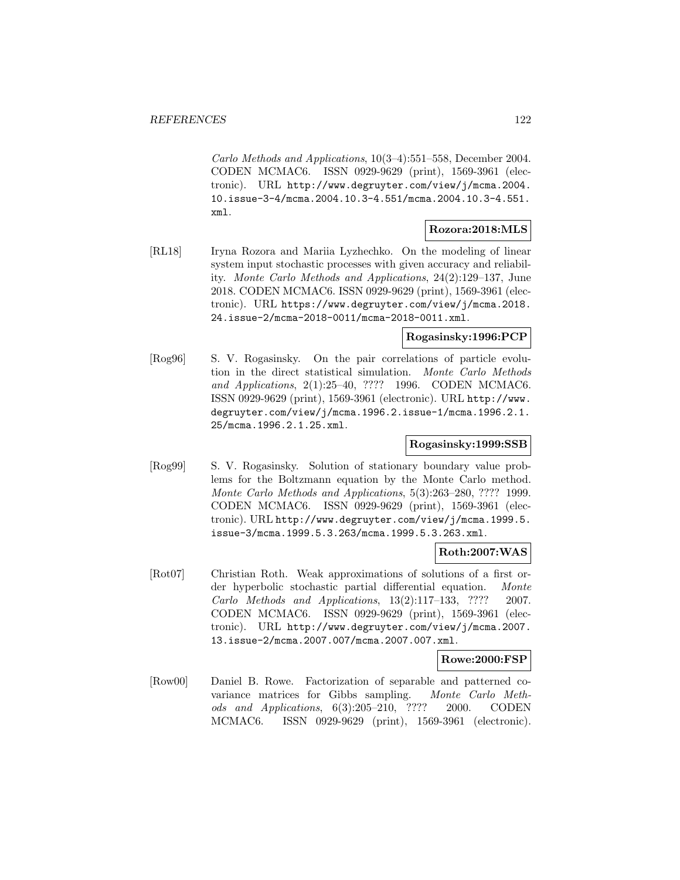Carlo Methods and Applications, 10(3–4):551–558, December 2004. CODEN MCMAC6. ISSN 0929-9629 (print), 1569-3961 (electronic). URL http://www.degruyter.com/view/j/mcma.2004. 10.issue-3-4/mcma.2004.10.3-4.551/mcma.2004.10.3-4.551. xml.

# **Rozora:2018:MLS**

[RL18] Iryna Rozora and Mariia Lyzhechko. On the modeling of linear system input stochastic processes with given accuracy and reliability. Monte Carlo Methods and Applications, 24(2):129–137, June 2018. CODEN MCMAC6. ISSN 0929-9629 (print), 1569-3961 (electronic). URL https://www.degruyter.com/view/j/mcma.2018. 24.issue-2/mcma-2018-0011/mcma-2018-0011.xml.

### **Rogasinsky:1996:PCP**

[Rog96] S. V. Rogasinsky. On the pair correlations of particle evolution in the direct statistical simulation. Monte Carlo Methods and Applications, 2(1):25–40, ???? 1996. CODEN MCMAC6. ISSN 0929-9629 (print), 1569-3961 (electronic). URL http://www. degruyter.com/view/j/mcma.1996.2.issue-1/mcma.1996.2.1. 25/mcma.1996.2.1.25.xml.

# **Rogasinsky:1999:SSB**

[Rog99] S. V. Rogasinsky. Solution of stationary boundary value problems for the Boltzmann equation by the Monte Carlo method. Monte Carlo Methods and Applications, 5(3):263–280, ???? 1999. CODEN MCMAC6. ISSN 0929-9629 (print), 1569-3961 (electronic). URL http://www.degruyter.com/view/j/mcma.1999.5. issue-3/mcma.1999.5.3.263/mcma.1999.5.3.263.xml.

### **Roth:2007:WAS**

[Rot07] Christian Roth. Weak approximations of solutions of a first order hyperbolic stochastic partial differential equation. Monte Carlo Methods and Applications, 13(2):117–133, ???? 2007. CODEN MCMAC6. ISSN 0929-9629 (print), 1569-3961 (electronic). URL http://www.degruyter.com/view/j/mcma.2007. 13.issue-2/mcma.2007.007/mcma.2007.007.xml.

### **Rowe:2000:FSP**

[Row00] Daniel B. Rowe. Factorization of separable and patterned covariance matrices for Gibbs sampling. Monte Carlo Methods and Applications, 6(3):205–210, ???? 2000. CODEN MCMAC6. ISSN 0929-9629 (print), 1569-3961 (electronic).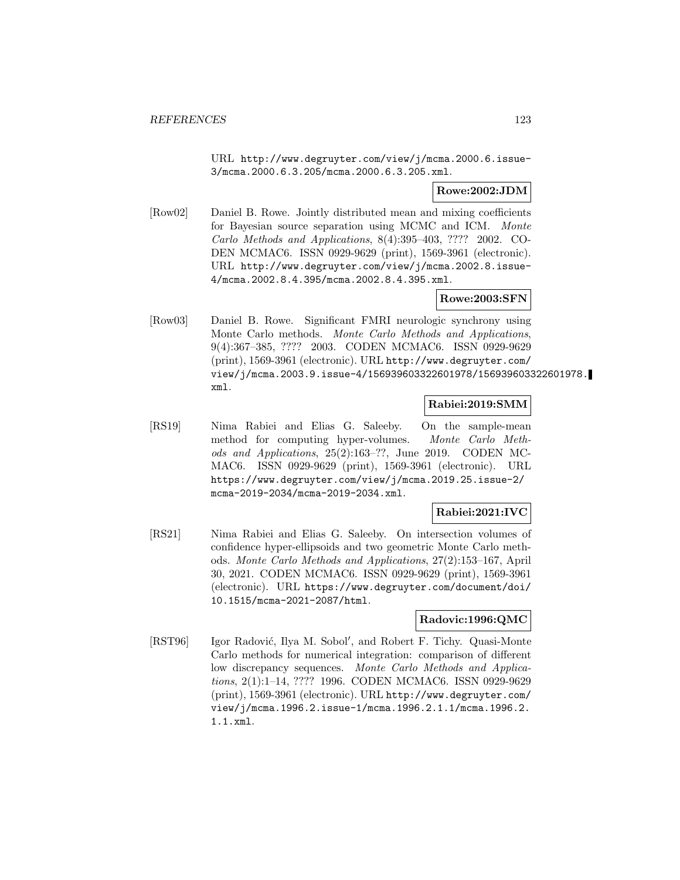URL http://www.degruyter.com/view/j/mcma.2000.6.issue-3/mcma.2000.6.3.205/mcma.2000.6.3.205.xml.

# **Rowe:2002:JDM**

[Row02] Daniel B. Rowe. Jointly distributed mean and mixing coefficients for Bayesian source separation using MCMC and ICM. Monte Carlo Methods and Applications, 8(4):395–403, ???? 2002. CO-DEN MCMAC6. ISSN 0929-9629 (print), 1569-3961 (electronic). URL http://www.degruyter.com/view/j/mcma.2002.8.issue-4/mcma.2002.8.4.395/mcma.2002.8.4.395.xml.

# **Rowe:2003:SFN**

[Row03] Daniel B. Rowe. Significant FMRI neurologic synchrony using Monte Carlo methods. Monte Carlo Methods and Applications, 9(4):367–385, ???? 2003. CODEN MCMAC6. ISSN 0929-9629 (print), 1569-3961 (electronic). URL http://www.degruyter.com/ view/j/mcma.2003.9.issue-4/156939603322601978/156939603322601978. xml.

# **Rabiei:2019:SMM**

[RS19] Nima Rabiei and Elias G. Saleeby. On the sample-mean method for computing hyper-volumes. Monte Carlo Methods and Applications, 25(2):163–??, June 2019. CODEN MC-MAC6. ISSN 0929-9629 (print), 1569-3961 (electronic). URL https://www.degruyter.com/view/j/mcma.2019.25.issue-2/ mcma-2019-2034/mcma-2019-2034.xml.

# **Rabiei:2021:IVC**

[RS21] Nima Rabiei and Elias G. Saleeby. On intersection volumes of confidence hyper-ellipsoids and two geometric Monte Carlo methods. Monte Carlo Methods and Applications, 27(2):153–167, April 30, 2021. CODEN MCMAC6. ISSN 0929-9629 (print), 1569-3961 (electronic). URL https://www.degruyter.com/document/doi/ 10.1515/mcma-2021-2087/html.

# **Radovic:1996:QMC**

[RST96] Igor Radović, Ilya M. Sobol', and Robert F. Tichy. Quasi-Monte Carlo methods for numerical integration: comparison of different low discrepancy sequences. Monte Carlo Methods and Applications, 2(1):1–14, ???? 1996. CODEN MCMAC6. ISSN 0929-9629 (print), 1569-3961 (electronic). URL http://www.degruyter.com/ view/j/mcma.1996.2.issue-1/mcma.1996.2.1.1/mcma.1996.2. 1.1.xml.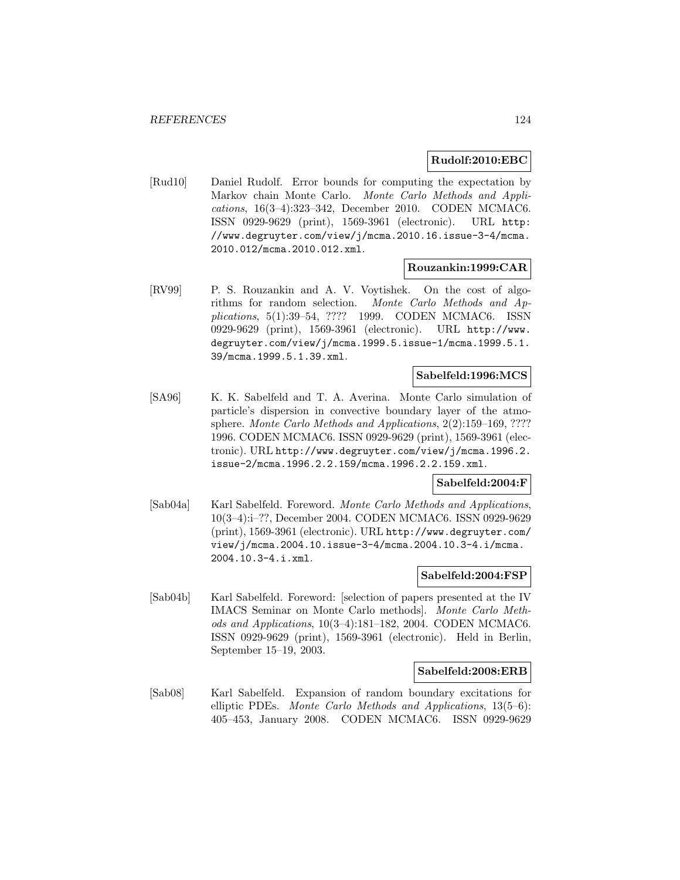#### **Rudolf:2010:EBC**

[Rud10] Daniel Rudolf. Error bounds for computing the expectation by Markov chain Monte Carlo. Monte Carlo Methods and Applications, 16(3–4):323–342, December 2010. CODEN MCMAC6. ISSN 0929-9629 (print), 1569-3961 (electronic). URL http: //www.degruyter.com/view/j/mcma.2010.16.issue-3-4/mcma. 2010.012/mcma.2010.012.xml.

#### **Rouzankin:1999:CAR**

[RV99] P. S. Rouzankin and A. V. Voytishek. On the cost of algorithms for random selection. Monte Carlo Methods and Applications, 5(1):39–54, ???? 1999. CODEN MCMAC6. ISSN 0929-9629 (print), 1569-3961 (electronic). URL http://www. degruyter.com/view/j/mcma.1999.5.issue-1/mcma.1999.5.1. 39/mcma.1999.5.1.39.xml.

### **Sabelfeld:1996:MCS**

[SA96] K. K. Sabelfeld and T. A. Averina. Monte Carlo simulation of particle's dispersion in convective boundary layer of the atmosphere. Monte Carlo Methods and Applications, 2(2):159–169, ???? 1996. CODEN MCMAC6. ISSN 0929-9629 (print), 1569-3961 (electronic). URL http://www.degruyter.com/view/j/mcma.1996.2. issue-2/mcma.1996.2.2.159/mcma.1996.2.2.159.xml.

### **Sabelfeld:2004:F**

[Sab04a] Karl Sabelfeld. Foreword. Monte Carlo Methods and Applications, 10(3–4):i–??, December 2004. CODEN MCMAC6. ISSN 0929-9629 (print), 1569-3961 (electronic). URL http://www.degruyter.com/ view/j/mcma.2004.10.issue-3-4/mcma.2004.10.3-4.i/mcma. 2004.10.3-4.i.xml.

### **Sabelfeld:2004:FSP**

[Sab04b] Karl Sabelfeld. Foreword: [selection of papers presented at the IV IMACS Seminar on Monte Carlo methods]. Monte Carlo Methods and Applications, 10(3–4):181–182, 2004. CODEN MCMAC6. ISSN 0929-9629 (print), 1569-3961 (electronic). Held in Berlin, September 15–19, 2003.

### **Sabelfeld:2008:ERB**

[Sab08] Karl Sabelfeld. Expansion of random boundary excitations for elliptic PDEs. Monte Carlo Methods and Applications, 13(5–6): 405–453, January 2008. CODEN MCMAC6. ISSN 0929-9629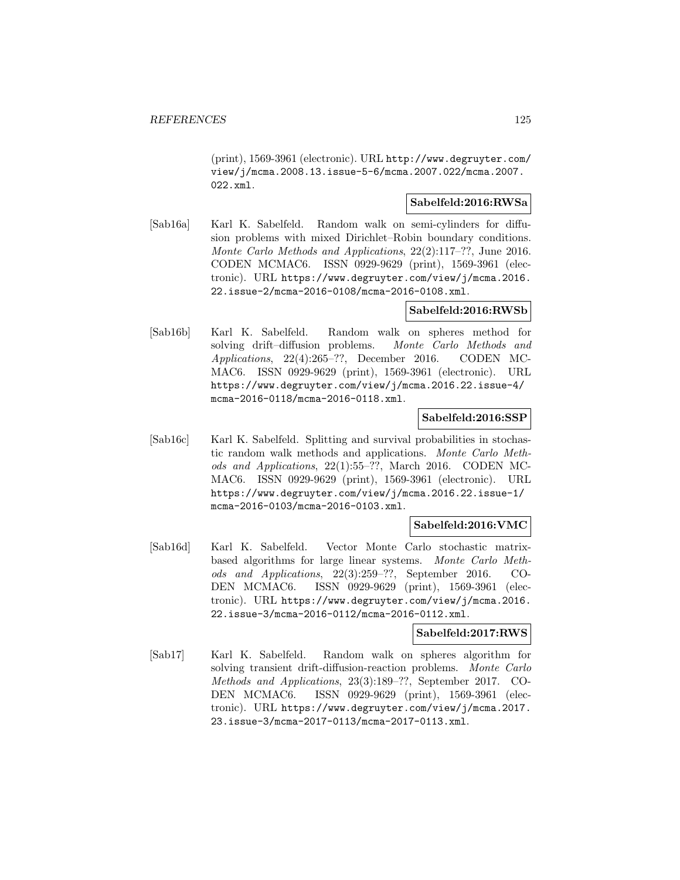(print), 1569-3961 (electronic). URL http://www.degruyter.com/ view/j/mcma.2008.13.issue-5-6/mcma.2007.022/mcma.2007. 022.xml.

## **Sabelfeld:2016:RWSa**

[Sab16a] Karl K. Sabelfeld. Random walk on semi-cylinders for diffusion problems with mixed Dirichlet–Robin boundary conditions. Monte Carlo Methods and Applications, 22(2):117–??, June 2016. CODEN MCMAC6. ISSN 0929-9629 (print), 1569-3961 (electronic). URL https://www.degruyter.com/view/j/mcma.2016. 22.issue-2/mcma-2016-0108/mcma-2016-0108.xml.

### **Sabelfeld:2016:RWSb**

[Sab16b] Karl K. Sabelfeld. Random walk on spheres method for solving drift–diffusion problems. Monte Carlo Methods and Applications, 22(4):265–??, December 2016. CODEN MC-MAC6. ISSN 0929-9629 (print), 1569-3961 (electronic). URL https://www.degruyter.com/view/j/mcma.2016.22.issue-4/ mcma-2016-0118/mcma-2016-0118.xml.

#### **Sabelfeld:2016:SSP**

[Sab16c] Karl K. Sabelfeld. Splitting and survival probabilities in stochastic random walk methods and applications. Monte Carlo Methods and Applications, 22(1):55–??, March 2016. CODEN MC-MAC6. ISSN 0929-9629 (print), 1569-3961 (electronic). URL https://www.degruyter.com/view/j/mcma.2016.22.issue-1/ mcma-2016-0103/mcma-2016-0103.xml.

### **Sabelfeld:2016:VMC**

[Sab16d] Karl K. Sabelfeld. Vector Monte Carlo stochastic matrixbased algorithms for large linear systems. Monte Carlo Methods and Applications, 22(3):259–??, September 2016. CO-DEN MCMAC6. ISSN 0929-9629 (print), 1569-3961 (electronic). URL https://www.degruyter.com/view/j/mcma.2016. 22.issue-3/mcma-2016-0112/mcma-2016-0112.xml.

#### **Sabelfeld:2017:RWS**

[Sab17] Karl K. Sabelfeld. Random walk on spheres algorithm for solving transient drift-diffusion-reaction problems. Monte Carlo Methods and Applications, 23(3):189–??, September 2017. CO-DEN MCMAC6. ISSN 0929-9629 (print), 1569-3961 (electronic). URL https://www.degruyter.com/view/j/mcma.2017. 23.issue-3/mcma-2017-0113/mcma-2017-0113.xml.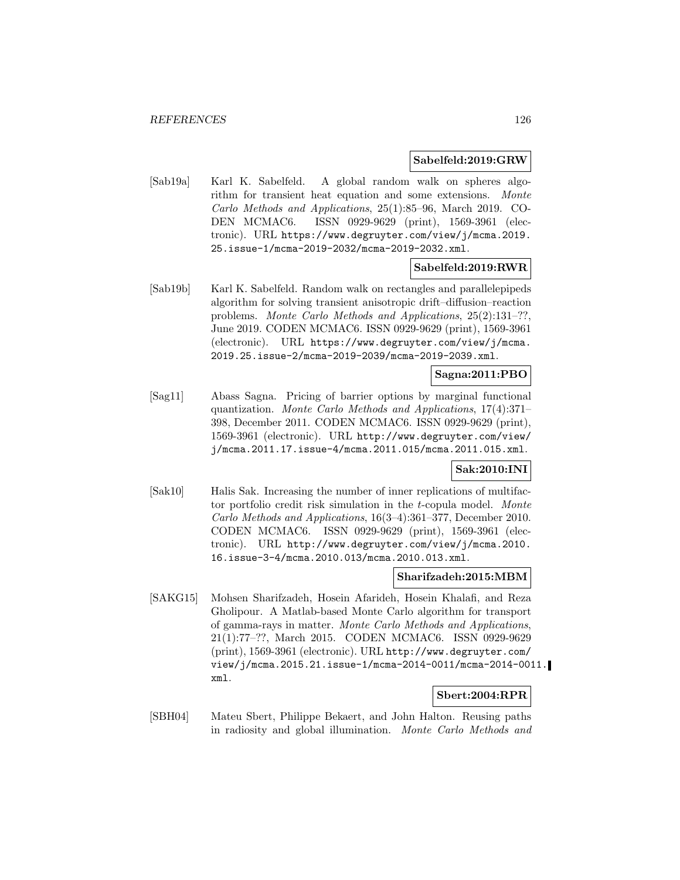#### **Sabelfeld:2019:GRW**

[Sab19a] Karl K. Sabelfeld. A global random walk on spheres algorithm for transient heat equation and some extensions. Monte Carlo Methods and Applications, 25(1):85–96, March 2019. CO-DEN MCMAC6. ISSN 0929-9629 (print), 1569-3961 (electronic). URL https://www.degruyter.com/view/j/mcma.2019. 25.issue-1/mcma-2019-2032/mcma-2019-2032.xml.

### **Sabelfeld:2019:RWR**

[Sab19b] Karl K. Sabelfeld. Random walk on rectangles and parallelepipeds algorithm for solving transient anisotropic drift–diffusion–reaction problems. Monte Carlo Methods and Applications, 25(2):131–??, June 2019. CODEN MCMAC6. ISSN 0929-9629 (print), 1569-3961 (electronic). URL https://www.degruyter.com/view/j/mcma. 2019.25.issue-2/mcma-2019-2039/mcma-2019-2039.xml.

#### **Sagna:2011:PBO**

[Sag11] Abass Sagna. Pricing of barrier options by marginal functional quantization. Monte Carlo Methods and Applications, 17(4):371– 398, December 2011. CODEN MCMAC6. ISSN 0929-9629 (print), 1569-3961 (electronic). URL http://www.degruyter.com/view/ j/mcma.2011.17.issue-4/mcma.2011.015/mcma.2011.015.xml.

## **Sak:2010:INI**

[Sak10] Halis Sak. Increasing the number of inner replications of multifactor portfolio credit risk simulation in the t-copula model. Monte Carlo Methods and Applications, 16(3–4):361–377, December 2010. CODEN MCMAC6. ISSN 0929-9629 (print), 1569-3961 (electronic). URL http://www.degruyter.com/view/j/mcma.2010. 16.issue-3-4/mcma.2010.013/mcma.2010.013.xml.

#### **Sharifzadeh:2015:MBM**

[SAKG15] Mohsen Sharifzadeh, Hosein Afarideh, Hosein Khalafi, and Reza Gholipour. A Matlab-based Monte Carlo algorithm for transport of gamma-rays in matter. Monte Carlo Methods and Applications, 21(1):77–??, March 2015. CODEN MCMAC6. ISSN 0929-9629 (print), 1569-3961 (electronic). URL http://www.degruyter.com/ view/j/mcma.2015.21.issue-1/mcma-2014-0011/mcma-2014-0011. xml.

# **Sbert:2004:RPR**

[SBH04] Mateu Sbert, Philippe Bekaert, and John Halton. Reusing paths in radiosity and global illumination. Monte Carlo Methods and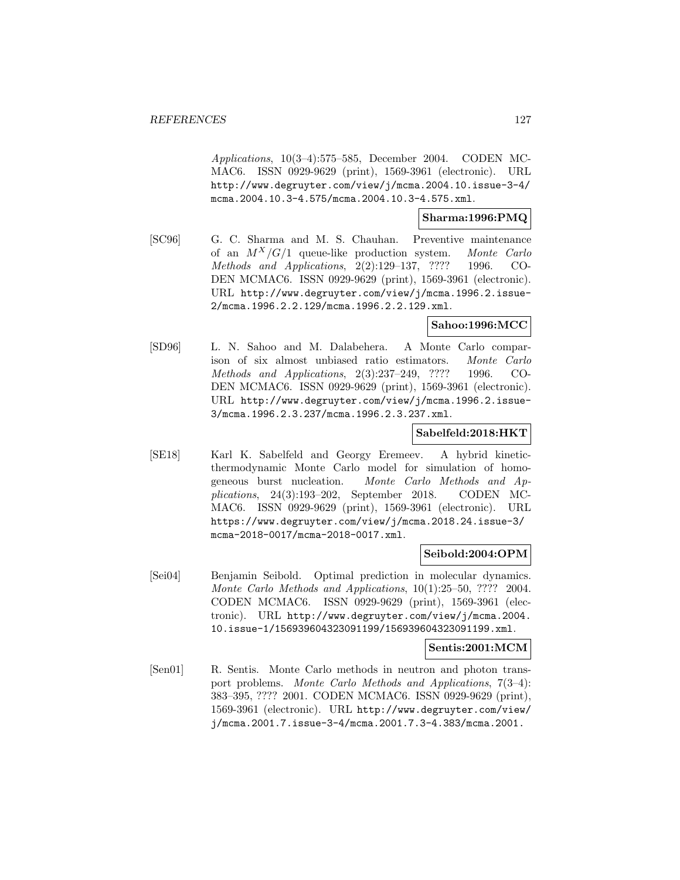Applications, 10(3–4):575–585, December 2004. CODEN MC-MAC6. ISSN 0929-9629 (print), 1569-3961 (electronic). URL http://www.degruyter.com/view/j/mcma.2004.10.issue-3-4/ mcma.2004.10.3-4.575/mcma.2004.10.3-4.575.xml.

### **Sharma:1996:PMQ**

[SC96] G. C. Sharma and M. S. Chauhan. Preventive maintenance of an  $M^X/G/1$  queue-like production system. Monte Carlo Methods and Applications, 2(2):129–137, ???? 1996. CO-DEN MCMAC6. ISSN 0929-9629 (print), 1569-3961 (electronic). URL http://www.degruyter.com/view/j/mcma.1996.2.issue-2/mcma.1996.2.2.129/mcma.1996.2.2.129.xml.

### **Sahoo:1996:MCC**

[SD96] L. N. Sahoo and M. Dalabehera. A Monte Carlo comparison of six almost unbiased ratio estimators. Monte Carlo Methods and Applications, 2(3):237–249, ???? 1996. CO-DEN MCMAC6. ISSN 0929-9629 (print), 1569-3961 (electronic). URL http://www.degruyter.com/view/j/mcma.1996.2.issue-3/mcma.1996.2.3.237/mcma.1996.2.3.237.xml.

### **Sabelfeld:2018:HKT**

[SE18] Karl K. Sabelfeld and Georgy Eremeev. A hybrid kineticthermodynamic Monte Carlo model for simulation of homogeneous burst nucleation. Monte Carlo Methods and Applications, 24(3):193–202, September 2018. CODEN MC-MAC6. ISSN 0929-9629 (print), 1569-3961 (electronic). URL https://www.degruyter.com/view/j/mcma.2018.24.issue-3/ mcma-2018-0017/mcma-2018-0017.xml.

### **Seibold:2004:OPM**

[Sei04] Benjamin Seibold. Optimal prediction in molecular dynamics. Monte Carlo Methods and Applications, 10(1):25–50, ???? 2004. CODEN MCMAC6. ISSN 0929-9629 (print), 1569-3961 (electronic). URL http://www.degruyter.com/view/j/mcma.2004. 10.issue-1/156939604323091199/156939604323091199.xml.

#### **Sentis:2001:MCM**

[Sen01] R. Sentis. Monte Carlo methods in neutron and photon transport problems. Monte Carlo Methods and Applications, 7(3–4): 383–395, ???? 2001. CODEN MCMAC6. ISSN 0929-9629 (print), 1569-3961 (electronic). URL http://www.degruyter.com/view/ j/mcma.2001.7.issue-3-4/mcma.2001.7.3-4.383/mcma.2001.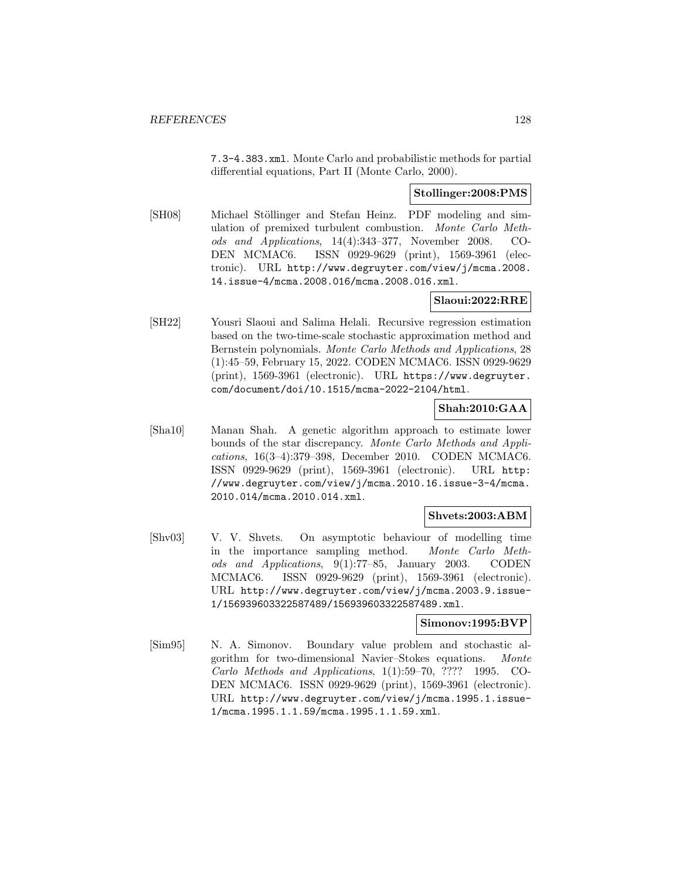7.3-4.383.xml. Monte Carlo and probabilistic methods for partial differential equations, Part II (Monte Carlo, 2000).

## **Stollinger:2008:PMS**

[SH08] Michael Stöllinger and Stefan Heinz. PDF modeling and simulation of premixed turbulent combustion. Monte Carlo Methods and Applications, 14(4):343–377, November 2008. CO-DEN MCMAC6. ISSN 0929-9629 (print), 1569-3961 (electronic). URL http://www.degruyter.com/view/j/mcma.2008. 14.issue-4/mcma.2008.016/mcma.2008.016.xml.

# **Slaoui:2022:RRE**

[SH22] Yousri Slaoui and Salima Helali. Recursive regression estimation based on the two-time-scale stochastic approximation method and Bernstein polynomials. Monte Carlo Methods and Applications, 28 (1):45–59, February 15, 2022. CODEN MCMAC6. ISSN 0929-9629 (print), 1569-3961 (electronic). URL https://www.degruyter. com/document/doi/10.1515/mcma-2022-2104/html.

# **Shah:2010:GAA**

[Sha10] Manan Shah. A genetic algorithm approach to estimate lower bounds of the star discrepancy. Monte Carlo Methods and Applications, 16(3–4):379–398, December 2010. CODEN MCMAC6. ISSN 0929-9629 (print), 1569-3961 (electronic). URL http: //www.degruyter.com/view/j/mcma.2010.16.issue-3-4/mcma. 2010.014/mcma.2010.014.xml.

### **Shvets:2003:ABM**

[Shv03] V. V. Shvets. On asymptotic behaviour of modelling time in the importance sampling method. Monte Carlo Methods and Applications, 9(1):77–85, January 2003. CODEN MCMAC6. ISSN 0929-9629 (print), 1569-3961 (electronic). URL http://www.degruyter.com/view/j/mcma.2003.9.issue-1/156939603322587489/156939603322587489.xml.

## **Simonov:1995:BVP**

[Sim95] N. A. Simonov. Boundary value problem and stochastic algorithm for two-dimensional Navier–Stokes equations. Monte Carlo Methods and Applications, 1(1):59–70, ???? 1995. CO-DEN MCMAC6. ISSN 0929-9629 (print), 1569-3961 (electronic). URL http://www.degruyter.com/view/j/mcma.1995.1.issue-1/mcma.1995.1.1.59/mcma.1995.1.1.59.xml.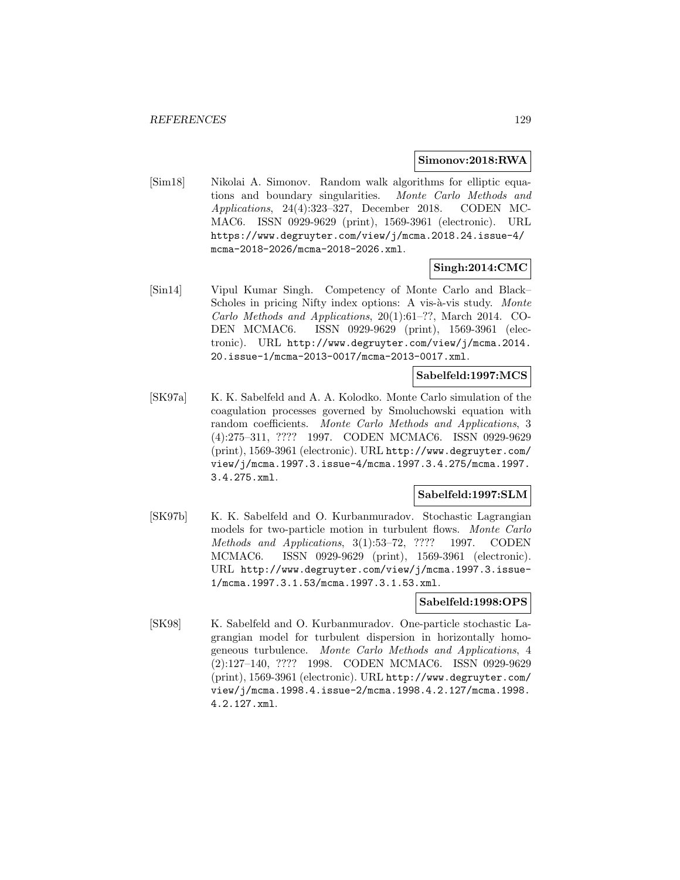### **Simonov:2018:RWA**

[Sim18] Nikolai A. Simonov. Random walk algorithms for elliptic equations and boundary singularities. Monte Carlo Methods and Applications, 24(4):323–327, December 2018. CODEN MC-MAC6. ISSN 0929-9629 (print), 1569-3961 (electronic). URL https://www.degruyter.com/view/j/mcma.2018.24.issue-4/ mcma-2018-2026/mcma-2018-2026.xml.

### **Singh:2014:CMC**

[Sin14] Vipul Kumar Singh. Competency of Monte Carlo and Black– Scholes in pricing Nifty index options: A vis-à-vis study. Monte Carlo Methods and Applications, 20(1):61–??, March 2014. CO-DEN MCMAC6. ISSN 0929-9629 (print), 1569-3961 (electronic). URL http://www.degruyter.com/view/j/mcma.2014. 20.issue-1/mcma-2013-0017/mcma-2013-0017.xml.

#### **Sabelfeld:1997:MCS**

[SK97a] K. K. Sabelfeld and A. A. Kolodko. Monte Carlo simulation of the coagulation processes governed by Smoluchowski equation with random coefficients. Monte Carlo Methods and Applications, 3 (4):275–311, ???? 1997. CODEN MCMAC6. ISSN 0929-9629 (print), 1569-3961 (electronic). URL http://www.degruyter.com/ view/j/mcma.1997.3.issue-4/mcma.1997.3.4.275/mcma.1997. 3.4.275.xml.

### **Sabelfeld:1997:SLM**

[SK97b] K. K. Sabelfeld and O. Kurbanmuradov. Stochastic Lagrangian models for two-particle motion in turbulent flows. Monte Carlo Methods and Applications, 3(1):53–72, ???? 1997. CODEN MCMAC6. ISSN 0929-9629 (print), 1569-3961 (electronic). URL http://www.degruyter.com/view/j/mcma.1997.3.issue-1/mcma.1997.3.1.53/mcma.1997.3.1.53.xml.

### **Sabelfeld:1998:OPS**

[SK98] K. Sabelfeld and O. Kurbanmuradov. One-particle stochastic Lagrangian model for turbulent dispersion in horizontally homogeneous turbulence. Monte Carlo Methods and Applications, 4 (2):127–140, ???? 1998. CODEN MCMAC6. ISSN 0929-9629 (print), 1569-3961 (electronic). URL http://www.degruyter.com/ view/j/mcma.1998.4.issue-2/mcma.1998.4.2.127/mcma.1998. 4.2.127.xml.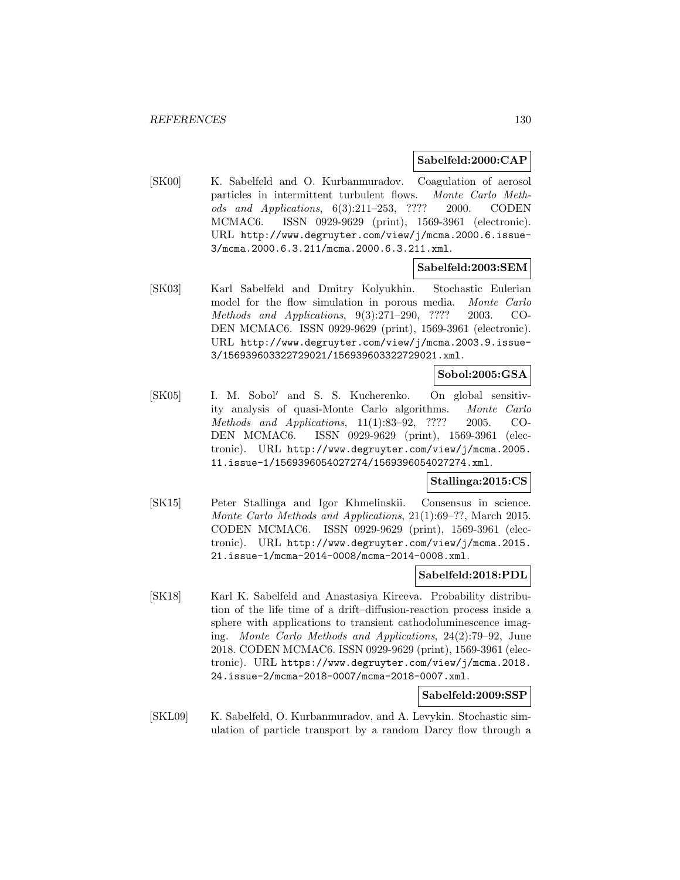#### **Sabelfeld:2000:CAP**

[SK00] K. Sabelfeld and O. Kurbanmuradov. Coagulation of aerosol particles in intermittent turbulent flows. Monte Carlo Methods and Applications, 6(3):211–253, ???? 2000. CODEN MCMAC6. ISSN 0929-9629 (print), 1569-3961 (electronic). URL http://www.degruyter.com/view/j/mcma.2000.6.issue-3/mcma.2000.6.3.211/mcma.2000.6.3.211.xml.

## **Sabelfeld:2003:SEM**

[SK03] Karl Sabelfeld and Dmitry Kolyukhin. Stochastic Eulerian model for the flow simulation in porous media. Monte Carlo Methods and Applications, 9(3):271–290, ???? 2003. CO-DEN MCMAC6. ISSN 0929-9629 (print), 1569-3961 (electronic). URL http://www.degruyter.com/view/j/mcma.2003.9.issue-3/156939603322729021/156939603322729021.xml.

## **Sobol:2005:GSA**

[SK05] I. M. Sobol' and S. S. Kucherenko. On global sensitivity analysis of quasi-Monte Carlo algorithms. Monte Carlo Methods and Applications, 11(1):83–92, ???? 2005. CO-DEN MCMAC6. ISSN 0929-9629 (print), 1569-3961 (electronic). URL http://www.degruyter.com/view/j/mcma.2005. 11.issue-1/1569396054027274/1569396054027274.xml.

## **Stallinga:2015:CS**

[SK15] Peter Stallinga and Igor Khmelinskii. Consensus in science. Monte Carlo Methods and Applications, 21(1):69–??, March 2015. CODEN MCMAC6. ISSN 0929-9629 (print), 1569-3961 (electronic). URL http://www.degruyter.com/view/j/mcma.2015. 21.issue-1/mcma-2014-0008/mcma-2014-0008.xml.

#### **Sabelfeld:2018:PDL**

[SK18] Karl K. Sabelfeld and Anastasiya Kireeva. Probability distribution of the life time of a drift–diffusion-reaction process inside a sphere with applications to transient cathodoluminescence imaging. Monte Carlo Methods and Applications, 24(2):79–92, June 2018. CODEN MCMAC6. ISSN 0929-9629 (print), 1569-3961 (electronic). URL https://www.degruyter.com/view/j/mcma.2018. 24.issue-2/mcma-2018-0007/mcma-2018-0007.xml.

# **Sabelfeld:2009:SSP**

[SKL09] K. Sabelfeld, O. Kurbanmuradov, and A. Levykin. Stochastic simulation of particle transport by a random Darcy flow through a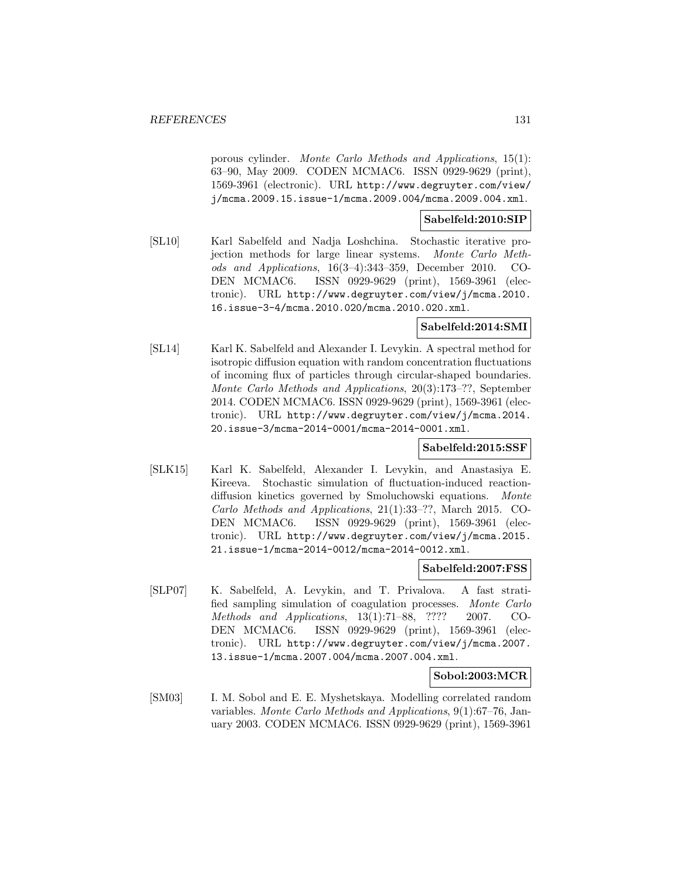porous cylinder. Monte Carlo Methods and Applications, 15(1): 63–90, May 2009. CODEN MCMAC6. ISSN 0929-9629 (print), 1569-3961 (electronic). URL http://www.degruyter.com/view/ j/mcma.2009.15.issue-1/mcma.2009.004/mcma.2009.004.xml.

## **Sabelfeld:2010:SIP**

[SL10] Karl Sabelfeld and Nadja Loshchina. Stochastic iterative projection methods for large linear systems. Monte Carlo Methods and Applications, 16(3–4):343–359, December 2010. CO-DEN MCMAC6. ISSN 0929-9629 (print), 1569-3961 (electronic). URL http://www.degruyter.com/view/j/mcma.2010. 16.issue-3-4/mcma.2010.020/mcma.2010.020.xml.

### **Sabelfeld:2014:SMI**

[SL14] Karl K. Sabelfeld and Alexander I. Levykin. A spectral method for isotropic diffusion equation with random concentration fluctuations of incoming flux of particles through circular-shaped boundaries. Monte Carlo Methods and Applications, 20(3):173–??, September 2014. CODEN MCMAC6. ISSN 0929-9629 (print), 1569-3961 (electronic). URL http://www.degruyter.com/view/j/mcma.2014. 20.issue-3/mcma-2014-0001/mcma-2014-0001.xml.

### **Sabelfeld:2015:SSF**

[SLK15] Karl K. Sabelfeld, Alexander I. Levykin, and Anastasiya E. Kireeva. Stochastic simulation of fluctuation-induced reactiondiffusion kinetics governed by Smoluchowski equations. Monte Carlo Methods and Applications, 21(1):33–??, March 2015. CO-DEN MCMAC6. ISSN 0929-9629 (print), 1569-3961 (electronic). URL http://www.degruyter.com/view/j/mcma.2015. 21.issue-1/mcma-2014-0012/mcma-2014-0012.xml.

#### **Sabelfeld:2007:FSS**

[SLP07] K. Sabelfeld, A. Levykin, and T. Privalova. A fast stratified sampling simulation of coagulation processes. Monte Carlo Methods and Applications, 13(1):71–88, ???? 2007. CO-DEN MCMAC6. ISSN 0929-9629 (print), 1569-3961 (electronic). URL http://www.degruyter.com/view/j/mcma.2007. 13.issue-1/mcma.2007.004/mcma.2007.004.xml.

### **Sobol:2003:MCR**

[SM03] I. M. Sobol and E. E. Myshetskaya. Modelling correlated random variables. Monte Carlo Methods and Applications, 9(1):67–76, January 2003. CODEN MCMAC6. ISSN 0929-9629 (print), 1569-3961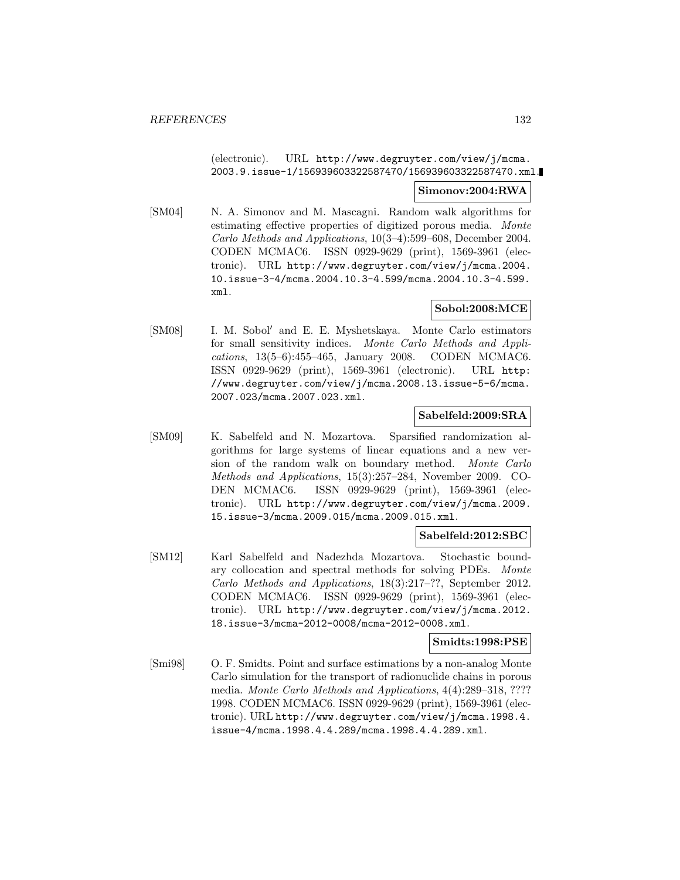(electronic). URL http://www.degruyter.com/view/j/mcma. 2003.9.issue-1/156939603322587470/156939603322587470.xml.

### **Simonov:2004:RWA**

[SM04] N. A. Simonov and M. Mascagni. Random walk algorithms for estimating effective properties of digitized porous media. Monte Carlo Methods and Applications, 10(3–4):599–608, December 2004. CODEN MCMAC6. ISSN 0929-9629 (print), 1569-3961 (electronic). URL http://www.degruyter.com/view/j/mcma.2004. 10.issue-3-4/mcma.2004.10.3-4.599/mcma.2004.10.3-4.599. xml.

# **Sobol:2008:MCE**

[SM08] I. M. Sobol' and E. E. Myshetskaya. Monte Carlo estimators for small sensitivity indices. Monte Carlo Methods and Applications, 13(5–6):455–465, January 2008. CODEN MCMAC6. ISSN 0929-9629 (print), 1569-3961 (electronic). URL http: //www.degruyter.com/view/j/mcma.2008.13.issue-5-6/mcma. 2007.023/mcma.2007.023.xml.

### **Sabelfeld:2009:SRA**

[SM09] K. Sabelfeld and N. Mozartova. Sparsified randomization algorithms for large systems of linear equations and a new version of the random walk on boundary method. Monte Carlo Methods and Applications, 15(3):257–284, November 2009. CO-DEN MCMAC6. ISSN 0929-9629 (print), 1569-3961 (electronic). URL http://www.degruyter.com/view/j/mcma.2009. 15.issue-3/mcma.2009.015/mcma.2009.015.xml.

### **Sabelfeld:2012:SBC**

[SM12] Karl Sabelfeld and Nadezhda Mozartova. Stochastic boundary collocation and spectral methods for solving PDEs. Monte Carlo Methods and Applications, 18(3):217–??, September 2012. CODEN MCMAC6. ISSN 0929-9629 (print), 1569-3961 (electronic). URL http://www.degruyter.com/view/j/mcma.2012. 18.issue-3/mcma-2012-0008/mcma-2012-0008.xml.

### **Smidts:1998:PSE**

[Smi98] O. F. Smidts. Point and surface estimations by a non-analog Monte Carlo simulation for the transport of radionuclide chains in porous media. Monte Carlo Methods and Applications, 4(4):289–318, ???? 1998. CODEN MCMAC6. ISSN 0929-9629 (print), 1569-3961 (electronic). URL http://www.degruyter.com/view/j/mcma.1998.4. issue-4/mcma.1998.4.4.289/mcma.1998.4.4.289.xml.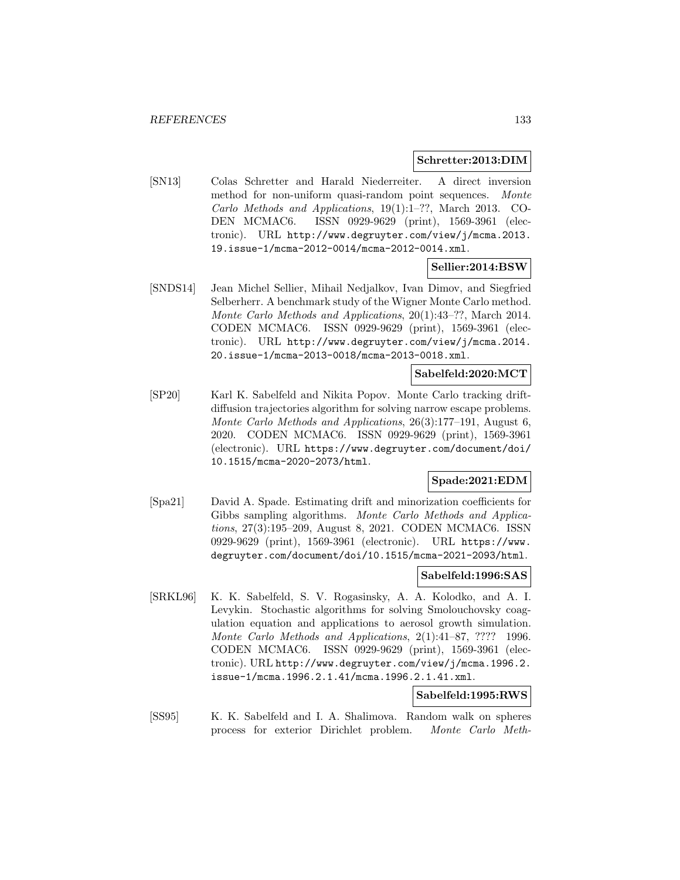#### **Schretter:2013:DIM**

[SN13] Colas Schretter and Harald Niederreiter. A direct inversion method for non-uniform quasi-random point sequences. Monte Carlo Methods and Applications, 19(1):1–??, March 2013. CO-DEN MCMAC6. ISSN 0929-9629 (print), 1569-3961 (electronic). URL http://www.degruyter.com/view/j/mcma.2013. 19.issue-1/mcma-2012-0014/mcma-2012-0014.xml.

## **Sellier:2014:BSW**

[SNDS14] Jean Michel Sellier, Mihail Nedjalkov, Ivan Dimov, and Siegfried Selberherr. A benchmark study of the Wigner Monte Carlo method. Monte Carlo Methods and Applications, 20(1):43–??, March 2014. CODEN MCMAC6. ISSN 0929-9629 (print), 1569-3961 (electronic). URL http://www.degruyter.com/view/j/mcma.2014. 20.issue-1/mcma-2013-0018/mcma-2013-0018.xml.

#### **Sabelfeld:2020:MCT**

[SP20] Karl K. Sabelfeld and Nikita Popov. Monte Carlo tracking driftdiffusion trajectories algorithm for solving narrow escape problems. Monte Carlo Methods and Applications, 26(3):177–191, August 6, 2020. CODEN MCMAC6. ISSN 0929-9629 (print), 1569-3961 (electronic). URL https://www.degruyter.com/document/doi/ 10.1515/mcma-2020-2073/html.

# **Spade:2021:EDM**

[Spa21] David A. Spade. Estimating drift and minorization coefficients for Gibbs sampling algorithms. Monte Carlo Methods and Applications, 27(3):195–209, August 8, 2021. CODEN MCMAC6. ISSN 0929-9629 (print), 1569-3961 (electronic). URL https://www. degruyter.com/document/doi/10.1515/mcma-2021-2093/html.

#### **Sabelfeld:1996:SAS**

[SRKL96] K. K. Sabelfeld, S. V. Rogasinsky, A. A. Kolodko, and A. I. Levykin. Stochastic algorithms for solving Smolouchovsky coagulation equation and applications to aerosol growth simulation. Monte Carlo Methods and Applications, 2(1):41–87, ???? 1996. CODEN MCMAC6. ISSN 0929-9629 (print), 1569-3961 (electronic). URL http://www.degruyter.com/view/j/mcma.1996.2. issue-1/mcma.1996.2.1.41/mcma.1996.2.1.41.xml.

# **Sabelfeld:1995:RWS**

[SS95] K. K. Sabelfeld and I. A. Shalimova. Random walk on spheres process for exterior Dirichlet problem. Monte Carlo Meth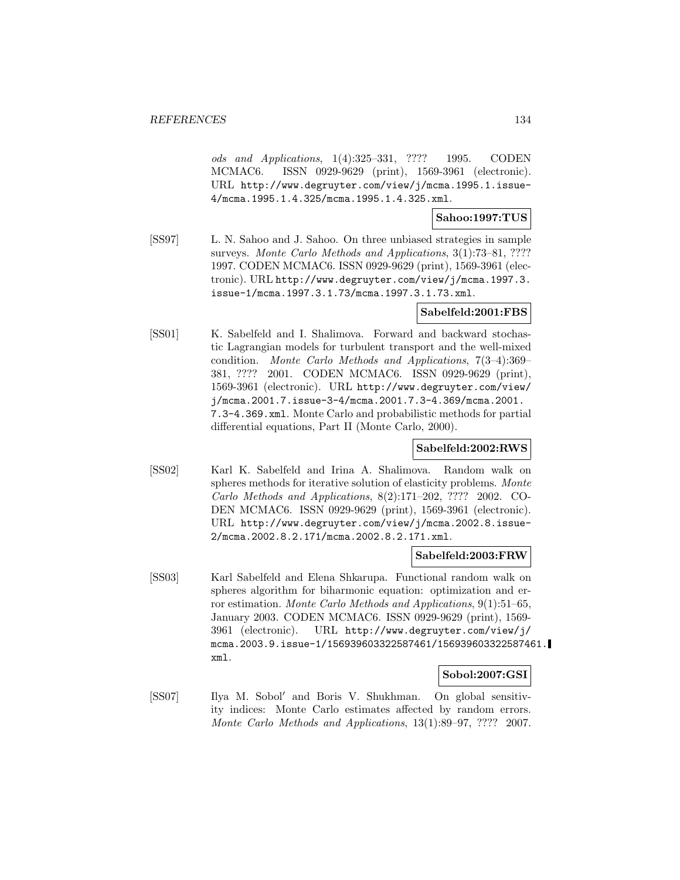ods and Applications, 1(4):325–331, ???? 1995. CODEN MCMAC6. ISSN 0929-9629 (print), 1569-3961 (electronic). URL http://www.degruyter.com/view/j/mcma.1995.1.issue-4/mcma.1995.1.4.325/mcma.1995.1.4.325.xml.

## **Sahoo:1997:TUS**

[SS97] L. N. Sahoo and J. Sahoo. On three unbiased strategies in sample surveys. Monte Carlo Methods and Applications, 3(1):73-81, ???? 1997. CODEN MCMAC6. ISSN 0929-9629 (print), 1569-3961 (electronic). URL http://www.degruyter.com/view/j/mcma.1997.3. issue-1/mcma.1997.3.1.73/mcma.1997.3.1.73.xml.

# **Sabelfeld:2001:FBS**

[SS01] K. Sabelfeld and I. Shalimova. Forward and backward stochastic Lagrangian models for turbulent transport and the well-mixed condition. Monte Carlo Methods and Applications, 7(3–4):369– 381, ???? 2001. CODEN MCMAC6. ISSN 0929-9629 (print), 1569-3961 (electronic). URL http://www.degruyter.com/view/ j/mcma.2001.7.issue-3-4/mcma.2001.7.3-4.369/mcma.2001. 7.3-4.369.xml. Monte Carlo and probabilistic methods for partial differential equations, Part II (Monte Carlo, 2000).

### **Sabelfeld:2002:RWS**

[SS02] Karl K. Sabelfeld and Irina A. Shalimova. Random walk on spheres methods for iterative solution of elasticity problems. Monte Carlo Methods and Applications, 8(2):171–202, ???? 2002. CO-DEN MCMAC6. ISSN 0929-9629 (print), 1569-3961 (electronic). URL http://www.degruyter.com/view/j/mcma.2002.8.issue-2/mcma.2002.8.2.171/mcma.2002.8.2.171.xml.

### **Sabelfeld:2003:FRW**

[SS03] Karl Sabelfeld and Elena Shkarupa. Functional random walk on spheres algorithm for biharmonic equation: optimization and error estimation. Monte Carlo Methods and Applications, 9(1):51–65, January 2003. CODEN MCMAC6. ISSN 0929-9629 (print), 1569- 3961 (electronic). URL http://www.degruyter.com/view/j/ mcma.2003.9.issue-1/156939603322587461/156939603322587461. xml.

#### **Sobol:2007:GSI**

[SS07] Ilya M. Sobol' and Boris V. Shukhman. On global sensitivity indices: Monte Carlo estimates affected by random errors. Monte Carlo Methods and Applications, 13(1):89–97, ???? 2007.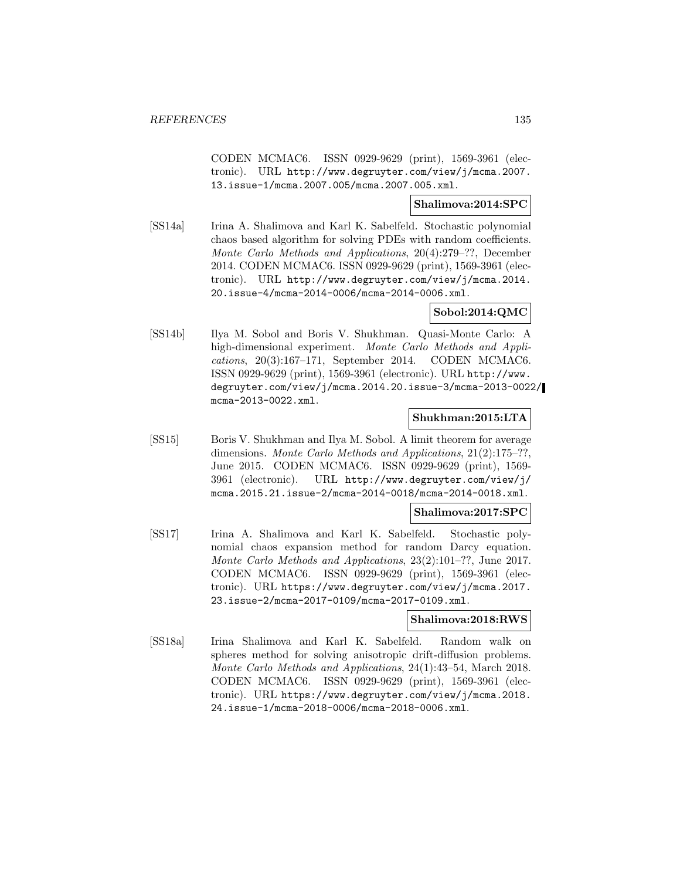CODEN MCMAC6. ISSN 0929-9629 (print), 1569-3961 (electronic). URL http://www.degruyter.com/view/j/mcma.2007. 13.issue-1/mcma.2007.005/mcma.2007.005.xml.

### **Shalimova:2014:SPC**

[SS14a] Irina A. Shalimova and Karl K. Sabelfeld. Stochastic polynomial chaos based algorithm for solving PDEs with random coefficients. Monte Carlo Methods and Applications, 20(4):279–??, December 2014. CODEN MCMAC6. ISSN 0929-9629 (print), 1569-3961 (electronic). URL http://www.degruyter.com/view/j/mcma.2014. 20.issue-4/mcma-2014-0006/mcma-2014-0006.xml.

# **Sobol:2014:QMC**

[SS14b] Ilya M. Sobol and Boris V. Shukhman. Quasi-Monte Carlo: A high-dimensional experiment. Monte Carlo Methods and Applications, 20(3):167–171, September 2014. CODEN MCMAC6. ISSN 0929-9629 (print), 1569-3961 (electronic). URL http://www. degruyter.com/view/j/mcma.2014.20.issue-3/mcma-2013-0022/ mcma-2013-0022.xml.

#### **Shukhman:2015:LTA**

[SS15] Boris V. Shukhman and Ilya M. Sobol. A limit theorem for average dimensions. Monte Carlo Methods and Applications, 21(2):175–??, June 2015. CODEN MCMAC6. ISSN 0929-9629 (print), 1569- 3961 (electronic). URL http://www.degruyter.com/view/j/ mcma.2015.21.issue-2/mcma-2014-0018/mcma-2014-0018.xml.

### **Shalimova:2017:SPC**

[SS17] Irina A. Shalimova and Karl K. Sabelfeld. Stochastic polynomial chaos expansion method for random Darcy equation. Monte Carlo Methods and Applications, 23(2):101–??, June 2017. CODEN MCMAC6. ISSN 0929-9629 (print), 1569-3961 (electronic). URL https://www.degruyter.com/view/j/mcma.2017. 23.issue-2/mcma-2017-0109/mcma-2017-0109.xml.

#### **Shalimova:2018:RWS**

[SS18a] Irina Shalimova and Karl K. Sabelfeld. Random walk on spheres method for solving anisotropic drift-diffusion problems. Monte Carlo Methods and Applications, 24(1):43–54, March 2018. CODEN MCMAC6. ISSN 0929-9629 (print), 1569-3961 (electronic). URL https://www.degruyter.com/view/j/mcma.2018. 24.issue-1/mcma-2018-0006/mcma-2018-0006.xml.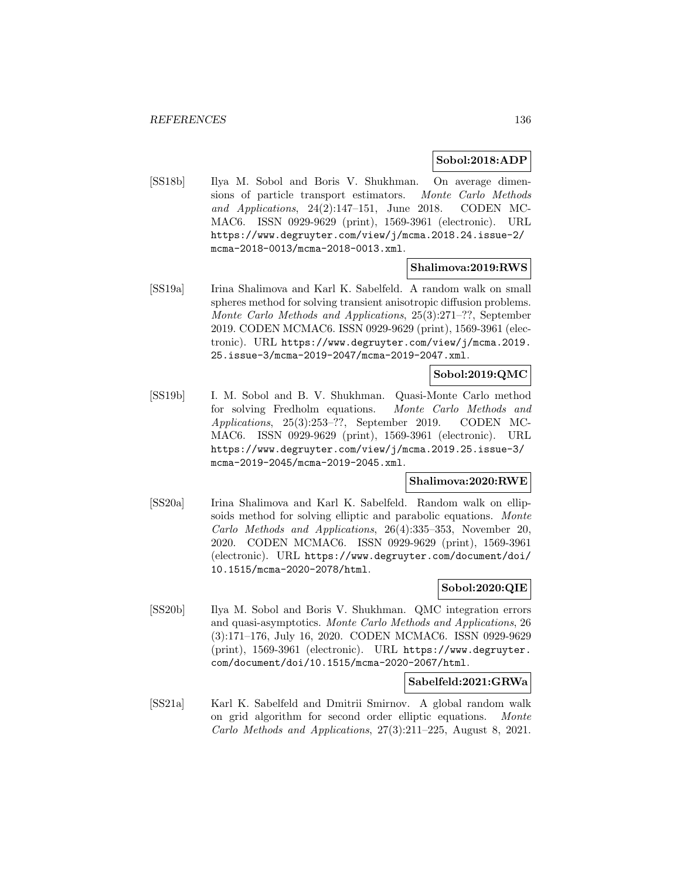### **Sobol:2018:ADP**

[SS18b] Ilya M. Sobol and Boris V. Shukhman. On average dimensions of particle transport estimators. Monte Carlo Methods and Applications, 24(2):147–151, June 2018. CODEN MC-MAC6. ISSN 0929-9629 (print), 1569-3961 (electronic). URL https://www.degruyter.com/view/j/mcma.2018.24.issue-2/ mcma-2018-0013/mcma-2018-0013.xml.

## **Shalimova:2019:RWS**

[SS19a] Irina Shalimova and Karl K. Sabelfeld. A random walk on small spheres method for solving transient anisotropic diffusion problems. Monte Carlo Methods and Applications, 25(3):271–??, September 2019. CODEN MCMAC6. ISSN 0929-9629 (print), 1569-3961 (electronic). URL https://www.degruyter.com/view/j/mcma.2019. 25.issue-3/mcma-2019-2047/mcma-2019-2047.xml.

## **Sobol:2019:QMC**

[SS19b] I. M. Sobol and B. V. Shukhman. Quasi-Monte Carlo method for solving Fredholm equations. Monte Carlo Methods and Applications, 25(3):253–??, September 2019. CODEN MC-MAC6. ISSN 0929-9629 (print), 1569-3961 (electronic). URL https://www.degruyter.com/view/j/mcma.2019.25.issue-3/ mcma-2019-2045/mcma-2019-2045.xml.

#### **Shalimova:2020:RWE**

[SS20a] Irina Shalimova and Karl K. Sabelfeld. Random walk on ellipsoids method for solving elliptic and parabolic equations. Monte Carlo Methods and Applications, 26(4):335–353, November 20, 2020. CODEN MCMAC6. ISSN 0929-9629 (print), 1569-3961 (electronic). URL https://www.degruyter.com/document/doi/ 10.1515/mcma-2020-2078/html.

### **Sobol:2020:QIE**

[SS20b] Ilya M. Sobol and Boris V. Shukhman. QMC integration errors and quasi-asymptotics. Monte Carlo Methods and Applications, 26 (3):171–176, July 16, 2020. CODEN MCMAC6. ISSN 0929-9629 (print), 1569-3961 (electronic). URL https://www.degruyter. com/document/doi/10.1515/mcma-2020-2067/html.

### **Sabelfeld:2021:GRWa**

[SS21a] Karl K. Sabelfeld and Dmitrii Smirnov. A global random walk on grid algorithm for second order elliptic equations. Monte Carlo Methods and Applications, 27(3):211–225, August 8, 2021.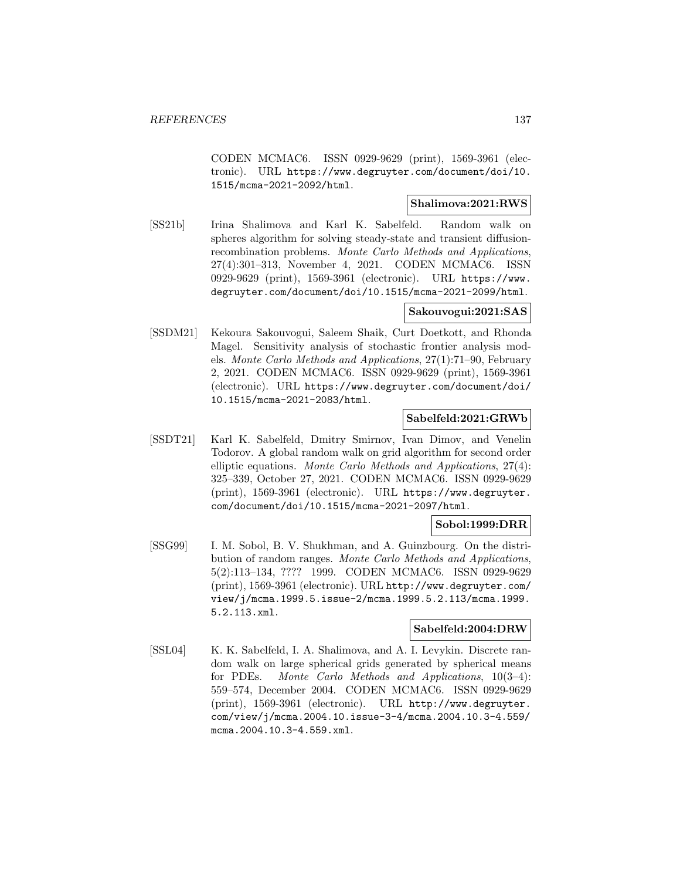CODEN MCMAC6. ISSN 0929-9629 (print), 1569-3961 (electronic). URL https://www.degruyter.com/document/doi/10. 1515/mcma-2021-2092/html.

## **Shalimova:2021:RWS**

[SS21b] Irina Shalimova and Karl K. Sabelfeld. Random walk on spheres algorithm for solving steady-state and transient diffusionrecombination problems. Monte Carlo Methods and Applications, 27(4):301–313, November 4, 2021. CODEN MCMAC6. ISSN 0929-9629 (print), 1569-3961 (electronic). URL https://www. degruyter.com/document/doi/10.1515/mcma-2021-2099/html.

### **Sakouvogui:2021:SAS**

[SSDM21] Kekoura Sakouvogui, Saleem Shaik, Curt Doetkott, and Rhonda Magel. Sensitivity analysis of stochastic frontier analysis models. Monte Carlo Methods and Applications, 27(1):71–90, February 2, 2021. CODEN MCMAC6. ISSN 0929-9629 (print), 1569-3961 (electronic). URL https://www.degruyter.com/document/doi/ 10.1515/mcma-2021-2083/html.

#### **Sabelfeld:2021:GRWb**

[SSDT21] Karl K. Sabelfeld, Dmitry Smirnov, Ivan Dimov, and Venelin Todorov. A global random walk on grid algorithm for second order elliptic equations. Monte Carlo Methods and Applications, 27(4): 325–339, October 27, 2021. CODEN MCMAC6. ISSN 0929-9629 (print), 1569-3961 (electronic). URL https://www.degruyter. com/document/doi/10.1515/mcma-2021-2097/html.

# **Sobol:1999:DRR**

[SSG99] I. M. Sobol, B. V. Shukhman, and A. Guinzbourg. On the distribution of random ranges. Monte Carlo Methods and Applications, 5(2):113–134, ???? 1999. CODEN MCMAC6. ISSN 0929-9629 (print), 1569-3961 (electronic). URL http://www.degruyter.com/ view/j/mcma.1999.5.issue-2/mcma.1999.5.2.113/mcma.1999. 5.2.113.xml.

#### **Sabelfeld:2004:DRW**

[SSL04] K. K. Sabelfeld, I. A. Shalimova, and A. I. Levykin. Discrete random walk on large spherical grids generated by spherical means for PDEs. Monte Carlo Methods and Applications, 10(3–4): 559–574, December 2004. CODEN MCMAC6. ISSN 0929-9629 (print), 1569-3961 (electronic). URL http://www.degruyter. com/view/j/mcma.2004.10.issue-3-4/mcma.2004.10.3-4.559/ mcma.2004.10.3-4.559.xml.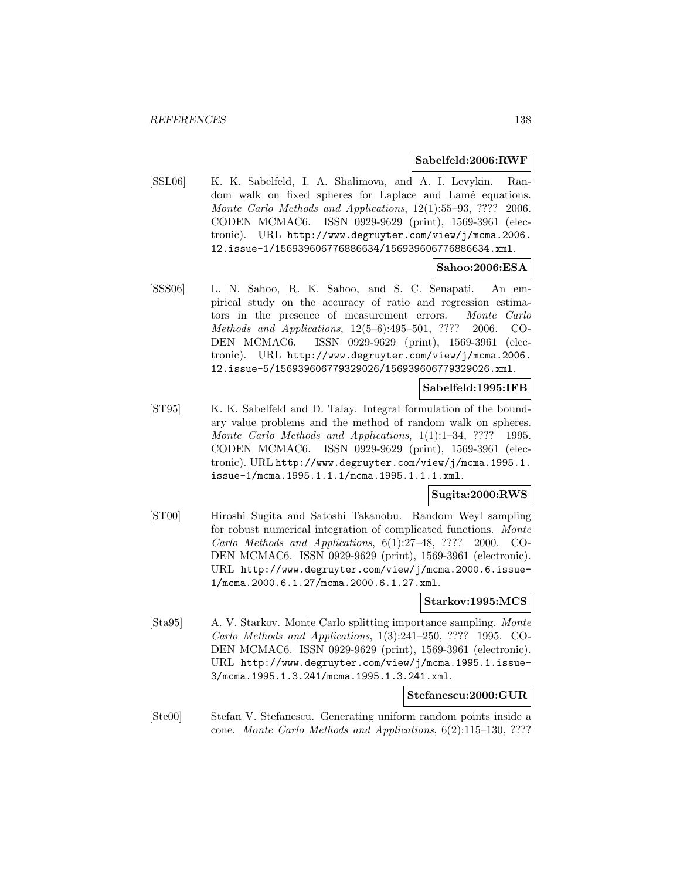#### **Sabelfeld:2006:RWF**

[SSL06] K. K. Sabelfeld, I. A. Shalimova, and A. I. Levykin. Random walk on fixed spheres for Laplace and Lamé equations. Monte Carlo Methods and Applications, 12(1):55–93, ???? 2006. CODEN MCMAC6. ISSN 0929-9629 (print), 1569-3961 (electronic). URL http://www.degruyter.com/view/j/mcma.2006. 12.issue-1/156939606776886634/156939606776886634.xml.

## **Sahoo:2006:ESA**

[SSS06] L. N. Sahoo, R. K. Sahoo, and S. C. Senapati. An empirical study on the accuracy of ratio and regression estimators in the presence of measurement errors. Monte Carlo Methods and Applications, 12(5–6):495–501, ???? 2006. CO-DEN MCMAC6. ISSN 0929-9629 (print), 1569-3961 (electronic). URL http://www.degruyter.com/view/j/mcma.2006. 12.issue-5/156939606779329026/156939606779329026.xml.

### **Sabelfeld:1995:IFB**

[ST95] K. K. Sabelfeld and D. Talay. Integral formulation of the boundary value problems and the method of random walk on spheres. Monte Carlo Methods and Applications, 1(1):1–34, ???? 1995. CODEN MCMAC6. ISSN 0929-9629 (print), 1569-3961 (electronic). URL http://www.degruyter.com/view/j/mcma.1995.1. issue-1/mcma.1995.1.1.1/mcma.1995.1.1.1.xml.

### **Sugita:2000:RWS**

[ST00] Hiroshi Sugita and Satoshi Takanobu. Random Weyl sampling for robust numerical integration of complicated functions. Monte Carlo Methods and Applications, 6(1):27–48, ???? 2000. CO-DEN MCMAC6. ISSN 0929-9629 (print), 1569-3961 (electronic). URL http://www.degruyter.com/view/j/mcma.2000.6.issue-1/mcma.2000.6.1.27/mcma.2000.6.1.27.xml.

#### **Starkov:1995:MCS**

[Sta95] A. V. Starkov. Monte Carlo splitting importance sampling. Monte Carlo Methods and Applications, 1(3):241–250, ???? 1995. CO-DEN MCMAC6. ISSN 0929-9629 (print), 1569-3961 (electronic). URL http://www.degruyter.com/view/j/mcma.1995.1.issue-3/mcma.1995.1.3.241/mcma.1995.1.3.241.xml.

# **Stefanescu:2000:GUR**

[Ste00] Stefan V. Stefanescu. Generating uniform random points inside a cone. Monte Carlo Methods and Applications, 6(2):115–130, ????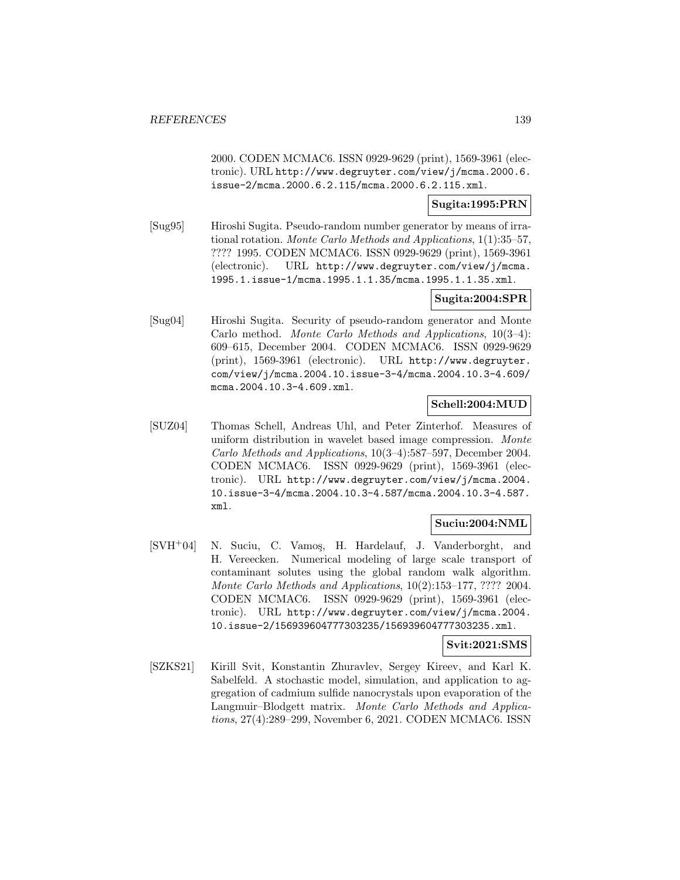2000. CODEN MCMAC6. ISSN 0929-9629 (print), 1569-3961 (electronic). URL http://www.degruyter.com/view/j/mcma.2000.6. issue-2/mcma.2000.6.2.115/mcma.2000.6.2.115.xml.

#### **Sugita:1995:PRN**

[Sug95] Hiroshi Sugita. Pseudo-random number generator by means of irrational rotation. Monte Carlo Methods and Applications, 1(1):35–57, ???? 1995. CODEN MCMAC6. ISSN 0929-9629 (print), 1569-3961 (electronic). URL http://www.degruyter.com/view/j/mcma. 1995.1.issue-1/mcma.1995.1.1.35/mcma.1995.1.1.35.xml.

## **Sugita:2004:SPR**

[Sug04] Hiroshi Sugita. Security of pseudo-random generator and Monte Carlo method. Monte Carlo Methods and Applications, 10(3–4): 609–615, December 2004. CODEN MCMAC6. ISSN 0929-9629 (print), 1569-3961 (electronic). URL http://www.degruyter. com/view/j/mcma.2004.10.issue-3-4/mcma.2004.10.3-4.609/ mcma.2004.10.3-4.609.xml.

## **Schell:2004:MUD**

[SUZ04] Thomas Schell, Andreas Uhl, and Peter Zinterhof. Measures of uniform distribution in wavelet based image compression. Monte Carlo Methods and Applications, 10(3–4):587–597, December 2004. CODEN MCMAC6. ISSN 0929-9629 (print), 1569-3961 (electronic). URL http://www.degruyter.com/view/j/mcma.2004. 10.issue-3-4/mcma.2004.10.3-4.587/mcma.2004.10.3-4.587. xml.

# **Suciu:2004:NML**

[SVH<sup>+</sup>04] N. Suciu, C. Vamos, H. Hardelauf, J. Vanderborght, and H. Vereecken. Numerical modeling of large scale transport of contaminant solutes using the global random walk algorithm. Monte Carlo Methods and Applications, 10(2):153–177, ???? 2004. CODEN MCMAC6. ISSN 0929-9629 (print), 1569-3961 (electronic). URL http://www.degruyter.com/view/j/mcma.2004. 10.issue-2/156939604777303235/156939604777303235.xml.

### **Svit:2021:SMS**

[SZKS21] Kirill Svit, Konstantin Zhuravlev, Sergey Kireev, and Karl K. Sabelfeld. A stochastic model, simulation, and application to aggregation of cadmium sulfide nanocrystals upon evaporation of the Langmuir–Blodgett matrix. Monte Carlo Methods and Applications, 27(4):289–299, November 6, 2021. CODEN MCMAC6. ISSN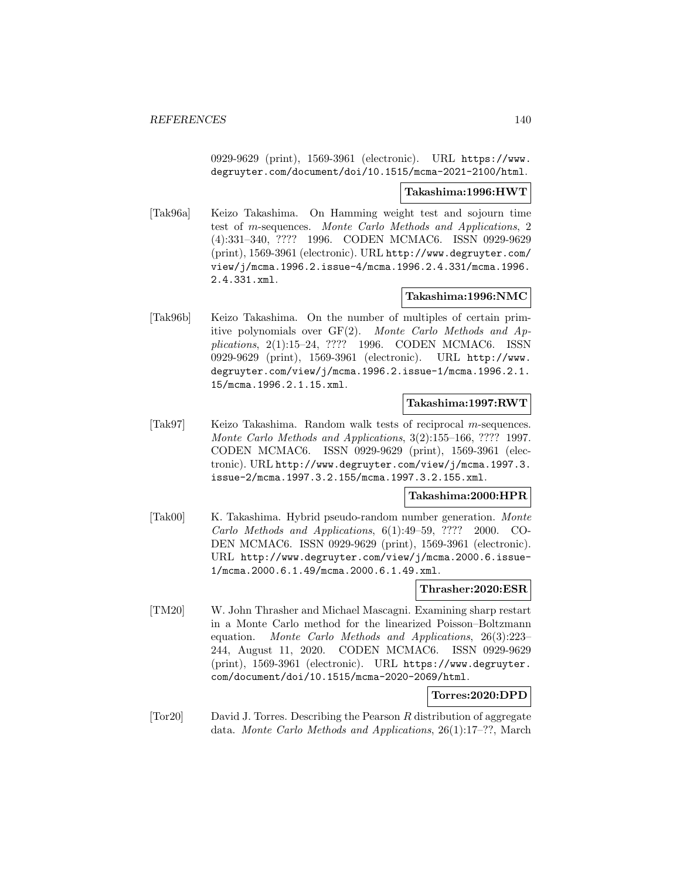0929-9629 (print), 1569-3961 (electronic). URL https://www. degruyter.com/document/doi/10.1515/mcma-2021-2100/html.

### **Takashima:1996:HWT**

[Tak96a] Keizo Takashima. On Hamming weight test and sojourn time test of m-sequences. Monte Carlo Methods and Applications, 2 (4):331–340, ???? 1996. CODEN MCMAC6. ISSN 0929-9629 (print), 1569-3961 (electronic). URL http://www.degruyter.com/ view/j/mcma.1996.2.issue-4/mcma.1996.2.4.331/mcma.1996. 2.4.331.xml.

# **Takashima:1996:NMC**

[Tak96b] Keizo Takashima. On the number of multiples of certain primitive polynomials over GF(2). Monte Carlo Methods and Applications, 2(1):15–24, ???? 1996. CODEN MCMAC6. ISSN 0929-9629 (print), 1569-3961 (electronic). URL http://www. degruyter.com/view/j/mcma.1996.2.issue-1/mcma.1996.2.1. 15/mcma.1996.2.1.15.xml.

# **Takashima:1997:RWT**

[Tak97] Keizo Takashima. Random walk tests of reciprocal m-sequences. Monte Carlo Methods and Applications, 3(2):155–166, ???? 1997. CODEN MCMAC6. ISSN 0929-9629 (print), 1569-3961 (electronic). URL http://www.degruyter.com/view/j/mcma.1997.3. issue-2/mcma.1997.3.2.155/mcma.1997.3.2.155.xml.

## **Takashima:2000:HPR**

[Tak00] K. Takashima. Hybrid pseudo-random number generation. Monte Carlo Methods and Applications, 6(1):49–59, ???? 2000. CO-DEN MCMAC6. ISSN 0929-9629 (print), 1569-3961 (electronic). URL http://www.degruyter.com/view/j/mcma.2000.6.issue-1/mcma.2000.6.1.49/mcma.2000.6.1.49.xml.

### **Thrasher:2020:ESR**

[TM20] W. John Thrasher and Michael Mascagni. Examining sharp restart in a Monte Carlo method for the linearized Poisson–Boltzmann equation. Monte Carlo Methods and Applications, 26(3):223– 244, August 11, 2020. CODEN MCMAC6. ISSN 0929-9629 (print), 1569-3961 (electronic). URL https://www.degruyter. com/document/doi/10.1515/mcma-2020-2069/html.

# **Torres:2020:DPD**

[Tor20] David J. Torres. Describing the Pearson R distribution of aggregate data. Monte Carlo Methods and Applications, 26(1):17–??, March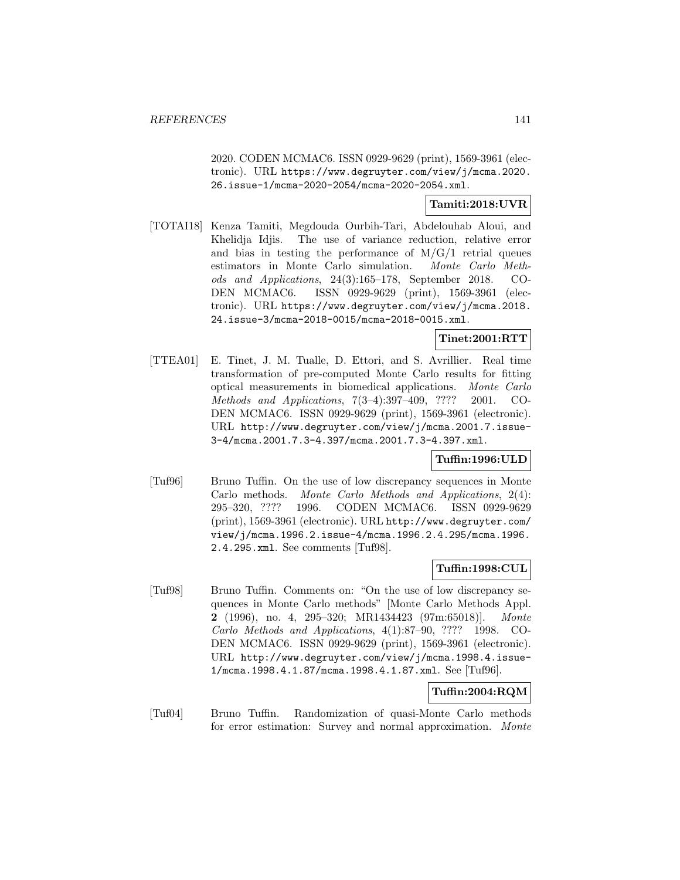2020. CODEN MCMAC6. ISSN 0929-9629 (print), 1569-3961 (electronic). URL https://www.degruyter.com/view/j/mcma.2020. 26.issue-1/mcma-2020-2054/mcma-2020-2054.xml.

## **Tamiti:2018:UVR**

[TOTAI18] Kenza Tamiti, Megdouda Ourbih-Tari, Abdelouhab Aloui, and Khelidja Idjis. The use of variance reduction, relative error and bias in testing the performance of  $M/G/1$  retrial queues estimators in Monte Carlo simulation. Monte Carlo Methods and Applications, 24(3):165–178, September 2018. CO-DEN MCMAC6. ISSN 0929-9629 (print), 1569-3961 (electronic). URL https://www.degruyter.com/view/j/mcma.2018. 24.issue-3/mcma-2018-0015/mcma-2018-0015.xml.

**Tinet:2001:RTT**

[TTEA01] E. Tinet, J. M. Tualle, D. Ettori, and S. Avrillier. Real time transformation of pre-computed Monte Carlo results for fitting optical measurements in biomedical applications. Monte Carlo Methods and Applications, 7(3–4):397–409, ???? 2001. CO-DEN MCMAC6. ISSN 0929-9629 (print), 1569-3961 (electronic). URL http://www.degruyter.com/view/j/mcma.2001.7.issue-3-4/mcma.2001.7.3-4.397/mcma.2001.7.3-4.397.xml.

### **Tuffin:1996:ULD**

[Tuf96] Bruno Tuffin. On the use of low discrepancy sequences in Monte Carlo methods. Monte Carlo Methods and Applications, 2(4): 295–320, ???? 1996. CODEN MCMAC6. ISSN 0929-9629 (print), 1569-3961 (electronic). URL http://www.degruyter.com/ view/j/mcma.1996.2.issue-4/mcma.1996.2.4.295/mcma.1996. 2.4.295.xml. See comments [Tuf98].

# **Tuffin:1998:CUL**

[Tuf98] Bruno Tuffin. Comments on: "On the use of low discrepancy sequences in Monte Carlo methods" [Monte Carlo Methods Appl. **2** (1996), no. 4, 295–320; MR1434423 (97m:65018)]. Monte Carlo Methods and Applications, 4(1):87–90, ???? 1998. CO-DEN MCMAC6. ISSN 0929-9629 (print), 1569-3961 (electronic). URL http://www.degruyter.com/view/j/mcma.1998.4.issue-1/mcma.1998.4.1.87/mcma.1998.4.1.87.xml. See [Tuf96].

### **Tuffin:2004:RQM**

[Tuf04] Bruno Tuffin. Randomization of quasi-Monte Carlo methods for error estimation: Survey and normal approximation. Monte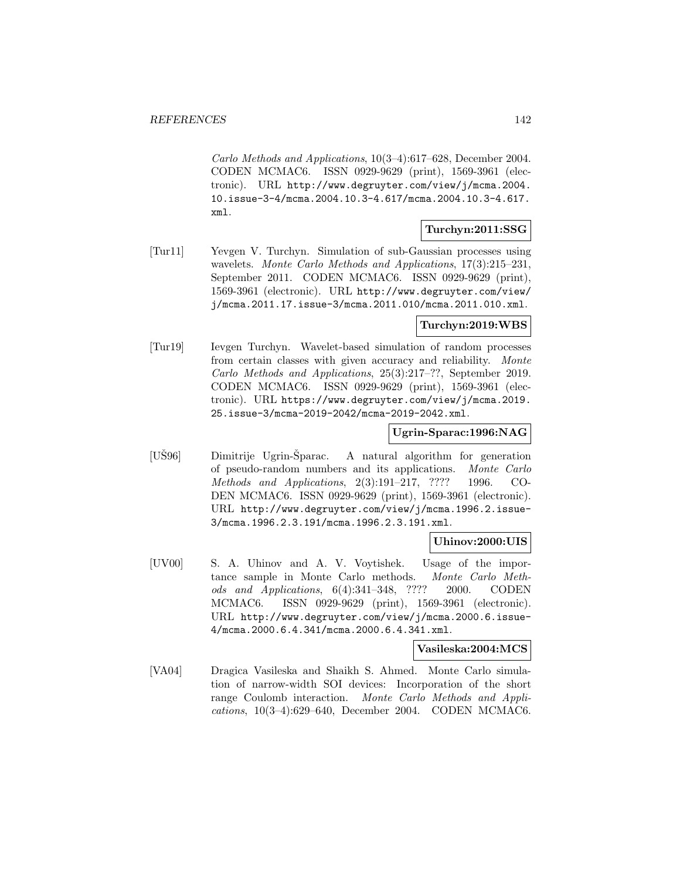Carlo Methods and Applications, 10(3–4):617–628, December 2004. CODEN MCMAC6. ISSN 0929-9629 (print), 1569-3961 (electronic). URL http://www.degruyter.com/view/j/mcma.2004. 10.issue-3-4/mcma.2004.10.3-4.617/mcma.2004.10.3-4.617. xml.

## **Turchyn:2011:SSG**

[Tur11] Yevgen V. Turchyn. Simulation of sub-Gaussian processes using wavelets. Monte Carlo Methods and Applications, 17(3):215-231, September 2011. CODEN MCMAC6. ISSN 0929-9629 (print), 1569-3961 (electronic). URL http://www.degruyter.com/view/ j/mcma.2011.17.issue-3/mcma.2011.010/mcma.2011.010.xml.

## **Turchyn:2019:WBS**

[Tur19] Ievgen Turchyn. Wavelet-based simulation of random processes from certain classes with given accuracy and reliability. Monte Carlo Methods and Applications, 25(3):217–??, September 2019. CODEN MCMAC6. ISSN 0929-9629 (print), 1569-3961 (electronic). URL https://www.degruyter.com/view/j/mcma.2019. 25.issue-3/mcma-2019-2042/mcma-2019-2042.xml.

### **Ugrin-Sparac:1996:NAG**

 $[USS6]$  Dimitrije Ugrin-Šparac. A natural algorithm for generation of pseudo-random numbers and its applications. Monte Carlo Methods and Applications, 2(3):191–217, ???? 1996. CO-DEN MCMAC6. ISSN 0929-9629 (print), 1569-3961 (electronic). URL http://www.degruyter.com/view/j/mcma.1996.2.issue-3/mcma.1996.2.3.191/mcma.1996.2.3.191.xml.

### **Uhinov:2000:UIS**

[UV00] S. A. Uhinov and A. V. Voytishek. Usage of the importance sample in Monte Carlo methods. Monte Carlo Methods and Applications, 6(4):341–348, ???? 2000. CODEN MCMAC6. ISSN 0929-9629 (print), 1569-3961 (electronic). URL http://www.degruyter.com/view/j/mcma.2000.6.issue-4/mcma.2000.6.4.341/mcma.2000.6.4.341.xml.

#### **Vasileska:2004:MCS**

[VA04] Dragica Vasileska and Shaikh S. Ahmed. Monte Carlo simulation of narrow-width SOI devices: Incorporation of the short range Coulomb interaction. Monte Carlo Methods and Applications, 10(3–4):629–640, December 2004. CODEN MCMAC6.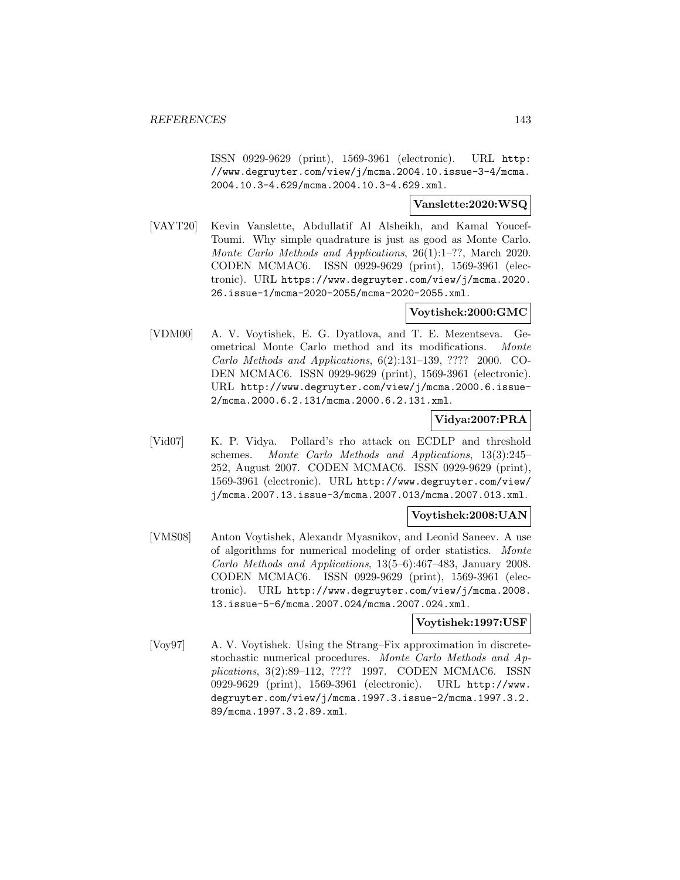ISSN 0929-9629 (print), 1569-3961 (electronic). URL http: //www.degruyter.com/view/j/mcma.2004.10.issue-3-4/mcma. 2004.10.3-4.629/mcma.2004.10.3-4.629.xml.

#### **Vanslette:2020:WSQ**

[VAYT20] Kevin Vanslette, Abdullatif Al Alsheikh, and Kamal Youcef-Toumi. Why simple quadrature is just as good as Monte Carlo. Monte Carlo Methods and Applications, 26(1):1–??, March 2020. CODEN MCMAC6. ISSN 0929-9629 (print), 1569-3961 (electronic). URL https://www.degruyter.com/view/j/mcma.2020. 26.issue-1/mcma-2020-2055/mcma-2020-2055.xml.

# **Voytishek:2000:GMC**

[VDM00] A. V. Voytishek, E. G. Dyatlova, and T. E. Mezentseva. Geometrical Monte Carlo method and its modifications. Monte Carlo Methods and Applications, 6(2):131–139, ???? 2000. CO-DEN MCMAC6. ISSN 0929-9629 (print), 1569-3961 (electronic). URL http://www.degruyter.com/view/j/mcma.2000.6.issue-2/mcma.2000.6.2.131/mcma.2000.6.2.131.xml.

### **Vidya:2007:PRA**

[Vid07] K. P. Vidya. Pollard's rho attack on ECDLP and threshold schemes. Monte Carlo Methods and Applications, 13(3):245– 252, August 2007. CODEN MCMAC6. ISSN 0929-9629 (print), 1569-3961 (electronic). URL http://www.degruyter.com/view/ j/mcma.2007.13.issue-3/mcma.2007.013/mcma.2007.013.xml.

### **Voytishek:2008:UAN**

[VMS08] Anton Voytishek, Alexandr Myasnikov, and Leonid Saneev. A use of algorithms for numerical modeling of order statistics. Monte Carlo Methods and Applications, 13(5–6):467–483, January 2008. CODEN MCMAC6. ISSN 0929-9629 (print), 1569-3961 (electronic). URL http://www.degruyter.com/view/j/mcma.2008. 13.issue-5-6/mcma.2007.024/mcma.2007.024.xml.

## **Voytishek:1997:USF**

[Voy97] A. V. Voytishek. Using the Strang–Fix approximation in discretestochastic numerical procedures. Monte Carlo Methods and Applications, 3(2):89–112, ???? 1997. CODEN MCMAC6. ISSN 0929-9629 (print), 1569-3961 (electronic). URL http://www. degruyter.com/view/j/mcma.1997.3.issue-2/mcma.1997.3.2. 89/mcma.1997.3.2.89.xml.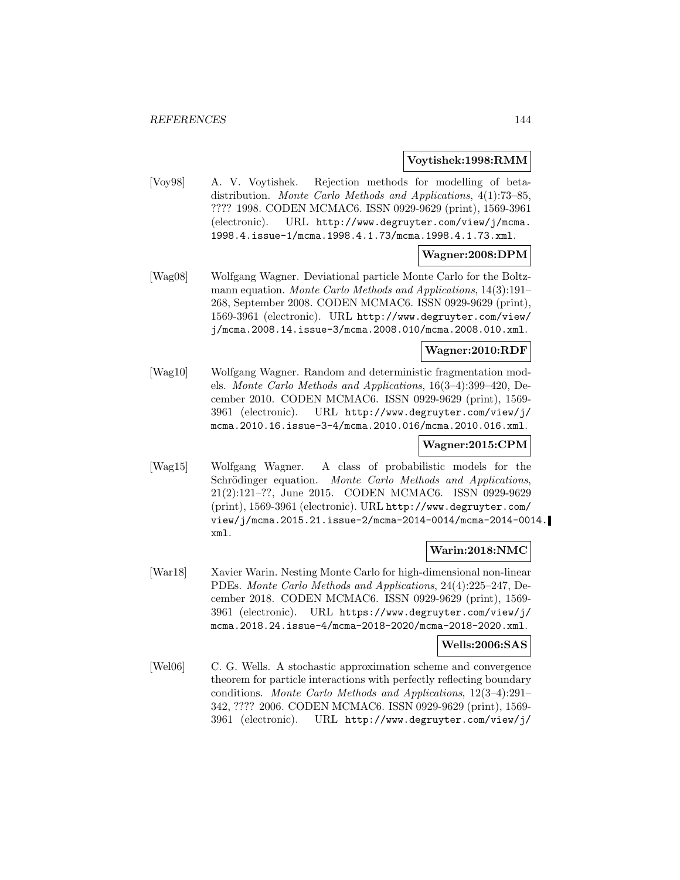### **Voytishek:1998:RMM**

[Voy98] A. V. Voytishek. Rejection methods for modelling of betadistribution. Monte Carlo Methods and Applications, 4(1):73–85, ???? 1998. CODEN MCMAC6. ISSN 0929-9629 (print), 1569-3961 (electronic). URL http://www.degruyter.com/view/j/mcma. 1998.4.issue-1/mcma.1998.4.1.73/mcma.1998.4.1.73.xml.

### **Wagner:2008:DPM**

[Wag08] Wolfgang Wagner. Deviational particle Monte Carlo for the Boltzmann equation. Monte Carlo Methods and Applications, 14(3):191– 268, September 2008. CODEN MCMAC6. ISSN 0929-9629 (print), 1569-3961 (electronic). URL http://www.degruyter.com/view/ j/mcma.2008.14.issue-3/mcma.2008.010/mcma.2008.010.xml.

### **Wagner:2010:RDF**

[Wag10] Wolfgang Wagner. Random and deterministic fragmentation models. Monte Carlo Methods and Applications, 16(3–4):399–420, December 2010. CODEN MCMAC6. ISSN 0929-9629 (print), 1569- 3961 (electronic). URL http://www.degruyter.com/view/j/ mcma.2010.16.issue-3-4/mcma.2010.016/mcma.2010.016.xml.

## **Wagner:2015:CPM**

[Wag15] Wolfgang Wagner. A class of probabilistic models for the Schrödinger equation. Monte Carlo Methods and Applications, 21(2):121–??, June 2015. CODEN MCMAC6. ISSN 0929-9629 (print), 1569-3961 (electronic). URL http://www.degruyter.com/ view/j/mcma.2015.21.issue-2/mcma-2014-0014/mcma-2014-0014. xml.

### **Warin:2018:NMC**

[War18] Xavier Warin. Nesting Monte Carlo for high-dimensional non-linear PDEs. Monte Carlo Methods and Applications, 24(4):225–247, December 2018. CODEN MCMAC6. ISSN 0929-9629 (print), 1569- 3961 (electronic). URL https://www.degruyter.com/view/j/ mcma.2018.24.issue-4/mcma-2018-2020/mcma-2018-2020.xml.

### **Wells:2006:SAS**

[Wel06] C. G. Wells. A stochastic approximation scheme and convergence theorem for particle interactions with perfectly reflecting boundary conditions. Monte Carlo Methods and Applications, 12(3–4):291– 342, ???? 2006. CODEN MCMAC6. ISSN 0929-9629 (print), 1569- 3961 (electronic). URL http://www.degruyter.com/view/j/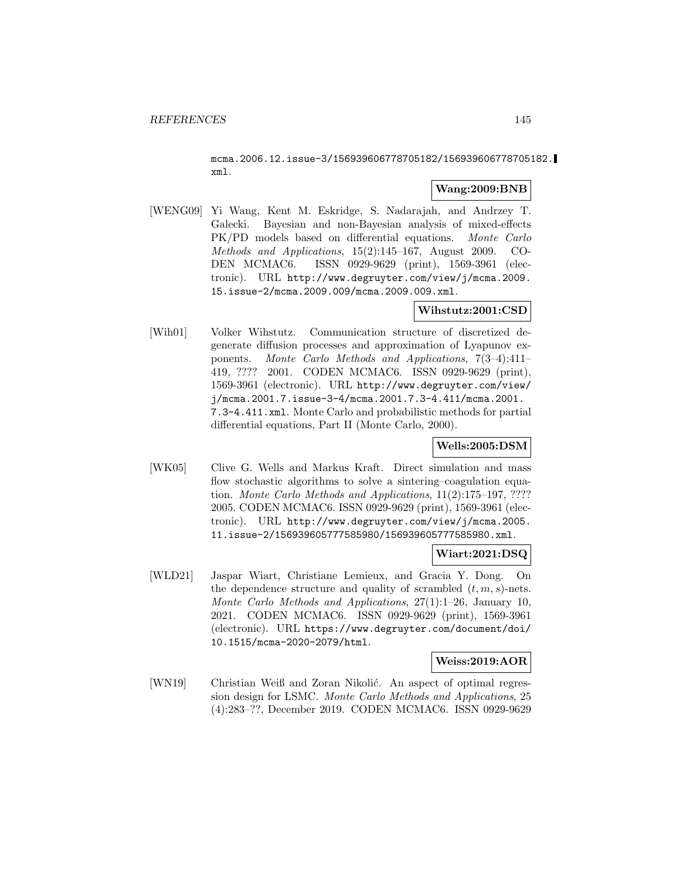mcma.2006.12.issue-3/156939606778705182/156939606778705182. xml.

#### **Wang:2009:BNB**

[WENG09] Yi Wang, Kent M. Eskridge, S. Nadarajah, and Andrzey T. Galecki. Bayesian and non-Bayesian analysis of mixed-effects PK/PD models based on differential equations. Monte Carlo Methods and Applications, 15(2):145–167, August 2009. CO-DEN MCMAC6. ISSN 0929-9629 (print), 1569-3961 (electronic). URL http://www.degruyter.com/view/j/mcma.2009. 15.issue-2/mcma.2009.009/mcma.2009.009.xml.

### **Wihstutz:2001:CSD**

[Wih01] Volker Wihstutz. Communication structure of discretized degenerate diffusion processes and approximation of Lyapunov exponents. Monte Carlo Methods and Applications, 7(3–4):411– 419, ???? 2001. CODEN MCMAC6. ISSN 0929-9629 (print), 1569-3961 (electronic). URL http://www.degruyter.com/view/ j/mcma.2001.7.issue-3-4/mcma.2001.7.3-4.411/mcma.2001. 7.3-4.411.xml. Monte Carlo and probabilistic methods for partial differential equations, Part II (Monte Carlo, 2000).

## **Wells:2005:DSM**

[WK05] Clive G. Wells and Markus Kraft. Direct simulation and mass flow stochastic algorithms to solve a sintering–coagulation equation. Monte Carlo Methods and Applications, 11(2):175–197, ???? 2005. CODEN MCMAC6. ISSN 0929-9629 (print), 1569-3961 (electronic). URL http://www.degruyter.com/view/j/mcma.2005. 11.issue-2/156939605777585980/156939605777585980.xml.

## **Wiart:2021:DSQ**

[WLD21] Jaspar Wiart, Christiane Lemieux, and Gracia Y. Dong. On the dependence structure and quality of scrambled  $(t, m, s)$ -nets. Monte Carlo Methods and Applications, 27(1):1–26, January 10, 2021. CODEN MCMAC6. ISSN 0929-9629 (print), 1569-3961 (electronic). URL https://www.degruyter.com/document/doi/ 10.1515/mcma-2020-2079/html.

#### **Weiss:2019:AOR**

[WN19] Christian Weiß and Zoran Nikolić. An aspect of optimal regression design for LSMC. Monte Carlo Methods and Applications, 25 (4):283–??, December 2019. CODEN MCMAC6. ISSN 0929-9629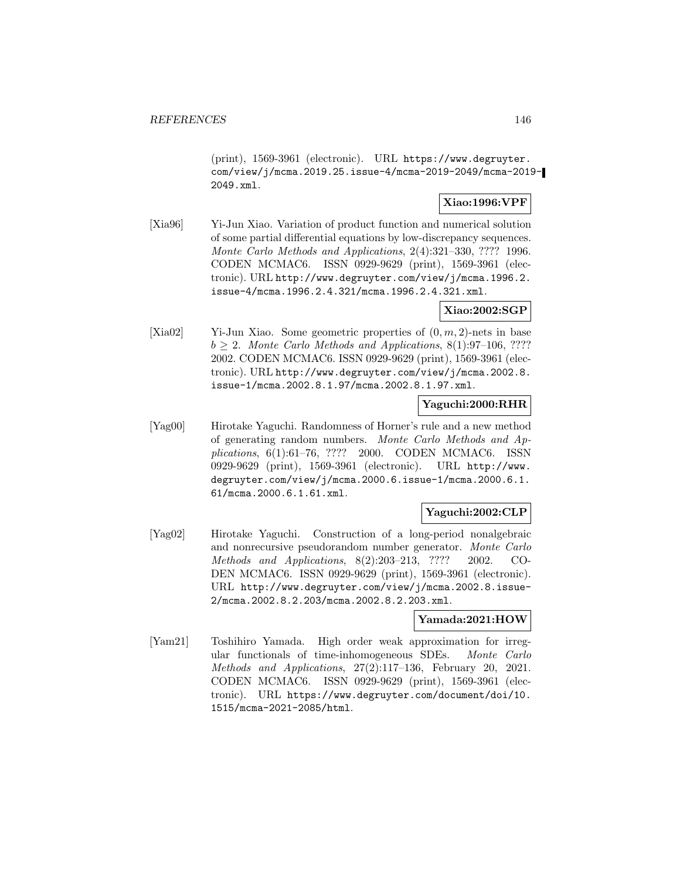(print), 1569-3961 (electronic). URL https://www.degruyter. com/view/j/mcma.2019.25.issue-4/mcma-2019-2049/mcma-2019- 2049.xml.

## **Xiao:1996:VPF**

[Xia96] Yi-Jun Xiao. Variation of product function and numerical solution of some partial differential equations by low-discrepancy sequences. Monte Carlo Methods and Applications, 2(4):321–330, ???? 1996. CODEN MCMAC6. ISSN 0929-9629 (print), 1569-3961 (electronic). URL http://www.degruyter.com/view/j/mcma.1996.2. issue-4/mcma.1996.2.4.321/mcma.1996.2.4.321.xml.

### **Xiao:2002:SGP**

[Xia02] Yi-Jun Xiao. Some geometric properties of  $(0, m, 2)$ -nets in base  $b \geq 2$ . Monte Carlo Methods and Applications, 8(1):97–106, ???? 2002. CODEN MCMAC6. ISSN 0929-9629 (print), 1569-3961 (electronic). URL http://www.degruyter.com/view/j/mcma.2002.8. issue-1/mcma.2002.8.1.97/mcma.2002.8.1.97.xml.

## **Yaguchi:2000:RHR**

[Yag00] Hirotake Yaguchi. Randomness of Horner's rule and a new method of generating random numbers. Monte Carlo Methods and Applications, 6(1):61–76, ???? 2000. CODEN MCMAC6. ISSN 0929-9629 (print), 1569-3961 (electronic). URL http://www. degruyter.com/view/j/mcma.2000.6.issue-1/mcma.2000.6.1. 61/mcma.2000.6.1.61.xml.

# **Yaguchi:2002:CLP**

[Yag02] Hirotake Yaguchi. Construction of a long-period nonalgebraic and nonrecursive pseudorandom number generator. Monte Carlo Methods and Applications, 8(2):203–213, ???? 2002. CO-DEN MCMAC6. ISSN 0929-9629 (print), 1569-3961 (electronic). URL http://www.degruyter.com/view/j/mcma.2002.8.issue-2/mcma.2002.8.2.203/mcma.2002.8.2.203.xml.

### **Yamada:2021:HOW**

[Yam21] Toshihiro Yamada. High order weak approximation for irregular functionals of time-inhomogeneous SDEs. Monte Carlo Methods and Applications, 27(2):117–136, February 20, 2021. CODEN MCMAC6. ISSN 0929-9629 (print), 1569-3961 (electronic). URL https://www.degruyter.com/document/doi/10. 1515/mcma-2021-2085/html.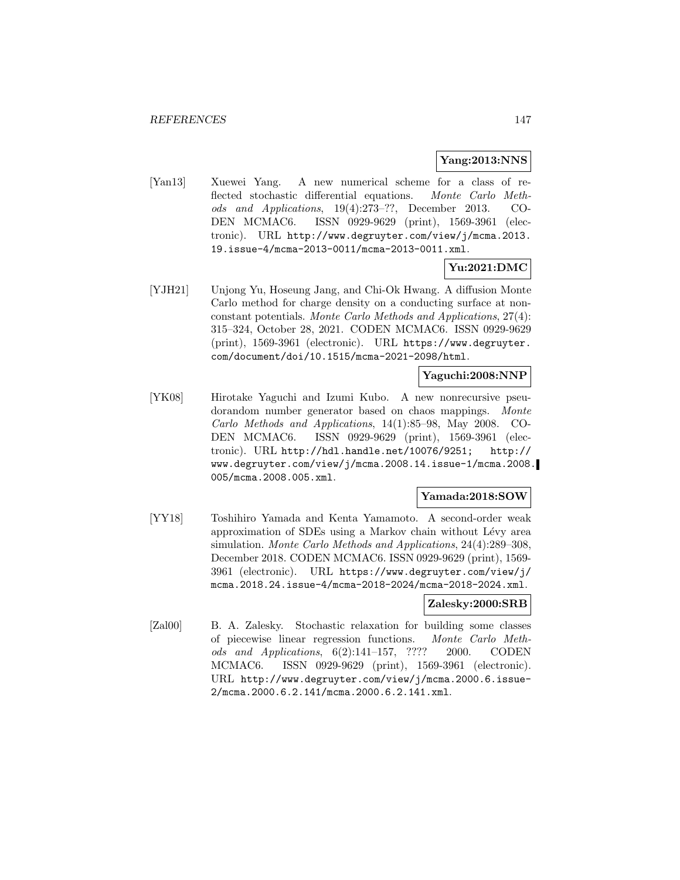#### **Yang:2013:NNS**

[Yan13] Xuewei Yang. A new numerical scheme for a class of reflected stochastic differential equations. Monte Carlo Methods and Applications, 19(4):273–??, December 2013. CO-DEN MCMAC6. ISSN 0929-9629 (print), 1569-3961 (electronic). URL http://www.degruyter.com/view/j/mcma.2013. 19.issue-4/mcma-2013-0011/mcma-2013-0011.xml.

## **Yu:2021:DMC**

[YJH21] Unjong Yu, Hoseung Jang, and Chi-Ok Hwang. A diffusion Monte Carlo method for charge density on a conducting surface at nonconstant potentials. Monte Carlo Methods and Applications, 27(4): 315–324, October 28, 2021. CODEN MCMAC6. ISSN 0929-9629 (print), 1569-3961 (electronic). URL https://www.degruyter. com/document/doi/10.1515/mcma-2021-2098/html.

#### **Yaguchi:2008:NNP**

[YK08] Hirotake Yaguchi and Izumi Kubo. A new nonrecursive pseudorandom number generator based on chaos mappings. Monte Carlo Methods and Applications, 14(1):85–98, May 2008. CO-DEN MCMAC6. ISSN 0929-9629 (print), 1569-3961 (electronic). URL http://hdl.handle.net/10076/9251; http:// www.degruyter.com/view/j/mcma.2008.14.issue-1/mcma.2008. 005/mcma.2008.005.xml.

## **Yamada:2018:SOW**

[YY18] Toshihiro Yamada and Kenta Yamamoto. A second-order weak approximation of SDEs using a Markov chain without Lévy area simulation. Monte Carlo Methods and Applications, 24(4):289–308, December 2018. CODEN MCMAC6. ISSN 0929-9629 (print), 1569- 3961 (electronic). URL https://www.degruyter.com/view/j/ mcma.2018.24.issue-4/mcma-2018-2024/mcma-2018-2024.xml.

#### **Zalesky:2000:SRB**

[Zal00] B. A. Zalesky. Stochastic relaxation for building some classes of piecewise linear regression functions. Monte Carlo Methods and Applications, 6(2):141–157, ???? 2000. CODEN MCMAC6. ISSN 0929-9629 (print), 1569-3961 (electronic). URL http://www.degruyter.com/view/j/mcma.2000.6.issue-2/mcma.2000.6.2.141/mcma.2000.6.2.141.xml.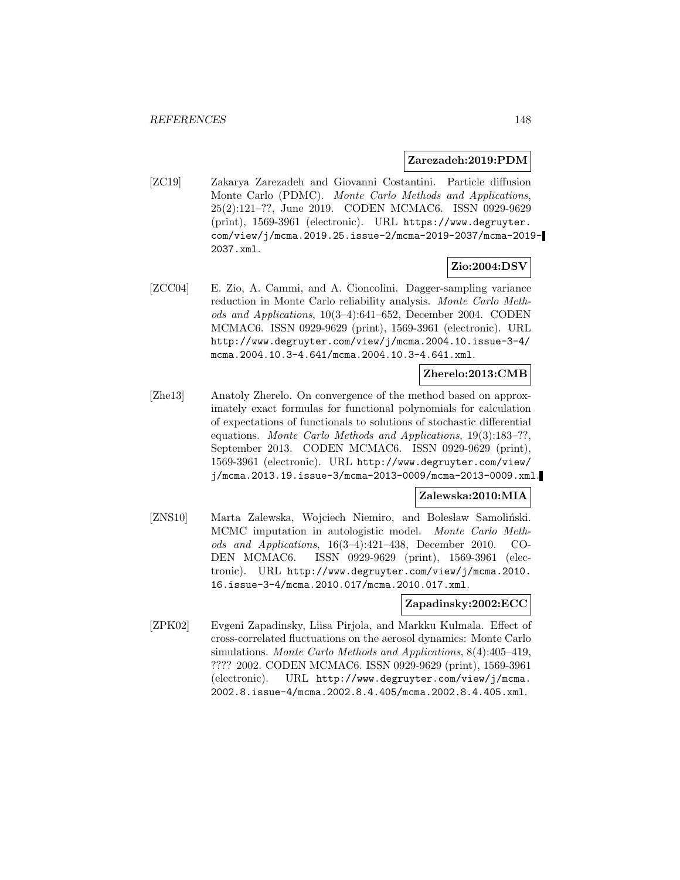#### **Zarezadeh:2019:PDM**

[ZC19] Zakarya Zarezadeh and Giovanni Costantini. Particle diffusion Monte Carlo (PDMC). Monte Carlo Methods and Applications, 25(2):121–??, June 2019. CODEN MCMAC6. ISSN 0929-9629 (print), 1569-3961 (electronic). URL https://www.degruyter. com/view/j/mcma.2019.25.issue-2/mcma-2019-2037/mcma-2019- 2037.xml.

# **Zio:2004:DSV**

[ZCC04] E. Zio, A. Cammi, and A. Cioncolini. Dagger-sampling variance reduction in Monte Carlo reliability analysis. Monte Carlo Methods and Applications, 10(3–4):641–652, December 2004. CODEN MCMAC6. ISSN 0929-9629 (print), 1569-3961 (electronic). URL http://www.degruyter.com/view/j/mcma.2004.10.issue-3-4/ mcma.2004.10.3-4.641/mcma.2004.10.3-4.641.xml.

### **Zherelo:2013:CMB**

[Zhe13] Anatoly Zherelo. On convergence of the method based on approximately exact formulas for functional polynomials for calculation of expectations of functionals to solutions of stochastic differential equations. Monte Carlo Methods and Applications, 19(3):183–??, September 2013. CODEN MCMAC6. ISSN 0929-9629 (print), 1569-3961 (electronic). URL http://www.degruyter.com/view/ j/mcma.2013.19.issue-3/mcma-2013-0009/mcma-2013-0009.xml.

### **Zalewska:2010:MIA**

[ZNS10] Marta Zalewska, Wojciech Niemiro, and Bolesław Samoliński. MCMC imputation in autologistic model. Monte Carlo Methods and Applications, 16(3–4):421–438, December 2010. CO-DEN MCMAC6. ISSN 0929-9629 (print), 1569-3961 (electronic). URL http://www.degruyter.com/view/j/mcma.2010. 16.issue-3-4/mcma.2010.017/mcma.2010.017.xml.

### **Zapadinsky:2002:ECC**

[ZPK02] Evgeni Zapadinsky, Liisa Pirjola, and Markku Kulmala. Effect of cross-correlated fluctuations on the aerosol dynamics: Monte Carlo simulations. Monte Carlo Methods and Applications, 8(4):405–419, ???? 2002. CODEN MCMAC6. ISSN 0929-9629 (print), 1569-3961 (electronic). URL http://www.degruyter.com/view/j/mcma. 2002.8.issue-4/mcma.2002.8.4.405/mcma.2002.8.4.405.xml.